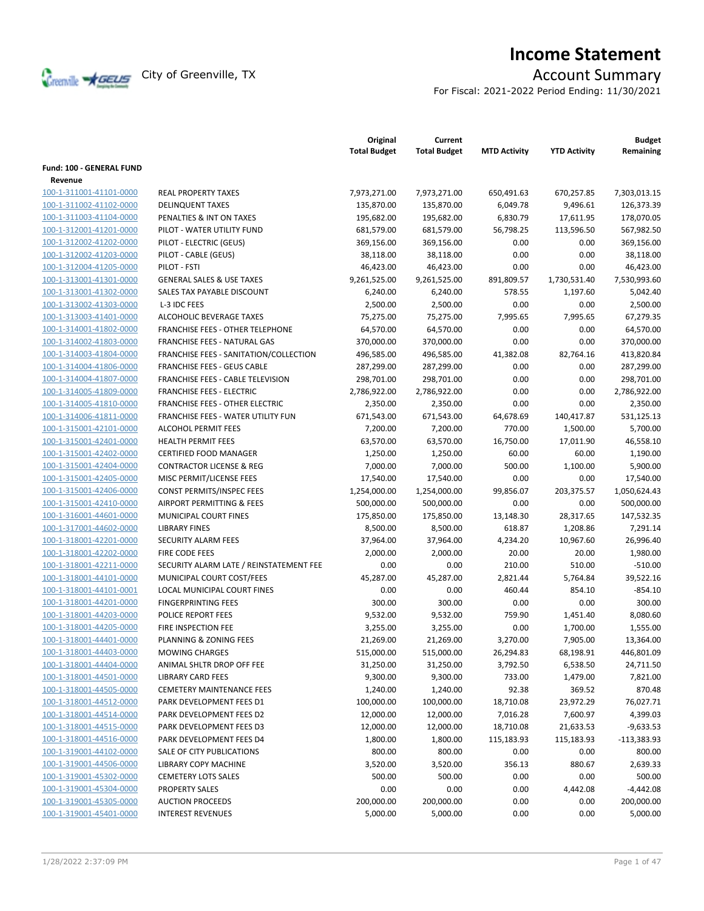

# **Income Statement**

For Fiscal: 2021-2022 Period Ending: 11/30/2021

|                                                    |                                                              | Original<br><b>Total Budget</b> | Current<br><b>Total Budget</b> | <b>MTD Activity</b> | <b>YTD Activity</b> | <b>Budget</b><br>Remaining |
|----------------------------------------------------|--------------------------------------------------------------|---------------------------------|--------------------------------|---------------------|---------------------|----------------------------|
| <b>Fund: 100 - GENERAL FUND</b>                    |                                                              |                                 |                                |                     |                     |                            |
| Revenue                                            |                                                              |                                 |                                |                     |                     |                            |
| 100-1-311001-41101-0000                            | <b>REAL PROPERTY TAXES</b>                                   | 7,973,271.00                    | 7,973,271.00                   | 650,491.63          | 670,257.85          | 7,303,013.15               |
| 100-1-311002-41102-0000                            | <b>DELINQUENT TAXES</b>                                      | 135,870.00                      | 135,870.00                     | 6,049.78            | 9,496.61            | 126,373.39                 |
| 100-1-311003-41104-0000                            | PENALTIES & INT ON TAXES                                     | 195,682.00                      | 195,682.00                     | 6,830.79            | 17,611.95           | 178,070.05                 |
| 100-1-312001-41201-0000                            | PILOT - WATER UTILITY FUND                                   | 681,579.00                      | 681,579.00                     | 56,798.25           | 113,596.50          | 567,982.50                 |
| 100-1-312002-41202-0000                            | PILOT - ELECTRIC (GEUS)                                      | 369,156.00                      | 369,156.00                     | 0.00                | 0.00                | 369,156.00                 |
| 100-1-312002-41203-0000                            | PILOT - CABLE (GEUS)                                         | 38,118.00                       | 38,118.00                      | 0.00                | 0.00                | 38,118.00                  |
| 100-1-312004-41205-0000                            | PILOT - FSTI                                                 | 46,423.00                       | 46,423.00                      | 0.00                | 0.00                | 46,423.00                  |
| 100-1-313001-41301-0000                            | <b>GENERAL SALES &amp; USE TAXES</b>                         | 9,261,525.00                    | 9,261,525.00                   | 891,809.57          | 1,730,531.40        | 7,530,993.60               |
| 100-1-313001-41302-0000                            | SALES TAX PAYABLE DISCOUNT                                   | 6,240.00                        | 6,240.00                       | 578.55              | 1,197.60            | 5,042.40                   |
| 100-1-313002-41303-0000                            | L-3 IDC FEES                                                 | 2,500.00                        | 2,500.00                       | 0.00                | 0.00                | 2,500.00                   |
| 100-1-313003-41401-0000                            | ALCOHOLIC BEVERAGE TAXES                                     | 75,275.00                       | 75,275.00                      | 7,995.65            | 7,995.65            | 67,279.35                  |
| 100-1-314001-41802-0000                            | <b>FRANCHISE FEES - OTHER TELEPHONE</b>                      | 64,570.00                       | 64,570.00                      | 0.00                | 0.00                | 64,570.00                  |
| 100-1-314002-41803-0000                            | FRANCHISE FEES - NATURAL GAS                                 | 370,000.00                      | 370,000.00                     | 0.00                | 0.00                | 370,000.00                 |
| 100-1-314003-41804-0000                            | FRANCHISE FEES - SANITATION/COLLECTION                       | 496,585.00                      | 496,585.00                     | 41,382.08           | 82,764.16           | 413,820.84                 |
| 100-1-314004-41806-0000                            | <b>FRANCHISE FEES - GEUS CABLE</b>                           | 287,299.00                      | 287,299.00                     | 0.00                | 0.00                | 287,299.00                 |
| 100-1-314004-41807-0000                            | FRANCHISE FEES - CABLE TELEVISION                            | 298,701.00                      | 298,701.00                     | 0.00                | 0.00                | 298,701.00                 |
| 100-1-314005-41809-0000                            | <b>FRANCHISE FEES - ELECTRIC</b>                             | 2,786,922.00                    | 2,786,922.00                   | 0.00                | 0.00                | 2,786,922.00               |
| 100-1-314005-41810-0000                            | <b>FRANCHISE FEES - OTHER ELECTRIC</b>                       | 2,350.00                        | 2,350.00                       | 0.00                | 0.00                | 2,350.00                   |
| 100-1-314006-41811-0000                            | <b>FRANCHISE FEES - WATER UTILITY FUN</b>                    | 671,543.00                      | 671,543.00                     | 64,678.69           | 140,417.87          | 531,125.13                 |
| 100-1-315001-42101-0000                            | ALCOHOL PERMIT FEES                                          | 7,200.00                        | 7,200.00                       | 770.00              | 1,500.00            | 5,700.00                   |
| 100-1-315001-42401-0000                            | <b>HEALTH PERMIT FEES</b>                                    | 63,570.00                       | 63,570.00                      | 16,750.00           | 17,011.90           | 46,558.10                  |
| 100-1-315001-42402-0000                            | <b>CERTIFIED FOOD MANAGER</b>                                | 1,250.00                        | 1,250.00                       | 60.00               | 60.00               | 1,190.00                   |
| 100-1-315001-42404-0000                            | <b>CONTRACTOR LICENSE &amp; REG</b>                          | 7,000.00                        | 7,000.00                       | 500.00              | 1,100.00            | 5,900.00                   |
| 100-1-315001-42405-0000                            | MISC PERMIT/LICENSE FEES                                     | 17,540.00                       | 17,540.00                      | 0.00                | 0.00                | 17,540.00                  |
| 100-1-315001-42406-0000                            | CONST PERMITS/INSPEC FEES                                    | 1,254,000.00                    | 1,254,000.00                   | 99,856.07           | 203,375.57          | 1,050,624.43               |
| 100-1-315001-42410-0000                            | AIRPORT PERMITTING & FEES                                    | 500,000.00                      | 500,000.00                     | 0.00                | 0.00                | 500,000.00                 |
| 100-1-316001-44601-0000                            | MUNICIPAL COURT FINES                                        | 175,850.00                      | 175,850.00                     | 13,148.30           | 28,317.65           | 147,532.35                 |
| 100-1-317001-44602-0000                            | <b>LIBRARY FINES</b>                                         | 8,500.00                        | 8,500.00                       | 618.87              | 1,208.86            | 7,291.14                   |
| 100-1-318001-42201-0000                            | SECURITY ALARM FEES                                          | 37,964.00                       | 37,964.00                      | 4,234.20            | 10,967.60           | 26,996.40                  |
| 100-1-318001-42202-0000                            | FIRE CODE FEES                                               | 2,000.00                        | 2,000.00                       | 20.00               | 20.00               | 1,980.00                   |
| 100-1-318001-42211-0000                            | SECURITY ALARM LATE / REINSTATEMENT FEE                      | 0.00                            | 0.00                           | 210.00              | 510.00              | $-510.00$                  |
| 100-1-318001-44101-0000                            | MUNICIPAL COURT COST/FEES                                    | 45,287.00                       | 45,287.00                      | 2,821.44            | 5,764.84            | 39,522.16                  |
| 100-1-318001-44101-0001                            | <b>LOCAL MUNICIPAL COURT FINES</b>                           | 0.00                            | 0.00                           | 460.44              | 854.10              | $-854.10$                  |
| 100-1-318001-44201-0000                            | <b>FINGERPRINTING FEES</b>                                   | 300.00                          | 300.00                         | 0.00                | 0.00                | 300.00                     |
| 100-1-318001-44203-0000                            | POLICE REPORT FEES                                           | 9,532.00                        | 9,532.00                       | 759.90              | 1,451.40            | 8,080.60                   |
| 100-1-318001-44205-0000                            | FIRE INSPECTION FEE                                          |                                 |                                | 0.00                | 1,700.00            | 1,555.00                   |
| 100-1-318001-44401-0000                            | <b>PLANNING &amp; ZONING FEES</b>                            | 3,255.00<br>21,269.00           | 3,255.00<br>21,269.00          | 3,270.00            | 7,905.00            | 13,364.00                  |
| 100-1-318001-44403-0000                            | <b>MOWING CHARGES</b>                                        | 515,000.00                      | 515,000.00                     | 26,294.83           | 68,198.91           | 446,801.09                 |
|                                                    |                                                              |                                 |                                | 3,792.50            |                     |                            |
| 100-1-318001-44404-0000<br>100-1-318001-44501-0000 | ANIMAL SHLTR DROP OFF FEE                                    | 31,250.00                       | 31,250.00                      |                     | 6,538.50            | 24,711.50                  |
| 100-1-318001-44505-0000                            | <b>LIBRARY CARD FEES</b>                                     | 9,300.00                        | 9,300.00                       | 733.00              | 1,479.00            | 7,821.00                   |
| 100-1-318001-44512-0000                            | <b>CEMETERY MAINTENANCE FEES</b><br>PARK DEVELOPMENT FEES D1 | 1,240.00                        | 1,240.00                       | 92.38               | 369.52              | 870.48                     |
|                                                    |                                                              | 100,000.00                      | 100,000.00                     | 18,710.08           | 23,972.29           | 76,027.71                  |
| 100-1-318001-44514-0000                            | PARK DEVELOPMENT FEES D2                                     | 12,000.00                       | 12,000.00                      | 7,016.28            | 7,600.97            | 4,399.03                   |
| 100-1-318001-44515-0000                            | PARK DEVELOPMENT FEES D3                                     | 12,000.00                       | 12,000.00                      | 18,710.08           | 21,633.53           | $-9,633.53$                |
| 100-1-318001-44516-0000<br>100-1-319001-44102-0000 | PARK DEVELOPMENT FEES D4                                     | 1,800.00                        | 1,800.00                       | 115,183.93          | 115,183.93          | $-113,383.93$              |
|                                                    | SALE OF CITY PUBLICATIONS                                    | 800.00                          | 800.00                         | 0.00                | 0.00                | 800.00                     |
| 100-1-319001-44506-0000                            | <b>LIBRARY COPY MACHINE</b>                                  | 3,520.00                        | 3,520.00                       | 356.13              | 880.67              | 2,639.33                   |
| 100-1-319001-45302-0000                            | <b>CEMETERY LOTS SALES</b>                                   | 500.00                          | 500.00                         | 0.00                | 0.00                | 500.00                     |
| 100-1-319001-45304-0000                            | PROPERTY SALES                                               | 0.00                            | 0.00                           | 0.00                | 4,442.08            | $-4,442.08$                |
| 100-1-319001-45305-0000                            | <b>AUCTION PROCEEDS</b>                                      | 200,000.00                      | 200,000.00                     | 0.00                | 0.00                | 200,000.00                 |
| 100-1-319001-45401-0000                            | <b>INTEREST REVENUES</b>                                     | 5,000.00                        | 5,000.00                       | 0.00                | 0.00                | 5,000.00                   |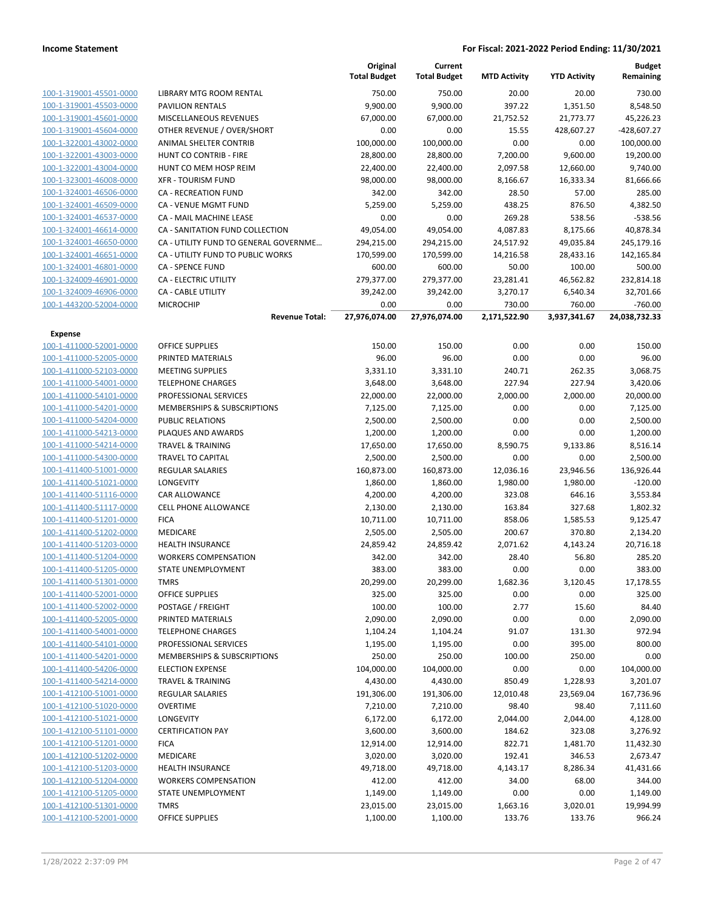|                         |                                       | Original<br><b>Total Budget</b> | Current<br><b>Total Budget</b> | <b>MTD Activity</b> | <b>YTD Activity</b> | <b>Budget</b><br>Remaining |
|-------------------------|---------------------------------------|---------------------------------|--------------------------------|---------------------|---------------------|----------------------------|
| 100-1-319001-45501-0000 | LIBRARY MTG ROOM RENTAL               | 750.00                          | 750.00                         | 20.00               | 20.00               | 730.00                     |
| 100-1-319001-45503-0000 | <b>PAVILION RENTALS</b>               | 9,900.00                        | 9,900.00                       | 397.22              | 1,351.50            | 8,548.50                   |
| 100-1-319001-45601-0000 | MISCELLANEOUS REVENUES                | 67,000.00                       | 67,000.00                      | 21,752.52           | 21,773.77           | 45,226.23                  |
| 100-1-319001-45604-0000 | OTHER REVENUE / OVER/SHORT            | 0.00                            | 0.00                           | 15.55               | 428,607.27          | -428,607.27                |
| 100-1-322001-43002-0000 | ANIMAL SHELTER CONTRIB                | 100,000.00                      | 100,000.00                     | 0.00                | 0.00                | 100,000.00                 |
| 100-1-322001-43003-0000 | HUNT CO CONTRIB - FIRE                | 28,800.00                       | 28,800.00                      | 7,200.00            | 9,600.00            | 19,200.00                  |
| 100-1-322001-43004-0000 | HUNT CO MEM HOSP REIM                 | 22,400.00                       | 22,400.00                      | 2,097.58            | 12,660.00           | 9,740.00                   |
| 100-1-323001-46008-0000 | <b>XFR - TOURISM FUND</b>             | 98,000.00                       | 98,000.00                      | 8,166.67            | 16,333.34           | 81,666.66                  |
| 100-1-324001-46506-0000 | CA - RECREATION FUND                  | 342.00                          | 342.00                         | 28.50               | 57.00               | 285.00                     |
| 100-1-324001-46509-0000 | CA - VENUE MGMT FUND                  | 5,259.00                        | 5,259.00                       | 438.25              | 876.50              | 4,382.50                   |
| 100-1-324001-46537-0000 | CA - MAIL MACHINE LEASE               | 0.00                            | 0.00                           | 269.28              | 538.56              | $-538.56$                  |
| 100-1-324001-46614-0000 | CA - SANITATION FUND COLLECTION       | 49,054.00                       | 49,054.00                      | 4,087.83            | 8,175.66            | 40,878.34                  |
| 100-1-324001-46650-0000 | CA - UTILITY FUND TO GENERAL GOVERNME | 294,215.00                      | 294,215.00                     | 24,517.92           | 49,035.84           | 245,179.16                 |
| 100-1-324001-46651-0000 | CA - UTILITY FUND TO PUBLIC WORKS     | 170,599.00                      | 170,599.00                     | 14,216.58           | 28,433.16           | 142,165.84                 |
| 100-1-324001-46801-0000 | CA - SPENCE FUND                      | 600.00                          | 600.00                         | 50.00               | 100.00              | 500.00                     |
| 100-1-324009-46901-0000 | CA - ELECTRIC UTILITY                 | 279,377.00                      | 279,377.00                     | 23,281.41           | 46,562.82           | 232,814.18                 |
| 100-1-324009-46906-0000 | <b>CA - CABLE UTILITY</b>             | 39,242.00                       | 39,242.00                      | 3,270.17            | 6,540.34            | 32,701.66                  |
| 100-1-443200-52004-0000 | <b>MICROCHIP</b>                      | 0.00                            | 0.00                           | 730.00              | 760.00              | $-760.00$                  |
|                         | <b>Revenue Total:</b>                 | 27,976,074.00                   | 27,976,074.00                  | 2,171,522.90        | 3,937,341.67        | 24,038,732.33              |
| Expense                 |                                       |                                 |                                |                     |                     |                            |
| 100-1-411000-52001-0000 | <b>OFFICE SUPPLIES</b>                | 150.00                          | 150.00                         | 0.00                | 0.00                | 150.00                     |
| 100-1-411000-52005-0000 | PRINTED MATERIALS                     | 96.00                           | 96.00                          | 0.00                | 0.00                | 96.00                      |
| 100-1-411000-52103-0000 | <b>MEETING SUPPLIES</b>               | 3,331.10                        | 3,331.10                       | 240.71              | 262.35              | 3,068.75                   |
| 100-1-411000-54001-0000 | <b>TELEPHONE CHARGES</b>              | 3,648.00                        | 3,648.00                       | 227.94              | 227.94              | 3,420.06                   |
| 100-1-411000-54101-0000 | PROFESSIONAL SERVICES                 | 22,000.00                       | 22,000.00                      | 2,000.00            | 2,000.00            | 20,000.00                  |
| 100-1-411000-54201-0000 | MEMBERSHIPS & SUBSCRIPTIONS           | 7,125.00                        | 7,125.00                       | 0.00                | 0.00                | 7,125.00                   |
| 100-1-411000-54204-0000 | <b>PUBLIC RELATIONS</b>               | 2,500.00                        | 2,500.00                       | 0.00                | 0.00                | 2,500.00                   |
| 100-1-411000-54213-0000 | PLAQUES AND AWARDS                    | 1,200.00                        | 1,200.00                       | 0.00                | 0.00                | 1,200.00                   |
| 100-1-411000-54214-0000 | <b>TRAVEL &amp; TRAINING</b>          | 17,650.00                       | 17,650.00                      | 8,590.75            | 9,133.86            | 8,516.14                   |
| 100-1-411000-54300-0000 | <b>TRAVEL TO CAPITAL</b>              | 2,500.00                        | 2,500.00                       | 0.00                | 0.00                | 2,500.00                   |
| 100-1-411400-51001-0000 | <b>REGULAR SALARIES</b>               | 160,873.00                      | 160,873.00                     | 12,036.16           | 23,946.56           | 136,926.44                 |
| 100-1-411400-51021-0000 | LONGEVITY                             | 1,860.00                        | 1,860.00                       | 1,980.00            | 1,980.00            | $-120.00$                  |
| 100-1-411400-51116-0000 | CAR ALLOWANCE                         | 4,200.00                        | 4,200.00                       | 323.08              | 646.16              | 3,553.84                   |
| 100-1-411400-51117-0000 | CELL PHONE ALLOWANCE                  | 2,130.00                        | 2,130.00                       | 163.84              | 327.68              | 1,802.32                   |
| 100-1-411400-51201-0000 | <b>FICA</b>                           | 10,711.00                       | 10,711.00                      | 858.06              | 1,585.53            | 9,125.47                   |
| 100-1-411400-51202-0000 | MEDICARE                              | 2,505.00                        | 2,505.00                       | 200.67              | 370.80              | 2,134.20                   |
| 100-1-411400-51203-0000 | HEALTH INSURANCE                      | 24,859.42                       | 24,859.42                      | 2,071.62            | 4,143.24            | 20,716.18                  |
| 100-1-411400-51204-0000 | <b>WORKERS COMPENSATION</b>           | 342.00                          | 342.00                         | 28.40               | 56.80               | 285.20                     |
| 100-1-411400-51205-0000 | <b>STATE UNEMPLOYMENT</b>             | 383.00                          | 383.00                         | 0.00                | 0.00                | 383.00                     |
| 100-1-411400-51301-0000 | <b>TMRS</b>                           | 20,299.00                       | 20,299.00                      | 1,682.36            | 3,120.45            | 17,178.55                  |
| 100-1-411400-52001-0000 | <b>OFFICE SUPPLIES</b>                | 325.00                          | 325.00                         | 0.00                | 0.00                | 325.00                     |
| 100-1-411400-52002-0000 | POSTAGE / FREIGHT                     | 100.00                          | 100.00                         | 2.77                | 15.60               | 84.40                      |
| 100-1-411400-52005-0000 | PRINTED MATERIALS                     | 2,090.00                        | 2,090.00                       | 0.00                | 0.00                | 2,090.00                   |
| 100-1-411400-54001-0000 | <b>TELEPHONE CHARGES</b>              | 1,104.24                        | 1,104.24                       | 91.07               | 131.30              | 972.94                     |
| 100-1-411400-54101-0000 | PROFESSIONAL SERVICES                 | 1,195.00                        | 1,195.00                       | 0.00                | 395.00              | 800.00                     |
| 100-1-411400-54201-0000 | MEMBERSHIPS & SUBSCRIPTIONS           | 250.00                          | 250.00                         | 100.00              | 250.00              | 0.00                       |
| 100-1-411400-54206-0000 | <b>ELECTION EXPENSE</b>               | 104,000.00                      | 104,000.00                     | 0.00                | 0.00                | 104,000.00                 |
| 100-1-411400-54214-0000 | <b>TRAVEL &amp; TRAINING</b>          | 4,430.00                        | 4,430.00                       | 850.49              | 1,228.93            | 3,201.07                   |
| 100-1-412100-51001-0000 | <b>REGULAR SALARIES</b>               | 191,306.00                      | 191,306.00                     | 12,010.48           | 23,569.04           | 167,736.96                 |
| 100-1-412100-51020-0000 | <b>OVERTIME</b>                       | 7,210.00                        | 7,210.00                       | 98.40               | 98.40               | 7,111.60                   |
| 100-1-412100-51021-0000 | LONGEVITY                             | 6,172.00                        | 6,172.00                       | 2,044.00            | 2,044.00            | 4,128.00                   |
| 100-1-412100-51101-0000 | <b>CERTIFICATION PAY</b>              | 3,600.00                        | 3,600.00                       | 184.62              | 323.08              | 3,276.92                   |
| 100-1-412100-51201-0000 | <b>FICA</b>                           | 12,914.00                       | 12,914.00                      | 822.71              | 1,481.70            | 11,432.30                  |
| 100-1-412100-51202-0000 | MEDICARE                              | 3,020.00                        | 3,020.00                       | 192.41              | 346.53              | 2,673.47                   |
| 100-1-412100-51203-0000 | <b>HEALTH INSURANCE</b>               | 49,718.00                       | 49,718.00                      | 4,143.17            | 8,286.34            | 41,431.66                  |
| 100-1-412100-51204-0000 | <b>WORKERS COMPENSATION</b>           | 412.00                          | 412.00                         | 34.00               | 68.00               | 344.00                     |
| 100-1-412100-51205-0000 | STATE UNEMPLOYMENT                    | 1,149.00                        | 1,149.00                       | 0.00                | 0.00                | 1,149.00                   |
| 100-1-412100-51301-0000 | <b>TMRS</b>                           | 23,015.00                       | 23,015.00                      | 1,663.16            | 3,020.01            | 19,994.99                  |
| 100-1-412100-52001-0000 | OFFICE SUPPLIES                       | 1,100.00                        | 1,100.00                       | 133.76              | 133.76              | 966.24                     |
|                         |                                       |                                 |                                |                     |                     |                            |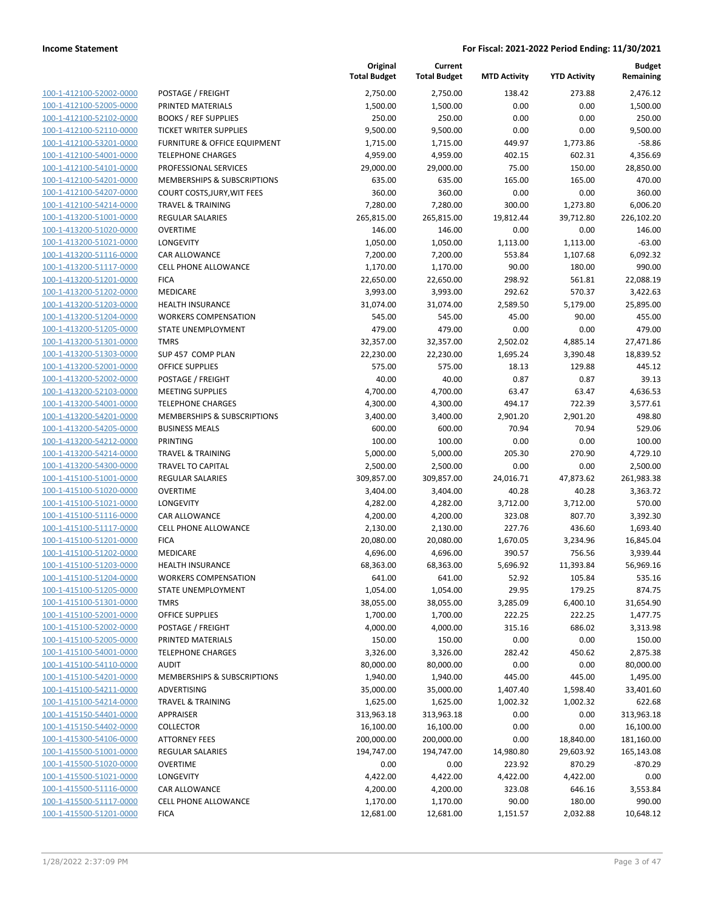|                                                    |                                                          | Original<br><b>Total Budget</b> | Current<br><b>Total Budget</b> | <b>MTD Activity</b> | <b>YTD Activity</b> | <b>Budget</b><br>Remaining |
|----------------------------------------------------|----------------------------------------------------------|---------------------------------|--------------------------------|---------------------|---------------------|----------------------------|
| 100-1-412100-52002-0000                            | POSTAGE / FREIGHT                                        | 2,750.00                        | 2,750.00                       | 138.42              | 273.88              | 2,476.12                   |
| 100-1-412100-52005-0000                            | PRINTED MATERIALS                                        | 1,500.00                        | 1,500.00                       | 0.00                | 0.00                | 1,500.00                   |
| 100-1-412100-52102-0000                            | <b>BOOKS / REF SUPPLIES</b>                              | 250.00                          | 250.00                         | 0.00                | 0.00                | 250.00                     |
| 100-1-412100-52110-0000                            | <b>TICKET WRITER SUPPLIES</b>                            | 9,500.00                        | 9,500.00                       | 0.00                | 0.00                | 9,500.00                   |
| 100-1-412100-53201-0000                            | <b>FURNITURE &amp; OFFICE EQUIPMENT</b>                  | 1,715.00                        | 1,715.00                       | 449.97              | 1,773.86            | $-58.86$                   |
| 100-1-412100-54001-0000                            | <b>TELEPHONE CHARGES</b>                                 | 4,959.00                        | 4,959.00                       | 402.15              | 602.31              | 4,356.69                   |
| 100-1-412100-54101-0000                            | PROFESSIONAL SERVICES                                    | 29,000.00                       | 29,000.00                      | 75.00               | 150.00              | 28,850.00                  |
| 100-1-412100-54201-0000                            | MEMBERSHIPS & SUBSCRIPTIONS                              | 635.00                          | 635.00                         | 165.00              | 165.00              | 470.00                     |
| 100-1-412100-54207-0000                            | <b>COURT COSTS, JURY, WIT FEES</b>                       | 360.00                          | 360.00                         | 0.00                | 0.00                | 360.00                     |
| 100-1-412100-54214-0000                            | <b>TRAVEL &amp; TRAINING</b>                             | 7,280.00                        | 7,280.00                       | 300.00              | 1,273.80            | 6,006.20                   |
| 100-1-413200-51001-0000                            | REGULAR SALARIES                                         | 265,815.00                      | 265,815.00                     | 19,812.44           | 39,712.80           | 226,102.20                 |
| 100-1-413200-51020-0000                            | <b>OVERTIME</b>                                          | 146.00                          | 146.00                         | 0.00                | 0.00                | 146.00                     |
| 100-1-413200-51021-0000                            | LONGEVITY                                                | 1,050.00                        | 1,050.00                       | 1,113.00            | 1,113.00            | $-63.00$                   |
| 100-1-413200-51116-0000                            | CAR ALLOWANCE                                            | 7,200.00                        | 7,200.00                       | 553.84              | 1,107.68            | 6,092.32                   |
| 100-1-413200-51117-0000                            | CELL PHONE ALLOWANCE                                     | 1,170.00                        | 1,170.00                       | 90.00               | 180.00              | 990.00                     |
| 100-1-413200-51201-0000                            | <b>FICA</b>                                              | 22,650.00                       | 22,650.00                      | 298.92              | 561.81              | 22,088.19                  |
| 100-1-413200-51202-0000                            | <b>MEDICARE</b>                                          | 3,993.00                        | 3,993.00                       | 292.62              | 570.37              | 3,422.63                   |
| 100-1-413200-51203-0000                            | <b>HEALTH INSURANCE</b>                                  | 31,074.00                       | 31,074.00                      | 2,589.50            | 5,179.00            | 25,895.00                  |
| 100-1-413200-51204-0000                            | <b>WORKERS COMPENSATION</b>                              | 545.00                          | 545.00                         | 45.00               | 90.00               | 455.00                     |
| 100-1-413200-51205-0000                            | STATE UNEMPLOYMENT                                       | 479.00                          | 479.00                         | 0.00                | 0.00                | 479.00                     |
| 100-1-413200-51301-0000                            | <b>TMRS</b>                                              | 32,357.00                       | 32,357.00                      | 2,502.02            | 4,885.14            | 27,471.86                  |
| 100-1-413200-51303-0000                            | SUP 457 COMP PLAN                                        | 22,230.00                       | 22,230.00                      | 1,695.24            | 3,390.48            | 18,839.52                  |
| 100-1-413200-52001-0000                            | <b>OFFICE SUPPLIES</b>                                   | 575.00                          | 575.00                         | 18.13               | 129.88              | 445.12                     |
| 100-1-413200-52002-0000                            | POSTAGE / FREIGHT                                        | 40.00                           | 40.00                          | 0.87                | 0.87                | 39.13                      |
| 100-1-413200-52103-0000                            | <b>MEETING SUPPLIES</b>                                  | 4,700.00                        | 4,700.00                       | 63.47               | 63.47               | 4,636.53                   |
| 100-1-413200-54001-0000                            | <b>TELEPHONE CHARGES</b>                                 | 4,300.00                        | 4,300.00                       | 494.17              | 722.39              | 3,577.61                   |
| 100-1-413200-54201-0000                            | MEMBERSHIPS & SUBSCRIPTIONS                              | 3,400.00                        | 3,400.00                       | 2,901.20            | 2,901.20            | 498.80                     |
| 100-1-413200-54205-0000                            | <b>BUSINESS MEALS</b>                                    | 600.00                          | 600.00                         | 70.94               | 70.94               | 529.06                     |
| 100-1-413200-54212-0000                            | <b>PRINTING</b>                                          | 100.00                          | 100.00                         | 0.00                | 0.00                | 100.00                     |
| 100-1-413200-54214-0000                            | <b>TRAVEL &amp; TRAINING</b>                             | 5,000.00                        | 5,000.00                       | 205.30              | 270.90              | 4,729.10                   |
| 100-1-413200-54300-0000                            | <b>TRAVEL TO CAPITAL</b>                                 | 2,500.00                        | 2,500.00                       | 0.00                | 0.00                | 2,500.00                   |
| 100-1-415100-51001-0000                            | <b>REGULAR SALARIES</b>                                  | 309,857.00                      | 309,857.00                     | 24,016.71           | 47,873.62           | 261,983.38                 |
| 100-1-415100-51020-0000                            | <b>OVERTIME</b>                                          | 3,404.00                        | 3,404.00                       | 40.28               | 40.28               | 3,363.72                   |
| 100-1-415100-51021-0000                            | LONGEVITY                                                | 4,282.00                        | 4,282.00                       | 3,712.00            | 3,712.00            | 570.00                     |
| 100-1-415100-51116-0000                            | CAR ALLOWANCE                                            | 4,200.00                        | 4,200.00                       | 323.08              | 807.70              | 3,392.30                   |
| 100-1-415100-51117-0000                            | <b>CELL PHONE ALLOWANCE</b>                              | 2,130.00                        | 2,130.00                       | 227.76              | 436.60              | 1,693.40                   |
| 100-1-415100-51201-0000                            | <b>FICA</b>                                              | 20,080.00                       | 20,080.00                      | 1,670.05            | 3,234.96            | 16,845.04                  |
| 100-1-415100-51202-0000                            | MEDICARE                                                 | 4,696.00                        | 4,696.00                       | 390.57              | 756.56              | 3,939.44                   |
| 100-1-415100-51203-0000                            | <b>HEALTH INSURANCE</b>                                  | 68,363.00                       | 68,363.00                      | 5,696.92            | 11,393.84           | 56,969.16                  |
| 100-1-415100-51204-0000                            | <b>WORKERS COMPENSATION</b><br><b>STATE UNEMPLOYMENT</b> | 641.00                          | 641.00                         | 52.92               | 105.84              | 535.16                     |
| 100-1-415100-51205-0000<br>100-1-415100-51301-0000 | <b>TMRS</b>                                              | 1,054.00<br>38,055.00           | 1,054.00<br>38,055.00          | 29.95<br>3,285.09   | 179.25<br>6,400.10  | 874.75<br>31,654.90        |
| 100-1-415100-52001-0000                            | <b>OFFICE SUPPLIES</b>                                   | 1,700.00                        | 1,700.00                       | 222.25              | 222.25              | 1,477.75                   |
| 100-1-415100-52002-0000                            | POSTAGE / FREIGHT                                        | 4,000.00                        | 4,000.00                       | 315.16              | 686.02              | 3,313.98                   |
| 100-1-415100-52005-0000                            | PRINTED MATERIALS                                        | 150.00                          | 150.00                         | 0.00                | 0.00                | 150.00                     |
| 100-1-415100-54001-0000                            | <b>TELEPHONE CHARGES</b>                                 | 3,326.00                        | 3,326.00                       | 282.42              | 450.62              | 2,875.38                   |
| 100-1-415100-54110-0000                            | <b>AUDIT</b>                                             | 80,000.00                       | 80,000.00                      | 0.00                | 0.00                | 80,000.00                  |
| 100-1-415100-54201-0000                            | MEMBERSHIPS & SUBSCRIPTIONS                              | 1,940.00                        | 1,940.00                       | 445.00              | 445.00              | 1,495.00                   |
| 100-1-415100-54211-0000                            | ADVERTISING                                              | 35,000.00                       | 35,000.00                      | 1,407.40            | 1,598.40            | 33,401.60                  |
| 100-1-415100-54214-0000                            | <b>TRAVEL &amp; TRAINING</b>                             | 1,625.00                        | 1,625.00                       | 1,002.32            | 1,002.32            | 622.68                     |
| 100-1-415150-54401-0000                            | APPRAISER                                                | 313,963.18                      | 313,963.18                     | 0.00                | 0.00                | 313,963.18                 |
| 100-1-415150-54402-0000                            | <b>COLLECTOR</b>                                         | 16,100.00                       | 16,100.00                      | 0.00                | 0.00                | 16,100.00                  |
| 100-1-415300-54106-0000                            | <b>ATTORNEY FEES</b>                                     | 200,000.00                      | 200,000.00                     | 0.00                | 18,840.00           | 181,160.00                 |
| 100-1-415500-51001-0000                            | <b>REGULAR SALARIES</b>                                  | 194,747.00                      | 194,747.00                     | 14,980.80           | 29,603.92           | 165,143.08                 |
| 100-1-415500-51020-0000                            | <b>OVERTIME</b>                                          | 0.00                            | 0.00                           | 223.92              | 870.29              | $-870.29$                  |
| 100-1-415500-51021-0000                            | LONGEVITY                                                | 4,422.00                        | 4,422.00                       | 4,422.00            | 4,422.00            | 0.00                       |
| 100-1-415500-51116-0000                            | CAR ALLOWANCE                                            | 4,200.00                        | 4,200.00                       | 323.08              | 646.16              | 3,553.84                   |
| 100-1-415500-51117-0000                            | <b>CELL PHONE ALLOWANCE</b>                              | 1,170.00                        | 1,170.00                       | 90.00               | 180.00              | 990.00                     |
| 100-1-415500-51201-0000                            | <b>FICA</b>                                              | 12,681.00                       | 12,681.00                      | 1,151.57            | 2,032.88            | 10,648.12                  |
|                                                    |                                                          |                                 |                                |                     |                     |                            |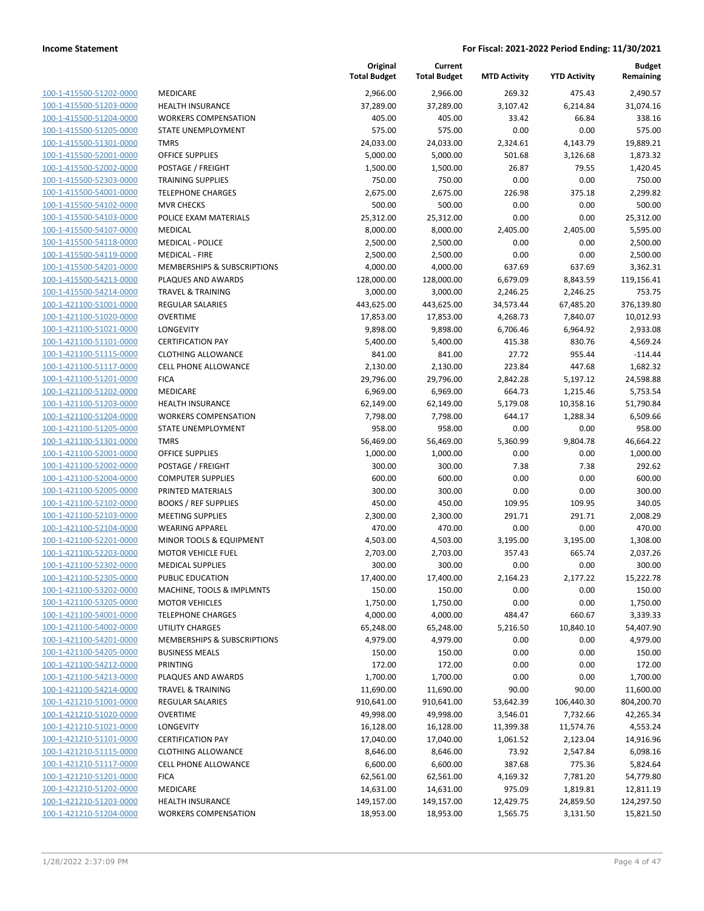| 100-1-415500-51202-0000        |
|--------------------------------|
| 100-1-415500-51203-0000        |
| 100-1-415500-51204-0000        |
| 100-1-415500-51205-0000        |
| <u>100-1-415500-51301-0000</u> |
| 100-1-415500-52001-0000        |
| 100-1-415500-52002-0000        |
| 100-1-415500-52303-0000        |
| 100-1-415500-54001-0000        |
| 100-1-415500-54102-0000        |
| 100-1-415500-54103-0000        |
| 100-1-415500-54107-0000        |
| 100-1-415500-54118-0000        |
|                                |
| 100-1-415500-54119-0000        |
| <u>100-1-415500-54201-0000</u> |
| 100-1-415500-54213-0000        |
| 100-1-415500-54214-0000        |
| 100-1-421100-51001-0000        |
| 100-1-421100-51020-0000        |
| <u>100-1-421100-51021-0000</u> |
| 100-1-421100-51101-0000        |
| 100-1-421100-51115-0000        |
| 100-1-421100-51117-0000        |
| 100-1-421100-51201-0000        |
| 100-1-421100-51202-0000        |
| 100-1-421100-51203-0000        |
| 100-1-421100-51204-0000        |
| 100-1-421100-51205-0000        |
|                                |
| 100-1-421100-51301-0000        |
| 100-1-421100-52001-0000        |
| 100-1-421100-52002-0000        |
| 100-1-421100-52004-0000        |
| 100-1-421100-52005-0000        |
| 100-1-421100-52102-0000        |
| <u>100-1-421100-52103-0000</u> |
| 100-1-421100-52104-0000        |
| 100-1-421100-52201-0000        |
| 100-1-421100-52203-0000        |
| 100-1-421100-52302-0000        |
| 100-1-421100-52305-0000        |
| 100-1-421100-53202-0000        |
| 100-1-421100-53205-0000        |
| 100-1-421100-54001-0000        |
|                                |
| <u>100-1-421100-54002-0000</u> |
| 100-1-421100-54201-0000        |
| <u>100-1-421100-54205-0000</u> |
| 100-1-421100-54212-0000        |
| 100-1-421100-54213-0000        |
| 100-1-421100-54214-0000        |
| <u>100-1-421210-51001-0000</u> |
| <u>100-1-421210-51020-0000</u> |
| 100-1-421210-51021-0000        |
| 100-1-421210-51101-0000        |
| <u>100-1-421210-51115-0000</u> |
| <u>100-1-421210-51117-0000</u> |
| <u>100-1-421210-51201-0000</u> |
| 100-1-421210-51202-0000        |
| 100-1-421210-51203-0000        |
|                                |
| 100-1-421210-51204-0000        |

|                         |                              | Original<br><b>Total Budget</b> | Current<br><b>Total Budget</b> | <b>MTD Activity</b> | <b>YTD Activity</b> | <b>Budget</b><br>Remaining |
|-------------------------|------------------------------|---------------------------------|--------------------------------|---------------------|---------------------|----------------------------|
| 100-1-415500-51202-0000 | MEDICARE                     | 2,966.00                        | 2,966.00                       | 269.32              | 475.43              | 2,490.57                   |
| 100-1-415500-51203-0000 | <b>HEALTH INSURANCE</b>      | 37,289.00                       | 37,289.00                      | 3,107.42            | 6,214.84            | 31,074.16                  |
| 100-1-415500-51204-0000 | <b>WORKERS COMPENSATION</b>  | 405.00                          | 405.00                         | 33.42               | 66.84               | 338.16                     |
| 100-1-415500-51205-0000 | STATE UNEMPLOYMENT           | 575.00                          | 575.00                         | 0.00                | 0.00                | 575.00                     |
| 100-1-415500-51301-0000 | <b>TMRS</b>                  | 24,033.00                       | 24,033.00                      | 2,324.61            | 4,143.79            | 19,889.21                  |
| 100-1-415500-52001-0000 | <b>OFFICE SUPPLIES</b>       | 5,000.00                        | 5,000.00                       | 501.68              | 3,126.68            | 1,873.32                   |
| 100-1-415500-52002-0000 | POSTAGE / FREIGHT            | 1,500.00                        | 1,500.00                       | 26.87               | 79.55               | 1,420.45                   |
| 100-1-415500-52303-0000 | <b>TRAINING SUPPLIES</b>     | 750.00                          | 750.00                         | 0.00                | 0.00                | 750.00                     |
| 100-1-415500-54001-0000 | <b>TELEPHONE CHARGES</b>     | 2,675.00                        | 2,675.00                       | 226.98              | 375.18              | 2,299.82                   |
| 100-1-415500-54102-0000 | <b>MVR CHECKS</b>            | 500.00                          | 500.00                         | 0.00                | 0.00                | 500.00                     |
| 100-1-415500-54103-0000 | POLICE EXAM MATERIALS        | 25,312.00                       | 25,312.00                      | 0.00                | 0.00                | 25,312.00                  |
| 100-1-415500-54107-0000 | <b>MEDICAL</b>               | 8,000.00                        | 8,000.00                       | 2,405.00            | 2,405.00            | 5,595.00                   |
| 100-1-415500-54118-0000 | <b>MEDICAL - POLICE</b>      | 2,500.00                        | 2,500.00                       | 0.00                | 0.00                | 2,500.00                   |
| 100-1-415500-54119-0000 | <b>MEDICAL - FIRE</b>        | 2,500.00                        | 2,500.00                       | 0.00                | 0.00                | 2,500.00                   |
| 100-1-415500-54201-0000 | MEMBERSHIPS & SUBSCRIPTIONS  | 4,000.00                        | 4,000.00                       | 637.69              | 637.69              | 3,362.31                   |
| 100-1-415500-54213-0000 | PLAQUES AND AWARDS           | 128,000.00                      | 128,000.00                     | 6,679.09            | 8,843.59            | 119,156.41                 |
| 100-1-415500-54214-0000 | <b>TRAVEL &amp; TRAINING</b> | 3,000.00                        | 3,000.00                       | 2,246.25            | 2,246.25            | 753.75                     |
| 100-1-421100-51001-0000 | <b>REGULAR SALARIES</b>      | 443,625.00                      | 443,625.00                     | 34,573.44           | 67,485.20           | 376,139.80                 |
| 100-1-421100-51020-0000 | <b>OVERTIME</b>              | 17,853.00                       | 17,853.00                      | 4,268.73            | 7,840.07            | 10,012.93                  |
| 100-1-421100-51021-0000 | LONGEVITY                    | 9,898.00                        | 9,898.00                       | 6,706.46            | 6,964.92            | 2,933.08                   |
| 100-1-421100-51101-0000 | <b>CERTIFICATION PAY</b>     | 5,400.00                        | 5,400.00                       | 415.38              | 830.76              | 4,569.24                   |
| 100-1-421100-51115-0000 | <b>CLOTHING ALLOWANCE</b>    | 841.00                          | 841.00                         | 27.72               | 955.44              | $-114.44$                  |
| 100-1-421100-51117-0000 | <b>CELL PHONE ALLOWANCE</b>  | 2,130.00                        | 2,130.00                       | 223.84              | 447.68              | 1,682.32                   |
| 100-1-421100-51201-0000 | <b>FICA</b>                  | 29,796.00                       | 29,796.00                      | 2,842.28            | 5,197.12            | 24,598.88                  |
| 100-1-421100-51202-0000 | MEDICARE                     | 6,969.00                        | 6,969.00                       | 664.73              | 1,215.46            | 5,753.54                   |
| 100-1-421100-51203-0000 | <b>HEALTH INSURANCE</b>      | 62,149.00                       | 62,149.00                      | 5,179.08            | 10,358.16           | 51,790.84                  |
| 100-1-421100-51204-0000 | <b>WORKERS COMPENSATION</b>  | 7,798.00                        | 7,798.00                       | 644.17              | 1,288.34            | 6,509.66                   |
| 100-1-421100-51205-0000 | STATE UNEMPLOYMENT           | 958.00                          | 958.00                         | 0.00                | 0.00                | 958.00                     |
| 100-1-421100-51301-0000 | <b>TMRS</b>                  | 56,469.00                       | 56,469.00                      | 5,360.99            | 9,804.78            | 46,664.22                  |
| 100-1-421100-52001-0000 | <b>OFFICE SUPPLIES</b>       | 1,000.00                        | 1,000.00                       | 0.00                | 0.00                | 1,000.00                   |
| 100-1-421100-52002-0000 | POSTAGE / FREIGHT            | 300.00                          | 300.00                         | 7.38                | 7.38                | 292.62                     |
| 100-1-421100-52004-0000 | <b>COMPUTER SUPPLIES</b>     | 600.00                          | 600.00                         | 0.00                | 0.00                | 600.00                     |
| 100-1-421100-52005-0000 | PRINTED MATERIALS            | 300.00                          | 300.00                         | 0.00                | 0.00                | 300.00                     |
| 100-1-421100-52102-0000 | <b>BOOKS / REF SUPPLIES</b>  | 450.00                          | 450.00                         | 109.95              | 109.95              | 340.05                     |
| 100-1-421100-52103-0000 | <b>MEETING SUPPLIES</b>      | 2,300.00                        | 2,300.00                       | 291.71              | 291.71              | 2,008.29                   |
| 100-1-421100-52104-0000 | <b>WEARING APPAREL</b>       | 470.00                          | 470.00                         | 0.00                | 0.00                | 470.00                     |
| 100-1-421100-52201-0000 | MINOR TOOLS & EQUIPMENT      | 4,503.00                        | 4,503.00                       | 3,195.00            | 3,195.00            | 1,308.00                   |
| 100-1-421100-52203-0000 | <b>MOTOR VEHICLE FUEL</b>    | 2,703.00                        | 2,703.00                       | 357.43              | 665.74              | 2,037.26                   |
| 100-1-421100-52302-0000 | <b>MEDICAL SUPPLIES</b>      | 300.00                          | 300.00                         | 0.00                | 0.00                | 300.00                     |
| 100-1-421100-52305-0000 | PUBLIC EDUCATION             | 17,400.00                       | 17,400.00                      | 2,164.23            | 2,177.22            | 15,222.78                  |
| 100-1-421100-53202-0000 | MACHINE, TOOLS & IMPLMNTS    | 150.00                          | 150.00                         | 0.00                | 0.00                | 150.00                     |
| 100-1-421100-53205-0000 | <b>MOTOR VEHICLES</b>        | 1,750.00                        | 1,750.00                       | 0.00                | 0.00                | 1,750.00                   |
| 100-1-421100-54001-0000 | <b>TELEPHONE CHARGES</b>     | 4,000.00                        | 4,000.00                       | 484.47              | 660.67              | 3,339.33                   |
| 100-1-421100-54002-0000 | UTILITY CHARGES              | 65,248.00                       | 65,248.00                      | 5,216.50            | 10,840.10           | 54,407.90                  |
| 100-1-421100-54201-0000 | MEMBERSHIPS & SUBSCRIPTIONS  | 4,979.00                        | 4,979.00                       | 0.00                | 0.00                | 4,979.00                   |
| 100-1-421100-54205-0000 | <b>BUSINESS MEALS</b>        | 150.00                          | 150.00                         | 0.00                | 0.00                | 150.00                     |
| 100-1-421100-54212-0000 | PRINTING                     | 172.00                          | 172.00                         | 0.00                | 0.00                | 172.00                     |
| 100-1-421100-54213-0000 | PLAQUES AND AWARDS           | 1,700.00                        | 1,700.00                       | 0.00                | 0.00                | 1,700.00                   |
| 100-1-421100-54214-0000 | <b>TRAVEL &amp; TRAINING</b> | 11,690.00                       | 11,690.00                      | 90.00               | 90.00               | 11,600.00                  |
| 100-1-421210-51001-0000 | REGULAR SALARIES             | 910,641.00                      | 910,641.00                     | 53,642.39           | 106,440.30          | 804,200.70                 |
| 100-1-421210-51020-0000 | <b>OVERTIME</b>              | 49,998.00                       | 49,998.00                      | 3,546.01            | 7,732.66            | 42,265.34                  |
| 100-1-421210-51021-0000 | LONGEVITY                    | 16,128.00                       | 16,128.00                      | 11,399.38           | 11,574.76           | 4,553.24                   |
| 100-1-421210-51101-0000 | <b>CERTIFICATION PAY</b>     | 17,040.00                       | 17,040.00                      | 1,061.52            | 2,123.04            | 14,916.96                  |
| 100-1-421210-51115-0000 | <b>CLOTHING ALLOWANCE</b>    | 8,646.00                        | 8,646.00                       | 73.92               | 2,547.84            | 6,098.16                   |
| 100-1-421210-51117-0000 | <b>CELL PHONE ALLOWANCE</b>  | 6,600.00                        | 6,600.00                       | 387.68              | 775.36              | 5,824.64                   |
| 100-1-421210-51201-0000 | <b>FICA</b>                  | 62,561.00                       | 62,561.00                      | 4,169.32            | 7,781.20            | 54,779.80                  |
| 100-1-421210-51202-0000 | MEDICARE                     | 14,631.00                       | 14,631.00                      | 975.09              | 1,819.81            | 12,811.19                  |
| 100-1-421210-51203-0000 | HEALTH INSURANCE             | 149,157.00                      | 149,157.00                     | 12,429.75           | 24,859.50           | 124,297.50                 |
| 100-1-421210-51204-0000 | <b>WORKERS COMPENSATION</b>  | 18,953.00                       | 18,953.00                      | 1,565.75            | 3,131.50            | 15,821.50                  |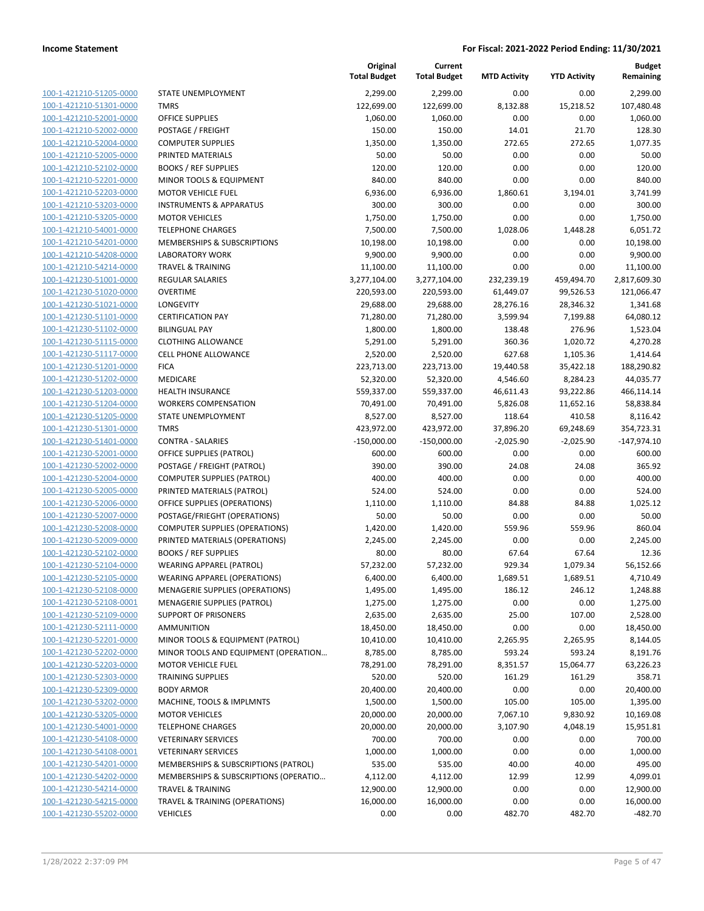100-1-421210-51205-0000 100-1-421210-51301-0000 100-1-421210-52001-0000 100-1-421210-52002-0000 100-1-421210-52004-0000 100-1-421210-52005-0000 100-1-421210-52102-0000 100-1-421210-52201-0000 100-1-421210-52203-0000 100-1-421210-53203-0000 100-1-421210-53205-0000 100-1-421210-54001-0000 100-1-421210-54201-0000 100-1-421210-54208-0000 100-1-421210-54214-0000 100-1-421230-51001-0000 100-1-421230-51020-0000 100-1-421230-51021-0000 100-1-421230-51101-0000 100-1-421230-51102-0000 100-1-421230-51115-0000 100-1-421230-51117-0000 100-1-421230-51201-0000 100-1-421230-51202-0000 100-1-421230-51203-0000 100-1-421230-51204-0000 100-1-421230-51205-0000 100-1-421230-51301-0000 100-1-421230-51401-0000 100-1-421230-52001-0000 100-1-421230-52002-0000 100-1-421230-52004-0000 100-1-421230-52005-0000 100-1-421230-52006-0000 100-1-421230-52007-0000 100-1-421230-52008-0000 100-1-421230-52009-0000 100-1-421230-52102-0000 100-1-421230-52104-0000 100-1-421230-52105-0000 100-1-421230-52108-0000 100-1-421230-52108-0001 100-1-421230-52109-0000 100-1-421230-52111-0000 100-1-421230-52201-0000 100-1-421230-52202-0000 100-1-421230-52203-0000 100-1-421230-52303-0000 100-1-421230-52309-0000 100-1-421230-53202-0000 100-1-421230-53205-0000 100-1-421230-54001-0000 100-1-421230-54108-0000 100-1-421230-54108-0001 100-1-421230-54201-0000 100-1-421230-54202-0000 100-1-421230-54214-0000 100-1-421230-54215-0000 100-1-421230-55202-0000

|                                       | Original<br><b>Total Budget</b> | Current<br><b>Total Budget</b> | <b>MTD Activity</b> | <b>YTD Activity</b> | <b>Budget</b><br>Remaining |
|---------------------------------------|---------------------------------|--------------------------------|---------------------|---------------------|----------------------------|
| STATE UNEMPLOYMENT                    | 2,299.00                        | 2,299.00                       | 0.00                | 0.00                | 2,299.00                   |
| <b>TMRS</b>                           | 122,699.00                      | 122,699.00                     | 8,132.88            | 15,218.52           | 107,480.48                 |
| OFFICE SUPPLIES                       | 1,060.00                        | 1,060.00                       | 0.00                | 0.00                | 1,060.00                   |
| POSTAGE / FREIGHT                     | 150.00                          | 150.00                         | 14.01               | 21.70               | 128.30                     |
| <b>COMPUTER SUPPLIES</b>              | 1,350.00                        | 1,350.00                       | 272.65              | 272.65              | 1,077.35                   |
| PRINTED MATERIALS                     | 50.00                           | 50.00                          | 0.00                | 0.00                | 50.00                      |
| <b>BOOKS / REF SUPPLIES</b>           | 120.00                          | 120.00                         | 0.00                | 0.00                | 120.00                     |
| MINOR TOOLS & EQUIPMENT               | 840.00                          | 840.00                         | 0.00                | 0.00                | 840.00                     |
| <b>MOTOR VEHICLE FUEL</b>             | 6,936.00                        | 6,936.00                       | 1,860.61            | 3,194.01            | 3,741.99                   |
| <b>INSTRUMENTS &amp; APPARATUS</b>    | 300.00                          | 300.00                         | 0.00                | 0.00                | 300.00                     |
| <b>MOTOR VEHICLES</b>                 | 1,750.00                        | 1,750.00                       | 0.00                | 0.00                | 1,750.00                   |
| <b>TELEPHONE CHARGES</b>              | 7,500.00                        | 7,500.00                       | 1,028.06            | 1,448.28            | 6,051.72                   |
| MEMBERSHIPS & SUBSCRIPTIONS           | 10,198.00                       | 10,198.00                      | 0.00                | 0.00                | 10,198.00                  |
| <b>LABORATORY WORK</b>                | 9,900.00                        | 9,900.00                       | 0.00                | 0.00                | 9,900.00                   |
| <b>TRAVEL &amp; TRAINING</b>          | 11,100.00                       | 11,100.00                      | 0.00                | 0.00                | 11,100.00                  |
| <b>REGULAR SALARIES</b>               | 3,277,104.00                    | 3,277,104.00                   | 232,239.19          | 459,494.70          | 2,817,609.30               |
| <b>OVERTIME</b>                       | 220,593.00                      | 220,593.00                     | 61,449.07           | 99,526.53           | 121,066.47                 |
| LONGEVITY                             | 29,688.00                       | 29,688.00                      | 28,276.16           | 28,346.32           | 1,341.68                   |
| <b>CERTIFICATION PAY</b>              | 71,280.00                       | 71,280.00                      | 3,599.94            | 7,199.88            | 64,080.12                  |
| <b>BILINGUAL PAY</b>                  | 1,800.00                        | 1,800.00                       | 138.48              | 276.96              | 1,523.04                   |
| <b>CLOTHING ALLOWANCE</b>             | 5,291.00                        | 5,291.00                       | 360.36              | 1,020.72            | 4,270.28                   |
| <b>CELL PHONE ALLOWANCE</b>           | 2,520.00                        | 2,520.00                       | 627.68              | 1,105.36            | 1,414.64                   |
| <b>FICA</b>                           | 223,713.00                      | 223,713.00                     | 19,440.58           | 35,422.18           | 188,290.82                 |
| <b>MEDICARE</b>                       | 52,320.00                       | 52,320.00                      | 4,546.60            | 8,284.23            | 44,035.77                  |
| <b>HEALTH INSURANCE</b>               | 559,337.00                      | 559,337.00                     | 46,611.43           | 93,222.86           | 466,114.14                 |
| <b>WORKERS COMPENSATION</b>           | 70,491.00                       | 70,491.00                      | 5,826.08            | 11,652.16           | 58,838.84                  |
| STATE UNEMPLOYMENT                    | 8,527.00                        | 8,527.00                       | 118.64              | 410.58              | 8,116.42                   |
| <b>TMRS</b>                           | 423,972.00                      | 423,972.00                     | 37,896.20           | 69,248.69           | 354,723.31                 |
| <b>CONTRA - SALARIES</b>              | $-150,000.00$                   | $-150,000.00$                  | $-2,025.90$         | $-2,025.90$         | $-147,974.10$              |
| OFFICE SUPPLIES (PATROL)              | 600.00                          | 600.00                         | 0.00                | 0.00                | 600.00                     |
| POSTAGE / FREIGHT (PATROL)            | 390.00                          | 390.00                         | 24.08               | 24.08               | 365.92                     |
| <b>COMPUTER SUPPLIES (PATROL)</b>     | 400.00                          | 400.00                         | 0.00                | 0.00                | 400.00                     |
| PRINTED MATERIALS (PATROL)            | 524.00                          | 524.00                         | 0.00                | 0.00                | 524.00                     |
| OFFICE SUPPLIES (OPERATIONS)          | 1,110.00                        | 1,110.00                       | 84.88               | 84.88               | 1,025.12                   |
| POSTAGE/FRIEGHT (OPERATIONS)          | 50.00                           | 50.00                          | 0.00                | 0.00                | 50.00                      |
| <b>COMPUTER SUPPLIES (OPERATIONS)</b> | 1,420.00                        | 1,420.00                       | 559.96              | 559.96              | 860.04                     |
| PRINTED MATERIALS (OPERATIONS)        | 2,245.00                        | 2,245.00                       | 0.00                | 0.00                | 2,245.00                   |
| <b>BOOKS / REF SUPPLIES</b>           | 80.00                           | 80.00                          | 67.64               | 67.64               | 12.36                      |
| <b>WEARING APPAREL (PATROL)</b>       | 57,232.00                       | 57,232.00                      | 929.34              | 1,079.34            | 56,152.66                  |
| WEARING APPAREL (OPERATIONS)          | 6,400.00                        | 6,400.00                       | 1,689.51            | 1,689.51            | 4,710.49                   |
| MENAGERIE SUPPLIES (OPERATIONS)       | 1,495.00                        | 1,495.00                       | 186.12              | 246.12              | 1,248.88                   |
| <b>MENAGERIE SUPPLIES (PATROL)</b>    | 1,275.00                        | 1,275.00                       | 0.00                | 0.00                | 1,275.00                   |
| SUPPORT OF PRISONERS                  | 2,635.00                        | 2,635.00                       | 25.00               | 107.00              | 2,528.00                   |
| <b>AMMUNITION</b>                     | 18,450.00                       | 18,450.00                      | 0.00                | 0.00                | 18,450.00                  |
| MINOR TOOLS & EQUIPMENT (PATROL)      | 10,410.00                       | 10,410.00                      | 2,265.95            | 2,265.95            | 8,144.05                   |
| MINOR TOOLS AND EQUIPMENT (OPERATION  | 8,785.00                        | 8,785.00                       | 593.24              | 593.24              | 8,191.76                   |
| <b>MOTOR VEHICLE FUEL</b>             | 78,291.00                       | 78,291.00                      | 8,351.57            | 15,064.77           | 63,226.23                  |
| <b>TRAINING SUPPLIES</b>              | 520.00                          | 520.00                         | 161.29              | 161.29              | 358.71                     |
| <b>BODY ARMOR</b>                     | 20,400.00                       | 20,400.00                      | 0.00                | 0.00                | 20,400.00                  |
| MACHINE, TOOLS & IMPLMNTS             | 1,500.00                        | 1,500.00                       | 105.00              | 105.00              | 1,395.00                   |
| <b>MOTOR VEHICLES</b>                 | 20,000.00                       | 20,000.00                      | 7,067.10            | 9,830.92            | 10,169.08                  |
| <b>TELEPHONE CHARGES</b>              | 20,000.00                       | 20,000.00                      | 3,107.90            | 4,048.19            | 15,951.81                  |
| <b>VETERINARY SERVICES</b>            | 700.00                          | 700.00                         | 0.00                | 0.00                | 700.00                     |
| <b>VETERINARY SERVICES</b>            | 1,000.00                        | 1,000.00                       | 0.00                | 0.00                | 1,000.00                   |
| MEMBERSHIPS & SUBSCRIPTIONS (PATROL)  | 535.00                          | 535.00                         | 40.00               | 40.00               | 495.00                     |
| MEMBERSHIPS & SUBSCRIPTIONS (OPERATIO | 4,112.00                        | 4,112.00                       | 12.99               | 12.99               | 4,099.01                   |
| <b>TRAVEL &amp; TRAINING</b>          | 12,900.00                       | 12,900.00                      | 0.00                | 0.00                | 12,900.00                  |
| TRAVEL & TRAINING (OPERATIONS)        | 16,000.00                       | 16,000.00                      | 0.00                | 0.00                | 16,000.00                  |
| <b>VEHICLES</b>                       | 0.00                            | 0.00                           | 482.70              | 482.70              | $-482.70$                  |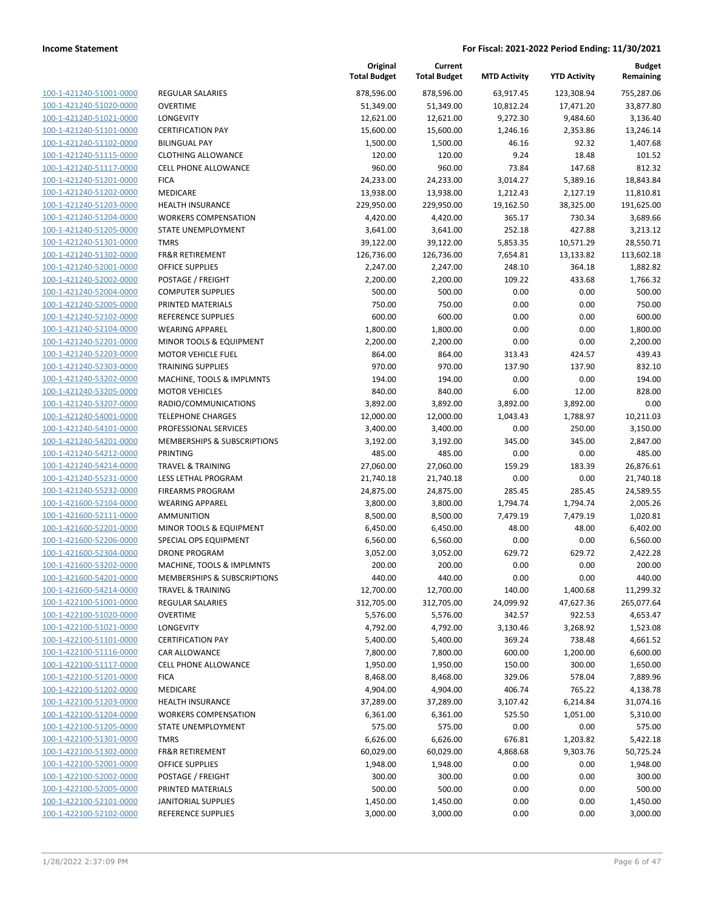| 100-1-421240-51001-0000        |
|--------------------------------|
| 100-1-421240-51020-0000        |
| 100-1-421240-51021-0000        |
| 100-1-421240-51101-0000        |
| 100-1-421240-51102-0000        |
| 100-1-421240-51115-0000        |
| 100-1-421240-51117-0000        |
| 100-1-421240-51201-0000        |
| 100-1-421240-51202-0000        |
| 100-1-421240-51203-0000        |
| 100-1-421240-51204-0000        |
| 100-1-421240-51205-0000        |
| 100-1-421240-51301-0000        |
| 100-1-421240-51302-0000        |
| 100-1-421240-52001-0000        |
| 100-1-421240-52002-0000        |
| 100-1-421240-52004-0000        |
| 100-1-421240-52005-0000        |
| 100-1-421240-52102-0000        |
| 100-1-421240-52104-0000        |
| 100-1-421240-52201-0000        |
| 100-1-421240-52203-0000        |
| 100-1-421240-52303-0000        |
| 100-1-421240-53202-0000        |
| 100-1-421240-53205-0000        |
| 100-1-421240-53207-0000        |
| 100-1-421240-54001-0000        |
| 100-1-421240-54101-0000        |
| 100-1-421240-54201-0000        |
| 100-1-421240-54212-0000        |
| 100-1-421240-54214-0000        |
| 100-1-421240-55231-0000        |
| 100-1-421240-55232-0000        |
| 100-1-421600-52104-0000        |
| 100-1-421600-52111-0000        |
| 100-1-421600-52201-0000        |
| 100-1-421600-52206-0000        |
| 100-1-421600-52304-0000        |
| 100-1-421600-53202-0000        |
| 100-1-421600-54201-0000        |
| 1-421600-54214-0000<br>100-    |
| <u>100-1-422100-51001-0000</u> |
| 100-1-422100-51020-0000        |
| 100-1-422100-51021-0000        |
| 100-1-422100-51101-0000        |
| <u>100-1-422100-51116-0000</u> |
| <u>100-1-422100-51117-0000</u> |
| 100-1-422100-51201-0000        |
| 100-1-422100-51202-0000        |
| 100-1-422100-51203-0000        |
| <u>100-1-422100-51204-0000</u> |
| <u>100-1-422100-51205-0000</u> |
| 100-1-422100-51301-0000        |
| 100-1-422100-51302-0000        |
| <u>100-1-422100-52001-0000</u> |
| <u>100-1-422100-52002-0000</u> |
| <u>100-1-422100-52005-0000</u> |
| <u>100-1-422100-52101-0000</u> |
| 100-1-422100-52102-0000        |

|                         |                                        | Original<br><b>Total Budget</b> | Current<br><b>Total Budget</b> | <b>MTD Activity</b> | <b>YTD Activity</b> | <b>Budget</b><br>Remaining |
|-------------------------|----------------------------------------|---------------------------------|--------------------------------|---------------------|---------------------|----------------------------|
| 100-1-421240-51001-0000 | REGULAR SALARIES                       | 878,596.00                      | 878,596.00                     | 63,917.45           | 123,308.94          | 755,287.06                 |
| 100-1-421240-51020-0000 | <b>OVERTIME</b>                        | 51,349.00                       | 51,349.00                      | 10,812.24           | 17,471.20           | 33,877.80                  |
| 100-1-421240-51021-0000 | LONGEVITY                              | 12,621.00                       | 12,621.00                      | 9,272.30            | 9,484.60            | 3,136.40                   |
| 100-1-421240-51101-0000 | <b>CERTIFICATION PAY</b>               | 15,600.00                       | 15,600.00                      | 1,246.16            | 2,353.86            | 13,246.14                  |
| 100-1-421240-51102-0000 | <b>BILINGUAL PAY</b>                   | 1,500.00                        | 1,500.00                       | 46.16               | 92.32               | 1,407.68                   |
| 100-1-421240-51115-0000 | <b>CLOTHING ALLOWANCE</b>              | 120.00                          | 120.00                         | 9.24                | 18.48               | 101.52                     |
| 100-1-421240-51117-0000 | CELL PHONE ALLOWANCE                   | 960.00                          | 960.00                         | 73.84               | 147.68              | 812.32                     |
| 100-1-421240-51201-0000 | <b>FICA</b>                            | 24,233.00                       | 24,233.00                      | 3,014.27            | 5,389.16            | 18,843.84                  |
| 100-1-421240-51202-0000 | MEDICARE                               | 13,938.00                       | 13,938.00                      | 1,212.43            | 2,127.19            | 11,810.81                  |
| 100-1-421240-51203-0000 | <b>HEALTH INSURANCE</b>                | 229,950.00                      | 229,950.00                     | 19,162.50           | 38,325.00           | 191,625.00                 |
| 100-1-421240-51204-0000 | <b>WORKERS COMPENSATION</b>            | 4,420.00                        | 4,420.00                       | 365.17              | 730.34              | 3,689.66                   |
| 100-1-421240-51205-0000 | <b>STATE UNEMPLOYMENT</b>              | 3,641.00                        | 3,641.00                       | 252.18              | 427.88              | 3,213.12                   |
| 100-1-421240-51301-0000 | <b>TMRS</b>                            | 39,122.00                       | 39,122.00                      | 5,853.35            | 10,571.29           | 28,550.71                  |
| 100-1-421240-51302-0000 | <b>FR&amp;R RETIREMENT</b>             | 126,736.00                      | 126,736.00                     | 7,654.81            | 13,133.82           | 113,602.18                 |
| 100-1-421240-52001-0000 | <b>OFFICE SUPPLIES</b>                 | 2,247.00                        | 2,247.00                       | 248.10              | 364.18              | 1,882.82                   |
| 100-1-421240-52002-0000 | POSTAGE / FREIGHT                      | 2,200.00                        | 2,200.00                       | 109.22              | 433.68              | 1,766.32                   |
| 100-1-421240-52004-0000 | <b>COMPUTER SUPPLIES</b>               | 500.00                          | 500.00                         | 0.00                | 0.00                | 500.00                     |
| 100-1-421240-52005-0000 | PRINTED MATERIALS                      | 750.00                          | 750.00                         | 0.00                | 0.00                | 750.00                     |
| 100-1-421240-52102-0000 | <b>REFERENCE SUPPLIES</b>              | 600.00                          | 600.00                         | 0.00                | 0.00                | 600.00                     |
| 100-1-421240-52104-0000 | <b>WEARING APPAREL</b>                 | 1,800.00                        | 1,800.00                       | 0.00                | 0.00                | 1,800.00                   |
| 100-1-421240-52201-0000 | MINOR TOOLS & EQUIPMENT                | 2,200.00                        | 2,200.00                       | 0.00                | 0.00                | 2,200.00                   |
| 100-1-421240-52203-0000 | <b>MOTOR VEHICLE FUEL</b>              | 864.00                          | 864.00                         | 313.43              | 424.57              | 439.43                     |
| 100-1-421240-52303-0000 | <b>TRAINING SUPPLIES</b>               | 970.00                          | 970.00                         | 137.90              | 137.90              | 832.10                     |
| 100-1-421240-53202-0000 | MACHINE, TOOLS & IMPLMNTS              | 194.00                          | 194.00                         | 0.00                | 0.00                | 194.00                     |
| 100-1-421240-53205-0000 | <b>MOTOR VEHICLES</b>                  | 840.00                          | 840.00                         | 6.00                | 12.00               | 828.00                     |
| 100-1-421240-53207-0000 | RADIO/COMMUNICATIONS                   | 3,892.00                        | 3,892.00                       | 3,892.00            | 3,892.00            | 0.00                       |
| 100-1-421240-54001-0000 | <b>TELEPHONE CHARGES</b>               | 12,000.00                       | 12,000.00                      | 1,043.43            | 1,788.97            | 10,211.03                  |
| 100-1-421240-54101-0000 | PROFESSIONAL SERVICES                  | 3,400.00                        | 3,400.00                       | 0.00                | 250.00              | 3,150.00                   |
| 100-1-421240-54201-0000 | <b>MEMBERSHIPS &amp; SUBSCRIPTIONS</b> | 3,192.00                        | 3,192.00                       | 345.00              | 345.00              | 2,847.00                   |
| 100-1-421240-54212-0000 | <b>PRINTING</b>                        | 485.00                          | 485.00                         | 0.00                | 0.00                | 485.00                     |
| 100-1-421240-54214-0000 | <b>TRAVEL &amp; TRAINING</b>           | 27,060.00                       | 27,060.00                      | 159.29              | 183.39              | 26,876.61                  |
| 100-1-421240-55231-0000 | LESS LETHAL PROGRAM                    | 21,740.18                       | 21,740.18                      | 0.00                | 0.00                | 21,740.18                  |
| 100-1-421240-55232-0000 | <b>FIREARMS PROGRAM</b>                | 24,875.00                       | 24,875.00                      | 285.45              | 285.45              | 24,589.55                  |
| 100-1-421600-52104-0000 | <b>WEARING APPAREL</b>                 | 3,800.00                        | 3,800.00                       | 1,794.74            | 1,794.74            | 2,005.26                   |
| 100-1-421600-52111-0000 | AMMUNITION                             | 8,500.00                        | 8,500.00                       | 7,479.19            | 7,479.19            | 1,020.81                   |
| 100-1-421600-52201-0000 | MINOR TOOLS & EQUIPMENT                | 6,450.00                        | 6,450.00                       | 48.00               | 48.00               | 6,402.00                   |
| 100-1-421600-52206-0000 | SPECIAL OPS EQUIPMENT                  | 6,560.00                        | 6,560.00                       | 0.00                | 0.00                | 6,560.00                   |
| 100-1-421600-52304-0000 | <b>DRONE PROGRAM</b>                   | 3,052.00                        | 3,052.00                       | 629.72              | 629.72              | 2,422.28                   |
| 100-1-421600-53202-0000 | MACHINE, TOOLS & IMPLMNTS              | 200.00                          | 200.00                         | 0.00                | 0.00                | 200.00                     |
| 100-1-421600-54201-0000 | MEMBERSHIPS & SUBSCRIPTIONS            | 440.00                          | 440.00                         | 0.00                | 0.00                | 440.00                     |
| 100-1-421600-54214-0000 | <b>TRAVEL &amp; TRAINING</b>           | 12,700.00                       | 12,700.00                      | 140.00              | 1,400.68            | 11,299.32                  |
| 100-1-422100-51001-0000 | REGULAR SALARIES                       | 312,705.00                      | 312,705.00                     | 24,099.92           | 47,627.36           | 265,077.64                 |
| 100-1-422100-51020-0000 | <b>OVERTIME</b>                        | 5,576.00                        | 5,576.00                       | 342.57              | 922.53              | 4,653.47                   |
| 100-1-422100-51021-0000 | LONGEVITY                              | 4,792.00                        | 4,792.00                       | 3,130.46            | 3,268.92            | 1,523.08                   |
| 100-1-422100-51101-0000 | <b>CERTIFICATION PAY</b>               | 5,400.00                        | 5,400.00                       | 369.24              | 738.48              | 4,661.52                   |
| 100-1-422100-51116-0000 | CAR ALLOWANCE                          | 7,800.00                        | 7,800.00                       | 600.00              | 1,200.00            | 6,600.00                   |
| 100-1-422100-51117-0000 | CELL PHONE ALLOWANCE                   | 1,950.00                        | 1,950.00                       | 150.00              | 300.00              | 1,650.00                   |
| 100-1-422100-51201-0000 | <b>FICA</b>                            | 8,468.00                        | 8,468.00                       | 329.06              | 578.04              | 7,889.96                   |
| 100-1-422100-51202-0000 | MEDICARE                               | 4,904.00                        | 4,904.00                       | 406.74              | 765.22              | 4,138.78                   |
| 100-1-422100-51203-0000 | <b>HEALTH INSURANCE</b>                | 37,289.00                       | 37,289.00                      | 3,107.42            | 6,214.84            | 31,074.16                  |
| 100-1-422100-51204-0000 | <b>WORKERS COMPENSATION</b>            | 6,361.00                        | 6,361.00                       | 525.50              | 1,051.00            | 5,310.00                   |
| 100-1-422100-51205-0000 | STATE UNEMPLOYMENT                     | 575.00                          | 575.00                         | 0.00                | 0.00                | 575.00                     |
| 100-1-422100-51301-0000 | <b>TMRS</b>                            | 6,626.00                        | 6,626.00                       | 676.81              | 1,203.82            | 5,422.18                   |
| 100-1-422100-51302-0000 | <b>FR&amp;R RETIREMENT</b>             | 60,029.00                       | 60,029.00                      | 4,868.68            | 9,303.76            | 50,725.24                  |
| 100-1-422100-52001-0000 | OFFICE SUPPLIES                        | 1,948.00                        | 1,948.00                       | 0.00                | 0.00                | 1,948.00                   |
| 100-1-422100-52002-0000 | POSTAGE / FREIGHT                      | 300.00                          | 300.00                         | 0.00                | 0.00                | 300.00                     |
| 100-1-422100-52005-0000 | PRINTED MATERIALS                      | 500.00                          | 500.00                         | 0.00                | 0.00                | 500.00                     |
| 100-1-422100-52101-0000 | <b>JANITORIAL SUPPLIES</b>             | 1,450.00                        | 1,450.00                       | 0.00                | 0.00                | 1,450.00                   |
| 100-1-422100-52102-0000 | REFERENCE SUPPLIES                     | 3,000.00                        | 3,000.00                       | 0.00                | 0.00                | 3,000.00                   |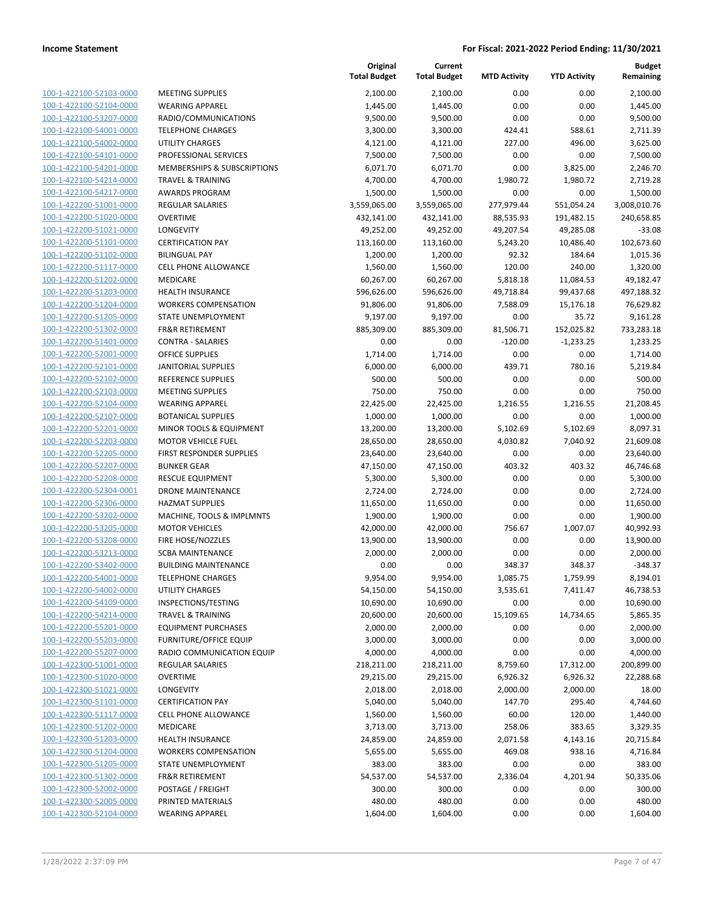| <u>100-1-422100-52103-0000</u>                            |
|-----------------------------------------------------------|
| 100-1-422100-52104-0000                                   |
| 100-1-422100-53207-0000                                   |
| 100-1-422100-54001-0000                                   |
| 100-1-422100-54002-0000                                   |
| 100-1-422100-54101-0000                                   |
| 100-1-422100-54201-0000                                   |
| 100-1-422100-54214-0000                                   |
| 100-1-422100-54217-0000                                   |
| 100-1-422200-51001-0000                                   |
| 100-1-422200-51020-0000                                   |
| 100-1-422200-51021-0000                                   |
| 100-1-422200-51101-0000                                   |
| 100-1-422200-51102-0000                                   |
| 100-1-422200-51117-0000                                   |
| 100-1-422200-51202-0000                                   |
| 100-1-422200-51203-0000                                   |
|                                                           |
| 100-1-422200-51204-0000                                   |
| 100-1-422200-51205-0000                                   |
| 100-1-422200-51302-0000                                   |
| 100-1-422200-51401-0000                                   |
| 100-1-422200-52001-0000                                   |
| 100-1-422200-52101-0000                                   |
| <u>100-1-422200-52102-0000</u>                            |
| 100-1-422200-52103-0000                                   |
| 100-1-422200-52104-0000                                   |
| 100-1-422200-52107-0000                                   |
| 100-1-422200-52201-0000                                   |
| 100-1-422200-52203-0000                                   |
| 100-1-422200-52205-0000                                   |
| 100-1-422200-52207-0000                                   |
| 100-1-422200-52208-0000                                   |
| 100-1-422200-52304-0001                                   |
| 100-1-422200-52306-0000                                   |
| 100-1-422200-53202-0000                                   |
| 100-1-422200-53205-0000                                   |
| 100-1-422200-53208-0000                                   |
| 100-1-422200-53213-0000                                   |
| 100-1-422200-53402-0000                                   |
|                                                           |
| 100-1-422200-54001-0000                                   |
| 100-1-422200-54002-0000                                   |
| 100-1-422200-54109-0000                                   |
| <u>100-1-422200-54214-0000</u>                            |
| 100-1-422200-55201-0000                                   |
| <u>100-1-422200-55203-0000</u>                            |
| 100-1-422200-55207-0000                                   |
| 100-1-422300-51001-0000                                   |
| 100-1-422300-51020-0000                                   |
| <u>100-1-422300-51021-0000</u>                            |
| <u>100-1-422300-51101-0000</u>                            |
| 100-1-422300-51117-0000                                   |
| 100-1-422300-51202-0000                                   |
| 100-1-422300-51203-0000                                   |
| <u>100-1-422300-51204-0000</u>                            |
| <u>100-1-422300-51205-0000</u>                            |
| <u>100-1-422300-51302-0000</u>                            |
| 100-1-422300-52002-0000                                   |
|                                                           |
|                                                           |
| 100-1-422300-52005-0000<br><u>100-1-422300-52104-0000</u> |

|                                                    |                                     | Original<br><b>Total Budget</b> | Current<br><b>Total Budget</b> | <b>MTD Activity</b>   | <b>YTD Activity</b>    | <b>Budget</b><br>Remaining |
|----------------------------------------------------|-------------------------------------|---------------------------------|--------------------------------|-----------------------|------------------------|----------------------------|
| 100-1-422100-52103-0000                            | <b>MEETING SUPPLIES</b>             | 2,100.00                        | 2,100.00                       | 0.00                  | 0.00                   | 2,100.00                   |
| 100-1-422100-52104-0000                            | <b>WEARING APPAREL</b>              | 1,445.00                        | 1,445.00                       | 0.00                  | 0.00                   | 1,445.00                   |
| 100-1-422100-53207-0000                            | RADIO/COMMUNICATIONS                | 9,500.00                        | 9,500.00                       | 0.00                  | 0.00                   | 9,500.00                   |
| 100-1-422100-54001-0000                            | <b>TELEPHONE CHARGES</b>            | 3,300.00                        | 3,300.00                       | 424.41                | 588.61                 | 2,711.39                   |
| 100-1-422100-54002-0000                            | <b>UTILITY CHARGES</b>              | 4,121.00                        | 4,121.00                       | 227.00                | 496.00                 | 3,625.00                   |
| 100-1-422100-54101-0000                            | PROFESSIONAL SERVICES               | 7,500.00                        | 7,500.00                       | 0.00                  | 0.00                   | 7,500.00                   |
| 100-1-422100-54201-0000                            | MEMBERSHIPS & SUBSCRIPTIONS         | 6,071.70                        | 6,071.70                       | 0.00                  | 3,825.00               | 2,246.70                   |
| 100-1-422100-54214-0000                            | <b>TRAVEL &amp; TRAINING</b>        | 4,700.00                        | 4,700.00                       | 1,980.72              | 1,980.72               | 2,719.28                   |
| 100-1-422100-54217-0000                            | AWARDS PROGRAM                      | 1,500.00                        | 1,500.00                       | 0.00                  | 0.00                   | 1,500.00                   |
| 100-1-422200-51001-0000                            | <b>REGULAR SALARIES</b>             | 3,559,065.00                    | 3,559,065.00                   | 277,979.44            | 551,054.24             | 3,008,010.76               |
| 100-1-422200-51020-0000                            | <b>OVERTIME</b>                     | 432,141.00                      | 432,141.00                     | 88,535.93             | 191,482.15             | 240,658.85                 |
| 100-1-422200-51021-0000                            | <b>LONGEVITY</b>                    | 49,252.00                       | 49,252.00                      | 49,207.54             | 49,285.08              | $-33.08$                   |
| 100-1-422200-51101-0000                            | <b>CERTIFICATION PAY</b>            | 113,160.00                      | 113,160.00                     | 5,243.20              | 10,486.40              | 102,673.60                 |
| 100-1-422200-51102-0000                            | <b>BILINGUAL PAY</b>                | 1,200.00                        | 1,200.00                       | 92.32                 | 184.64                 | 1,015.36                   |
| 100-1-422200-51117-0000                            | CELL PHONE ALLOWANCE                | 1,560.00                        | 1,560.00                       | 120.00                | 240.00                 | 1,320.00                   |
| 100-1-422200-51202-0000                            | MEDICARE<br><b>HEALTH INSURANCE</b> | 60,267.00                       | 60,267.00                      | 5,818.18<br>49,718.84 | 11,084.53              | 49,182.47                  |
| 100-1-422200-51203-0000<br>100-1-422200-51204-0000 | <b>WORKERS COMPENSATION</b>         | 596,626.00<br>91,806.00         | 596,626.00<br>91,806.00        | 7,588.09              | 99,437.68<br>15,176.18 | 497,188.32<br>76,629.82    |
| 100-1-422200-51205-0000                            | STATE UNEMPLOYMENT                  | 9,197.00                        | 9,197.00                       | 0.00                  | 35.72                  | 9,161.28                   |
| 100-1-422200-51302-0000                            | <b>FR&amp;R RETIREMENT</b>          | 885,309.00                      | 885,309.00                     | 81,506.71             | 152,025.82             | 733,283.18                 |
| 100-1-422200-51401-0000                            | CONTRA - SALARIES                   | 0.00                            | 0.00                           | $-120.00$             | $-1,233.25$            | 1,233.25                   |
| 100-1-422200-52001-0000                            | <b>OFFICE SUPPLIES</b>              | 1,714.00                        | 1,714.00                       | 0.00                  | 0.00                   | 1,714.00                   |
| 100-1-422200-52101-0000                            | <b>JANITORIAL SUPPLIES</b>          | 6,000.00                        | 6,000.00                       | 439.71                | 780.16                 | 5,219.84                   |
| 100-1-422200-52102-0000                            | REFERENCE SUPPLIES                  | 500.00                          | 500.00                         | 0.00                  | 0.00                   | 500.00                     |
| 100-1-422200-52103-0000                            | <b>MEETING SUPPLIES</b>             | 750.00                          | 750.00                         | 0.00                  | 0.00                   | 750.00                     |
| 100-1-422200-52104-0000                            | <b>WEARING APPAREL</b>              | 22,425.00                       | 22,425.00                      | 1,216.55              | 1,216.55               | 21,208.45                  |
| 100-1-422200-52107-0000                            | <b>BOTANICAL SUPPLIES</b>           | 1,000.00                        | 1,000.00                       | 0.00                  | 0.00                   | 1,000.00                   |
| 100-1-422200-52201-0000                            | MINOR TOOLS & EQUIPMENT             | 13,200.00                       | 13,200.00                      | 5,102.69              | 5,102.69               | 8,097.31                   |
| 100-1-422200-52203-0000                            | <b>MOTOR VEHICLE FUEL</b>           | 28,650.00                       | 28,650.00                      | 4,030.82              | 7,040.92               | 21,609.08                  |
| 100-1-422200-52205-0000                            | FIRST RESPONDER SUPPLIES            | 23,640.00                       | 23,640.00                      | 0.00                  | 0.00                   | 23,640.00                  |
| 100-1-422200-52207-0000                            | <b>BUNKER GEAR</b>                  | 47,150.00                       | 47,150.00                      | 403.32                | 403.32                 | 46,746.68                  |
| 100-1-422200-52208-0000                            | <b>RESCUE EQUIPMENT</b>             | 5,300.00                        | 5,300.00                       | 0.00                  | 0.00                   | 5,300.00                   |
| 100-1-422200-52304-0001                            | <b>DRONE MAINTENANCE</b>            | 2,724.00                        | 2,724.00                       | 0.00                  | 0.00                   | 2,724.00                   |
| 100-1-422200-52306-0000                            | <b>HAZMAT SUPPLIES</b>              | 11,650.00                       | 11,650.00                      | 0.00                  | 0.00                   | 11,650.00                  |
| 100-1-422200-53202-0000                            | MACHINE, TOOLS & IMPLMNTS           | 1,900.00                        | 1,900.00                       | 0.00                  | 0.00                   | 1,900.00                   |
| 100-1-422200-53205-0000                            | <b>MOTOR VEHICLES</b>               | 42,000.00                       | 42,000.00                      | 756.67                | 1,007.07               | 40,992.93                  |
| 100-1-422200-53208-0000                            | FIRE HOSE/NOZZLES                   | 13,900.00                       | 13,900.00                      | 0.00                  | 0.00                   | 13,900.00                  |
| 100-1-422200-53213-0000                            | <b>SCBA MAINTENANCE</b>             | 2,000.00                        | 2,000.00                       | 0.00                  | 0.00                   | 2,000.00                   |
| 100-1-422200-53402-0000                            | <b>BUILDING MAINTENANCE</b>         | 0.00                            | 0.00                           | 348.37                | 348.37                 | $-348.37$                  |
| 100-1-422200-54001-0000                            | <b>TELEPHONE CHARGES</b>            | 9,954.00                        | 9,954.00                       | 1,085.75              | 1,759.99               | 8,194.01                   |
| 100-1-422200-54002-0000                            | UTILITY CHARGES                     | 54,150.00                       | 54,150.00                      | 3,535.61              | 7,411.47               | 46,738.53                  |
| 100-1-422200-54109-0000                            | INSPECTIONS/TESTING                 | 10,690.00                       | 10,690.00                      | 0.00                  | 0.00                   | 10,690.00                  |
| 100-1-422200-54214-0000                            | <b>TRAVEL &amp; TRAINING</b>        | 20,600.00                       | 20,600.00                      | 15,109.65             | 14,734.65              | 5,865.35                   |
| 100-1-422200-55201-0000                            | <b>EQUIPMENT PURCHASES</b>          | 2,000.00                        | 2,000.00                       | 0.00                  | 0.00                   | 2,000.00                   |
| 100-1-422200-55203-0000                            | <b>FURNITURE/OFFICE EQUIP</b>       | 3,000.00                        | 3,000.00                       | 0.00                  | 0.00                   | 3,000.00                   |
| 100-1-422200-55207-0000                            | RADIO COMMUNICATION EQUIP           | 4,000.00                        | 4,000.00                       | 0.00                  | 0.00                   | 4,000.00                   |
| 100-1-422300-51001-0000                            | <b>REGULAR SALARIES</b>             | 218,211.00                      | 218,211.00                     | 8,759.60              | 17,312.00              | 200,899.00                 |
| 100-1-422300-51020-0000                            | <b>OVERTIME</b>                     | 29,215.00                       | 29,215.00                      | 6,926.32              | 6,926.32               | 22,288.68                  |
| 100-1-422300-51021-0000                            | LONGEVITY                           | 2,018.00                        | 2,018.00                       | 2,000.00              | 2,000.00               | 18.00                      |
| 100-1-422300-51101-0000                            | <b>CERTIFICATION PAY</b>            | 5,040.00                        | 5,040.00                       | 147.70                | 295.40                 | 4,744.60                   |
| 100-1-422300-51117-0000                            | <b>CELL PHONE ALLOWANCE</b>         | 1,560.00                        | 1,560.00                       | 60.00                 | 120.00                 | 1,440.00                   |
| 100-1-422300-51202-0000                            | MEDICARE                            | 3,713.00                        | 3,713.00                       | 258.06                | 383.65                 | 3,329.35                   |
| 100-1-422300-51203-0000                            | <b>HEALTH INSURANCE</b>             | 24,859.00                       | 24,859.00                      | 2,071.58              | 4,143.16               | 20,715.84                  |
| 100-1-422300-51204-0000                            | <b>WORKERS COMPENSATION</b>         | 5,655.00                        | 5,655.00                       | 469.08                | 938.16                 | 4,716.84                   |
| 100-1-422300-51205-0000                            | STATE UNEMPLOYMENT                  | 383.00                          | 383.00                         | 0.00                  | 0.00                   | 383.00                     |
| 100-1-422300-51302-0000                            | FR&R RETIREMENT                     | 54,537.00                       | 54,537.00                      | 2,336.04              | 4,201.94               | 50,335.06                  |
| 100-1-422300-52002-0000                            | POSTAGE / FREIGHT                   | 300.00                          | 300.00                         | 0.00                  | 0.00                   | 300.00                     |
| 100-1-422300-52005-0000                            | PRINTED MATERIALS                   | 480.00                          | 480.00                         | 0.00                  | 0.00                   | 480.00                     |
| 100-1-422300-52104-0000                            | <b>WEARING APPAREL</b>              | 1,604.00                        | 1,604.00                       | 0.00                  | 0.00                   | 1,604.00                   |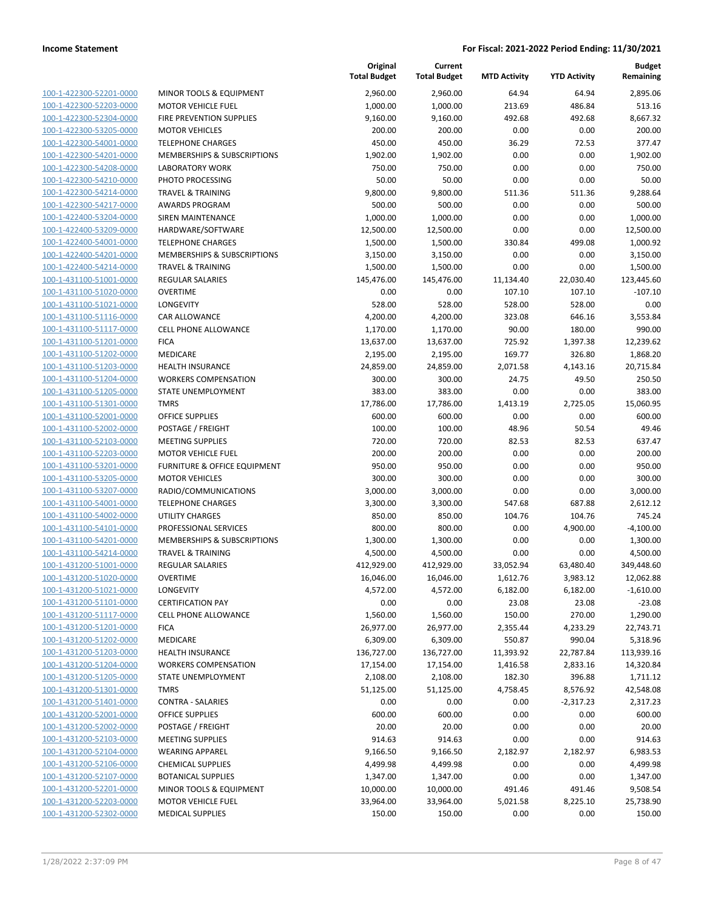| 100-1-422300-52201-0000        |
|--------------------------------|
| 100-1-422300-52203-0000        |
| 100-1-422300-52304-0000        |
| 100-1-422300-53205-0000        |
| 100-1-422300-54001-0000        |
| 100-1-422300-54201-0000        |
|                                |
| 100-1-422300-54208-0000        |
| 100-1-422300-54210-0000        |
| 100-1-422300-54214-0000        |
| 100-1-422300-54217-0000        |
| 100-1-422400-53204-0000        |
| 100-1-422400-53209-0000        |
| 100-1-422400-54001-0000        |
| 100-1-422400-54201-0000        |
| 100-1-422400-54214-0000        |
|                                |
| 100-1-431100-51001-0000        |
| 100-1-431100-51020-0000        |
| 100-1-431100-51021-0000        |
| 100-1-431100-51116-0000        |
| 100-1-431100-51117-0000        |
| 100-1-431100-51201-0000        |
| 100-1-431100-51202-0000        |
| 100-1-431100-51203-0000        |
|                                |
| 100-1-431100-51204-0000        |
| 100-1-431100-51205-0000        |
| 100-1-431100-51301-0000        |
| 100-1-431100-52001-0000        |
| 100-1-431100-52002-0000        |
| 100-1-431100-52103-0000        |
| 100-1-431100-52203-0000        |
| 100-1-431100-53201-0000        |
|                                |
| 100-1-431100-53205-0000        |
| 100-1-431100-53207-0000        |
| 100-1-431100-54001-0000        |
| 100-1-431100-54002-0000        |
| 100-1-431100-54101-0000        |
| 100-1-431100-54201-0000        |
| 100-1-431100-54214-0000        |
| 100-1-431200-51001-0000        |
| 100-1-431200-51020-0000        |
|                                |
| 100-1-431200-51021-0000        |
| <u>100-1-431200-51101-0000</u> |
| 100-1-431200-51117-0000        |
| 100-1-431200-51201-0000        |
| 100-1-431200-51202-0000        |
| 100-1-431200-51203-0000        |
| <u>100-1-431200-51204-0000</u> |
| <u>100-1-431200-51205-0000</u> |
| 100-1-431200-51301-0000        |
|                                |
| 100-1-431200-51401-0000        |
| 100-1-431200-52001-0000        |
| <u>100-1-431200-52002-0000</u> |
| 100-1-431200-52103-0000        |
| <u>100-1-431200-52104-0000</u> |
| 100-1-431200-52106-0000        |
| <u>100-1-431200-52107-0000</u> |
| 100-1-431200-52201-0000        |
| 100-1-431200-52203-0000        |
|                                |
| <u>100-1-431200-52302-0000</u> |

|                         |                              | Original<br><b>Total Budget</b> | Current<br><b>Total Budget</b> | <b>MTD Activity</b> | <b>YTD Activity</b> | <b>Budget</b><br>Remaining |
|-------------------------|------------------------------|---------------------------------|--------------------------------|---------------------|---------------------|----------------------------|
| 100-1-422300-52201-0000 | MINOR TOOLS & EQUIPMENT      | 2,960.00                        | 2,960.00                       | 64.94               | 64.94               | 2,895.06                   |
| 100-1-422300-52203-0000 | <b>MOTOR VEHICLE FUEL</b>    | 1,000.00                        | 1,000.00                       | 213.69              | 486.84              | 513.16                     |
| 100-1-422300-52304-0000 | FIRE PREVENTION SUPPLIES     | 9,160.00                        | 9,160.00                       | 492.68              | 492.68              | 8,667.32                   |
| 100-1-422300-53205-0000 | <b>MOTOR VEHICLES</b>        | 200.00                          | 200.00                         | 0.00                | 0.00                | 200.00                     |
| 100-1-422300-54001-0000 | <b>TELEPHONE CHARGES</b>     | 450.00                          | 450.00                         | 36.29               | 72.53               | 377.47                     |
| 100-1-422300-54201-0000 | MEMBERSHIPS & SUBSCRIPTIONS  | 1,902.00                        | 1,902.00                       | 0.00                | 0.00                | 1,902.00                   |
| 100-1-422300-54208-0000 | <b>LABORATORY WORK</b>       | 750.00                          | 750.00                         | 0.00                | 0.00                | 750.00                     |
| 100-1-422300-54210-0000 | PHOTO PROCESSING             | 50.00                           | 50.00                          | 0.00                | 0.00                | 50.00                      |
| 100-1-422300-54214-0000 | <b>TRAVEL &amp; TRAINING</b> | 9,800.00                        | 9,800.00                       | 511.36              | 511.36              | 9,288.64                   |
| 100-1-422300-54217-0000 | <b>AWARDS PROGRAM</b>        | 500.00                          | 500.00                         | 0.00                | 0.00                | 500.00                     |
| 100-1-422400-53204-0000 | <b>SIREN MAINTENANCE</b>     | 1,000.00                        | 1,000.00                       | 0.00                | 0.00                | 1,000.00                   |
| 100-1-422400-53209-0000 | HARDWARE/SOFTWARE            | 12,500.00                       | 12,500.00                      | 0.00                | 0.00                | 12,500.00                  |
| 100-1-422400-54001-0000 | <b>TELEPHONE CHARGES</b>     | 1,500.00                        | 1,500.00                       | 330.84              | 499.08              | 1,000.92                   |
| 100-1-422400-54201-0000 | MEMBERSHIPS & SUBSCRIPTIONS  | 3,150.00                        | 3,150.00                       | 0.00                | 0.00                | 3,150.00                   |
| 100-1-422400-54214-0000 | <b>TRAVEL &amp; TRAINING</b> | 1,500.00                        | 1,500.00                       | 0.00                | 0.00                | 1,500.00                   |
| 100-1-431100-51001-0000 | <b>REGULAR SALARIES</b>      | 145,476.00                      | 145,476.00                     | 11,134.40           | 22,030.40           | 123,445.60                 |
| 100-1-431100-51020-0000 | <b>OVERTIME</b>              | 0.00                            | 0.00                           | 107.10              | 107.10              | $-107.10$                  |
| 100-1-431100-51021-0000 | LONGEVITY                    | 528.00                          | 528.00                         | 528.00              | 528.00              | 0.00                       |
| 100-1-431100-51116-0000 | <b>CAR ALLOWANCE</b>         | 4,200.00                        | 4,200.00                       | 323.08              | 646.16              | 3,553.84                   |
| 100-1-431100-51117-0000 | <b>CELL PHONE ALLOWANCE</b>  | 1,170.00                        | 1,170.00                       | 90.00               | 180.00              | 990.00                     |
| 100-1-431100-51201-0000 | <b>FICA</b>                  | 13,637.00                       | 13,637.00                      | 725.92              | 1,397.38            | 12,239.62                  |
| 100-1-431100-51202-0000 | MEDICARE                     | 2,195.00                        | 2,195.00                       | 169.77              | 326.80              | 1,868.20                   |
| 100-1-431100-51203-0000 | <b>HEALTH INSURANCE</b>      | 24,859.00                       | 24,859.00                      | 2,071.58            | 4,143.16            | 20,715.84                  |
| 100-1-431100-51204-0000 | <b>WORKERS COMPENSATION</b>  | 300.00                          | 300.00                         | 24.75               | 49.50               | 250.50                     |
| 100-1-431100-51205-0000 | STATE UNEMPLOYMENT           | 383.00                          | 383.00                         | 0.00                | 0.00                | 383.00                     |
| 100-1-431100-51301-0000 | <b>TMRS</b>                  | 17,786.00                       | 17,786.00                      | 1,413.19            | 2,725.05            | 15,060.95                  |
| 100-1-431100-52001-0000 | OFFICE SUPPLIES              | 600.00                          | 600.00                         | 0.00                | 0.00                | 600.00                     |
| 100-1-431100-52002-0000 | POSTAGE / FREIGHT            | 100.00                          | 100.00                         | 48.96               | 50.54               | 49.46                      |
| 100-1-431100-52103-0000 | <b>MEETING SUPPLIES</b>      | 720.00                          | 720.00                         | 82.53               | 82.53               | 637.47                     |
| 100-1-431100-52203-0000 | <b>MOTOR VEHICLE FUEL</b>    | 200.00                          | 200.00                         | 0.00                | 0.00                | 200.00                     |
| 100-1-431100-53201-0000 | FURNITURE & OFFICE EQUIPMENT | 950.00                          | 950.00                         | 0.00                | 0.00                | 950.00                     |
| 100-1-431100-53205-0000 | <b>MOTOR VEHICLES</b>        | 300.00                          | 300.00                         | 0.00                | 0.00                | 300.00                     |
| 100-1-431100-53207-0000 | RADIO/COMMUNICATIONS         | 3,000.00                        | 3,000.00                       | 0.00                | 0.00                | 3,000.00                   |
| 100-1-431100-54001-0000 | <b>TELEPHONE CHARGES</b>     | 3,300.00                        | 3,300.00                       | 547.68              | 687.88              | 2,612.12                   |
| 100-1-431100-54002-0000 | <b>UTILITY CHARGES</b>       | 850.00                          | 850.00                         | 104.76              | 104.76              | 745.24                     |
| 100-1-431100-54101-0000 | PROFESSIONAL SERVICES        | 800.00                          | 800.00                         | 0.00                | 4,900.00            | $-4,100.00$                |
| 100-1-431100-54201-0000 | MEMBERSHIPS & SUBSCRIPTIONS  | 1,300.00                        | 1,300.00                       | 0.00                | 0.00                | 1,300.00                   |
| 100-1-431100-54214-0000 | <b>TRAVEL &amp; TRAINING</b> | 4,500.00                        | 4,500.00                       | 0.00                | 0.00                | 4,500.00                   |
| 100-1-431200-51001-0000 | <b>REGULAR SALARIES</b>      | 412,929.00                      | 412,929.00                     | 33,052.94           | 63,480.40           | 349,448.60                 |
| 100-1-431200-51020-0000 | <b>OVERTIME</b>              | 16,046.00                       | 16,046.00                      | 1,612.76            | 3,983.12            | 12,062.88                  |
| 100-1-431200-51021-0000 | LONGEVITY                    | 4,572.00                        | 4,572.00                       | 6,182.00            | 6,182.00            | $-1,610.00$                |
| 100-1-431200-51101-0000 | <b>CERTIFICATION PAY</b>     | 0.00                            | 0.00                           | 23.08               | 23.08               | $-23.08$                   |
| 100-1-431200-51117-0000 | CELL PHONE ALLOWANCE         | 1,560.00                        | 1,560.00                       | 150.00              | 270.00              | 1,290.00                   |
| 100-1-431200-51201-0000 | <b>FICA</b>                  | 26,977.00                       | 26,977.00                      | 2,355.44            | 4,233.29            | 22,743.71                  |
| 100-1-431200-51202-0000 | MEDICARE                     | 6,309.00                        | 6,309.00                       | 550.87              | 990.04              | 5,318.96                   |
| 100-1-431200-51203-0000 | <b>HEALTH INSURANCE</b>      | 136,727.00                      | 136,727.00                     | 11,393.92           | 22,787.84           | 113,939.16                 |
| 100-1-431200-51204-0000 | <b>WORKERS COMPENSATION</b>  | 17,154.00                       | 17,154.00                      | 1,416.58            | 2,833.16            | 14,320.84                  |
| 100-1-431200-51205-0000 | STATE UNEMPLOYMENT           | 2,108.00                        | 2,108.00                       | 182.30              | 396.88              | 1,711.12                   |
| 100-1-431200-51301-0000 | <b>TMRS</b>                  | 51,125.00                       | 51,125.00                      | 4,758.45            | 8,576.92            | 42,548.08                  |
| 100-1-431200-51401-0000 | <b>CONTRA - SALARIES</b>     | 0.00                            | 0.00                           | 0.00                | $-2,317.23$         | 2,317.23                   |
| 100-1-431200-52001-0000 | OFFICE SUPPLIES              | 600.00                          | 600.00                         | 0.00                | 0.00                | 600.00                     |
| 100-1-431200-52002-0000 | POSTAGE / FREIGHT            | 20.00                           | 20.00                          | 0.00                | 0.00                | 20.00                      |
| 100-1-431200-52103-0000 | <b>MEETING SUPPLIES</b>      | 914.63                          | 914.63                         | 0.00                | 0.00                | 914.63                     |
| 100-1-431200-52104-0000 | <b>WEARING APPAREL</b>       | 9,166.50                        | 9,166.50                       | 2,182.97            | 2,182.97            | 6,983.53                   |
| 100-1-431200-52106-0000 | <b>CHEMICAL SUPPLIES</b>     | 4,499.98                        | 4,499.98                       | 0.00                | 0.00                | 4,499.98                   |
| 100-1-431200-52107-0000 | <b>BOTANICAL SUPPLIES</b>    | 1,347.00                        | 1,347.00                       | 0.00                | 0.00                | 1,347.00                   |
| 100-1-431200-52201-0000 | MINOR TOOLS & EQUIPMENT      | 10,000.00                       | 10,000.00                      | 491.46              | 491.46              | 9,508.54                   |
| 100-1-431200-52203-0000 | <b>MOTOR VEHICLE FUEL</b>    | 33,964.00                       | 33,964.00                      | 5,021.58            | 8,225.10            | 25,738.90                  |
| 100-1-431200-52302-0000 | <b>MEDICAL SUPPLIES</b>      | 150.00                          | 150.00                         | 0.00                | 0.00                | 150.00                     |
|                         |                              |                                 |                                |                     |                     |                            |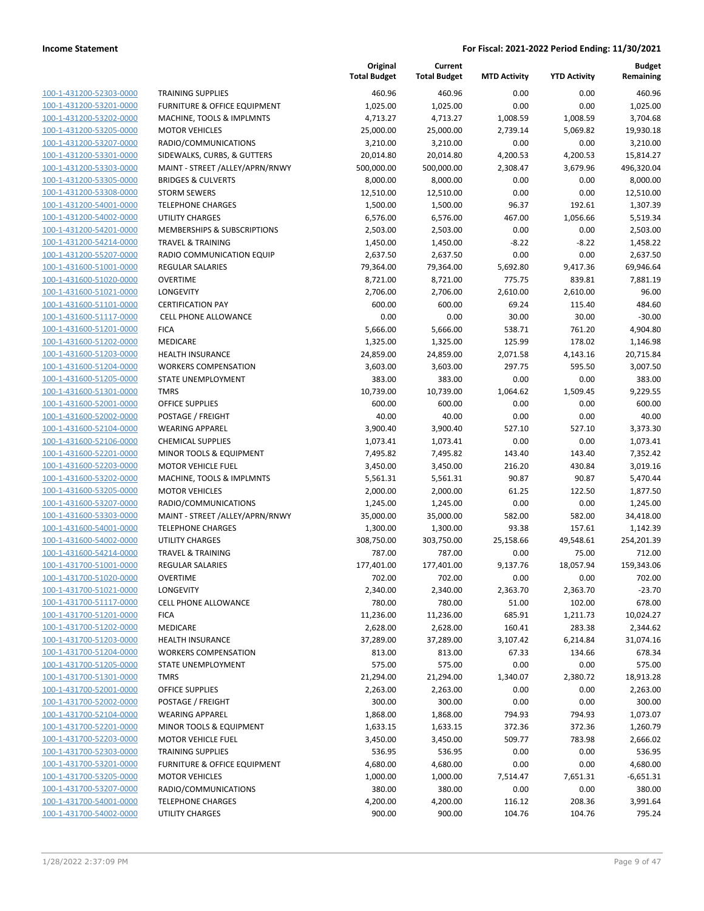|                                                    |                                                        | Original<br><b>Total Budget</b> | Current<br><b>Total Budget</b> | <b>MTD Activity</b> | <b>YTD Activity</b> | <b>Budget</b><br>Remaining |
|----------------------------------------------------|--------------------------------------------------------|---------------------------------|--------------------------------|---------------------|---------------------|----------------------------|
| 100-1-431200-52303-0000                            | <b>TRAINING SUPPLIES</b>                               | 460.96                          | 460.96                         | 0.00                | 0.00                | 460.96                     |
| 100-1-431200-53201-0000                            | FURNITURE & OFFICE EQUIPMENT                           | 1,025.00                        | 1,025.00                       | 0.00                | 0.00                | 1,025.00                   |
| 100-1-431200-53202-0000                            | MACHINE, TOOLS & IMPLMNTS                              | 4,713.27                        | 4,713.27                       | 1,008.59            | 1,008.59            | 3,704.68                   |
| 100-1-431200-53205-0000                            | <b>MOTOR VEHICLES</b>                                  | 25,000.00                       | 25,000.00                      | 2,739.14            | 5,069.82            | 19,930.18                  |
| 100-1-431200-53207-0000                            | RADIO/COMMUNICATIONS                                   | 3,210.00                        | 3,210.00                       | 0.00                | 0.00                | 3,210.00                   |
| 100-1-431200-53301-0000                            | SIDEWALKS, CURBS, & GUTTERS                            | 20,014.80                       | 20,014.80                      | 4,200.53            | 4,200.53            | 15,814.27                  |
| 100-1-431200-53303-0000                            | MAINT - STREET /ALLEY/APRN/RNWY                        | 500,000.00                      | 500,000.00                     | 2,308.47            | 3,679.96            | 496,320.04                 |
| 100-1-431200-53305-0000                            | <b>BRIDGES &amp; CULVERTS</b>                          | 8,000.00                        | 8,000.00                       | 0.00                | 0.00                | 8,000.00                   |
| 100-1-431200-53308-0000                            | <b>STORM SEWERS</b>                                    | 12,510.00                       | 12,510.00                      | 0.00                | 0.00                | 12,510.00                  |
| 100-1-431200-54001-0000                            | <b>TELEPHONE CHARGES</b>                               | 1,500.00                        | 1,500.00                       | 96.37               | 192.61              | 1,307.39                   |
| 100-1-431200-54002-0000                            | <b>UTILITY CHARGES</b>                                 | 6,576.00                        | 6,576.00                       | 467.00              | 1,056.66            | 5,519.34                   |
| 100-1-431200-54201-0000                            | MEMBERSHIPS & SUBSCRIPTIONS                            | 2,503.00                        | 2,503.00                       | 0.00                | 0.00                | 2,503.00                   |
| 100-1-431200-54214-0000                            | <b>TRAVEL &amp; TRAINING</b>                           | 1,450.00                        | 1,450.00                       | $-8.22$             | $-8.22$             | 1,458.22                   |
| 100-1-431200-55207-0000                            | RADIO COMMUNICATION EQUIP                              | 2,637.50                        | 2,637.50                       | 0.00                | 0.00                | 2,637.50                   |
| 100-1-431600-51001-0000                            | <b>REGULAR SALARIES</b>                                | 79,364.00                       | 79,364.00                      | 5,692.80            | 9,417.36            | 69,946.64                  |
| 100-1-431600-51020-0000                            | <b>OVERTIME</b>                                        | 8,721.00                        | 8,721.00                       | 775.75              | 839.81              | 7,881.19                   |
| 100-1-431600-51021-0000                            | LONGEVITY                                              | 2,706.00                        | 2,706.00                       | 2,610.00            | 2,610.00            | 96.00                      |
| 100-1-431600-51101-0000                            | <b>CERTIFICATION PAY</b>                               | 600.00                          | 600.00                         | 69.24               | 115.40              | 484.60                     |
| 100-1-431600-51117-0000                            | <b>CELL PHONE ALLOWANCE</b>                            | 0.00                            | 0.00                           | 30.00               | 30.00               | $-30.00$                   |
| 100-1-431600-51201-0000                            | <b>FICA</b>                                            | 5,666.00                        | 5,666.00                       | 538.71              | 761.20              | 4,904.80                   |
| 100-1-431600-51202-0000                            | MEDICARE                                               | 1,325.00                        | 1,325.00                       | 125.99              | 178.02              | 1,146.98                   |
| 100-1-431600-51203-0000<br>100-1-431600-51204-0000 | <b>HEALTH INSURANCE</b><br><b>WORKERS COMPENSATION</b> | 24,859.00<br>3,603.00           | 24,859.00<br>3,603.00          | 2,071.58<br>297.75  | 4,143.16<br>595.50  | 20,715.84<br>3,007.50      |
| 100-1-431600-51205-0000                            | STATE UNEMPLOYMENT                                     | 383.00                          | 383.00                         | 0.00                | 0.00                | 383.00                     |
| 100-1-431600-51301-0000                            | <b>TMRS</b>                                            | 10,739.00                       | 10,739.00                      | 1,064.62            | 1,509.45            | 9,229.55                   |
| 100-1-431600-52001-0000                            | <b>OFFICE SUPPLIES</b>                                 | 600.00                          | 600.00                         | 0.00                | 0.00                | 600.00                     |
| 100-1-431600-52002-0000                            | POSTAGE / FREIGHT                                      | 40.00                           | 40.00                          | 0.00                | 0.00                | 40.00                      |
| 100-1-431600-52104-0000                            | <b>WEARING APPAREL</b>                                 | 3,900.40                        | 3,900.40                       | 527.10              | 527.10              | 3,373.30                   |
| 100-1-431600-52106-0000                            | <b>CHEMICAL SUPPLIES</b>                               | 1,073.41                        | 1,073.41                       | 0.00                | 0.00                | 1,073.41                   |
| 100-1-431600-52201-0000                            | MINOR TOOLS & EQUIPMENT                                | 7,495.82                        | 7,495.82                       | 143.40              | 143.40              | 7,352.42                   |
| 100-1-431600-52203-0000                            | <b>MOTOR VEHICLE FUEL</b>                              | 3,450.00                        | 3,450.00                       | 216.20              | 430.84              | 3,019.16                   |
| 100-1-431600-53202-0000                            | MACHINE, TOOLS & IMPLMNTS                              | 5,561.31                        | 5,561.31                       | 90.87               | 90.87               | 5,470.44                   |
| 100-1-431600-53205-0000                            | <b>MOTOR VEHICLES</b>                                  | 2,000.00                        | 2,000.00                       | 61.25               | 122.50              | 1,877.50                   |
| 100-1-431600-53207-0000                            | RADIO/COMMUNICATIONS                                   | 1,245.00                        | 1,245.00                       | 0.00                | 0.00                | 1,245.00                   |
| 100-1-431600-53303-0000                            | MAINT - STREET /ALLEY/APRN/RNWY                        | 35,000.00                       | 35,000.00                      | 582.00              | 582.00              | 34,418.00                  |
| 100-1-431600-54001-0000                            | <b>TELEPHONE CHARGES</b>                               | 1,300.00                        | 1,300.00                       | 93.38               | 157.61              | 1,142.39                   |
| 100-1-431600-54002-0000                            | <b>UTILITY CHARGES</b>                                 | 308,750.00                      | 303,750.00                     | 25,158.66           | 49,548.61           | 254,201.39                 |
| 100-1-431600-54214-0000                            | <b>TRAVEL &amp; TRAINING</b>                           | 787.00                          | 787.00                         | 0.00                | 75.00               | 712.00                     |
| 100-1-431700-51001-0000                            | <b>REGULAR SALARIES</b>                                | 177,401.00                      | 177,401.00                     | 9,137.76            | 18,057.94           | 159,343.06                 |
| 100-1-431700-51020-0000                            | OVERTIME                                               | 702.00                          | 702.00                         | 0.00                | 0.00                | 702.00                     |
| 100-1-431700-51021-0000                            | <b>LONGEVITY</b>                                       | 2,340.00                        | 2,340.00                       | 2,363.70            | 2,363.70            | $-23.70$                   |
| 100-1-431700-51117-0000                            | <b>CELL PHONE ALLOWANCE</b>                            | 780.00                          | 780.00                         | 51.00               | 102.00              | 678.00                     |
| 100-1-431700-51201-0000<br>100-1-431700-51202-0000 | <b>FICA</b>                                            | 11,236.00                       | 11,236.00                      | 685.91              | 1,211.73            | 10,024.27                  |
| 100-1-431700-51203-0000                            | MEDICARE<br><b>HEALTH INSURANCE</b>                    | 2,628.00<br>37,289.00           | 2,628.00<br>37,289.00          | 160.41<br>3,107.42  | 283.38<br>6,214.84  | 2,344.62<br>31,074.16      |
| 100-1-431700-51204-0000                            | <b>WORKERS COMPENSATION</b>                            | 813.00                          | 813.00                         | 67.33               | 134.66              | 678.34                     |
| 100-1-431700-51205-0000                            | STATE UNEMPLOYMENT                                     | 575.00                          | 575.00                         | 0.00                | 0.00                | 575.00                     |
| 100-1-431700-51301-0000                            | <b>TMRS</b>                                            | 21,294.00                       | 21,294.00                      | 1,340.07            | 2,380.72            | 18,913.28                  |
| 100-1-431700-52001-0000                            | <b>OFFICE SUPPLIES</b>                                 | 2,263.00                        | 2,263.00                       | 0.00                | 0.00                | 2,263.00                   |
| 100-1-431700-52002-0000                            | POSTAGE / FREIGHT                                      | 300.00                          | 300.00                         | 0.00                | 0.00                | 300.00                     |
| 100-1-431700-52104-0000                            | <b>WEARING APPAREL</b>                                 | 1,868.00                        | 1,868.00                       | 794.93              | 794.93              | 1,073.07                   |
| 100-1-431700-52201-0000                            | MINOR TOOLS & EQUIPMENT                                | 1,633.15                        | 1,633.15                       | 372.36              | 372.36              | 1,260.79                   |
| 100-1-431700-52203-0000                            | <b>MOTOR VEHICLE FUEL</b>                              | 3,450.00                        | 3,450.00                       | 509.77              | 783.98              | 2,666.02                   |
| 100-1-431700-52303-0000                            | <b>TRAINING SUPPLIES</b>                               | 536.95                          | 536.95                         | 0.00                | 0.00                | 536.95                     |
| 100-1-431700-53201-0000                            | FURNITURE & OFFICE EQUIPMENT                           | 4,680.00                        | 4,680.00                       | 0.00                | 0.00                | 4,680.00                   |
| 100-1-431700-53205-0000                            | <b>MOTOR VEHICLES</b>                                  | 1,000.00                        | 1,000.00                       | 7,514.47            | 7,651.31            | $-6,651.31$                |
| 100-1-431700-53207-0000                            | RADIO/COMMUNICATIONS                                   | 380.00                          | 380.00                         | 0.00                | 0.00                | 380.00                     |
| 100-1-431700-54001-0000                            | <b>TELEPHONE CHARGES</b>                               | 4,200.00                        | 4,200.00                       | 116.12              | 208.36              | 3,991.64                   |
| 100-1-431700-54002-0000                            | UTILITY CHARGES                                        | 900.00                          | 900.00                         | 104.76              | 104.76              | 795.24                     |
|                                                    |                                                        |                                 |                                |                     |                     |                            |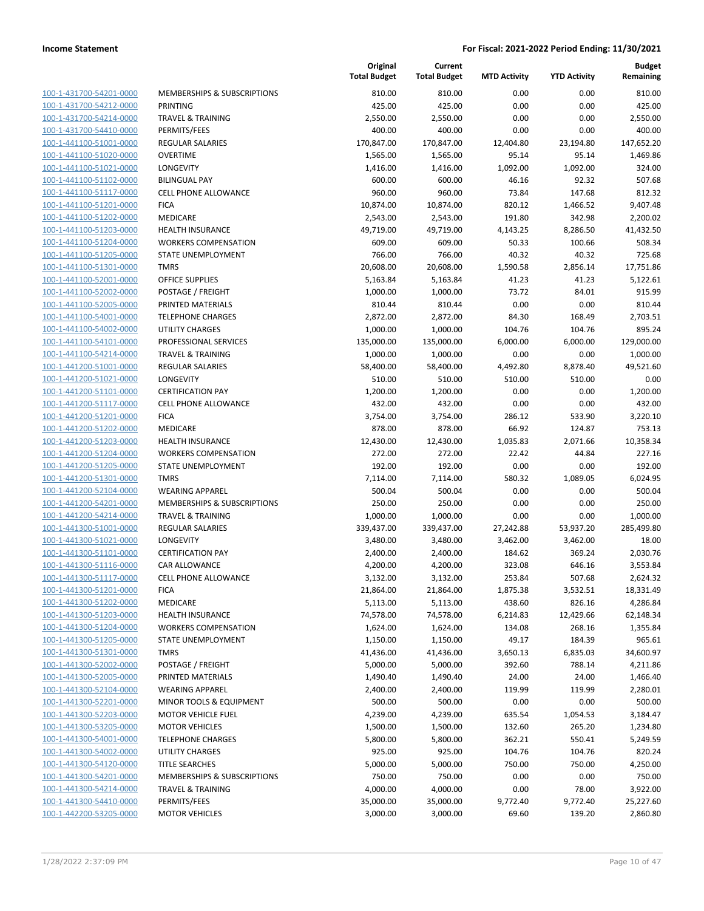| 100-1-431700-54201-0000        |
|--------------------------------|
| 100-1-431700-54212-0000        |
| 100-1-431700-54214-0000        |
| 100-1-431700-54410-0000        |
| 100-1-441100-51001-0000        |
| 100-1-441100-51020-0000        |
| 100-1-441100-51021-0000        |
| 100-1-441100-51102-0000        |
| 100-1-441100-51117-0000        |
|                                |
| 100-1-441100-51201-0000        |
| 100-1-441100-51202-0000        |
| 100-1-441100-51203-0000        |
| 100-1-441100-51204-0000        |
| 100-1-441100-51205-0000        |
| 100-1-441100-51301-0000        |
| 100-1-441100-52001-0000        |
| 100-1-441100-52002-0000        |
| 100-1-441100-52005-0000        |
| 100-1-441100-54001-0000        |
| 100-1-441100-54002-0000        |
|                                |
| 100-1-441100-54101-0000        |
| 100-1-441100-54214-0000        |
| 100-1-441200-51001-0000        |
| 100-1-441200-51021-0000        |
| 100-1-441200-51101-0000        |
| 100-1-441200-51117-0000        |
| 100-1-441200-51201-0000        |
| 100-1-441200-51202-0000        |
| 100-1-441200-51203-0000        |
| 100-1-441200-51204-0000        |
| 100-1-441200-51205-0000        |
| 100-1-441200-51301-0000        |
|                                |
| 100-1-441200-52104-0000        |
| 100-1-441200-54201-0000        |
| 100-1-441200-54214-0000        |
| 100-1-441300-51001-0000        |
| 100-1-441300-51021-0000        |
| 100-1-441300-51101-0000        |
| 100-1-441300-51116-0000        |
| 100-1-441300-51117-0000        |
| 100-1-441300-51201-0000        |
| <u>100-1-441300-51202-0000</u> |
| 100-1-441300-51203-0000        |
|                                |
| <u>100-1-441300-51204-0000</u> |
| <u>100-1-441300-51205-0000</u> |
| 100-1-441300-51301-0000        |
| 100-1-441300-52002-0000        |
| <u>100-1-441300-52005-0000</u> |
| <u>100-1-441300-52104-0000</u> |
| <u>100-1-441300-52201-0000</u> |
| 100-1-441300-52203-0000        |
| 100-1-441300-53205-0000        |
| 100-1-441300-54001-0000        |
| <u>100-1-441300-54002-0000</u> |
| <u>100-1-441300-54120-0000</u> |
| <u>100-1-441300-54201-0000</u> |
| 100-1-441300-54214-0000        |
|                                |
| 100-1-441300-54410-0000        |
| <u>100-1-442200-53205-0000</u> |

|                                                    |                                                        | Original<br><b>Total Budget</b> | Current<br><b>Total Budget</b> | <b>MTD Activity</b> | <b>YTD Activity</b> | <b>Budget</b><br>Remaining |
|----------------------------------------------------|--------------------------------------------------------|---------------------------------|--------------------------------|---------------------|---------------------|----------------------------|
| 100-1-431700-54201-0000                            | MEMBERSHIPS & SUBSCRIPTIONS                            | 810.00                          | 810.00                         | 0.00                | 0.00                | 810.00                     |
| 100-1-431700-54212-0000                            | PRINTING                                               | 425.00                          | 425.00                         | 0.00                | 0.00                | 425.00                     |
| 100-1-431700-54214-0000                            | <b>TRAVEL &amp; TRAINING</b>                           | 2,550.00                        | 2,550.00                       | 0.00                | 0.00                | 2,550.00                   |
| 100-1-431700-54410-0000                            | PERMITS/FEES                                           | 400.00                          | 400.00                         | 0.00                | 0.00                | 400.00                     |
| 100-1-441100-51001-0000                            | <b>REGULAR SALARIES</b>                                | 170,847.00                      | 170,847.00                     | 12,404.80           | 23,194.80           | 147,652.20                 |
| 100-1-441100-51020-0000                            | <b>OVERTIME</b>                                        | 1,565.00                        | 1,565.00                       | 95.14               | 95.14               | 1,469.86                   |
| 100-1-441100-51021-0000                            | LONGEVITY                                              | 1,416.00                        | 1,416.00                       | 1,092.00            | 1,092.00            | 324.00                     |
| 100-1-441100-51102-0000                            | <b>BILINGUAL PAY</b>                                   | 600.00                          | 600.00                         | 46.16               | 92.32               | 507.68                     |
| 100-1-441100-51117-0000                            | <b>CELL PHONE ALLOWANCE</b>                            | 960.00                          | 960.00                         | 73.84               | 147.68              | 812.32                     |
| 100-1-441100-51201-0000                            | <b>FICA</b>                                            | 10,874.00                       | 10,874.00                      | 820.12              | 1,466.52            | 9,407.48                   |
| 100-1-441100-51202-0000                            | MEDICARE                                               | 2,543.00                        | 2,543.00                       | 191.80              | 342.98              | 2,200.02                   |
| 100-1-441100-51203-0000                            | HEALTH INSURANCE                                       | 49,719.00                       | 49,719.00                      | 4,143.25            | 8,286.50            | 41,432.50                  |
| 100-1-441100-51204-0000                            | <b>WORKERS COMPENSATION</b>                            | 609.00                          | 609.00                         | 50.33               | 100.66              | 508.34                     |
| 100-1-441100-51205-0000                            | STATE UNEMPLOYMENT                                     | 766.00                          | 766.00                         | 40.32               | 40.32               | 725.68                     |
| 100-1-441100-51301-0000                            | <b>TMRS</b>                                            | 20,608.00                       | 20,608.00                      | 1,590.58            | 2,856.14            | 17,751.86                  |
| 100-1-441100-52001-0000                            | <b>OFFICE SUPPLIES</b>                                 | 5,163.84                        | 5,163.84                       | 41.23               | 41.23               | 5,122.61                   |
| 100-1-441100-52002-0000                            | POSTAGE / FREIGHT                                      | 1,000.00                        | 1,000.00                       | 73.72               | 84.01               | 915.99                     |
| 100-1-441100-52005-0000                            | PRINTED MATERIALS                                      | 810.44                          | 810.44                         | 0.00                | 0.00                | 810.44                     |
| 100-1-441100-54001-0000                            | <b>TELEPHONE CHARGES</b>                               | 2,872.00                        | 2,872.00                       | 84.30               | 168.49              | 2,703.51                   |
| 100-1-441100-54002-0000                            | <b>UTILITY CHARGES</b>                                 | 1,000.00                        | 1,000.00                       | 104.76              | 104.76              | 895.24                     |
| 100-1-441100-54101-0000                            | PROFESSIONAL SERVICES                                  | 135,000.00                      | 135,000.00                     | 6,000.00            | 6,000.00            | 129,000.00                 |
| 100-1-441100-54214-0000                            | <b>TRAVEL &amp; TRAINING</b>                           | 1,000.00                        | 1,000.00                       | 0.00                | 0.00                | 1,000.00                   |
| 100-1-441200-51001-0000                            | REGULAR SALARIES                                       | 58,400.00                       | 58,400.00                      | 4,492.80            | 8,878.40            | 49,521.60                  |
| 100-1-441200-51021-0000                            | LONGEVITY                                              | 510.00                          | 510.00                         | 510.00              | 510.00              | 0.00                       |
| 100-1-441200-51101-0000                            | <b>CERTIFICATION PAY</b>                               | 1,200.00                        | 1,200.00                       | 0.00                | 0.00                | 1,200.00                   |
| 100-1-441200-51117-0000                            | <b>CELL PHONE ALLOWANCE</b>                            | 432.00                          | 432.00                         | 0.00                | 0.00                | 432.00                     |
| 100-1-441200-51201-0000                            | <b>FICA</b>                                            | 3,754.00                        | 3,754.00                       | 286.12              | 533.90              | 3,220.10                   |
| 100-1-441200-51202-0000<br>100-1-441200-51203-0000 | MEDICARE                                               | 878.00                          | 878.00                         | 66.92               | 124.87              | 753.13                     |
| 100-1-441200-51204-0000                            | <b>HEALTH INSURANCE</b><br><b>WORKERS COMPENSATION</b> | 12,430.00<br>272.00             | 12,430.00<br>272.00            | 1,035.83<br>22.42   | 2,071.66<br>44.84   | 10,358.34<br>227.16        |
| 100-1-441200-51205-0000                            | STATE UNEMPLOYMENT                                     | 192.00                          | 192.00                         | 0.00                | 0.00                | 192.00                     |
| 100-1-441200-51301-0000                            | <b>TMRS</b>                                            | 7,114.00                        | 7,114.00                       | 580.32              | 1,089.05            | 6,024.95                   |
| 100-1-441200-52104-0000                            | <b>WEARING APPAREL</b>                                 | 500.04                          | 500.04                         | 0.00                | 0.00                | 500.04                     |
| 100-1-441200-54201-0000                            | MEMBERSHIPS & SUBSCRIPTIONS                            | 250.00                          | 250.00                         | 0.00                | 0.00                | 250.00                     |
| 100-1-441200-54214-0000                            | <b>TRAVEL &amp; TRAINING</b>                           | 1,000.00                        | 1,000.00                       | 0.00                | 0.00                | 1,000.00                   |
| 100-1-441300-51001-0000                            | <b>REGULAR SALARIES</b>                                | 339,437.00                      | 339,437.00                     | 27,242.88           | 53,937.20           | 285,499.80                 |
| 100-1-441300-51021-0000                            | LONGEVITY                                              | 3,480.00                        | 3,480.00                       | 3,462.00            | 3,462.00            | 18.00                      |
| 100-1-441300-51101-0000                            | <b>CERTIFICATION PAY</b>                               | 2,400.00                        | 2,400.00                       | 184.62              | 369.24              | 2,030.76                   |
| 100-1-441300-51116-0000                            | <b>CAR ALLOWANCE</b>                                   | 4,200.00                        | 4,200.00                       | 323.08              | 646.16              | 3,553.84                   |
| 100-1-441300-51117-0000                            | <b>CELL PHONE ALLOWANCE</b>                            | 3,132.00                        | 3,132.00                       | 253.84              | 507.68              | 2,624.32                   |
| 100-1-441300-51201-0000                            | <b>FICA</b>                                            | 21,864.00                       | 21,864.00                      | 1,875.38            | 3,532.51            | 18,331.49                  |
| 100-1-441300-51202-0000                            | MEDICARE                                               | 5,113.00                        | 5,113.00                       | 438.60              | 826.16              | 4,286.84                   |
| 100-1-441300-51203-0000                            | HEALTH INSURANCE                                       | 74,578.00                       | 74,578.00                      | 6,214.83            | 12,429.66           | 62,148.34                  |
| 100-1-441300-51204-0000                            | <b>WORKERS COMPENSATION</b>                            | 1,624.00                        | 1,624.00                       | 134.08              | 268.16              | 1,355.84                   |
| 100-1-441300-51205-0000                            | STATE UNEMPLOYMENT                                     | 1,150.00                        | 1,150.00                       | 49.17               | 184.39              | 965.61                     |
| 100-1-441300-51301-0000                            | <b>TMRS</b>                                            | 41,436.00                       | 41,436.00                      | 3,650.13            | 6,835.03            | 34,600.97                  |
| 100-1-441300-52002-0000                            | POSTAGE / FREIGHT                                      | 5,000.00                        | 5,000.00                       | 392.60              | 788.14              | 4,211.86                   |
| 100-1-441300-52005-0000                            | PRINTED MATERIALS                                      | 1,490.40                        | 1,490.40                       | 24.00               | 24.00               | 1,466.40                   |
| 100-1-441300-52104-0000                            | <b>WEARING APPAREL</b>                                 | 2,400.00                        | 2,400.00                       | 119.99              | 119.99              | 2,280.01                   |
| 100-1-441300-52201-0000                            | MINOR TOOLS & EQUIPMENT                                | 500.00                          | 500.00                         | 0.00                | 0.00                | 500.00                     |
| 100-1-441300-52203-0000                            | <b>MOTOR VEHICLE FUEL</b>                              | 4,239.00                        | 4,239.00                       | 635.54              | 1,054.53            | 3,184.47                   |
| 100-1-441300-53205-0000                            | <b>MOTOR VEHICLES</b>                                  | 1,500.00                        | 1,500.00                       | 132.60              | 265.20              | 1,234.80                   |
| 100-1-441300-54001-0000                            | <b>TELEPHONE CHARGES</b>                               | 5,800.00                        | 5,800.00                       | 362.21              | 550.41              | 5,249.59                   |
| 100-1-441300-54002-0000                            | <b>UTILITY CHARGES</b>                                 | 925.00                          | 925.00                         | 104.76              | 104.76              | 820.24                     |
| 100-1-441300-54120-0000                            | <b>TITLE SEARCHES</b>                                  | 5,000.00                        | 5,000.00                       | 750.00              | 750.00              | 4,250.00                   |
| 100-1-441300-54201-0000                            | MEMBERSHIPS & SUBSCRIPTIONS                            | 750.00                          | 750.00                         | 0.00                | 0.00                | 750.00                     |
| 100-1-441300-54214-0000                            | <b>TRAVEL &amp; TRAINING</b>                           | 4,000.00                        | 4,000.00                       | 0.00                | 78.00               | 3,922.00                   |
| 100-1-441300-54410-0000                            | PERMITS/FEES                                           | 35,000.00                       | 35,000.00                      | 9,772.40            | 9,772.40            | 25,227.60                  |
| 100-1-442200-53205-0000                            | <b>MOTOR VEHICLES</b>                                  | 3,000.00                        | 3,000.00                       | 69.60               | 139.20              | 2,860.80                   |
|                                                    |                                                        |                                 |                                |                     |                     |                            |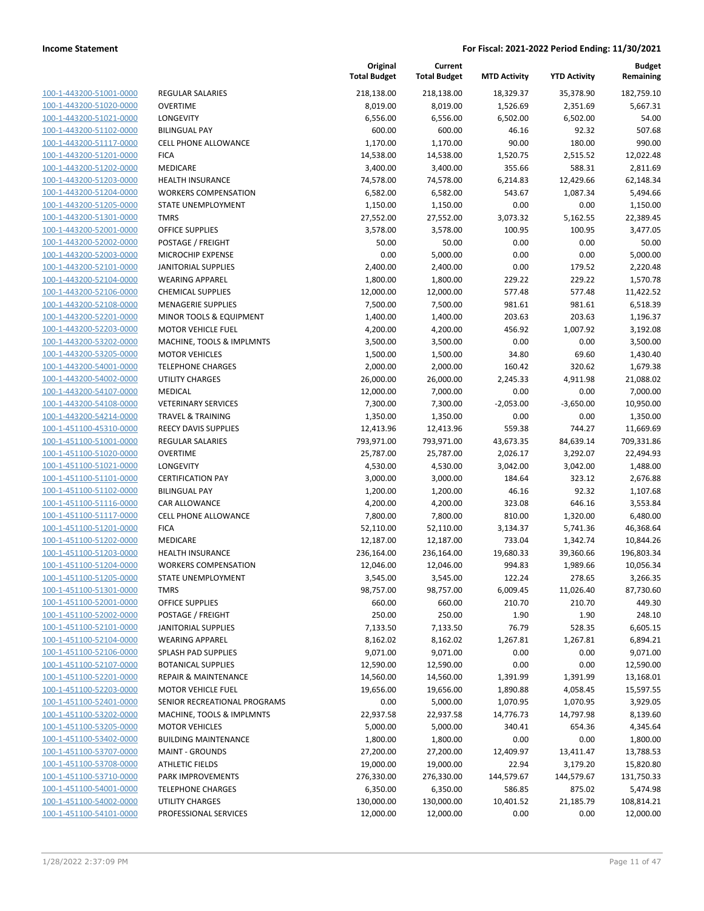| 100-1-443200-51001-0000        |
|--------------------------------|
| 100-1-443200-51020-0000        |
| 100-1-443200-51021-0000        |
| <u>100-1-443200-51102-0000</u> |
| 100-1-443200-51117-0000        |
| 100-1-443200-51201-0000        |
| 100-1-443200-51202-0000        |
|                                |
| 100-1-443200-51203-0000        |
| 100-1-443200-51204-0000        |
| 100-1-443200-51205-0000        |
| 100-1-443200-51301-0000        |
| 100-1-443200-52001-0000        |
| 100-1-443200-52002-0000        |
| 100-1-443200-52003-0000        |
| 100-1-443200-52101-0000        |
| 100-1-443200-52104-0000        |
| 100-1-443200-52106-0000        |
|                                |
| 100-1-443200-52108-0000        |
| 100-1-443200-52201-0000        |
| 100-1-443200-52203-0000        |
| 100-1-443200-53202-0000        |
| 100-1-443200-53205-0000        |
| 100-1-443200-54001-0000        |
| 100-1-443200-54002-0000        |
| 100-1-443200-54107-0000        |
| 100-1-443200-54108-0000        |
| 100-1-443200-54214-0000        |
| 100-1-451100-45310-0000        |
|                                |
| 100-1-451100-51001-0000        |
| 100-1-451100-51020-0000        |
| 100-1-451100-51021-0000        |
| 100-1-451100-51101-0000        |
| 100-1-451100-51102-0000        |
| <u>100-1-451100-51116-0000</u> |
| 100-1-451100-51117-0000        |
| 100-1-451100-51201-0000        |
| 100-1-451100-51202-0000        |
| 100-1-451100-51203-0000        |
| 100-1-451100-51204-0000        |
| 100-1-451100-51205-0000        |
|                                |
| 100-1-451100-51301-0000        |
| 100-1-451100-52001-0000        |
| 100-1-451100-52002-0000        |
| 100-1-451100-52101-0000        |
| <u>100-1-451100-52104-0000</u> |
| <u>100-1-451100-52106-0000</u> |
| 100-1-451100-52107-0000        |
| <u>100-1-451100-52201-0000</u> |
| <u>100-1-451100-52203-0000</u> |
| <u>100-1-451100-52401-0000</u> |
| 100-1-451100-53202-0000        |
| 100-1-451100-53205-0000        |
|                                |
| <u>100-1-451100-53402-0000</u> |
| <u>100-1-451100-53707-0000</u> |
| <u>100-1-451100-53708-0000</u> |
| 100-1-451100-53710-0000        |
| 100-1-451100-54001-0000        |
| <u>100-1-451100-54002-0000</u> |
| <u>100-1-451100-54101-0000</u> |
|                                |

| <b>REGULAR SALARIES</b>              |
|--------------------------------------|
| OVERTIME                             |
| <b>LONGEVITY</b>                     |
| <b>BILINGUAL PAY</b>                 |
| <b>CELL PHONE ALLOWANCE</b>          |
| <b>FICA</b>                          |
| <b>MEDICARE</b>                      |
| <b>HEALTH INSURANCE</b>              |
| <b>WORKERS COMPENSATION</b>          |
| <b>STATE UNEMPLOYMENT</b>            |
| <b>TMRS</b>                          |
| <b>OFFICE SUPPLIES</b>               |
| POSTAGE / FREIGHT                    |
| <b>MICROCHIP EXPENSE</b>             |
| JANITORIAL SUPPLIES                  |
| <b>WEARING APPAREL</b>               |
| <b>CHEMICAL SUPPLIES</b>             |
| <b>MENAGERIE SUPPLIES</b>            |
| <b>MINOR TOOLS &amp; EQUIPMENT</b>   |
| <b>MOTOR VEHICLE FUEL</b>            |
| <b>MACHINE, TOOLS &amp; IMPLMNTS</b> |
| <b>MOTOR VEHICLES</b>                |
| <b>TELEPHONE CHARGES</b>             |
| <b>UTILITY CHARGES</b>               |
| MEDICAL                              |
| <b>VETERINARY SERVICES</b>           |
| <b>TRAVEL &amp; TRAINING</b>         |
| <b>REECY DAVIS SUPPLIES</b>          |
| <b>REGULAR SALARIES</b>              |
| <b>OVERTIME</b>                      |
| <b>LONGEVITY</b>                     |
| <b>CERTIFICATION PAY</b>             |
| <b>BILINGUAL PAY</b>                 |
| CAR ALLOWANCE                        |
| <b>CELL PHONE ALLOWANCE</b>          |
| <b>FICA</b>                          |
| <b>MEDICARE</b>                      |
| <b>HEALTH INSURANCE</b>              |
| <b>WORKERS COMPENSATION</b>          |
| STATE UNEMPLOYMENT                   |
| <b>TMRS</b>                          |
| <b>OFFICE SUPPLIES</b>               |
| POSTAGE / FREIGHT                    |
| JANITORIAL SUPPLIES                  |
| <b>WEARING APPAREL</b>               |
| <b>SPLASH PAD SUPPLIES</b>           |
| <b>BOTANICAL SUPPLIES</b>            |
| <b>REPAIR &amp; MAINTENANCE</b>      |
| <b>MOTOR VEHICLE FUEL</b>            |
| SENIOR RECREATIONAL PROGRAMS         |
| MACHINE, TOOLS & IMPLMNTS            |
| <b>MOTOR VEHICLES</b>                |
| <b>BUILDING MAINTENANCE</b>          |
| <b>MAINT - GROUNDS</b>               |
| <b>ATHLETIC FIELDS</b>               |
| <b>PARK IMPROVEMENTS</b>             |
|                                      |
| <b>TELEPHONE CHARGES</b>             |
| <b>UTILITY CHARGES</b>               |
| PROFESSIONAL SERVICES                |

|                         |                                 | Original<br><b>Total Budget</b> | Current<br><b>Total Budget</b> | <b>MTD Activity</b> | <b>YTD Activity</b> | <b>Budget</b><br>Remaining |
|-------------------------|---------------------------------|---------------------------------|--------------------------------|---------------------|---------------------|----------------------------|
| 100-1-443200-51001-0000 | <b>REGULAR SALARIES</b>         | 218,138.00                      | 218,138.00                     | 18,329.37           | 35,378.90           | 182,759.10                 |
| 100-1-443200-51020-0000 | <b>OVERTIME</b>                 | 8,019.00                        | 8,019.00                       | 1,526.69            | 2,351.69            | 5,667.31                   |
| 100-1-443200-51021-0000 | LONGEVITY                       | 6,556.00                        | 6,556.00                       | 6,502.00            | 6,502.00            | 54.00                      |
| 100-1-443200-51102-0000 | <b>BILINGUAL PAY</b>            | 600.00                          | 600.00                         | 46.16               | 92.32               | 507.68                     |
| 100-1-443200-51117-0000 | CELL PHONE ALLOWANCE            | 1,170.00                        | 1,170.00                       | 90.00               | 180.00              | 990.00                     |
| 100-1-443200-51201-0000 | <b>FICA</b>                     | 14,538.00                       | 14,538.00                      | 1,520.75            | 2,515.52            | 12,022.48                  |
| 100-1-443200-51202-0000 | MEDICARE                        | 3,400.00                        | 3,400.00                       | 355.66              | 588.31              | 2,811.69                   |
| 100-1-443200-51203-0000 | <b>HEALTH INSURANCE</b>         | 74,578.00                       | 74,578.00                      | 6,214.83            | 12,429.66           | 62,148.34                  |
| 100-1-443200-51204-0000 | <b>WORKERS COMPENSATION</b>     | 6,582.00                        | 6,582.00                       | 543.67              | 1,087.34            | 5,494.66                   |
| 100-1-443200-51205-0000 | STATE UNEMPLOYMENT              | 1,150.00                        | 1,150.00                       | 0.00                | 0.00                | 1,150.00                   |
| 100-1-443200-51301-0000 | <b>TMRS</b>                     | 27,552.00                       | 27,552.00                      | 3,073.32            | 5,162.55            | 22,389.45                  |
| 100-1-443200-52001-0000 | <b>OFFICE SUPPLIES</b>          | 3,578.00                        | 3,578.00                       | 100.95              | 100.95              | 3,477.05                   |
| 100-1-443200-52002-0000 | POSTAGE / FREIGHT               | 50.00                           | 50.00                          | 0.00                | 0.00                | 50.00                      |
| 100-1-443200-52003-0000 | MICROCHIP EXPENSE               | 0.00                            | 5,000.00                       | 0.00                | 0.00                | 5,000.00                   |
| 100-1-443200-52101-0000 | <b>JANITORIAL SUPPLIES</b>      | 2,400.00                        | 2,400.00                       | 0.00                | 179.52              | 2,220.48                   |
| 100-1-443200-52104-0000 | <b>WEARING APPAREL</b>          | 1,800.00                        | 1,800.00                       | 229.22              | 229.22              | 1,570.78                   |
| 100-1-443200-52106-0000 | CHEMICAL SUPPLIES               | 12,000.00                       | 12,000.00                      | 577.48              | 577.48              | 11,422.52                  |
| 100-1-443200-52108-0000 | <b>MENAGERIE SUPPLIES</b>       | 7,500.00                        | 7,500.00                       | 981.61              | 981.61              | 6,518.39                   |
| 100-1-443200-52201-0000 | MINOR TOOLS & EQUIPMENT         | 1,400.00                        | 1,400.00                       | 203.63              | 203.63              | 1,196.37                   |
| 100-1-443200-52203-0000 | MOTOR VEHICLE FUEL              | 4,200.00                        | 4,200.00                       | 456.92              | 1,007.92            | 3,192.08                   |
| 100-1-443200-53202-0000 | MACHINE, TOOLS & IMPLMNTS       | 3,500.00                        | 3,500.00                       | 0.00                | 0.00                | 3,500.00                   |
| 100-1-443200-53205-0000 | <b>MOTOR VEHICLES</b>           | 1,500.00                        | 1,500.00                       | 34.80               | 69.60               | 1,430.40                   |
| 100-1-443200-54001-0000 | <b>TELEPHONE CHARGES</b>        | 2,000.00                        | 2,000.00                       | 160.42              | 320.62              | 1,679.38                   |
| 100-1-443200-54002-0000 | <b>UTILITY CHARGES</b>          | 26,000.00                       | 26,000.00                      | 2,245.33            | 4,911.98            | 21,088.02                  |
| 100-1-443200-54107-0000 | <b>MEDICAL</b>                  | 12,000.00                       | 7,000.00                       | 0.00                | 0.00                | 7,000.00                   |
| 100-1-443200-54108-0000 | <b>VETERINARY SERVICES</b>      | 7,300.00                        | 7,300.00                       | $-2,053.00$         | $-3,650.00$         | 10,950.00                  |
| 100-1-443200-54214-0000 | <b>TRAVEL &amp; TRAINING</b>    | 1,350.00                        | 1,350.00                       | 0.00                | 0.00                | 1,350.00                   |
| 100-1-451100-45310-0000 | <b>REECY DAVIS SUPPLIES</b>     | 12,413.96                       | 12,413.96                      | 559.38              | 744.27              | 11,669.69                  |
| 100-1-451100-51001-0000 | <b>REGULAR SALARIES</b>         | 793,971.00                      | 793,971.00                     | 43,673.35           | 84,639.14           | 709,331.86                 |
| 100-1-451100-51020-0000 | <b>OVERTIME</b>                 | 25,787.00                       | 25,787.00                      | 2,026.17            | 3,292.07            | 22,494.93                  |
| 100-1-451100-51021-0000 | LONGEVITY                       | 4,530.00                        | 4,530.00                       | 3,042.00            | 3,042.00            | 1,488.00                   |
| 100-1-451100-51101-0000 | <b>CERTIFICATION PAY</b>        | 3,000.00                        | 3,000.00                       | 184.64              | 323.12              | 2,676.88                   |
| 100-1-451100-51102-0000 | <b>BILINGUAL PAY</b>            | 1,200.00                        | 1,200.00                       | 46.16               | 92.32               | 1,107.68                   |
| 100-1-451100-51116-0000 | CAR ALLOWANCE                   | 4,200.00                        | 4,200.00                       | 323.08              | 646.16              | 3,553.84                   |
| 100-1-451100-51117-0000 | CELL PHONE ALLOWANCE            | 7,800.00                        | 7,800.00                       | 810.00              | 1,320.00            | 6,480.00                   |
| 100-1-451100-51201-0000 | <b>FICA</b>                     | 52,110.00                       | 52,110.00                      | 3,134.37            | 5,741.36            | 46,368.64                  |
| 100-1-451100-51202-0000 | MEDICARE                        | 12,187.00                       | 12,187.00                      | 733.04              | 1,342.74            | 10,844.26                  |
| 100-1-451100-51203-0000 | <b>HEALTH INSURANCE</b>         | 236,164.00                      | 236,164.00                     | 19,680.33           | 39,360.66           | 196,803.34                 |
| 100-1-451100-51204-0000 | <b>WORKERS COMPENSATION</b>     | 12,046.00                       | 12,046.00                      | 994.83              | 1,989.66            | 10,056.34                  |
| 100-1-451100-51205-0000 | STATE UNEMPLOYMENT              | 3,545.00                        | 3,545.00                       | 122.24              | 278.65              | 3,266.35                   |
| 100-1-451100-51301-0000 | <b>TMRS</b>                     | 98,757.00                       | 98,757.00                      | 6,009.45            | 11,026.40           | 87,730.60                  |
| 100-1-451100-52001-0000 | <b>OFFICE SUPPLIES</b>          | 660.00                          | 660.00                         | 210.70              | 210.70              | 449.30                     |
| 100-1-451100-52002-0000 | POSTAGE / FREIGHT               | 250.00                          | 250.00                         | 1.90                | 1.90                | 248.10                     |
| 100-1-451100-52101-0000 | <b>JANITORIAL SUPPLIES</b>      | 7,133.50                        | 7,133.50                       | 76.79               | 528.35              | 6,605.15                   |
| 100-1-451100-52104-0000 | <b>WEARING APPAREL</b>          | 8,162.02                        | 8,162.02                       | 1,267.81            | 1,267.81            | 6,894.21                   |
| 100-1-451100-52106-0000 | SPLASH PAD SUPPLIES             | 9,071.00                        | 9,071.00                       | 0.00                | 0.00                | 9,071.00                   |
| 100-1-451100-52107-0000 | <b>BOTANICAL SUPPLIES</b>       | 12,590.00                       | 12,590.00                      | 0.00                | 0.00                | 12,590.00                  |
| 100-1-451100-52201-0000 | <b>REPAIR &amp; MAINTENANCE</b> | 14,560.00                       | 14,560.00                      | 1,391.99            | 1,391.99            | 13,168.01                  |
| 100-1-451100-52203-0000 | <b>MOTOR VEHICLE FUEL</b>       | 19,656.00                       | 19,656.00                      | 1,890.88            | 4,058.45            | 15,597.55                  |
| 100-1-451100-52401-0000 | SENIOR RECREATIONAL PROGRAMS    | 0.00                            | 5,000.00                       | 1,070.95            | 1,070.95            | 3,929.05                   |
| 100-1-451100-53202-0000 | MACHINE, TOOLS & IMPLMNTS       | 22,937.58                       | 22,937.58                      | 14,776.73           | 14,797.98           | 8,139.60                   |
| 100-1-451100-53205-0000 | <b>MOTOR VEHICLES</b>           | 5,000.00                        | 5,000.00                       | 340.41              | 654.36              | 4,345.64                   |
| 100-1-451100-53402-0000 | <b>BUILDING MAINTENANCE</b>     | 1,800.00                        | 1,800.00                       | 0.00                | 0.00                | 1,800.00                   |
| 100-1-451100-53707-0000 | <b>MAINT - GROUNDS</b>          | 27,200.00                       | 27,200.00                      | 12,409.97           | 13,411.47           | 13,788.53                  |
| 100-1-451100-53708-0000 | <b>ATHLETIC FIELDS</b>          | 19,000.00                       | 19,000.00                      | 22.94               | 3,179.20            | 15,820.80                  |
| 100-1-451100-53710-0000 | PARK IMPROVEMENTS               | 276,330.00                      | 276,330.00                     | 144,579.67          | 144,579.67          | 131,750.33                 |
| 100-1-451100-54001-0000 | <b>TELEPHONE CHARGES</b>        | 6,350.00                        | 6,350.00                       | 586.85              | 875.02              | 5,474.98                   |
| 100-1-451100-54002-0000 | <b>UTILITY CHARGES</b>          | 130,000.00                      | 130,000.00                     | 10,401.52           | 21,185.79           | 108,814.21                 |
| 100-1-451100-54101-0000 | PROFESSIONAL SERVICES           | 12,000.00                       | 12,000.00                      | 0.00                | 0.00                | 12,000.00                  |
|                         |                                 |                                 |                                |                     |                     |                            |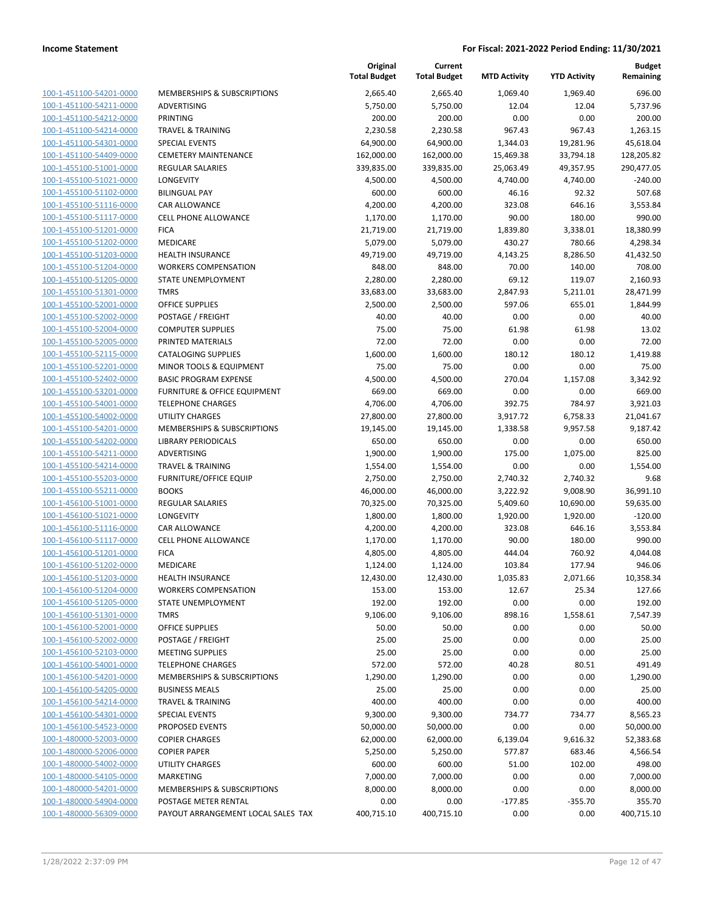| 100-1-451100-54201-0000        |
|--------------------------------|
| 100-1-451100-54211-0000        |
| 100-1-451100-54212-0000        |
| 100-1-451100-54214-0000        |
| 100-1-451100-54301-0000        |
| 100-1-451100-54409-0000        |
| 100-1-455100-51001-0000        |
| 100-1-455100-51021-0000        |
| 100-1-455100-51102-0000        |
| 100-1-455100-51116-0000        |
| 100-1-455100-51117-0000        |
| 100-1-455100-51201-0000        |
| 100-1-455100-51202-0000        |
| 100-1-455100-51203-0000        |
| 100-1-455100-51204-0000        |
| 100-1-455100-51205-0000        |
| 100-1-455100-51301-0000        |
|                                |
| 100-1-455100-52001-0000        |
| 100-1-455100-52002-0000        |
| 100-1-455100-52004-0000        |
| 100-1-455100-52005-0000        |
| 100-1-455100-52115-0000        |
| 100-1-455100-52201-0000        |
| 100-1-455100-52402-0000        |
| 100-1-455100-53201-0000        |
| 100-1-455100-54001-0000        |
| 100-1-455100-54002-0000        |
| 100-1-455100-54201-0000        |
| 100-1-455100-54202-0000        |
| 100-1-455100-54211-0000        |
| 100-1-455100-54214-0000        |
| 100-1-455100-55203-0000        |
| 100-1-455100-55211-0000        |
| 100-1-456100-51001-0000        |
|                                |
| 100-1-456100-51021-0000        |
| 100-1-456100-51116-0000        |
| 100-1-456100-51117-0000        |
| 100-1-456100-51201-0000        |
| 100-1-456100-51202-0000        |
| 100-1-456100-51203-0000        |
| 100-1-456100-51204-0000        |
| 100-1-456100-51205-0000        |
| 100-1-456100-51301-0000        |
| <u>100-1-456100-52001-0000</u> |
| 100-1-456100-52002-0000        |
| 100-1-456100-52103-0000        |
| 100-1-456100-54001-0000        |
| 100-1-456100-54201-0000        |
| <u>100-1-456100-54205-0000</u> |
| <u>100-1-456100-54214-0000</u> |
|                                |
| 100-1-456100-54301-0000        |
| 100-1-456100-54523-0000        |
| 100-1-480000-52003-0000        |
| <u>100-1-480000-52006-0000</u> |
| <u>100-1-480000-54002-0000</u> |
| 100-1-480000-54105-0000        |
| 100-1-480000-54201-0000        |
| 100-1-480000-54904-0000        |
| <u>100-1-480000-56309-0000</u> |
|                                |

|                         |                                    | Original<br><b>Total Budget</b> | Current<br><b>Total Budget</b> | <b>MTD Activity</b> | <b>YTD Activity</b> | <b>Budget</b><br>Remaining |
|-------------------------|------------------------------------|---------------------------------|--------------------------------|---------------------|---------------------|----------------------------|
| 100-1-451100-54201-0000 | MEMBERSHIPS & SUBSCRIPTIONS        | 2,665.40                        | 2,665.40                       | 1,069.40            | 1,969.40            | 696.00                     |
| 100-1-451100-54211-0000 | ADVERTISING                        | 5,750.00                        | 5,750.00                       | 12.04               | 12.04               | 5,737.96                   |
| 100-1-451100-54212-0000 | PRINTING                           | 200.00                          | 200.00                         | 0.00                | 0.00                | 200.00                     |
| 100-1-451100-54214-0000 | <b>TRAVEL &amp; TRAINING</b>       | 2,230.58                        | 2,230.58                       | 967.43              | 967.43              | 1,263.15                   |
| 100-1-451100-54301-0000 | <b>SPECIAL EVENTS</b>              | 64,900.00                       | 64,900.00                      | 1,344.03            | 19,281.96           | 45,618.04                  |
| 100-1-451100-54409-0000 | <b>CEMETERY MAINTENANCE</b>        | 162,000.00                      | 162,000.00                     | 15,469.38           | 33,794.18           | 128,205.82                 |
| 100-1-455100-51001-0000 | <b>REGULAR SALARIES</b>            | 339,835.00                      | 339,835.00                     | 25,063.49           | 49,357.95           | 290,477.05                 |
| 100-1-455100-51021-0000 | LONGEVITY                          | 4,500.00                        | 4,500.00                       | 4,740.00            | 4,740.00            | $-240.00$                  |
| 100-1-455100-51102-0000 | <b>BILINGUAL PAY</b>               | 600.00                          | 600.00                         | 46.16               | 92.32               | 507.68                     |
| 100-1-455100-51116-0000 | CAR ALLOWANCE                      | 4,200.00                        | 4,200.00                       | 323.08              | 646.16              | 3,553.84                   |
| 100-1-455100-51117-0000 | <b>CELL PHONE ALLOWANCE</b>        | 1,170.00                        | 1,170.00                       | 90.00               | 180.00              | 990.00                     |
| 100-1-455100-51201-0000 | <b>FICA</b>                        | 21,719.00                       | 21,719.00                      | 1,839.80            | 3,338.01            | 18,380.99                  |
| 100-1-455100-51202-0000 | MEDICARE                           | 5,079.00                        | 5,079.00                       | 430.27              | 780.66              | 4,298.34                   |
| 100-1-455100-51203-0000 | <b>HEALTH INSURANCE</b>            | 49,719.00                       | 49,719.00                      | 4,143.25            | 8,286.50            | 41,432.50                  |
| 100-1-455100-51204-0000 | <b>WORKERS COMPENSATION</b>        | 848.00                          | 848.00                         | 70.00               | 140.00              | 708.00                     |
| 100-1-455100-51205-0000 | STATE UNEMPLOYMENT                 | 2,280.00                        | 2,280.00                       | 69.12               | 119.07              | 2,160.93                   |
| 100-1-455100-51301-0000 | <b>TMRS</b>                        | 33,683.00                       | 33,683.00                      | 2,847.93            | 5,211.01            | 28,471.99                  |
| 100-1-455100-52001-0000 | <b>OFFICE SUPPLIES</b>             | 2,500.00                        | 2,500.00                       | 597.06              | 655.01              | 1,844.99                   |
| 100-1-455100-52002-0000 | POSTAGE / FREIGHT                  | 40.00                           | 40.00                          | 0.00                | 0.00                | 40.00                      |
| 100-1-455100-52004-0000 | <b>COMPUTER SUPPLIES</b>           | 75.00                           | 75.00                          | 61.98               | 61.98               | 13.02                      |
| 100-1-455100-52005-0000 | PRINTED MATERIALS                  | 72.00                           | 72.00                          | 0.00                | 0.00                | 72.00                      |
| 100-1-455100-52115-0000 | <b>CATALOGING SUPPLIES</b>         | 1,600.00                        | 1,600.00                       | 180.12              | 180.12              | 1,419.88                   |
| 100-1-455100-52201-0000 | MINOR TOOLS & EQUIPMENT            | 75.00                           | 75.00                          | 0.00                | 0.00                | 75.00                      |
| 100-1-455100-52402-0000 | <b>BASIC PROGRAM EXPENSE</b>       | 4,500.00                        | 4,500.00                       | 270.04              | 1,157.08            | 3,342.92                   |
| 100-1-455100-53201-0000 | FURNITURE & OFFICE EQUIPMENT       | 669.00                          | 669.00                         | 0.00                | 0.00                | 669.00                     |
| 100-1-455100-54001-0000 | <b>TELEPHONE CHARGES</b>           | 4,706.00                        | 4,706.00                       | 392.75              | 784.97              | 3,921.03                   |
| 100-1-455100-54002-0000 | <b>UTILITY CHARGES</b>             | 27,800.00                       | 27,800.00                      | 3,917.72            | 6,758.33            | 21,041.67                  |
| 100-1-455100-54201-0000 | MEMBERSHIPS & SUBSCRIPTIONS        | 19,145.00                       | 19,145.00                      | 1,338.58            | 9,957.58            | 9,187.42                   |
| 100-1-455100-54202-0000 | <b>LIBRARY PERIODICALS</b>         | 650.00                          | 650.00                         | 0.00                | 0.00                | 650.00                     |
| 100-1-455100-54211-0000 | ADVERTISING                        | 1,900.00                        | 1,900.00                       | 175.00              | 1,075.00            | 825.00                     |
| 100-1-455100-54214-0000 | <b>TRAVEL &amp; TRAINING</b>       | 1,554.00                        | 1,554.00                       | 0.00                | 0.00                | 1,554.00                   |
| 100-1-455100-55203-0000 | <b>FURNITURE/OFFICE EQUIP</b>      | 2,750.00                        | 2,750.00                       | 2,740.32            | 2,740.32            | 9.68                       |
| 100-1-455100-55211-0000 | <b>BOOKS</b>                       | 46,000.00                       | 46,000.00                      | 3,222.92            | 9,008.90            | 36,991.10                  |
| 100-1-456100-51001-0000 | <b>REGULAR SALARIES</b>            | 70,325.00                       | 70,325.00                      | 5,409.60            | 10,690.00           | 59,635.00                  |
| 100-1-456100-51021-0000 | LONGEVITY                          | 1,800.00                        | 1,800.00                       | 1,920.00            | 1,920.00            | $-120.00$                  |
| 100-1-456100-51116-0000 | CAR ALLOWANCE                      | 4,200.00                        | 4,200.00                       | 323.08              | 646.16              | 3,553.84                   |
| 100-1-456100-51117-0000 | <b>CELL PHONE ALLOWANCE</b>        | 1,170.00                        | 1,170.00                       | 90.00               | 180.00              | 990.00                     |
| 100-1-456100-51201-0000 | <b>FICA</b>                        | 4,805.00                        | 4,805.00                       | 444.04              | 760.92              | 4,044.08                   |
| 100-1-456100-51202-0000 | MEDICARE                           | 1,124.00                        | 1,124.00                       | 103.84              | 177.94              | 946.06                     |
| 100-1-456100-51203-0000 | <b>HEALTH INSURANCE</b>            | 12,430.00                       | 12,430.00                      | 1,035.83            | 2,071.66            | 10,358.34                  |
| 100-1-456100-51204-0000 | <b>WORKERS COMPENSATION</b>        | 153.00                          | 153.00                         | 12.67               | 25.34               | 127.66                     |
| 100-1-456100-51205-0000 | STATE UNEMPLOYMENT                 | 192.00                          | 192.00                         | 0.00                | 0.00                | 192.00                     |
| 100-1-456100-51301-0000 | <b>TMRS</b>                        | 9,106.00                        | 9,106.00                       | 898.16              | 1,558.61            | 7,547.39                   |
| 100-1-456100-52001-0000 | <b>OFFICE SUPPLIES</b>             | 50.00                           | 50.00                          | 0.00                | 0.00                | 50.00                      |
| 100-1-456100-52002-0000 | POSTAGE / FREIGHT                  | 25.00                           | 25.00                          | 0.00                | 0.00                | 25.00                      |
| 100-1-456100-52103-0000 | <b>MEETING SUPPLIES</b>            | 25.00                           | 25.00                          | 0.00                | 0.00                | 25.00                      |
| 100-1-456100-54001-0000 | <b>TELEPHONE CHARGES</b>           | 572.00                          | 572.00                         | 40.28               | 80.51               | 491.49                     |
| 100-1-456100-54201-0000 | MEMBERSHIPS & SUBSCRIPTIONS        | 1,290.00                        | 1,290.00                       | 0.00                | 0.00                | 1,290.00                   |
| 100-1-456100-54205-0000 | <b>BUSINESS MEALS</b>              | 25.00                           | 25.00                          | 0.00                | 0.00                | 25.00                      |
| 100-1-456100-54214-0000 | <b>TRAVEL &amp; TRAINING</b>       | 400.00                          | 400.00                         | 0.00                | 0.00                | 400.00                     |
| 100-1-456100-54301-0000 | SPECIAL EVENTS                     | 9,300.00                        | 9,300.00                       | 734.77              | 734.77              | 8,565.23                   |
| 100-1-456100-54523-0000 | PROPOSED EVENTS                    | 50,000.00                       | 50,000.00                      | 0.00                | 0.00                | 50,000.00                  |
| 100-1-480000-52003-0000 | <b>COPIER CHARGES</b>              | 62,000.00                       | 62,000.00                      | 6,139.04            | 9,616.32            | 52,383.68                  |
| 100-1-480000-52006-0000 | <b>COPIER PAPER</b>                | 5,250.00                        | 5,250.00                       | 577.87              | 683.46              | 4,566.54                   |
| 100-1-480000-54002-0000 | UTILITY CHARGES                    | 600.00                          | 600.00                         | 51.00               | 102.00              | 498.00                     |
| 100-1-480000-54105-0000 | MARKETING                          | 7,000.00                        | 7,000.00                       | 0.00                | 0.00                | 7,000.00                   |
| 100-1-480000-54201-0000 | MEMBERSHIPS & SUBSCRIPTIONS        | 8,000.00                        | 8,000.00                       | 0.00                | 0.00                | 8,000.00                   |
| 100-1-480000-54904-0000 | POSTAGE METER RENTAL               | 0.00                            | 0.00                           | $-177.85$           | $-355.70$           | 355.70                     |
| 100-1-480000-56309-0000 | PAYOUT ARRANGEMENT LOCAL SALES TAX | 400,715.10                      | 400,715.10                     | 0.00                | 0.00                | 400,715.10                 |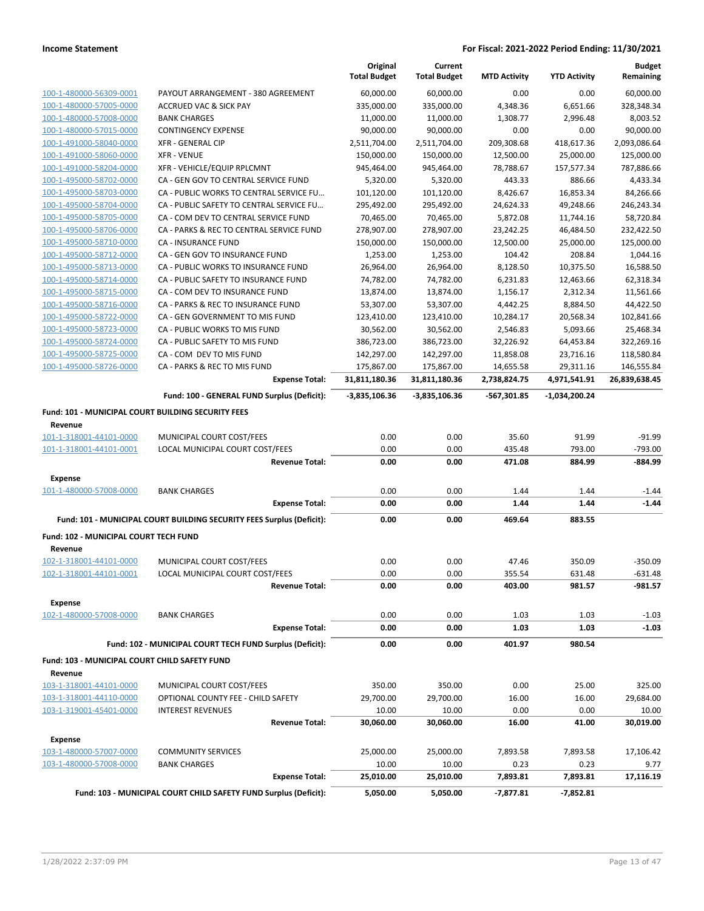|                                                    |                                                                       | Original<br><b>Total Budget</b> | Current<br><b>Total Budget</b> | <b>MTD Activity</b> | <b>YTD Activity</b> | <b>Budget</b><br>Remaining |
|----------------------------------------------------|-----------------------------------------------------------------------|---------------------------------|--------------------------------|---------------------|---------------------|----------------------------|
| 100-1-480000-56309-0001                            | PAYOUT ARRANGEMENT - 380 AGREEMENT                                    | 60.000.00                       | 60.000.00                      | 0.00                | 0.00                | 60,000.00                  |
| 100-1-480000-57005-0000                            | ACCRUED VAC & SICK PAY                                                | 335,000.00                      | 335,000.00                     | 4,348.36            | 6,651.66            | 328,348.34                 |
| 100-1-480000-57008-0000                            | <b>BANK CHARGES</b>                                                   | 11,000.00                       | 11,000.00                      | 1,308.77            | 2,996.48            | 8,003.52                   |
| 100-1-480000-57015-0000                            | <b>CONTINGENCY EXPENSE</b>                                            | 90,000.00                       | 90,000.00                      | 0.00                | 0.00                | 90,000.00                  |
| 100-1-491000-58040-0000                            | XFR - GENERAL CIP                                                     | 2,511,704.00                    | 2,511,704.00                   | 209,308.68          | 418,617.36          | 2,093,086.64               |
| 100-1-491000-58060-0000                            | <b>XFR - VENUE</b>                                                    | 150,000.00                      | 150,000.00                     | 12,500.00           | 25,000.00           | 125,000.00                 |
| 100-1-491000-58204-0000                            | XFR - VEHICLE/EQUIP RPLCMNT                                           | 945,464.00                      | 945,464.00                     | 78,788.67           | 157,577.34          | 787,886.66                 |
| 100-1-495000-58702-0000                            | CA - GEN GOV TO CENTRAL SERVICE FUND                                  | 5,320.00                        | 5,320.00                       | 443.33              | 886.66              | 4,433.34                   |
| 100-1-495000-58703-0000                            | CA - PUBLIC WORKS TO CENTRAL SERVICE FU                               | 101,120.00                      | 101,120.00                     | 8,426.67            | 16,853.34           | 84,266.66                  |
| 100-1-495000-58704-0000                            | CA - PUBLIC SAFETY TO CENTRAL SERVICE FU                              | 295,492.00                      | 295,492.00                     | 24,624.33           | 49,248.66           | 246,243.34                 |
| 100-1-495000-58705-0000                            | CA - COM DEV TO CENTRAL SERVICE FUND                                  | 70,465.00                       | 70,465.00                      | 5,872.08            | 11,744.16           | 58,720.84                  |
| 100-1-495000-58706-0000                            | CA - PARKS & REC TO CENTRAL SERVICE FUND                              | 278,907.00                      | 278,907.00                     | 23,242.25           | 46,484.50           | 232,422.50                 |
| 100-1-495000-58710-0000                            | CA - INSURANCE FUND                                                   | 150,000.00                      | 150,000.00                     | 12,500.00           | 25,000.00           | 125,000.00                 |
| 100-1-495000-58712-0000                            | CA - GEN GOV TO INSURANCE FUND                                        | 1,253.00                        | 1,253.00                       | 104.42              | 208.84              | 1,044.16                   |
| 100-1-495000-58713-0000                            | CA - PUBLIC WORKS TO INSURANCE FUND                                   | 26,964.00                       | 26,964.00                      | 8,128.50            | 10,375.50           | 16,588.50                  |
| 100-1-495000-58714-0000                            | CA - PUBLIC SAFETY TO INSURANCE FUND                                  | 74,782.00                       | 74,782.00                      | 6,231.83            | 12,463.66           | 62,318.34                  |
| 100-1-495000-58715-0000                            | CA - COM DEV TO INSURANCE FUND                                        | 13,874.00                       | 13,874.00                      | 1,156.17            | 2,312.34            | 11,561.66                  |
| 100-1-495000-58716-0000                            | CA - PARKS & REC TO INSURANCE FUND                                    | 53,307.00                       | 53,307.00                      | 4,442.25            | 8,884.50            | 44,422.50                  |
| 100-1-495000-58722-0000                            | CA - GEN GOVERNMENT TO MIS FUND                                       | 123,410.00                      | 123,410.00                     | 10,284.17           | 20,568.34           | 102,841.66                 |
| 100-1-495000-58723-0000                            | CA - PUBLIC WORKS TO MIS FUND                                         | 30,562.00                       | 30,562.00                      | 2,546.83            | 5,093.66            | 25,468.34                  |
| 100-1-495000-58724-0000                            | CA - PUBLIC SAFETY TO MIS FUND                                        | 386,723.00                      | 386,723.00                     | 32,226.92           | 64,453.84           | 322,269.16                 |
| 100-1-495000-58725-0000                            | CA - COM DEV TO MIS FUND                                              | 142,297.00                      | 142,297.00                     | 11,858.08           | 23,716.16           | 118,580.84                 |
| 100-1-495000-58726-0000                            | CA - PARKS & REC TO MIS FUND                                          | 175,867.00                      | 175,867.00                     | 14,655.58           | 29,311.16           | 146,555.84                 |
|                                                    | <b>Expense Total:</b>                                                 | 31,811,180.36                   | 31,811,180.36                  | 2,738,824.75        | 4,971,541.91        | 26,839,638.45              |
|                                                    | Fund: 100 - GENERAL FUND Surplus (Deficit):                           | -3,835,106.36                   | -3,835,106.36                  | -567,301.85         | -1,034,200.24       |                            |
|                                                    |                                                                       |                                 |                                |                     |                     |                            |
| Fund: 101 - MUNICIPAL COURT BUILDING SECURITY FEES |                                                                       |                                 |                                |                     |                     |                            |
| Revenue                                            |                                                                       |                                 |                                |                     |                     |                            |
| 101-1-318001-44101-0000                            | MUNICIPAL COURT COST/FEES                                             | 0.00                            | 0.00                           | 35.60               | 91.99               | $-91.99$                   |
| 101-1-318001-44101-0001                            | LOCAL MUNICIPAL COURT COST/FEES                                       | 0.00                            | 0.00                           | 435.48              | 793.00              | $-793.00$                  |
|                                                    | <b>Revenue Total:</b>                                                 | 0.00                            | 0.00                           | 471.08              | 884.99              | -884.99                    |
| <b>Expense</b>                                     |                                                                       |                                 |                                |                     |                     |                            |
| 101-1-480000-57008-0000                            | <b>BANK CHARGES</b>                                                   | 0.00                            | 0.00                           | 1.44                | 1.44                | $-1.44$                    |
|                                                    | <b>Expense Total:</b>                                                 | 0.00                            | 0.00                           | 1.44                | 1.44                | $-1.44$                    |
|                                                    | Fund: 101 - MUNICIPAL COURT BUILDING SECURITY FEES Surplus (Deficit): | 0.00                            | 0.00                           | 469.64              | 883.55              |                            |
| Fund: 102 - MUNICIPAL COURT TECH FUND              |                                                                       |                                 |                                |                     |                     |                            |
| Revenue                                            |                                                                       |                                 |                                |                     |                     |                            |
| 102-1-318001-44101-0000                            | MUNICIPAL COURT COST/FEES                                             | 0.00                            | 0.00                           | 47.46               | 350.09              | $-350.09$                  |
| 102-1-318001-44101-0001                            | LOCAL MUNICIPAL COURT COST/FEES                                       | 0.00                            | 0.00                           | 355.54              | 631.48              | $-631.48$                  |
|                                                    | <b>Revenue Total:</b>                                                 | 0.00                            | 0.00                           | 403.00              | 981.57              | -981.57                    |
|                                                    |                                                                       |                                 |                                |                     |                     |                            |
| <b>Expense</b>                                     |                                                                       |                                 |                                |                     |                     |                            |
| 102-1-480000-57008-0000                            | <b>BANK CHARGES</b>                                                   | 0.00                            | 0.00                           | 1.03                | 1.03                | $-1.03$                    |
|                                                    | <b>Expense Total:</b>                                                 | 0.00                            | 0.00                           | 1.03                | 1.03                | $-1.03$                    |
|                                                    | Fund: 102 - MUNICIPAL COURT TECH FUND Surplus (Deficit):              | 0.00                            | 0.00                           | 401.97              | 980.54              |                            |
| Fund: 103 - MUNICIPAL COURT CHILD SAFETY FUND      |                                                                       |                                 |                                |                     |                     |                            |
| Revenue                                            |                                                                       |                                 |                                |                     |                     |                            |
| 103-1-318001-44101-0000                            | MUNICIPAL COURT COST/FEES                                             | 350.00                          | 350.00                         | 0.00                | 25.00               | 325.00                     |
| 103-1-318001-44110-0000                            | OPTIONAL COUNTY FEE - CHILD SAFETY                                    | 29,700.00                       | 29,700.00                      | 16.00               | 16.00               | 29,684.00                  |
| 103-1-319001-45401-0000                            | <b>INTEREST REVENUES</b>                                              | 10.00                           | 10.00                          | 0.00                | 0.00                | 10.00                      |
|                                                    | <b>Revenue Total:</b>                                                 | 30,060.00                       | 30,060.00                      | 16.00               | 41.00               | 30,019.00                  |
|                                                    |                                                                       |                                 |                                |                     |                     |                            |
| <b>Expense</b>                                     |                                                                       |                                 |                                |                     |                     |                            |
| 103-1-480000-57007-0000                            | <b>COMMUNITY SERVICES</b>                                             | 25,000.00                       | 25,000.00                      | 7,893.58            | 7,893.58            | 17,106.42                  |
| 103-1-480000-57008-0000                            | <b>BANK CHARGES</b>                                                   | 10.00                           | 10.00                          | 0.23                | 0.23                | 9.77                       |
|                                                    | <b>Expense Total:</b>                                                 | 25,010.00                       | 25,010.00                      | 7,893.81            | 7,893.81            | 17,116.19                  |
|                                                    | Fund: 103 - MUNICIPAL COURT CHILD SAFETY FUND Surplus (Deficit):      | 5,050.00                        | 5,050.00                       | -7,877.81           | -7,852.81           |                            |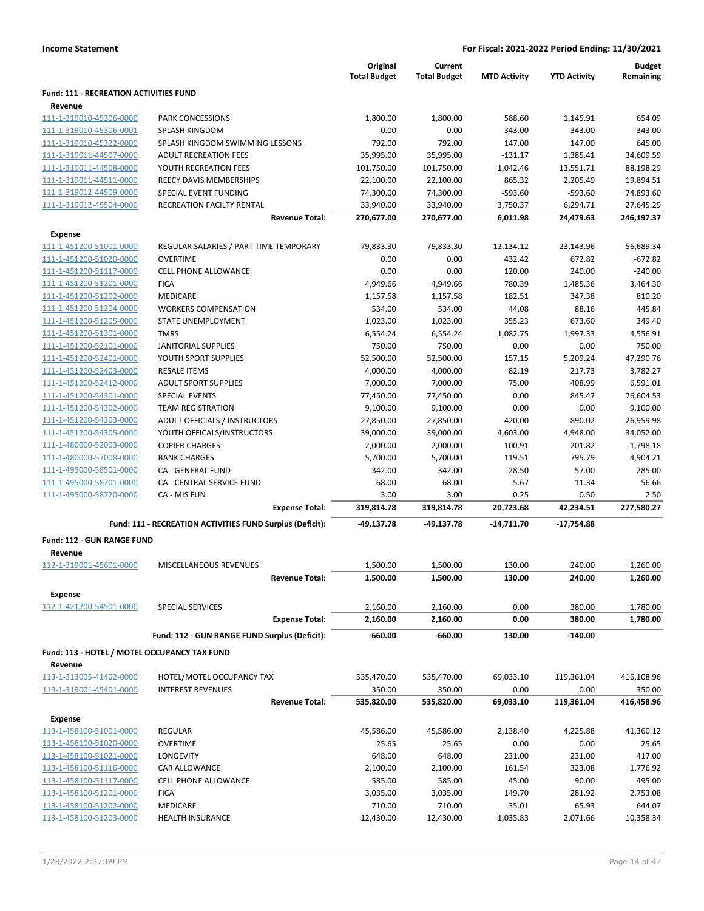|  | <b>Income Statement</b> |  |
|--|-------------------------|--|
|--|-------------------------|--|

|                                                    |                                                           | Original<br><b>Total Budget</b> | Current<br><b>Total Budget</b> | <b>MTD Activity</b>  | <b>YTD Activity</b>   | <b>Budget</b><br>Remaining |
|----------------------------------------------------|-----------------------------------------------------------|---------------------------------|--------------------------------|----------------------|-----------------------|----------------------------|
| <b>Fund: 111 - RECREATION ACTIVITIES FUND</b>      |                                                           |                                 |                                |                      |                       |                            |
| Revenue                                            |                                                           |                                 |                                |                      |                       |                            |
| 111-1-319010-45306-0000                            | <b>PARK CONCESSIONS</b>                                   | 1,800.00                        | 1,800.00                       | 588.60               | 1,145.91              | 654.09                     |
| 111-1-319010-45306-0001                            | SPLASH KINGDOM<br>SPLASH KINGDOM SWIMMING LESSONS         | 0.00<br>792.00                  | 0.00<br>792.00                 | 343.00<br>147.00     | 343.00<br>147.00      | $-343.00$<br>645.00        |
| 111-1-319010-45322-0000                            |                                                           |                                 |                                |                      |                       |                            |
| 111-1-319011-44507-0000                            | <b>ADULT RECREATION FEES</b>                              | 35,995.00                       | 35,995.00                      | $-131.17$            | 1,385.41              | 34,609.59                  |
| 111-1-319011-44508-0000<br>111-1-319011-44511-0000 | YOUTH RECREATION FEES                                     | 101,750.00                      | 101,750.00                     | 1,042.46             | 13,551.71             | 88,198.29                  |
| 111-1-319012-44509-0000                            | REECY DAVIS MEMBERSHIPS                                   | 22,100.00                       | 22,100.00                      | 865.32               | 2,205.49<br>$-593.60$ | 19,894.51                  |
| 111-1-319012-45504-0000                            | SPECIAL EVENT FUNDING<br>RECREATION FACILTY RENTAL        | 74,300.00                       | 74,300.00                      | $-593.60$            |                       | 74,893.60                  |
|                                                    | <b>Revenue Total:</b>                                     | 33,940.00<br>270,677.00         | 33,940.00<br>270,677.00        | 3,750.37<br>6,011.98 | 6,294.71<br>24,479.63 | 27,645.29<br>246,197.37    |
| Expense                                            |                                                           |                                 |                                |                      |                       |                            |
| 111-1-451200-51001-0000                            | REGULAR SALARIES / PART TIME TEMPORARY                    | 79,833.30                       | 79,833.30                      | 12,134.12            | 23,143.96             | 56,689.34                  |
| 111-1-451200-51020-0000                            | <b>OVERTIME</b>                                           | 0.00                            | 0.00                           | 432.42               | 672.82                | $-672.82$                  |
| 111-1-451200-51117-0000                            | <b>CELL PHONE ALLOWANCE</b>                               | 0.00                            | 0.00                           | 120.00               | 240.00                | $-240.00$                  |
| 111-1-451200-51201-0000                            | <b>FICA</b>                                               | 4,949.66                        | 4,949.66                       | 780.39               | 1,485.36              | 3,464.30                   |
| 111-1-451200-51202-0000                            | <b>MEDICARE</b>                                           | 1,157.58                        | 1,157.58                       | 182.51               | 347.38                | 810.20                     |
| 111-1-451200-51204-0000                            | <b>WORKERS COMPENSATION</b>                               | 534.00                          | 534.00                         | 44.08                | 88.16                 | 445.84                     |
| 111-1-451200-51205-0000                            | STATE UNEMPLOYMENT                                        | 1,023.00                        | 1,023.00                       | 355.23               | 673.60                | 349.40                     |
| 111-1-451200-51301-0000                            | <b>TMRS</b>                                               | 6,554.24                        | 6,554.24                       | 1,082.75             | 1,997.33              | 4,556.91                   |
| 111-1-451200-52101-0000                            | <b>JANITORIAL SUPPLIES</b>                                | 750.00                          | 750.00                         | 0.00                 | 0.00                  | 750.00                     |
| 111-1-451200-52401-0000                            | YOUTH SPORT SUPPLIES                                      | 52,500.00                       | 52,500.00                      | 157.15               | 5,209.24              | 47,290.76                  |
| 111-1-451200-52403-0000                            | <b>RESALE ITEMS</b>                                       | 4,000.00                        | 4,000.00                       | 82.19                | 217.73                | 3,782.27                   |
| 111-1-451200-52412-0000                            | <b>ADULT SPORT SUPPLIES</b>                               | 7,000.00                        | 7,000.00                       | 75.00                | 408.99                | 6,591.01                   |
| 111-1-451200-54301-0000                            | <b>SPECIAL EVENTS</b>                                     | 77,450.00                       | 77,450.00                      | 0.00                 | 845.47                | 76,604.53                  |
| 111-1-451200-54302-0000                            | <b>TEAM REGISTRATION</b>                                  | 9,100.00                        | 9,100.00                       | 0.00                 | 0.00                  | 9,100.00                   |
| 111-1-451200-54303-0000                            | ADULT OFFICIALS / INSTRUCTORS                             | 27,850.00                       | 27,850.00                      | 420.00               | 890.02                | 26,959.98                  |
| 111-1-451200-54305-0000                            | YOUTH OFFICALS/INSTRUCTORS                                | 39,000.00                       | 39,000.00                      | 4,603.00             | 4,948.00              | 34,052.00                  |
| 111-1-480000-52003-0000                            | <b>COPIER CHARGES</b>                                     | 2,000.00                        | 2,000.00                       | 100.91               | 201.82                | 1,798.18                   |
| 111-1-480000-57008-0000                            | <b>BANK CHARGES</b>                                       | 5,700.00                        | 5,700.00                       | 119.51               | 795.79                | 4,904.21                   |
| 111-1-495000-58501-0000                            | CA - GENERAL FUND                                         | 342.00                          | 342.00                         | 28.50                | 57.00                 | 285.00                     |
| 111-1-495000-58701-0000                            | CA - CENTRAL SERVICE FUND                                 | 68.00                           | 68.00                          | 5.67                 | 11.34                 | 56.66                      |
| 111-1-495000-58720-0000                            | CA - MIS FUN                                              | 3.00                            | 3.00                           | 0.25                 | 0.50                  | 2.50                       |
|                                                    | <b>Expense Total:</b>                                     | 319,814.78                      | 319,814.78                     | 20,723.68            | 42,234.51             | 277,580.27                 |
|                                                    | Fund: 111 - RECREATION ACTIVITIES FUND Surplus (Deficit): | -49,137.78                      | -49,137.78                     | $-14,711.70$         | -17,754.88            |                            |
| <b>Fund: 112 - GUN RANGE FUND</b>                  |                                                           |                                 |                                |                      |                       |                            |
| Revenue                                            |                                                           |                                 |                                |                      |                       |                            |
| 112-1-319001-45601-0000                            | MISCELLANEOUS REVENUES                                    | 1,500.00                        | 1.500.00                       | 130.00               | 240.00                | 1,260.00                   |
|                                                    | <b>Revenue Total:</b>                                     | 1,500.00                        | 1,500.00                       | 130.00               | 240.00                | 1,260.00                   |
| <b>Expense</b><br>112-1-421700-54501-0000          | SPECIAL SERVICES                                          | 2,160.00                        | 2,160.00                       | 0.00                 | 380.00                | 1,780.00                   |
|                                                    | <b>Expense Total:</b>                                     | 2,160.00                        | 2,160.00                       | 0.00                 | 380.00                | 1,780.00                   |
|                                                    | Fund: 112 - GUN RANGE FUND Surplus (Deficit):             | $-660.00$                       | $-660.00$                      | 130.00               | $-140.00$             |                            |
| Fund: 113 - HOTEL / MOTEL OCCUPANCY TAX FUND       |                                                           |                                 |                                |                      |                       |                            |
| Revenue                                            |                                                           |                                 |                                |                      |                       |                            |
| 113-1-313005-41402-0000                            | HOTEL/MOTEL OCCUPANCY TAX                                 | 535,470.00                      | 535,470.00                     | 69,033.10            | 119,361.04            | 416,108.96                 |
| 113-1-319001-45401-0000                            | <b>INTEREST REVENUES</b>                                  | 350.00                          | 350.00                         | 0.00                 | 0.00                  | 350.00                     |
|                                                    | <b>Revenue Total:</b>                                     | 535,820.00                      | 535,820.00                     | 69,033.10            | 119,361.04            | 416,458.96                 |
| <b>Expense</b>                                     |                                                           |                                 |                                |                      |                       |                            |
| 113-1-458100-51001-0000                            | <b>REGULAR</b>                                            | 45,586.00                       | 45,586.00                      | 2,138.40             | 4,225.88              | 41,360.12                  |
| 113-1-458100-51020-0000                            | <b>OVERTIME</b>                                           | 25.65                           | 25.65                          | 0.00                 | 0.00                  | 25.65                      |
| 113-1-458100-51021-0000                            | LONGEVITY                                                 | 648.00                          | 648.00                         | 231.00               | 231.00                | 417.00                     |
| 113-1-458100-51116-0000                            | CAR ALLOWANCE                                             | 2,100.00                        | 2,100.00                       | 161.54               | 323.08                | 1,776.92                   |
| 113-1-458100-51117-0000                            | CELL PHONE ALLOWANCE                                      | 585.00                          | 585.00                         | 45.00                | 90.00                 | 495.00                     |
| 113-1-458100-51201-0000                            | <b>FICA</b>                                               | 3,035.00                        | 3,035.00                       | 149.70               | 281.92                | 2,753.08                   |
| 113-1-458100-51202-0000                            | MEDICARE                                                  | 710.00                          | 710.00                         | 35.01                | 65.93                 | 644.07                     |
| 113-1-458100-51203-0000                            | <b>HEALTH INSURANCE</b>                                   | 12,430.00                       | 12,430.00                      | 1,035.83             | 2,071.66              | 10,358.34                  |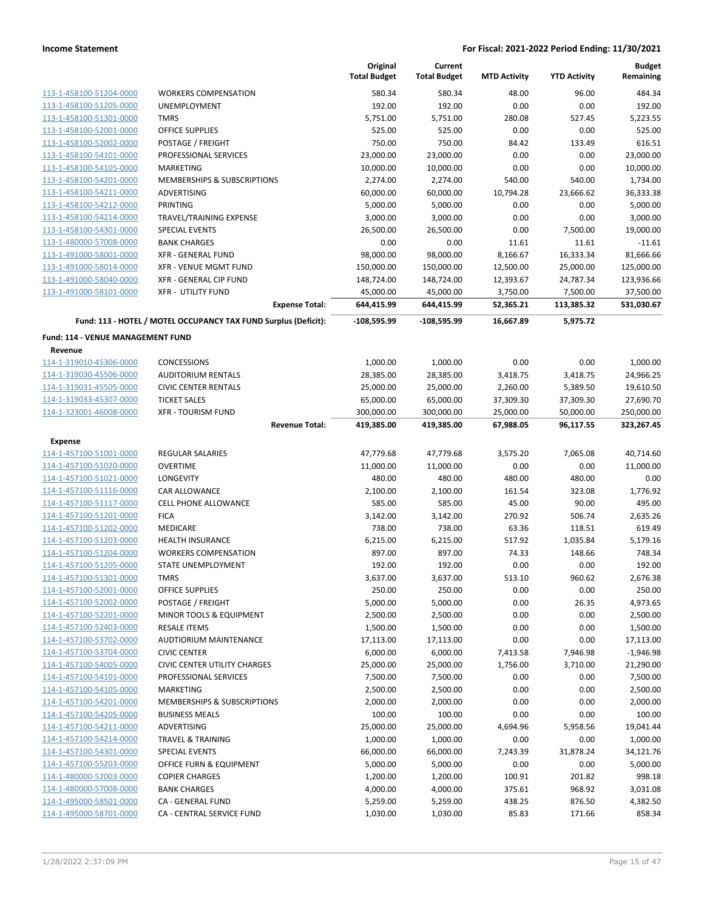|                                              |                                                                 | Original<br><b>Total Budget</b> | Current<br><b>Total Budget</b> | <b>MTD Activity</b> | <b>YTD Activity</b> | <b>Budget</b><br>Remaining |
|----------------------------------------------|-----------------------------------------------------------------|---------------------------------|--------------------------------|---------------------|---------------------|----------------------------|
| 113-1-458100-51204-0000                      | <b>WORKERS COMPENSATION</b>                                     | 580.34                          | 580.34                         | 48.00               | 96.00               | 484.34                     |
| 113-1-458100-51205-0000                      | UNEMPLOYMENT                                                    | 192.00                          | 192.00                         | 0.00                | 0.00                | 192.00                     |
| 113-1-458100-51301-0000                      | <b>TMRS</b>                                                     | 5,751.00                        | 5,751.00                       | 280.08              | 527.45              | 5,223.55                   |
| 113-1-458100-52001-0000                      | OFFICE SUPPLIES                                                 | 525.00                          | 525.00                         | 0.00                | 0.00                | 525.00                     |
| 113-1-458100-52002-0000                      | POSTAGE / FREIGHT                                               | 750.00                          | 750.00                         | 84.42               | 133.49              | 616.51                     |
| 113-1-458100-54101-0000                      | PROFESSIONAL SERVICES                                           | 23,000.00                       | 23,000.00                      | 0.00                | 0.00                | 23,000.00                  |
| 113-1-458100-54105-0000                      | <b>MARKETING</b>                                                | 10,000.00                       | 10,000.00                      | 0.00                | 0.00                | 10,000.00                  |
| 113-1-458100-54201-0000                      | MEMBERSHIPS & SUBSCRIPTIONS                                     | 2,274.00                        | 2,274.00                       | 540.00              | 540.00              | 1,734.00                   |
| 113-1-458100-54211-0000                      | ADVERTISING                                                     | 60,000.00                       | 60,000.00                      | 10,794.28           | 23,666.62           | 36,333.38                  |
| 113-1-458100-54212-0000                      | PRINTING                                                        | 5,000.00                        | 5,000.00                       | 0.00                | 0.00                | 5,000.00                   |
| 113-1-458100-54214-0000                      | TRAVEL/TRAINING EXPENSE                                         | 3,000.00                        | 3,000.00                       | 0.00                | 0.00                | 3,000.00                   |
| 113-1-458100-54301-0000                      | SPECIAL EVENTS                                                  | 26,500.00                       | 26,500.00                      | 0.00                | 7,500.00            | 19,000.00                  |
| 113-1-480000-57008-0000                      | <b>BANK CHARGES</b>                                             | 0.00                            | 0.00                           | 11.61               | 11.61               | $-11.61$                   |
| 113-1-491000-58001-0000                      | <b>XFR - GENERAL FUND</b>                                       | 98,000.00                       | 98,000.00                      | 8,166.67            | 16,333.34           | 81,666.66                  |
| 113-1-491000-58014-0000                      | XFR - VENUE MGMT FUND                                           | 150,000.00                      | 150,000.00                     | 12,500.00           | 25,000.00           | 125,000.00                 |
| 113-1-491000-58040-0000                      | XFR - GENERAL CIP FUND                                          | 148,724.00                      | 148,724.00                     | 12,393.67           | 24,787.34           | 123,936.66                 |
| 113-1-491000-58101-0000                      | <b>XFR - UTILITY FUND</b>                                       | 45,000.00                       | 45,000.00                      | 3,750.00            | 7,500.00            | 37,500.00                  |
|                                              | <b>Expense Total:</b>                                           | 644,415.99                      | 644,415.99                     | 52,365.21           | 113,385.32          | 531,030.67                 |
|                                              | Fund: 113 - HOTEL / MOTEL OCCUPANCY TAX FUND Surplus (Deficit): | -108,595.99                     | -108,595.99                    | 16,667.89           | 5,975.72            |                            |
| Fund: 114 - VENUE MANAGEMENT FUND<br>Revenue |                                                                 |                                 |                                |                     |                     |                            |
| 114-1-319010-45306-0000                      | <b>CONCESSIONS</b>                                              | 1,000.00                        | 1,000.00                       | 0.00                | 0.00                | 1,000.00                   |
| 114-1-319030-45506-0000                      | <b>AUDITORIUM RENTALS</b>                                       | 28,385.00                       | 28,385.00                      | 3,418.75            | 3,418.75            | 24,966.25                  |
| 114-1-319031-45505-0000                      | <b>CIVIC CENTER RENTALS</b>                                     | 25,000.00                       | 25,000.00                      | 2,260.00            | 5,389.50            | 19,610.50                  |
| 114-1-319033-45307-0000                      | <b>TICKET SALES</b>                                             | 65,000.00                       | 65,000.00                      | 37,309.30           | 37,309.30           | 27,690.70                  |
| 114-1-323001-46008-0000                      | <b>XFR - TOURISM FUND</b>                                       | 300,000.00                      | 300,000.00                     | 25,000.00           | 50,000.00           | 250,000.00                 |
|                                              | <b>Revenue Total:</b>                                           | 419,385.00                      | 419,385.00                     | 67,988.05           | 96,117.55           | 323,267.45                 |
| <b>Expense</b>                               |                                                                 |                                 |                                |                     |                     |                            |
| 114-1-457100-51001-0000                      | REGULAR SALARIES                                                | 47,779.68                       | 47,779.68                      | 3,575.20            | 7,065.08            | 40,714.60                  |
| 114-1-457100-51020-0000                      | <b>OVERTIME</b>                                                 | 11,000.00                       | 11,000.00                      | 0.00                | 0.00                | 11,000.00                  |
| 114-1-457100-51021-0000                      | LONGEVITY                                                       | 480.00                          | 480.00                         | 480.00              | 480.00              | 0.00                       |
| 114-1-457100-51116-0000                      | CAR ALLOWANCE                                                   | 2,100.00                        | 2,100.00                       | 161.54              | 323.08              | 1,776.92                   |
| 114-1-457100-51117-0000                      | <b>CELL PHONE ALLOWANCE</b>                                     | 585.00                          | 585.00                         | 45.00               | 90.00               | 495.00                     |
| 114-1-457100-51201-0000                      | <b>FICA</b>                                                     | 3,142.00                        | 3,142.00                       | 270.92              | 506.74              | 2,635.26                   |
| 114-1-457100-51202-0000                      | MEDICARE                                                        | 738.00                          | 738.00                         | 63.36               | 118.51              | 619.49                     |
| 114-1-457100-51203-0000                      | <b>HEALTH INSURANCE</b>                                         | 6,215.00                        | 6,215.00                       | 517.92              | 1,035.84            | 5,179.16                   |
| 114-1-457100-51204-0000                      | <b>WORKERS COMPENSATION</b>                                     | 897.00                          | 897.00                         | 74.33               | 148.66              | 748.34                     |
| 114-1-457100-51205-0000                      | STATE UNEMPLOYMENT                                              | 192.00                          | 192.00                         | 0.00                | 0.00                | 192.00                     |
| 114-1-457100-51301-0000                      | TMRS                                                            | 3,637.00                        | 3,637.00                       | 513.10              | 960.62              | 2,676.38                   |
| 114-1-457100-52001-0000                      | OFFICE SUPPLIES                                                 | 250.00                          | 250.00                         | 0.00                | 0.00                | 250.00                     |
| 114-1-457100-52002-0000                      | POSTAGE / FREIGHT                                               | 5,000.00                        | 5,000.00                       | 0.00                | 26.35               | 4,973.65                   |
| 114-1-457100-52201-0000                      | MINOR TOOLS & EQUIPMENT                                         | 2,500.00                        | 2,500.00                       | 0.00                | 0.00                | 2,500.00                   |
| 114-1-457100-52403-0000                      | <b>RESALE ITEMS</b>                                             | 1,500.00                        | 1,500.00                       | 0.00                | 0.00                | 1,500.00                   |
| 114-1-457100-53702-0000                      | AUDTIORIUM MAINTENANCE                                          | 17,113.00                       | 17,113.00                      | 0.00                | 0.00                | 17,113.00                  |
| 114-1-457100-53704-0000                      | <b>CIVIC CENTER</b>                                             | 6,000.00                        | 6,000.00                       | 7,413.58            | 7,946.98            | $-1,946.98$                |
| 114-1-457100-54005-0000                      | CIVIC CENTER UTILITY CHARGES                                    | 25,000.00                       | 25,000.00                      | 1,756.00            | 3,710.00            | 21,290.00                  |
| 114-1-457100-54101-0000                      | PROFESSIONAL SERVICES                                           | 7,500.00                        | 7,500.00                       | 0.00                | 0.00                | 7,500.00                   |
| 114-1-457100-54105-0000                      | MARKETING                                                       | 2,500.00                        | 2,500.00                       | 0.00                | 0.00                | 2,500.00                   |
| 114-1-457100-54201-0000                      | <b>MEMBERSHIPS &amp; SUBSCRIPTIONS</b>                          | 2,000.00                        | 2,000.00                       | 0.00                | 0.00                | 2,000.00                   |
| 114-1-457100-54205-0000                      | <b>BUSINESS MEALS</b>                                           | 100.00                          | 100.00                         | 0.00                | 0.00                | 100.00                     |
| 114-1-457100-54211-0000                      | ADVERTISING                                                     | 25,000.00                       | 25,000.00                      | 4,694.96            | 5,958.56            | 19,041.44                  |
| 114-1-457100-54214-0000                      | <b>TRAVEL &amp; TRAINING</b>                                    | 1,000.00                        | 1,000.00                       | 0.00                | 0.00                | 1,000.00                   |
| 114-1-457100-54301-0000                      | <b>SPECIAL EVENTS</b>                                           | 66,000.00                       | 66,000.00                      | 7,243.39            | 31,878.24           | 34,121.76                  |
| 114-1-457100-55203-0000                      | OFFICE FURN & EQUIPMENT                                         | 5,000.00                        | 5,000.00                       | 0.00                | 0.00                | 5,000.00                   |
| 114-1-480000-52003-0000                      | <b>COPIER CHARGES</b>                                           | 1,200.00                        | 1,200.00                       | 100.91              | 201.82              | 998.18                     |
| 114-1-480000-57008-0000                      | <b>BANK CHARGES</b>                                             | 4,000.00                        | 4,000.00                       | 375.61              | 968.92              | 3,031.08                   |
| 114-1-495000-58501-0000                      | CA - GENERAL FUND                                               | 5,259.00                        | 5,259.00                       | 438.25              | 876.50              | 4,382.50                   |
| 114-1-495000-58701-0000                      | CA - CENTRAL SERVICE FUND                                       | 1,030.00                        | 1,030.00                       | 85.83               | 171.66              | 858.34                     |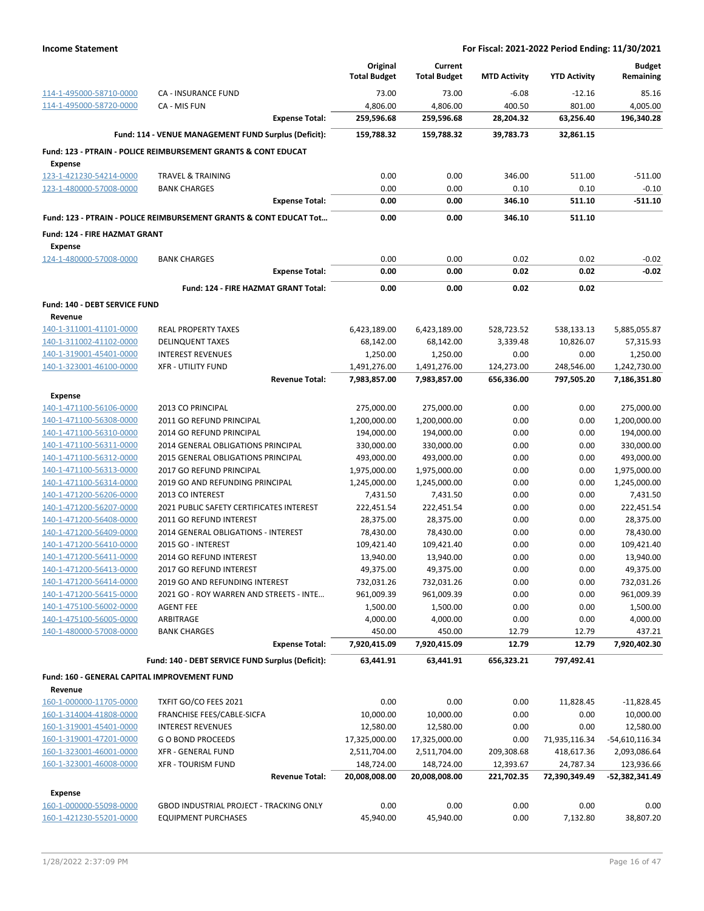|                                                 |                                                                               | Original<br><b>Total Budget</b> | Current<br><b>Total Budget</b> | <b>MTD Activity</b> | <b>YTD Activity</b> | <b>Budget</b><br>Remaining |
|-------------------------------------------------|-------------------------------------------------------------------------------|---------------------------------|--------------------------------|---------------------|---------------------|----------------------------|
|                                                 |                                                                               |                                 |                                |                     |                     |                            |
| 114-1-495000-58710-0000                         | CA - INSURANCE FUND                                                           | 73.00                           | 73.00                          | $-6.08$             | $-12.16$            | 85.16                      |
| 114-1-495000-58720-0000                         | CA - MIS FUN                                                                  | 4,806.00                        | 4,806.00                       | 400.50              | 801.00              | 4,005.00                   |
|                                                 | <b>Expense Total:</b>                                                         | 259,596.68                      | 259,596.68                     | 28,204.32           | 63,256.40           | 196,340.28                 |
|                                                 | Fund: 114 - VENUE MANAGEMENT FUND Surplus (Deficit):                          | 159,788.32                      | 159,788.32                     | 39,783.73           | 32,861.15           |                            |
|                                                 | <b>Fund: 123 - PTRAIN - POLICE REIMBURSEMENT GRANTS &amp; CONT EDUCAT</b>     |                                 |                                |                     |                     |                            |
| <b>Expense</b>                                  |                                                                               |                                 |                                |                     |                     |                            |
| 123-1-421230-54214-0000                         | <b>TRAVEL &amp; TRAINING</b>                                                  | 0.00                            | 0.00                           | 346.00              | 511.00              | $-511.00$                  |
| 123-1-480000-57008-0000                         | <b>BANK CHARGES</b><br><b>Expense Total:</b>                                  | 0.00                            | 0.00                           | 0.10<br>346.10      | 0.10                | $-0.10$<br>$-511.10$       |
|                                                 | <b>Fund: 123 - PTRAIN - POLICE REIMBURSEMENT GRANTS &amp; CONT EDUCAT Tot</b> | 0.00<br>0.00                    | 0.00<br>0.00                   | 346.10              | 511.10<br>511.10    |                            |
|                                                 |                                                                               |                                 |                                |                     |                     |                            |
| Fund: 124 - FIRE HAZMAT GRANT<br><b>Expense</b> |                                                                               |                                 |                                |                     |                     |                            |
| 124-1-480000-57008-0000                         | <b>BANK CHARGES</b>                                                           | 0.00                            | 0.00                           | 0.02                | 0.02                | $-0.02$                    |
|                                                 | <b>Expense Total:</b>                                                         | 0.00                            | 0.00                           | 0.02                | 0.02                | $-0.02$                    |
|                                                 | Fund: 124 - FIRE HAZMAT GRANT Total:                                          | 0.00                            | 0.00                           | 0.02                | 0.02                |                            |
| Fund: 140 - DEBT SERVICE FUND                   |                                                                               |                                 |                                |                     |                     |                            |
| Revenue                                         |                                                                               |                                 |                                |                     |                     |                            |
| 140-1-311001-41101-0000                         | <b>REAL PROPERTY TAXES</b>                                                    | 6,423,189.00                    | 6,423,189.00                   | 528,723.52          | 538,133.13          | 5,885,055.87               |
| 140-1-311002-41102-0000                         | <b>DELINQUENT TAXES</b>                                                       | 68,142.00                       | 68,142.00                      | 3,339.48            | 10,826.07           | 57,315.93                  |
| 140-1-319001-45401-0000                         | <b>INTEREST REVENUES</b>                                                      | 1,250.00                        | 1,250.00                       | 0.00                | 0.00                | 1,250.00                   |
| 140-1-323001-46100-0000                         | <b>XFR - UTILITY FUND</b>                                                     | 1,491,276.00                    | 1,491,276.00                   | 124,273.00          | 248,546.00          | 1,242,730.00               |
|                                                 | <b>Revenue Total:</b>                                                         | 7,983,857.00                    | 7,983,857.00                   | 656,336.00          | 797,505.20          | 7,186,351.80               |
| Expense                                         |                                                                               |                                 |                                |                     |                     |                            |
| 140-1-471100-56106-0000                         | 2013 CO PRINCIPAL                                                             | 275,000.00                      | 275,000.00                     | 0.00                | 0.00                | 275,000.00                 |
| 140-1-471100-56308-0000                         | 2011 GO REFUND PRINCIPAL                                                      | 1,200,000.00                    | 1,200,000.00                   | 0.00                | 0.00                | 1,200,000.00               |
| 140-1-471100-56310-0000                         | 2014 GO REFUND PRINCIPAL                                                      | 194,000.00                      | 194,000.00                     | 0.00                | 0.00                | 194,000.00                 |
| 140-1-471100-56311-0000                         | 2014 GENERAL OBLIGATIONS PRINCIPAL                                            | 330,000.00                      | 330,000.00                     | 0.00                | 0.00                | 330,000.00                 |
| 140-1-471100-56312-0000                         | 2015 GENERAL OBLIGATIONS PRINCIPAL                                            | 493,000.00                      | 493,000.00                     | 0.00                | 0.00                | 493,000.00                 |
| 140-1-471100-56313-0000                         | 2017 GO REFUND PRINCIPAL                                                      | 1,975,000.00                    | 1,975,000.00                   | 0.00                | 0.00                | 1,975,000.00               |
| 140-1-471100-56314-0000                         | 2019 GO AND REFUNDING PRINCIPAL                                               | 1,245,000.00                    | 1,245,000.00                   | 0.00                | 0.00                | 1,245,000.00               |
| 140-1-471200-56206-0000                         | 2013 CO INTEREST                                                              | 7,431.50                        | 7,431.50                       | 0.00                | 0.00                | 7,431.50                   |
| 140-1-471200-56207-0000                         | 2021 PUBLIC SAFETY CERTIFICATES INTEREST                                      | 222,451.54                      | 222,451.54                     | 0.00                | 0.00                | 222,451.54                 |
| 140-1-471200-56408-0000                         | <b>2011 GO REFUND INTEREST</b>                                                | 28,375.00                       | 28,375.00                      | 0.00                | 0.00                | 28,375.00                  |
| 140-1-471200-56409-0000                         | 2014 GENERAL OBLIGATIONS - INTEREST                                           | 78,430.00                       | 78,430.00                      | 0.00                | 0.00                | 78,430.00                  |
| 140-1-471200-56410-0000                         | 2015 GO - INTEREST                                                            | 109,421.40                      | 109,421.40                     | 0.00                | 0.00                | 109,421.40                 |
| 140-1-471200-56411-0000                         | 2014 GO REFUND INTEREST                                                       | 13,940.00                       | 13,940.00                      | 0.00                | 0.00                | 13,940.00                  |
| 140-1-471200-56413-0000                         | 2017 GO REFUND INTEREST                                                       | 49,375.00                       | 49,375.00                      | 0.00                | 0.00                | 49,375.00                  |
| 140-1-471200-56414-0000                         | 2019 GO AND REFUNDING INTEREST                                                | 732,031.26                      | 732,031.26                     | 0.00                | 0.00                | 732,031.26                 |
| 140-1-471200-56415-0000                         | 2021 GO - ROY WARREN AND STREETS - INTE                                       | 961,009.39                      | 961,009.39                     | 0.00                | 0.00                | 961,009.39                 |
| 140-1-475100-56002-0000                         | <b>AGENT FEE</b>                                                              | 1,500.00                        | 1,500.00                       | 0.00                | 0.00                | 1,500.00                   |
| 140-1-475100-56005-0000                         | ARBITRAGE                                                                     | 4,000.00                        | 4,000.00                       | 0.00                | 0.00                | 4,000.00                   |
| 140-1-480000-57008-0000                         | <b>BANK CHARGES</b>                                                           | 450.00                          | 450.00                         | 12.79               | 12.79               | 437.21                     |
|                                                 | <b>Expense Total:</b>                                                         | 7,920,415.09                    | 7,920,415.09                   | 12.79               | 12.79               | 7,920,402.30               |
|                                                 | Fund: 140 - DEBT SERVICE FUND Surplus (Deficit):                              | 63,441.91                       | 63,441.91                      | 656,323.21          | 797,492.41          |                            |
| Fund: 160 - GENERAL CAPITAL IMPROVEMENT FUND    |                                                                               |                                 |                                |                     |                     |                            |
| Revenue                                         |                                                                               |                                 |                                |                     |                     |                            |
| 160-1-000000-11705-0000                         | TXFIT GO/CO FEES 2021                                                         | 0.00                            | 0.00                           | 0.00                | 11,828.45           | -11,828.45                 |
| 160-1-314004-41808-0000                         | FRANCHISE FEES/CABLE-SICFA                                                    | 10,000.00                       | 10,000.00                      | 0.00                | 0.00                | 10,000.00                  |
| 160-1-319001-45401-0000                         | <b>INTEREST REVENUES</b>                                                      | 12,580.00                       | 12,580.00                      | 0.00                | 0.00                | 12,580.00                  |
| 160-1-319001-47201-0000                         | <b>GO BOND PROCEEDS</b>                                                       | 17,325,000.00                   | 17,325,000.00                  | 0.00                | 71,935,116.34       | -54,610,116.34             |
| 160-1-323001-46001-0000                         | XFR - GENERAL FUND                                                            | 2,511,704.00                    | 2,511,704.00                   | 209,308.68          | 418,617.36          | 2,093,086.64               |
| 160-1-323001-46008-0000                         | <b>XFR - TOURISM FUND</b>                                                     | 148,724.00                      | 148,724.00                     | 12,393.67           | 24,787.34           | 123,936.66                 |
|                                                 | <b>Revenue Total:</b>                                                         | 20,008,008.00                   | 20,008,008.00                  | 221,702.35          | 72,390,349.49       | -52,382,341.49             |
|                                                 |                                                                               |                                 |                                |                     |                     |                            |
| <b>Expense</b><br>160-1-000000-55098-0000       | GBOD INDUSTRIAL PROJECT - TRACKING ONLY                                       | 0.00                            | 0.00                           | 0.00                | 0.00                | 0.00                       |
| 160-1-421230-55201-0000                         | <b>EQUIPMENT PURCHASES</b>                                                    | 45,940.00                       | 45,940.00                      | 0.00                | 7,132.80            | 38,807.20                  |
|                                                 |                                                                               |                                 |                                |                     |                     |                            |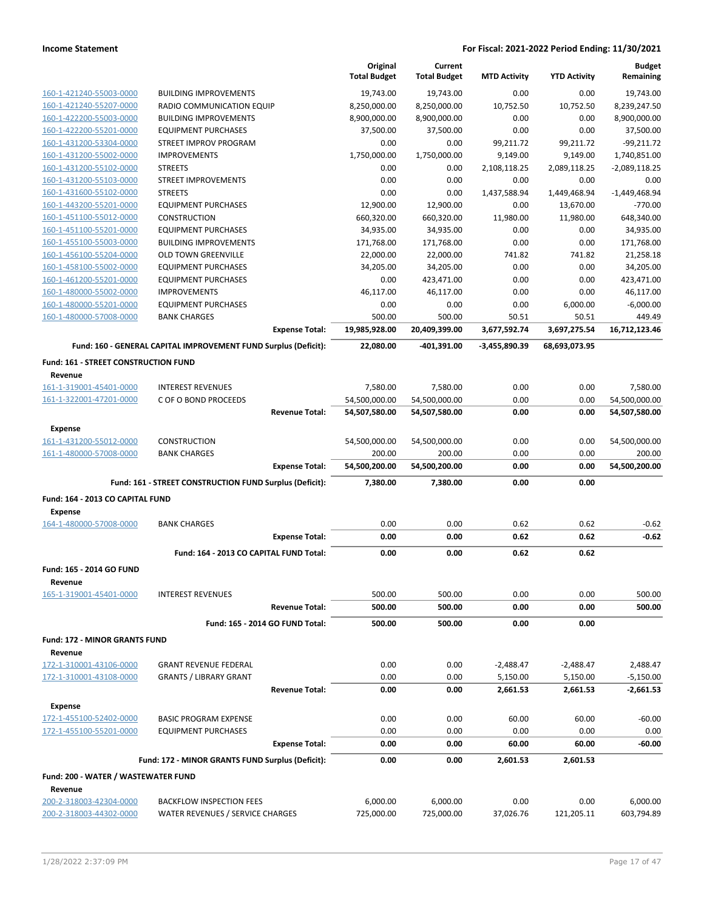|                                             |                                                                 |                       | Original<br><b>Total Budget</b> | Current<br><b>Total Budget</b> | <b>MTD Activity</b> | <b>YTD Activity</b> | <b>Budget</b><br>Remaining |
|---------------------------------------------|-----------------------------------------------------------------|-----------------------|---------------------------------|--------------------------------|---------------------|---------------------|----------------------------|
| 160-1-421240-55003-0000                     | <b>BUILDING IMPROVEMENTS</b>                                    |                       | 19.743.00                       | 19,743.00                      | 0.00                | 0.00                | 19,743.00                  |
| 160-1-421240-55207-0000                     | RADIO COMMUNICATION EQUIP                                       |                       | 8,250,000.00                    | 8,250,000.00                   | 10,752.50           | 10,752.50           | 8,239,247.50               |
| 160-1-422200-55003-0000                     | <b>BUILDING IMPROVEMENTS</b>                                    |                       | 8,900,000.00                    | 8,900,000.00                   | 0.00                | 0.00                | 8,900,000.00               |
| 160-1-422200-55201-0000                     | <b>EQUIPMENT PURCHASES</b>                                      |                       | 37,500.00                       | 37,500.00                      | 0.00                | 0.00                | 37,500.00                  |
| 160-1-431200-53304-0000                     | <b>STREET IMPROV PROGRAM</b>                                    |                       | 0.00                            | 0.00                           | 99,211.72           | 99,211.72           | $-99,211.72$               |
| 160-1-431200-55002-0000                     | <b>IMPROVEMENTS</b>                                             |                       | 1,750,000.00                    | 1,750,000.00                   | 9,149.00            | 9,149.00            | 1,740,851.00               |
| 160-1-431200-55102-0000                     | <b>STREETS</b>                                                  |                       | 0.00                            | 0.00                           | 2,108,118.25        | 2,089,118.25        | $-2,089,118.25$            |
| 160-1-431200-55103-0000                     | <b>STREET IMPROVEMENTS</b>                                      |                       | 0.00                            | 0.00                           | 0.00                | 0.00                | 0.00                       |
| 160-1-431600-55102-0000                     | <b>STREETS</b>                                                  |                       | 0.00                            | 0.00                           | 1,437,588.94        | 1,449,468.94        | $-1,449,468.94$            |
| 160-1-443200-55201-0000                     | <b>EQUIPMENT PURCHASES</b>                                      |                       | 12,900.00                       | 12,900.00                      | 0.00                | 13,670.00           | $-770.00$                  |
| 160-1-451100-55012-0000                     | <b>CONSTRUCTION</b>                                             |                       | 660,320.00                      | 660,320.00                     | 11,980.00           | 11,980.00           | 648,340.00                 |
| 160-1-451100-55201-0000                     | <b>EQUIPMENT PURCHASES</b>                                      |                       | 34,935.00                       | 34,935.00                      | 0.00                | 0.00                | 34,935.00                  |
| 160-1-455100-55003-0000                     | <b>BUILDING IMPROVEMENTS</b>                                    |                       | 171,768.00                      | 171,768.00                     | 0.00                | 0.00                | 171,768.00                 |
| 160-1-456100-55204-0000                     | <b>OLD TOWN GREENVILLE</b>                                      |                       | 22,000.00                       | 22,000.00                      | 741.82              | 741.82              | 21,258.18                  |
| 160-1-458100-55002-0000                     | <b>EQUIPMENT PURCHASES</b>                                      |                       | 34,205.00                       | 34,205.00                      | 0.00                | 0.00                | 34,205.00                  |
| 160-1-461200-55201-0000                     | <b>EQUIPMENT PURCHASES</b>                                      |                       | 0.00                            | 423,471.00                     | 0.00                | 0.00                | 423,471.00                 |
| 160-1-480000-55002-0000                     | <b>IMPROVEMENTS</b>                                             |                       | 46,117.00                       | 46,117.00                      | 0.00                | 0.00                | 46,117.00                  |
| 160-1-480000-55201-0000                     | <b>EQUIPMENT PURCHASES</b>                                      |                       | 0.00                            | 0.00                           | 0.00                | 6,000.00            | $-6,000.00$                |
| 160-1-480000-57008-0000                     | <b>BANK CHARGES</b>                                             |                       | 500.00                          | 500.00                         | 50.51               | 50.51               | 449.49                     |
|                                             |                                                                 | <b>Expense Total:</b> | 19,985,928.00                   | 20,409,399.00                  | 3,677,592.74        | 3,697,275.54        | 16,712,123.46              |
|                                             | Fund: 160 - GENERAL CAPITAL IMPROVEMENT FUND Surplus (Deficit): |                       | 22,080.00                       | -401,391.00                    | -3,455,890.39       | 68,693,073.95       |                            |
| <b>Fund: 161 - STREET CONSTRUCTION FUND</b> |                                                                 |                       |                                 |                                |                     |                     |                            |
| Revenue                                     |                                                                 |                       |                                 |                                |                     |                     |                            |
| 161-1-319001-45401-0000                     | <b>INTEREST REVENUES</b>                                        |                       | 7,580.00                        | 7,580.00                       | 0.00                | 0.00                | 7.580.00                   |
| 161-1-322001-47201-0000                     | C OF O BOND PROCEEDS                                            |                       | 54,500,000.00                   | 54,500,000.00                  | 0.00                | 0.00                | 54,500,000.00              |
|                                             |                                                                 | <b>Revenue Total:</b> | 54,507,580.00                   | 54,507,580.00                  | 0.00                | 0.00                | 54,507,580.00              |
| Expense                                     |                                                                 |                       |                                 |                                |                     |                     |                            |
| 161-1-431200-55012-0000                     | <b>CONSTRUCTION</b>                                             |                       | 54,500,000.00                   | 54,500,000.00                  | 0.00                | 0.00                | 54,500,000.00              |
| 161-1-480000-57008-0000                     | <b>BANK CHARGES</b>                                             |                       | 200.00                          | 200.00                         | 0.00                | 0.00                | 200.00                     |
|                                             |                                                                 | <b>Expense Total:</b> | 54,500,200.00                   | 54,500,200.00                  | 0.00                | 0.00                | 54,500,200.00              |
|                                             | Fund: 161 - STREET CONSTRUCTION FUND Surplus (Deficit):         |                       | 7,380.00                        | 7,380.00                       | 0.00                | 0.00                |                            |
| Fund: 164 - 2013 CO CAPITAL FUND            |                                                                 |                       |                                 |                                |                     |                     |                            |
| <b>Expense</b>                              |                                                                 |                       |                                 |                                |                     |                     |                            |
| 164-1-480000-57008-0000                     | <b>BANK CHARGES</b>                                             |                       | 0.00                            | 0.00                           | 0.62                | 0.62                | $-0.62$                    |
|                                             |                                                                 | <b>Expense Total:</b> | 0.00                            | 0.00                           | 0.62                | 0.62                | $-0.62$                    |
|                                             | Fund: 164 - 2013 CO CAPITAL FUND Total:                         |                       | 0.00                            | 0.00                           | 0.62                | 0.62                |                            |
| Fund: 165 - 2014 GO FUND                    |                                                                 |                       |                                 |                                |                     |                     |                            |
| Revenue                                     |                                                                 |                       |                                 |                                |                     |                     |                            |
| 165-1-319001-45401-0000                     | <b>INTEREST REVENUES</b>                                        |                       | 500.00                          | 500.00                         | 0.00                | 0.00                | 500.00                     |
|                                             |                                                                 | <b>Revenue Total:</b> | 500.00                          | 500.00                         | 0.00                | 0.00                | 500.00                     |
|                                             | Fund: 165 - 2014 GO FUND Total:                                 |                       | 500.00                          | 500.00                         | 0.00                | 0.00                |                            |
| Fund: 172 - MINOR GRANTS FUND               |                                                                 |                       |                                 |                                |                     |                     |                            |
| Revenue                                     |                                                                 |                       |                                 |                                |                     |                     |                            |
| 172-1-310001-43106-0000                     | <b>GRANT REVENUE FEDERAL</b>                                    |                       | 0.00                            | 0.00                           | $-2,488.47$         | $-2,488.47$         | 2,488.47                   |
| 172-1-310001-43108-0000                     | <b>GRANTS / LIBRARY GRANT</b>                                   |                       | 0.00                            | 0.00                           | 5,150.00            | 5,150.00            | $-5,150.00$                |
|                                             |                                                                 | <b>Revenue Total:</b> | 0.00                            | 0.00                           | 2,661.53            | 2,661.53            | -2,661.53                  |
| <b>Expense</b>                              |                                                                 |                       |                                 |                                |                     |                     |                            |
| 172-1-455100-52402-0000                     | <b>BASIC PROGRAM EXPENSE</b>                                    |                       | 0.00                            | 0.00                           | 60.00               | 60.00               | $-60.00$                   |
| 172-1-455100-55201-0000                     | <b>EQUIPMENT PURCHASES</b>                                      |                       | 0.00                            | 0.00                           | 0.00                | 0.00                | 0.00                       |
|                                             |                                                                 | <b>Expense Total:</b> | 0.00                            | 0.00                           | 60.00               | 60.00               | $-60.00$                   |
|                                             | Fund: 172 - MINOR GRANTS FUND Surplus (Deficit):                |                       | 0.00                            | 0.00                           | 2,601.53            | 2,601.53            |                            |
| Fund: 200 - WATER / WASTEWATER FUND         |                                                                 |                       |                                 |                                |                     |                     |                            |
| Revenue                                     |                                                                 |                       |                                 |                                |                     |                     |                            |
| 200-2-318003-42304-0000                     | <b>BACKFLOW INSPECTION FEES</b>                                 |                       | 6,000.00                        | 6,000.00                       | 0.00                | 0.00                | 6,000.00                   |
| 200-2-318003-44302-0000                     | WATER REVENUES / SERVICE CHARGES                                |                       | 725,000.00                      | 725,000.00                     | 37,026.76           | 121,205.11          | 603,794.89                 |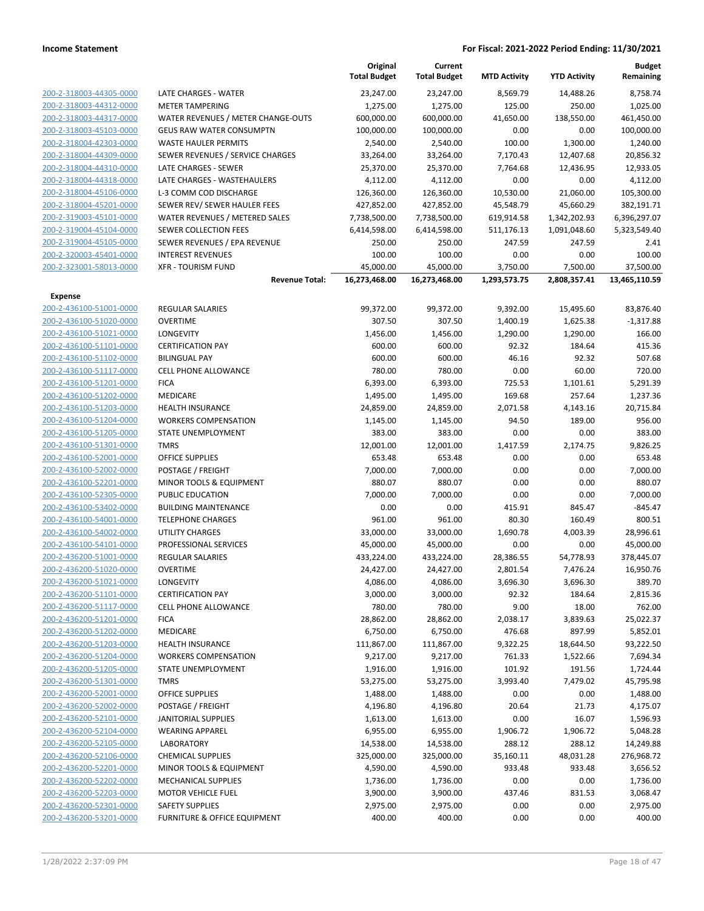|                                                    |                                                   | Original<br><b>Total Budget</b> | Current<br><b>Total Budget</b> | <b>MTD Activity</b> | <b>YTD Activity</b> | <b>Budget</b><br>Remaining |
|----------------------------------------------------|---------------------------------------------------|---------------------------------|--------------------------------|---------------------|---------------------|----------------------------|
| 200-2-318003-44305-0000                            | LATE CHARGES - WATER                              | 23,247.00                       | 23,247.00                      | 8,569.79            | 14,488.26           | 8,758.74                   |
| 200-2-318003-44312-0000                            | <b>METER TAMPERING</b>                            | 1,275.00                        | 1,275.00                       | 125.00              | 250.00              | 1,025.00                   |
| 200-2-318003-44317-0000                            | WATER REVENUES / METER CHANGE-OUTS                | 600,000.00                      | 600,000.00                     | 41,650.00           | 138,550.00          | 461,450.00                 |
| 200-2-318003-45103-0000                            | <b>GEUS RAW WATER CONSUMPTN</b>                   | 100,000.00                      | 100,000.00                     | 0.00                | 0.00                | 100,000.00                 |
| 200-2-318004-42303-0000                            | WASTE HAULER PERMITS                              | 2,540.00                        | 2,540.00                       | 100.00              | 1,300.00            | 1,240.00                   |
| 200-2-318004-44309-0000                            | SEWER REVENUES / SERVICE CHARGES                  | 33,264.00                       | 33,264.00                      | 7,170.43            | 12,407.68           | 20,856.32                  |
| 200-2-318004-44310-0000                            | LATE CHARGES - SEWER                              | 25,370.00                       | 25,370.00                      | 7,764.68            | 12,436.95           | 12,933.05                  |
| 200-2-318004-44318-0000                            | LATE CHARGES - WASTEHAULERS                       | 4,112.00                        | 4,112.00                       | 0.00                | 0.00                | 4,112.00                   |
| 200-2-318004-45106-0000                            | L-3 COMM COD DISCHARGE                            | 126,360.00                      | 126,360.00                     | 10,530.00           | 21,060.00           | 105,300.00                 |
| 200-2-318004-45201-0000                            | SEWER REV/ SEWER HAULER FEES                      | 427,852.00                      | 427,852.00                     | 45,548.79           | 45,660.29           | 382,191.71                 |
| 200-2-319003-45101-0000                            | WATER REVENUES / METERED SALES                    | 7,738,500.00                    | 7,738,500.00                   | 619,914.58          | 1,342,202.93        | 6,396,297.07               |
| 200-2-319004-45104-0000                            | <b>SEWER COLLECTION FEES</b>                      | 6,414,598.00                    | 6,414,598.00                   | 511,176.13          | 1,091,048.60        | 5,323,549.40               |
| 200-2-319004-45105-0000                            | SEWER REVENUES / EPA REVENUE                      | 250.00                          | 250.00                         | 247.59              | 247.59              | 2.41                       |
| 200-2-320003-45401-0000                            | <b>INTEREST REVENUES</b>                          | 100.00                          | 100.00                         | 0.00                | 0.00                | 100.00                     |
| 200-2-323001-58013-0000                            | <b>XFR - TOURISM FUND</b>                         | 45,000.00                       | 45,000.00                      | 3,750.00            | 7,500.00            | 37,500.00                  |
|                                                    | <b>Revenue Total:</b>                             | 16,273,468.00                   | 16,273,468.00                  | 1,293,573.75        | 2,808,357.41        | 13,465,110.59              |
| <b>Expense</b>                                     |                                                   |                                 |                                |                     |                     |                            |
| 200-2-436100-51001-0000                            | <b>REGULAR SALARIES</b>                           | 99,372.00                       | 99,372.00                      | 9,392.00            | 15,495.60           | 83,876.40                  |
| 200-2-436100-51020-0000                            | <b>OVERTIME</b>                                   | 307.50                          | 307.50                         | 1,400.19            | 1,625.38            | $-1,317.88$                |
| 200-2-436100-51021-0000                            | <b>LONGEVITY</b>                                  | 1,456.00                        | 1,456.00                       | 1,290.00            | 1,290.00            | 166.00                     |
| 200-2-436100-51101-0000                            | <b>CERTIFICATION PAY</b>                          | 600.00                          | 600.00                         | 92.32               | 184.64              | 415.36                     |
| 200-2-436100-51102-0000                            | <b>BILINGUAL PAY</b>                              | 600.00                          | 600.00                         | 46.16               | 92.32               | 507.68                     |
| 200-2-436100-51117-0000                            | CELL PHONE ALLOWANCE                              | 780.00                          | 780.00                         | 0.00                | 60.00               | 720.00                     |
| 200-2-436100-51201-0000                            | <b>FICA</b>                                       | 6,393.00                        | 6,393.00                       | 725.53              | 1,101.61            | 5,291.39                   |
| 200-2-436100-51202-0000                            | MEDICARE                                          | 1,495.00                        | 1,495.00                       | 169.68              | 257.64              | 1,237.36                   |
| 200-2-436100-51203-0000                            | <b>HEALTH INSURANCE</b>                           | 24,859.00                       | 24,859.00                      | 2,071.58            | 4,143.16            | 20,715.84                  |
| 200-2-436100-51204-0000                            | <b>WORKERS COMPENSATION</b><br>STATE UNEMPLOYMENT | 1,145.00                        | 1,145.00                       | 94.50<br>0.00       | 189.00<br>0.00      | 956.00                     |
| 200-2-436100-51205-0000<br>200-2-436100-51301-0000 | <b>TMRS</b>                                       | 383.00<br>12,001.00             | 383.00<br>12,001.00            | 1,417.59            | 2,174.75            | 383.00<br>9,826.25         |
| 200-2-436100-52001-0000                            | <b>OFFICE SUPPLIES</b>                            | 653.48                          | 653.48                         | 0.00                | 0.00                | 653.48                     |
| 200-2-436100-52002-0000                            | POSTAGE / FREIGHT                                 | 7,000.00                        | 7,000.00                       | 0.00                | 0.00                | 7,000.00                   |
| 200-2-436100-52201-0000                            | MINOR TOOLS & EQUIPMENT                           | 880.07                          | 880.07                         | 0.00                | 0.00                | 880.07                     |
| 200-2-436100-52305-0000                            | PUBLIC EDUCATION                                  | 7,000.00                        | 7,000.00                       | 0.00                | 0.00                | 7,000.00                   |
| 200-2-436100-53402-0000                            | <b>BUILDING MAINTENANCE</b>                       | 0.00                            | 0.00                           | 415.91              | 845.47              | $-845.47$                  |
| 200-2-436100-54001-0000                            | <b>TELEPHONE CHARGES</b>                          | 961.00                          | 961.00                         | 80.30               | 160.49              | 800.51                     |
| 200-2-436100-54002-0000                            | UTILITY CHARGES                                   | 33,000.00                       | 33,000.00                      | 1,690.78            | 4,003.39            | 28,996.61                  |
| 200-2-436100-54101-0000                            | PROFESSIONAL SERVICES                             | 45,000.00                       | 45,000.00                      | 0.00                | 0.00                | 45,000.00                  |
| 200-2-436200-51001-0000                            | <b>REGULAR SALARIES</b>                           | 433,224.00                      | 433,224.00                     | 28,386.55           | 54,778.93           | 378,445.07                 |
| 200-2-436200-51020-0000                            | <b>OVERTIME</b>                                   | 24,427.00                       | 24,427.00                      | 2,801.54            | 7,476.24            | 16,950.76                  |
| 200-2-436200-51021-0000                            | <b>LONGEVITY</b>                                  | 4,086.00                        | 4,086.00                       | 3,696.30            | 3,696.30            | 389.70                     |
| 200-2-436200-51101-0000                            | <b>CERTIFICATION PAY</b>                          | 3,000.00                        | 3,000.00                       | 92.32               | 184.64              | 2,815.36                   |
| 200-2-436200-51117-0000                            | <b>CELL PHONE ALLOWANCE</b>                       | 780.00                          | 780.00                         | 9.00                | 18.00               | 762.00                     |
| 200-2-436200-51201-0000                            | <b>FICA</b>                                       | 28,862.00                       | 28,862.00                      | 2,038.17            | 3,839.63            | 25,022.37                  |
| 200-2-436200-51202-0000                            | MEDICARE                                          | 6,750.00                        | 6,750.00                       | 476.68              | 897.99              | 5,852.01                   |
| 200-2-436200-51203-0000<br>200-2-436200-51204-0000 | <b>HEALTH INSURANCE</b>                           | 111,867.00                      | 111,867.00                     | 9,322.25            | 18,644.50           | 93,222.50                  |
| 200-2-436200-51205-0000                            | <b>WORKERS COMPENSATION</b><br>STATE UNEMPLOYMENT | 9,217.00<br>1,916.00            | 9,217.00<br>1,916.00           | 761.33<br>101.92    | 1,522.66<br>191.56  | 7,694.34<br>1,724.44       |
| 200-2-436200-51301-0000                            | <b>TMRS</b>                                       | 53,275.00                       | 53,275.00                      | 3,993.40            | 7,479.02            | 45,795.98                  |
| 200-2-436200-52001-0000                            | <b>OFFICE SUPPLIES</b>                            | 1,488.00                        | 1,488.00                       | 0.00                | 0.00                | 1,488.00                   |
| 200-2-436200-52002-0000                            | POSTAGE / FREIGHT                                 | 4,196.80                        | 4,196.80                       | 20.64               | 21.73               | 4,175.07                   |
| 200-2-436200-52101-0000                            | JANITORIAL SUPPLIES                               | 1,613.00                        | 1,613.00                       | 0.00                | 16.07               | 1,596.93                   |
| 200-2-436200-52104-0000                            | <b>WEARING APPAREL</b>                            | 6,955.00                        | 6,955.00                       | 1,906.72            | 1,906.72            | 5,048.28                   |
| 200-2-436200-52105-0000                            | <b>LABORATORY</b>                                 | 14,538.00                       | 14,538.00                      | 288.12              | 288.12              | 14,249.88                  |
| 200-2-436200-52106-0000                            | <b>CHEMICAL SUPPLIES</b>                          | 325,000.00                      | 325,000.00                     | 35,160.11           | 48,031.28           | 276,968.72                 |
| 200-2-436200-52201-0000                            | MINOR TOOLS & EQUIPMENT                           | 4,590.00                        | 4,590.00                       | 933.48              | 933.48              | 3,656.52                   |
| 200-2-436200-52202-0000                            | <b>MECHANICAL SUPPLIES</b>                        | 1,736.00                        | 1,736.00                       | 0.00                | 0.00                | 1,736.00                   |
| 200-2-436200-52203-0000                            | <b>MOTOR VEHICLE FUEL</b>                         | 3,900.00                        | 3,900.00                       | 437.46              | 831.53              | 3,068.47                   |
| 200-2-436200-52301-0000                            | <b>SAFETY SUPPLIES</b>                            | 2,975.00                        | 2,975.00                       | 0.00                | 0.00                | 2,975.00                   |
| 200-2-436200-53201-0000                            | FURNITURE & OFFICE EQUIPMENT                      | 400.00                          | 400.00                         | 0.00                | 0.00                | 400.00                     |
|                                                    |                                                   |                                 |                                |                     |                     |                            |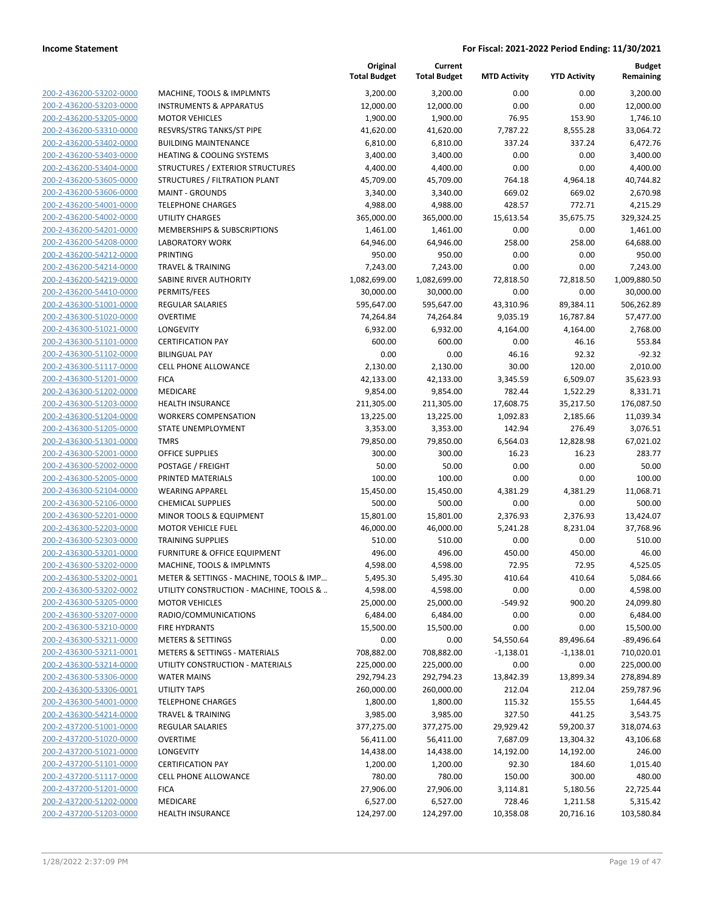|                                                    |                                                      | Original<br><b>Total Budget</b> | Current<br><b>Total Budget</b> | <b>MTD Activity</b>  | <b>YTD Activity</b>  | <b>Budget</b><br>Remaining |
|----------------------------------------------------|------------------------------------------------------|---------------------------------|--------------------------------|----------------------|----------------------|----------------------------|
| 200-2-436200-53202-0000                            | MACHINE, TOOLS & IMPLMNTS                            | 3,200.00                        | 3,200.00                       | 0.00                 | 0.00                 | 3,200.00                   |
| 200-2-436200-53203-0000                            | <b>INSTRUMENTS &amp; APPARATUS</b>                   | 12,000.00                       | 12,000.00                      | 0.00                 | 0.00                 | 12,000.00                  |
| 200-2-436200-53205-0000                            | <b>MOTOR VEHICLES</b>                                | 1,900.00                        | 1,900.00                       | 76.95                | 153.90               | 1,746.10                   |
| 200-2-436200-53310-0000                            | RESVRS/STRG TANKS/ST PIPE                            | 41,620.00                       | 41,620.00                      | 7,787.22             | 8,555.28             | 33,064.72                  |
| 200-2-436200-53402-0000                            | <b>BUILDING MAINTENANCE</b>                          | 6,810.00                        | 6,810.00                       | 337.24               | 337.24               | 6,472.76                   |
| 200-2-436200-53403-0000                            | <b>HEATING &amp; COOLING SYSTEMS</b>                 | 3,400.00                        | 3,400.00                       | 0.00                 | 0.00                 | 3,400.00                   |
| 200-2-436200-53404-0000                            | STRUCTURES / EXTERIOR STRUCTURES                     | 4,400.00                        | 4,400.00                       | 0.00                 | 0.00                 | 4,400.00                   |
| 200-2-436200-53605-0000                            | STRUCTURES / FILTRATION PLANT                        | 45,709.00                       | 45,709.00                      | 764.18               | 4,964.18             | 40,744.82                  |
| 200-2-436200-53606-0000                            | <b>MAINT - GROUNDS</b>                               | 3,340.00                        | 3,340.00                       | 669.02               | 669.02               | 2,670.98                   |
| 200-2-436200-54001-0000                            | <b>TELEPHONE CHARGES</b>                             | 4,988.00                        | 4,988.00                       | 428.57               | 772.71               | 4,215.29                   |
| 200-2-436200-54002-0000                            | UTILITY CHARGES                                      | 365,000.00                      | 365,000.00                     | 15,613.54            | 35,675.75            | 329,324.25                 |
| 200-2-436200-54201-0000                            | <b>MEMBERSHIPS &amp; SUBSCRIPTIONS</b>               | 1,461.00                        | 1,461.00                       | 0.00                 | 0.00                 | 1,461.00                   |
| 200-2-436200-54208-0000                            | <b>LABORATORY WORK</b>                               | 64,946.00                       | 64,946.00                      | 258.00               | 258.00               | 64,688.00                  |
| 200-2-436200-54212-0000                            | <b>PRINTING</b>                                      | 950.00                          | 950.00                         | 0.00                 | 0.00                 | 950.00                     |
| 200-2-436200-54214-0000                            | <b>TRAVEL &amp; TRAINING</b>                         | 7,243.00                        | 7,243.00                       | 0.00                 | 0.00                 | 7,243.00                   |
| 200-2-436200-54219-0000                            | SABINE RIVER AUTHORITY                               | 1,082,699.00                    | 1,082,699.00                   | 72,818.50            | 72,818.50            | 1,009,880.50               |
| 200-2-436200-54410-0000                            | PERMITS/FEES                                         | 30,000.00                       | 30,000.00                      | 0.00                 | 0.00                 | 30,000.00                  |
| 200-2-436300-51001-0000                            | <b>REGULAR SALARIES</b>                              | 595,647.00                      | 595,647.00                     | 43,310.96            | 89,384.11            | 506,262.89                 |
| 200-2-436300-51020-0000                            | <b>OVERTIME</b>                                      | 74,264.84                       | 74,264.84                      | 9,035.19             | 16,787.84            | 57,477.00                  |
| 200-2-436300-51021-0000                            | <b>LONGEVITY</b>                                     | 6,932.00                        | 6,932.00                       | 4,164.00             | 4,164.00             | 2,768.00                   |
| 200-2-436300-51101-0000                            | <b>CERTIFICATION PAY</b>                             | 600.00                          | 600.00                         | 0.00                 | 46.16                | 553.84                     |
| 200-2-436300-51102-0000                            | <b>BILINGUAL PAY</b>                                 | 0.00                            | 0.00                           | 46.16                | 92.32                | $-92.32$                   |
| 200-2-436300-51117-0000                            | <b>CELL PHONE ALLOWANCE</b>                          | 2,130.00                        | 2,130.00                       | 30.00                | 120.00               | 2,010.00                   |
| 200-2-436300-51201-0000                            | <b>FICA</b>                                          | 42,133.00                       | 42,133.00                      | 3,345.59             | 6,509.07             | 35,623.93                  |
| 200-2-436300-51202-0000                            | <b>MEDICARE</b>                                      | 9,854.00                        | 9,854.00                       | 782.44               | 1,522.29             | 8,331.71                   |
| 200-2-436300-51203-0000                            | <b>HEALTH INSURANCE</b>                              | 211,305.00                      | 211,305.00                     | 17,608.75            | 35,217.50            | 176,087.50                 |
| 200-2-436300-51204-0000                            | <b>WORKERS COMPENSATION</b>                          | 13,225.00                       | 13,225.00                      | 1,092.83             | 2,185.66             | 11,039.34                  |
| 200-2-436300-51205-0000                            | STATE UNEMPLOYMENT                                   | 3,353.00                        | 3,353.00                       | 142.94               | 276.49               | 3,076.51                   |
| 200-2-436300-51301-0000                            | <b>TMRS</b>                                          | 79,850.00                       | 79,850.00                      | 6,564.03             | 12,828.98            | 67,021.02                  |
| 200-2-436300-52001-0000                            | <b>OFFICE SUPPLIES</b>                               | 300.00                          | 300.00                         | 16.23                | 16.23                | 283.77                     |
| 200-2-436300-52002-0000                            | POSTAGE / FREIGHT                                    | 50.00                           | 50.00                          | 0.00                 | 0.00                 | 50.00                      |
| 200-2-436300-52005-0000                            | PRINTED MATERIALS                                    | 100.00                          | 100.00                         | 0.00                 | 0.00                 | 100.00                     |
| 200-2-436300-52104-0000                            | <b>WEARING APPAREL</b>                               | 15,450.00                       | 15,450.00                      | 4,381.29             | 4,381.29             | 11,068.71                  |
| 200-2-436300-52106-0000                            | <b>CHEMICAL SUPPLIES</b>                             | 500.00                          | 500.00                         | 0.00                 | 0.00                 | 500.00                     |
| 200-2-436300-52201-0000<br>200-2-436300-52203-0000 | MINOR TOOLS & EQUIPMENT<br><b>MOTOR VEHICLE FUEL</b> | 15,801.00<br>46,000.00          | 15,801.00<br>46,000.00         | 2,376.93<br>5,241.28 | 2,376.93<br>8,231.04 | 13,424.07<br>37,768.96     |
| 200-2-436300-52303-0000                            | <b>TRAINING SUPPLIES</b>                             | 510.00                          | 510.00                         | 0.00                 | 0.00                 | 510.00                     |
| 200-2-436300-53201-0000                            | FURNITURE & OFFICE EQUIPMENT                         | 496.00                          | 496.00                         | 450.00               | 450.00               | 46.00                      |
| 200-2-436300-53202-0000                            | MACHINE, TOOLS & IMPLMNTS                            | 4,598.00                        | 4,598.00                       | 72.95                | 72.95                | 4,525.05                   |
| <u>200-2-436300-53202-0001</u>                     | METER & SETTINGS - MACHINE, TOOLS & IMP              | 5,495.30                        | 5,495.30                       | 410.64               | 410.64               | 5,084.66                   |
| 200-2-436300-53202-0002                            | UTILITY CONSTRUCTION - MACHINE, TOOLS &              | 4,598.00                        | 4,598.00                       | 0.00                 | 0.00                 | 4,598.00                   |
| 200-2-436300-53205-0000                            | <b>MOTOR VEHICLES</b>                                | 25,000.00                       | 25,000.00                      | -549.92              | 900.20               | 24,099.80                  |
| 200-2-436300-53207-0000                            | RADIO/COMMUNICATIONS                                 | 6,484.00                        | 6,484.00                       | 0.00                 | 0.00                 | 6,484.00                   |
| 200-2-436300-53210-0000                            | <b>FIRE HYDRANTS</b>                                 | 15,500.00                       | 15,500.00                      | 0.00                 | 0.00                 | 15,500.00                  |
| 200-2-436300-53211-0000                            | <b>METERS &amp; SETTINGS</b>                         | 0.00                            | 0.00                           | 54,550.64            | 89,496.64            | -89,496.64                 |
| 200-2-436300-53211-0001                            | <b>METERS &amp; SETTINGS - MATERIALS</b>             | 708,882.00                      | 708,882.00                     | $-1,138.01$          | $-1,138.01$          | 710,020.01                 |
| 200-2-436300-53214-0000                            | UTILITY CONSTRUCTION - MATERIALS                     | 225,000.00                      | 225,000.00                     | 0.00                 | 0.00                 | 225,000.00                 |
| 200-2-436300-53306-0000                            | <b>WATER MAINS</b>                                   | 292,794.23                      | 292,794.23                     | 13,842.39            | 13,899.34            | 278,894.89                 |
| 200-2-436300-53306-0001                            | <b>UTILITY TAPS</b>                                  | 260,000.00                      | 260,000.00                     | 212.04               | 212.04               | 259,787.96                 |
| 200-2-436300-54001-0000                            | <b>TELEPHONE CHARGES</b>                             | 1,800.00                        | 1,800.00                       | 115.32               | 155.55               | 1,644.45                   |
| 200-2-436300-54214-0000                            | <b>TRAVEL &amp; TRAINING</b>                         | 3,985.00                        | 3,985.00                       | 327.50               | 441.25               | 3,543.75                   |
| 200-2-437200-51001-0000                            | <b>REGULAR SALARIES</b>                              | 377,275.00                      | 377,275.00                     | 29,929.42            | 59,200.37            | 318,074.63                 |
| 200-2-437200-51020-0000                            | <b>OVERTIME</b>                                      | 56,411.00                       | 56,411.00                      | 7,687.09             | 13,304.32            | 43,106.68                  |
| 200-2-437200-51021-0000                            | LONGEVITY                                            | 14,438.00                       | 14,438.00                      | 14,192.00            | 14,192.00            | 246.00                     |
| 200-2-437200-51101-0000                            | <b>CERTIFICATION PAY</b>                             | 1,200.00                        | 1,200.00                       | 92.30                | 184.60               | 1,015.40                   |
| 200-2-437200-51117-0000                            | CELL PHONE ALLOWANCE                                 | 780.00                          | 780.00                         | 150.00               | 300.00               | 480.00                     |
| 200-2-437200-51201-0000                            | <b>FICA</b>                                          | 27,906.00                       | 27,906.00                      | 3,114.81             | 5,180.56             | 22,725.44                  |
| 200-2-437200-51202-0000                            | MEDICARE                                             | 6,527.00                        | 6,527.00                       | 728.46               | 1,211.58             | 5,315.42                   |
| 200-2-437200-51203-0000                            | <b>HEALTH INSURANCE</b>                              | 124,297.00                      | 124,297.00                     | 10,358.08            | 20,716.16            | 103,580.84                 |
|                                                    |                                                      |                                 |                                |                      |                      |                            |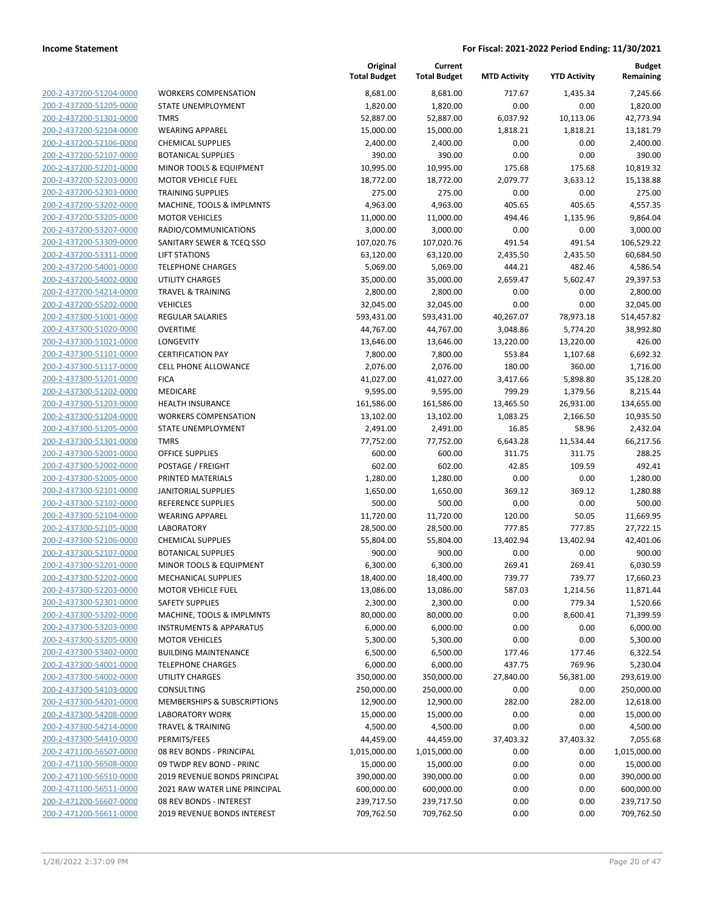**Current**

**Original**

**MTD Activity YTD Activity**

**Budget Remaining**

|                                                    |                                                         | <b>Total Budget</b>       | <b>Total Budget</b>       | <b>MTD Activity</b> | <b>YTD Activity</b> | Remaining                 |
|----------------------------------------------------|---------------------------------------------------------|---------------------------|---------------------------|---------------------|---------------------|---------------------------|
| 200-2-437200-51204-0000                            | <b>WORKERS COMPENSATION</b>                             | 8,681.00                  | 8,681.00                  | 717.67              | 1,435.34            | 7,245.66                  |
| 200-2-437200-51205-0000                            | STATE UNEMPLOYMENT                                      | 1,820.00                  | 1,820.00                  | 0.00                | 0.00                | 1,820.00                  |
| 200-2-437200-51301-0000                            | <b>TMRS</b>                                             | 52,887.00                 | 52,887.00                 | 6,037.92            | 10,113.06           | 42,773.94                 |
| 200-2-437200-52104-0000                            | <b>WEARING APPAREL</b>                                  | 15,000.00                 | 15,000.00                 | 1,818.21            | 1,818.21            | 13,181.79                 |
| 200-2-437200-52106-0000                            | <b>CHEMICAL SUPPLIES</b>                                | 2,400.00                  | 2,400.00                  | 0.00                | 0.00                | 2,400.00                  |
| 200-2-437200-52107-0000                            | <b>BOTANICAL SUPPLIES</b>                               | 390.00                    | 390.00                    | 0.00                | 0.00                | 390.00                    |
| 200-2-437200-52201-0000                            | MINOR TOOLS & EQUIPMENT                                 | 10,995.00                 | 10,995.00                 | 175.68              | 175.68              | 10,819.32                 |
| 200-2-437200-52203-0000                            | <b>MOTOR VEHICLE FUEL</b>                               | 18,772.00                 | 18,772.00                 | 2,079.77            | 3,633.12            | 15,138.88                 |
| 200-2-437200-52303-0000                            | <b>TRAINING SUPPLIES</b>                                | 275.00                    | 275.00                    | 0.00                | 0.00                | 275.00                    |
| 200-2-437200-53202-0000                            | MACHINE, TOOLS & IMPLMNTS                               | 4,963.00                  | 4,963.00                  | 405.65              | 405.65              | 4,557.35                  |
| 200-2-437200-53205-0000                            | <b>MOTOR VEHICLES</b>                                   | 11,000.00                 | 11,000.00                 | 494.46              | 1,135.96            | 9,864.04                  |
| 200-2-437200-53207-0000                            | RADIO/COMMUNICATIONS                                    | 3,000.00                  | 3,000.00                  | 0.00                | 0.00                | 3,000.00                  |
| 200-2-437200-53309-0000                            | SANITARY SEWER & TCEQ SSO                               | 107,020.76                | 107,020.76                | 491.54              | 491.54              | 106,529.22                |
| 200-2-437200-53311-0000                            | <b>LIFT STATIONS</b>                                    | 63,120.00                 | 63,120.00                 | 2,435.50            | 2,435.50            | 60,684.50                 |
| 200-2-437200-54001-0000                            | <b>TELEPHONE CHARGES</b>                                | 5,069.00                  | 5,069.00                  | 444.21              | 482.46              | 4,586.54                  |
| 200-2-437200-54002-0000                            | <b>UTILITY CHARGES</b>                                  | 35,000.00                 | 35,000.00                 | 2,659.47            | 5,602.47            | 29,397.53                 |
| 200-2-437200-54214-0000                            | <b>TRAVEL &amp; TRAINING</b>                            | 2,800.00                  | 2,800.00                  | 0.00                | 0.00                | 2,800.00                  |
| 200-2-437200-55202-0000                            | <b>VEHICLES</b>                                         | 32,045.00                 | 32,045.00                 | 0.00                | 0.00                | 32,045.00                 |
| 200-2-437300-51001-0000                            | <b>REGULAR SALARIES</b>                                 | 593,431.00                | 593,431.00                | 40,267.07           | 78,973.18           | 514,457.82                |
| 200-2-437300-51020-0000                            | <b>OVERTIME</b>                                         | 44,767.00                 | 44,767.00                 | 3,048.86            | 5,774.20            | 38,992.80                 |
| 200-2-437300-51021-0000                            | LONGEVITY                                               | 13,646.00                 | 13,646.00                 | 13,220.00           | 13,220.00           | 426.00<br>6,692.32        |
| 200-2-437300-51101-0000<br>200-2-437300-51117-0000 | <b>CERTIFICATION PAY</b><br><b>CELL PHONE ALLOWANCE</b> | 7,800.00<br>2,076.00      | 7,800.00<br>2,076.00      | 553.84<br>180.00    | 1,107.68<br>360.00  | 1,716.00                  |
| 200-2-437300-51201-0000                            | <b>FICA</b>                                             | 41,027.00                 | 41,027.00                 | 3,417.66            | 5,898.80            | 35,128.20                 |
| 200-2-437300-51202-0000                            | MEDICARE                                                | 9,595.00                  | 9,595.00                  | 799.29              | 1,379.56            | 8,215.44                  |
| 200-2-437300-51203-0000                            | <b>HEALTH INSURANCE</b>                                 | 161,586.00                | 161,586.00                | 13,465.50           | 26,931.00           | 134,655.00                |
| 200-2-437300-51204-0000                            | <b>WORKERS COMPENSATION</b>                             | 13,102.00                 | 13,102.00                 | 1,083.25            | 2,166.50            | 10,935.50                 |
| 200-2-437300-51205-0000                            | STATE UNEMPLOYMENT                                      | 2,491.00                  | 2,491.00                  | 16.85               | 58.96               | 2,432.04                  |
| 200-2-437300-51301-0000                            | <b>TMRS</b>                                             | 77,752.00                 | 77,752.00                 | 6,643.28            | 11,534.44           | 66,217.56                 |
| 200-2-437300-52001-0000                            | OFFICE SUPPLIES                                         | 600.00                    | 600.00                    | 311.75              | 311.75              | 288.25                    |
| 200-2-437300-52002-0000                            | POSTAGE / FREIGHT                                       | 602.00                    | 602.00                    | 42.85               | 109.59              | 492.41                    |
| 200-2-437300-52005-0000                            | PRINTED MATERIALS                                       | 1,280.00                  | 1,280.00                  | 0.00                | 0.00                | 1,280.00                  |
| 200-2-437300-52101-0000                            | <b>JANITORIAL SUPPLIES</b>                              | 1,650.00                  | 1,650.00                  | 369.12              | 369.12              | 1,280.88                  |
| 200-2-437300-52102-0000                            | <b>REFERENCE SUPPLIES</b>                               | 500.00                    | 500.00                    | 0.00                | 0.00                | 500.00                    |
| 200-2-437300-52104-0000                            | <b>WEARING APPAREL</b>                                  | 11,720.00                 | 11,720.00                 | 120.00              | 50.05               | 11,669.95                 |
| 200-2-437300-52105-0000                            | <b>LABORATORY</b>                                       | 28,500.00                 | 28,500.00                 | 777.85              | 777.85              | 27,722.15                 |
| 200-2-437300-52106-0000                            | <b>CHEMICAL SUPPLIES</b>                                | 55,804.00                 | 55,804.00                 | 13,402.94           | 13,402.94           | 42,401.06                 |
| 200-2-437300-52107-0000                            | <b>BOTANICAL SUPPLIES</b>                               | 900.00                    | 900.00                    | 0.00                | 0.00                | 900.00                    |
| 200-2-437300-52201-0000                            | MINOR TOOLS & EQUIPMENT                                 | 6,300.00                  | 6,300.00                  | 269.41              | 269.41              | 6,030.59                  |
| 200-2-437300-52202-0000                            | <b>MECHANICAL SUPPLIES</b>                              | 18,400.00                 | 18,400.00                 | 739.77              | 739.77              | 17,660.23                 |
| 200-2-437300-52203-0000                            | <b>MOTOR VEHICLE FUEL</b>                               | 13,086.00                 | 13,086.00                 | 587.03              | 1,214.56            | 11,871.44                 |
| 200-2-437300-52301-0000                            | SAFETY SUPPLIES                                         | 2,300.00                  | 2,300.00                  | 0.00                | 779.34              | 1,520.66                  |
| 200-2-437300-53202-0000                            | MACHINE, TOOLS & IMPLMNTS                               | 80,000.00                 | 80,000.00                 | 0.00                | 8,600.41            | 71,399.59                 |
| 200-2-437300-53203-0000                            | <b>INSTRUMENTS &amp; APPARATUS</b>                      | 6,000.00                  | 6,000.00                  | 0.00                | 0.00                | 6,000.00                  |
| 200-2-437300-53205-0000                            | <b>MOTOR VEHICLES</b>                                   | 5,300.00                  | 5,300.00                  | 0.00                | 0.00                | 5,300.00                  |
| 200-2-437300-53402-0000                            | <b>BUILDING MAINTENANCE</b>                             | 6,500.00                  | 6,500.00                  | 177.46              | 177.46              | 6,322.54                  |
| 200-2-437300-54001-0000                            | <b>TELEPHONE CHARGES</b>                                | 6,000.00                  | 6,000.00                  | 437.75              | 769.96              | 5,230.04                  |
| 200-2-437300-54002-0000                            | <b>UTILITY CHARGES</b>                                  | 350,000.00                | 350,000.00                | 27,840.00           | 56,381.00           | 293,619.00                |
| 200-2-437300-54103-0000                            | CONSULTING                                              | 250,000.00                | 250,000.00                | 0.00                | 0.00                | 250,000.00                |
| 200-2-437300-54201-0000                            | MEMBERSHIPS & SUBSCRIPTIONS                             | 12,900.00                 | 12,900.00                 | 282.00              | 282.00              | 12,618.00                 |
| 200-2-437300-54208-0000                            | <b>LABORATORY WORK</b>                                  | 15,000.00                 | 15,000.00                 | 0.00                | 0.00                | 15,000.00                 |
| 200-2-437300-54214-0000                            | <b>TRAVEL &amp; TRAINING</b>                            | 4,500.00                  | 4,500.00                  | 0.00                | 0.00                | 4,500.00                  |
| 200-2-437300-54410-0000<br>200-2-471100-56507-0000 | PERMITS/FEES<br>08 REV BONDS - PRINCIPAL                | 44,459.00                 | 44,459.00                 | 37,403.32<br>0.00   | 37,403.32<br>0.00   | 7,055.68                  |
| 200-2-471100-56508-0000                            | 09 TWDP REV BOND - PRINC                                | 1,015,000.00<br>15,000.00 | 1,015,000.00<br>15,000.00 | 0.00                | 0.00                | 1,015,000.00<br>15,000.00 |
| 200-2-471100-56510-0000                            | 2019 REVENUE BONDS PRINCIPAL                            | 390,000.00                | 390,000.00                | 0.00                | 0.00                | 390,000.00                |
| 200-2-471100-56511-0000                            | 2021 RAW WATER LINE PRINCIPAL                           | 600,000.00                | 600,000.00                | 0.00                | 0.00                | 600,000.00                |
| 200-2-471200-56607-0000                            | 08 REV BONDS - INTEREST                                 | 239,717.50                | 239,717.50                | 0.00                | 0.00                | 239,717.50                |
| 200-2-471200-56611-0000                            | 2019 REVENUE BONDS INTEREST                             | 709,762.50                | 709,762.50                | 0.00                | 0.00                | 709,762.50                |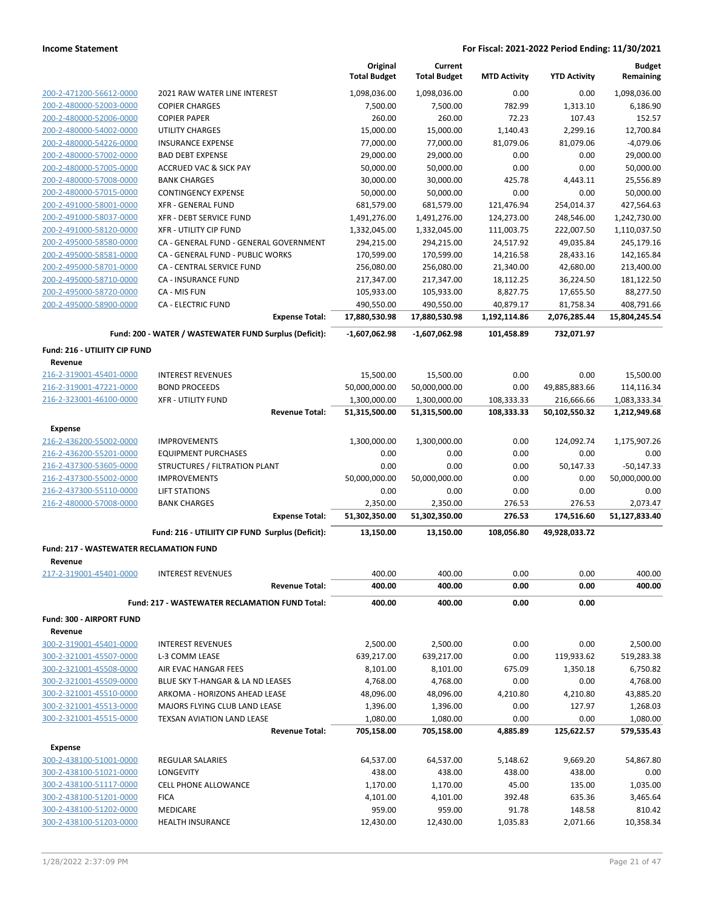|                                                    |                                                        | Original<br><b>Total Budget</b> | Current<br><b>Total Budget</b> | <b>MTD Activity</b>      | <b>YTD Activity</b>         | <b>Budget</b><br>Remaining    |
|----------------------------------------------------|--------------------------------------------------------|---------------------------------|--------------------------------|--------------------------|-----------------------------|-------------------------------|
|                                                    | 2021 RAW WATER LINE INTEREST                           | 1,098,036.00                    | 1,098,036.00                   | 0.00                     | 0.00                        | 1,098,036.00                  |
| 200-2-471200-56612-0000<br>200-2-480000-52003-0000 | <b>COPIER CHARGES</b>                                  | 7,500.00                        | 7,500.00                       | 782.99                   | 1,313.10                    | 6,186.90                      |
| 200-2-480000-52006-0000                            | <b>COPIER PAPER</b>                                    | 260.00                          | 260.00                         | 72.23                    | 107.43                      | 152.57                        |
| 200-2-480000-54002-0000                            | <b>UTILITY CHARGES</b>                                 | 15,000.00                       | 15,000.00                      | 1,140.43                 | 2,299.16                    | 12.700.84                     |
| 200-2-480000-54226-0000                            | <b>INSURANCE EXPENSE</b>                               | 77,000.00                       | 77,000.00                      | 81,079.06                | 81,079.06                   | $-4,079.06$                   |
| 200-2-480000-57002-0000                            | <b>BAD DEBT EXPENSE</b>                                | 29,000.00                       | 29,000.00                      | 0.00                     | 0.00                        | 29,000.00                     |
| 200-2-480000-57005-0000                            | ACCRUED VAC & SICK PAY                                 | 50,000.00                       | 50,000.00                      | 0.00                     | 0.00                        | 50,000.00                     |
| 200-2-480000-57008-0000                            | <b>BANK CHARGES</b>                                    | 30,000.00                       | 30,000.00                      | 425.78                   | 4,443.11                    | 25,556.89                     |
| 200-2-480000-57015-0000                            | <b>CONTINGENCY EXPENSE</b>                             | 50,000.00                       | 50,000.00                      | 0.00                     | 0.00                        | 50,000.00                     |
| 200-2-491000-58001-0000                            | <b>XFR - GENERAL FUND</b>                              | 681,579.00                      | 681,579.00                     | 121,476.94               | 254,014.37                  | 427,564.63                    |
| 200-2-491000-58037-0000                            | <b>XFR - DEBT SERVICE FUND</b>                         | 1,491,276.00                    | 1,491,276.00                   | 124,273.00               | 248,546.00                  | 1,242,730.00                  |
| 200-2-491000-58120-0000                            | <b>XFR - UTILITY CIP FUND</b>                          | 1,332,045.00                    | 1,332,045.00                   | 111,003.75               | 222,007.50                  | 1,110,037.50                  |
| 200-2-495000-58580-0000                            | CA - GENERAL FUND - GENERAL GOVERNMENT                 | 294,215.00                      | 294,215.00                     | 24,517.92                | 49,035.84                   | 245,179.16                    |
| 200-2-495000-58581-0000                            | CA - GENERAL FUND - PUBLIC WORKS                       | 170,599.00                      | 170,599.00                     | 14,216.58                | 28,433.16                   | 142,165.84                    |
| 200-2-495000-58701-0000                            | CA - CENTRAL SERVICE FUND                              | 256,080.00                      | 256,080.00                     | 21,340.00                | 42,680.00                   | 213,400.00                    |
| 200-2-495000-58710-0000                            | CA - INSURANCE FUND                                    | 217,347.00                      | 217,347.00                     | 18,112.25                | 36,224.50                   | 181,122.50                    |
| 200-2-495000-58720-0000                            | CA - MIS FUN                                           | 105,933.00                      | 105,933.00                     | 8,827.75                 | 17,655.50                   | 88,277.50                     |
| 200-2-495000-58900-0000                            | <b>CA - ELECTRIC FUND</b>                              | 490,550.00                      | 490,550.00                     | 40,879.17                | 81,758.34                   | 408,791.66                    |
|                                                    | <b>Expense Total:</b>                                  | 17,880,530.98                   | 17,880,530.98                  | 1,192,114.86             | 2,076,285.44                | 15,804,245.54                 |
|                                                    | Fund: 200 - WATER / WASTEWATER FUND Surplus (Deficit): | $-1,607,062.98$                 | $-1,607,062.98$                | 101,458.89               | 732,071.97                  |                               |
| Fund: 216 - UTILIITY CIP FUND                      |                                                        |                                 |                                |                          |                             |                               |
| Revenue                                            |                                                        |                                 |                                |                          |                             |                               |
| 216-2-319001-45401-0000                            | <b>INTEREST REVENUES</b>                               | 15,500.00                       | 15,500.00                      | 0.00                     | 0.00                        | 15,500.00                     |
| 216-2-319001-47221-0000                            | <b>BOND PROCEEDS</b>                                   | 50,000,000.00                   | 50,000,000.00                  | 0.00                     | 49,885,883.66               | 114,116.34                    |
| 216-2-323001-46100-0000                            | <b>XFR - UTILITY FUND</b><br><b>Revenue Total:</b>     | 1,300,000.00<br>51,315,500.00   | 1,300,000.00<br>51,315,500.00  | 108,333.33<br>108,333.33 | 216,666.66<br>50,102,550.32 | 1,083,333.34<br>1,212,949.68  |
|                                                    |                                                        |                                 |                                |                          |                             |                               |
| <b>Expense</b>                                     |                                                        |                                 |                                |                          |                             |                               |
| 216-2-436200-55002-0000                            | <b>IMPROVEMENTS</b>                                    | 1,300,000.00                    | 1,300,000.00                   | 0.00                     | 124,092.74                  | 1,175,907.26                  |
| 216-2-436200-55201-0000                            | <b>EQUIPMENT PURCHASES</b>                             | 0.00<br>0.00                    | 0.00<br>0.00                   | 0.00                     | 0.00                        | 0.00                          |
| 216-2-437300-53605-0000<br>216-2-437300-55002-0000 | STRUCTURES / FILTRATION PLANT<br><b>IMPROVEMENTS</b>   | 50,000,000.00                   | 50,000,000.00                  | 0.00<br>0.00             | 50,147.33<br>0.00           | $-50,147.33$<br>50,000,000.00 |
| 216-2-437300-55110-0000                            | <b>LIFT STATIONS</b>                                   | 0.00                            | 0.00                           | 0.00                     | 0.00                        | 0.00                          |
| 216-2-480000-57008-0000                            | <b>BANK CHARGES</b>                                    | 2,350.00                        | 2,350.00                       | 276.53                   | 276.53                      | 2,073.47                      |
|                                                    | <b>Expense Total:</b>                                  | 51,302,350.00                   | 51,302,350.00                  | 276.53                   | 174,516.60                  | 51,127,833.40                 |
|                                                    | Fund: 216 - UTILIITY CIP FUND Surplus (Deficit):       | 13,150.00                       | 13,150.00                      | 108,056.80               | 49,928,033.72               |                               |
| <b>Fund: 217 - WASTEWATER RECLAMATION FUND</b>     |                                                        |                                 |                                |                          |                             |                               |
| Revenue                                            |                                                        |                                 |                                |                          |                             |                               |
| 217-2-319001-45401-0000                            | <b>INTEREST REVENUES</b>                               | 400.00                          | 400.00                         | 0.00                     | 0.00                        | 400.00                        |
|                                                    | <b>Revenue Total:</b>                                  | 400.00                          | 400.00                         | 0.00                     | 0.00                        | 400.00                        |
|                                                    | Fund: 217 - WASTEWATER RECLAMATION FUND Total:         | 400.00                          | 400.00                         | 0.00                     | 0.00                        |                               |
| Fund: 300 - AIRPORT FUND                           |                                                        |                                 |                                |                          |                             |                               |
| Revenue                                            |                                                        |                                 |                                |                          |                             |                               |
| 300-2-319001-45401-0000                            | <b>INTEREST REVENUES</b>                               | 2,500.00                        | 2,500.00                       | 0.00                     | 0.00                        | 2,500.00                      |
| 300-2-321001-45507-0000                            | L-3 COMM LEASE                                         | 639,217.00                      | 639,217.00                     | 0.00                     | 119,933.62                  | 519,283.38                    |
| 300-2-321001-45508-0000                            | AIR EVAC HANGAR FEES                                   | 8,101.00                        | 8,101.00                       | 675.09                   | 1,350.18                    | 6,750.82                      |
| 300-2-321001-45509-0000                            | BLUE SKY T-HANGAR & LA ND LEASES                       | 4,768.00                        | 4,768.00                       | 0.00                     | 0.00                        | 4,768.00                      |
| 300-2-321001-45510-0000                            | ARKOMA - HORIZONS AHEAD LEASE                          | 48,096.00                       | 48,096.00                      | 4,210.80                 | 4,210.80                    | 43,885.20                     |
| 300-2-321001-45513-0000                            | MAJORS FLYING CLUB LAND LEASE                          | 1,396.00                        | 1,396.00                       | 0.00                     | 127.97                      | 1,268.03                      |
| 300-2-321001-45515-0000                            | TEXSAN AVIATION LAND LEASE                             | 1,080.00                        | 1,080.00                       | 0.00                     | 0.00                        | 1,080.00                      |
|                                                    | <b>Revenue Total:</b>                                  | 705,158.00                      | 705,158.00                     | 4,885.89                 | 125,622.57                  | 579,535.43                    |
| <b>Expense</b>                                     |                                                        |                                 |                                |                          |                             |                               |
| 300-2-438100-51001-0000                            | REGULAR SALARIES                                       | 64,537.00                       | 64,537.00                      | 5,148.62<br>438.00       | 9,669.20                    | 54,867.80                     |
| 300-2-438100-51021-0000<br>300-2-438100-51117-0000 | LONGEVITY<br><b>CELL PHONE ALLOWANCE</b>               | 438.00<br>1,170.00              | 438.00<br>1,170.00             | 45.00                    | 438.00<br>135.00            | 0.00<br>1,035.00              |
| 300-2-438100-51201-0000                            | <b>FICA</b>                                            | 4,101.00                        | 4,101.00                       | 392.48                   | 635.36                      | 3,465.64                      |
| 300-2-438100-51202-0000                            | MEDICARE                                               | 959.00                          | 959.00                         | 91.78                    | 148.58                      | 810.42                        |
| 300-2-438100-51203-0000                            | <b>HEALTH INSURANCE</b>                                | 12,430.00                       | 12,430.00                      | 1,035.83                 | 2,071.66                    | 10,358.34                     |
|                                                    |                                                        |                                 |                                |                          |                             |                               |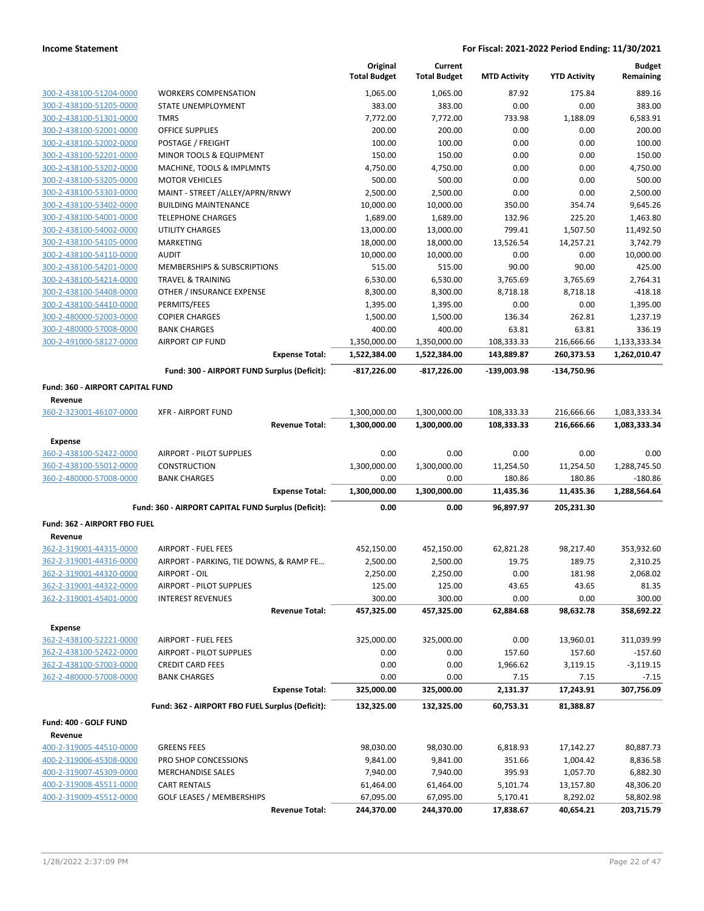|                                                    |                                                           | Original<br><b>Total Budget</b> | Current<br><b>Total Budget</b> | <b>MTD Activity</b>   | <b>YTD Activity</b>   | <b>Budget</b><br>Remaining |
|----------------------------------------------------|-----------------------------------------------------------|---------------------------------|--------------------------------|-----------------------|-----------------------|----------------------------|
| 300-2-438100-51204-0000                            | <b>WORKERS COMPENSATION</b>                               | 1,065.00                        | 1,065.00                       | 87.92                 | 175.84                | 889.16                     |
| 300-2-438100-51205-0000                            | STATE UNEMPLOYMENT                                        | 383.00                          | 383.00                         | 0.00                  | 0.00                  | 383.00                     |
| 300-2-438100-51301-0000                            | <b>TMRS</b>                                               | 7,772.00                        | 7,772.00                       | 733.98                | 1,188.09              | 6,583.91                   |
| 300-2-438100-52001-0000                            | OFFICE SUPPLIES                                           | 200.00                          | 200.00                         | 0.00                  | 0.00                  | 200.00                     |
| 300-2-438100-52002-0000                            | POSTAGE / FREIGHT                                         | 100.00                          | 100.00                         | 0.00                  | 0.00                  | 100.00                     |
| 300-2-438100-52201-0000                            | MINOR TOOLS & EQUIPMENT                                   | 150.00                          | 150.00                         | 0.00                  | 0.00                  | 150.00                     |
| 300-2-438100-53202-0000                            | MACHINE, TOOLS & IMPLMNTS                                 | 4,750.00                        | 4,750.00                       | 0.00                  | 0.00                  | 4,750.00                   |
| 300-2-438100-53205-0000                            | <b>MOTOR VEHICLES</b>                                     | 500.00                          | 500.00                         | 0.00                  | 0.00                  | 500.00                     |
| 300-2-438100-53303-0000                            | MAINT - STREET /ALLEY/APRN/RNWY                           | 2,500.00                        | 2,500.00                       | 0.00                  | 0.00                  | 2,500.00                   |
| 300-2-438100-53402-0000                            | <b>BUILDING MAINTENANCE</b>                               | 10,000.00                       | 10,000.00                      | 350.00                | 354.74                | 9,645.26                   |
| 300-2-438100-54001-0000                            | <b>TELEPHONE CHARGES</b>                                  | 1,689.00                        | 1,689.00                       | 132.96                | 225.20                | 1,463.80                   |
| 300-2-438100-54002-0000                            | <b>UTILITY CHARGES</b>                                    | 13,000.00                       | 13,000.00                      | 799.41                | 1,507.50              | 11,492.50                  |
| 300-2-438100-54105-0000                            | <b>MARKETING</b>                                          | 18,000.00                       | 18,000.00                      | 13,526.54             | 14,257.21             | 3,742.79                   |
| 300-2-438100-54110-0000                            | <b>AUDIT</b>                                              | 10,000.00                       | 10,000.00                      | 0.00                  | 0.00                  | 10,000.00                  |
| 300-2-438100-54201-0000                            | MEMBERSHIPS & SUBSCRIPTIONS                               | 515.00                          | 515.00                         | 90.00                 | 90.00                 | 425.00                     |
| 300-2-438100-54214-0000<br>300-2-438100-54408-0000 | <b>TRAVEL &amp; TRAINING</b>                              | 6,530.00                        | 6,530.00                       | 3,765.69<br>8,718.18  | 3,765.69              | 2,764.31<br>$-418.18$      |
| 300-2-438100-54410-0000                            | OTHER / INSURANCE EXPENSE<br>PERMITS/FEES                 | 8,300.00<br>1,395.00            | 8,300.00<br>1,395.00           | 0.00                  | 8,718.18<br>0.00      | 1,395.00                   |
| 300-2-480000-52003-0000                            | <b>COPIER CHARGES</b>                                     | 1,500.00                        | 1,500.00                       | 136.34                | 262.81                | 1,237.19                   |
| 300-2-480000-57008-0000                            | <b>BANK CHARGES</b>                                       | 400.00                          | 400.00                         | 63.81                 | 63.81                 | 336.19                     |
| 300-2-491000-58127-0000                            | <b>AIRPORT CIP FUND</b>                                   | 1,350,000.00                    | 1,350,000.00                   | 108,333.33            | 216,666.66            | 1,133,333.34               |
|                                                    | <b>Expense Total:</b>                                     | 1,522,384.00                    | 1,522,384.00                   | 143,889.87            | 260,373.53            | 1,262,010.47               |
|                                                    | Fund: 300 - AIRPORT FUND Surplus (Deficit):               | $-817,226.00$                   | -817,226.00                    | $-139,003.98$         | -134,750.96           |                            |
| <b>Fund: 360 - AIRPORT CAPITAL FUND</b>            |                                                           |                                 |                                |                       |                       |                            |
| Revenue                                            |                                                           |                                 |                                |                       |                       |                            |
| 360-2-323001-46107-0000                            | <b>XFR - AIRPORT FUND</b>                                 | 1,300,000.00                    | 1,300,000.00                   | 108,333.33            | 216,666.66            | 1,083,333.34               |
|                                                    | <b>Revenue Total:</b>                                     | 1,300,000.00                    | 1,300,000.00                   | 108,333.33            | 216,666.66            | 1,083,333.34               |
| <b>Expense</b>                                     |                                                           |                                 |                                |                       |                       |                            |
| 360-2-438100-52422-0000                            | <b>AIRPORT - PILOT SUPPLIES</b>                           | 0.00                            | 0.00                           | 0.00                  | 0.00                  | 0.00                       |
| 360-2-438100-55012-0000                            | <b>CONSTRUCTION</b>                                       | 1,300,000.00                    | 1,300,000.00                   | 11,254.50             | 11,254.50             | 1,288,745.50               |
| 360-2-480000-57008-0000                            | <b>BANK CHARGES</b>                                       | 0.00                            | 0.00                           | 180.86                | 180.86                | $-180.86$                  |
|                                                    | <b>Expense Total:</b>                                     | 1,300,000.00                    | 1,300,000.00                   | 11,435.36             | 11,435.36             | 1,288,564.64               |
|                                                    | Fund: 360 - AIRPORT CAPITAL FUND Surplus (Deficit):       | 0.00                            | 0.00                           | 96,897.97             | 205,231.30            |                            |
| Fund: 362 - AIRPORT FBO FUEL                       |                                                           |                                 |                                |                       |                       |                            |
| Revenue                                            |                                                           |                                 |                                |                       |                       |                            |
| 362-2-319001-44315-0000                            | <b>AIRPORT - FUEL FEES</b>                                | 452,150.00                      | 452,150.00                     | 62,821.28             | 98,217.40             | 353,932.60                 |
| 362-2-319001-44316-0000                            | AIRPORT - PARKING, TIE DOWNS, & RAMP FE                   | 2,500.00                        | 2,500.00                       | 19.75                 | 189.75                | 2,310.25                   |
| 362-2-319001-44320-0000                            | AIRPORT - OIL                                             | 2,250.00                        | 2,250.00                       | 0.00                  | 181.98                | 2,068.02                   |
| 362-2-319001-44322-0000                            | <b>AIRPORT - PILOT SUPPLIES</b>                           | 125.00                          | 125.00                         | 43.65                 | 43.65                 | 81.35                      |
| 362-2-319001-45401-0000                            | <b>INTEREST REVENUES</b>                                  | 300.00                          | 300.00                         | 0.00                  | 0.00                  | 300.00                     |
|                                                    | <b>Revenue Total:</b>                                     | 457,325.00                      | 457,325.00                     | 62,884.68             | 98,632.78             | 358,692.22                 |
| <b>Expense</b>                                     |                                                           |                                 |                                |                       |                       |                            |
| 362-2-438100-52221-0000                            | <b>AIRPORT - FUEL FEES</b>                                | 325,000.00                      | 325,000.00                     | 0.00                  | 13,960.01             | 311,039.99                 |
| 362-2-438100-52422-0000                            | <b>AIRPORT - PILOT SUPPLIES</b>                           | 0.00                            | 0.00                           | 157.60                | 157.60                | $-157.60$                  |
| 362-2-438100-57003-0000                            | <b>CREDIT CARD FEES</b>                                   | 0.00                            | 0.00                           | 1,966.62              | 3,119.15              | $-3,119.15$                |
| 362-2-480000-57008-0000                            | <b>BANK CHARGES</b>                                       | 0.00                            | 0.00                           | 7.15                  | 7.15                  | $-7.15$                    |
|                                                    | <b>Expense Total:</b>                                     | 325,000.00                      | 325,000.00                     | 2,131.37              | 17,243.91             | 307,756.09                 |
|                                                    | Fund: 362 - AIRPORT FBO FUEL Surplus (Deficit):           | 132,325.00                      | 132,325.00                     | 60,753.31             | 81,388.87             |                            |
| Fund: 400 - GOLF FUND                              |                                                           |                                 |                                |                       |                       |                            |
| Revenue                                            |                                                           |                                 |                                |                       |                       |                            |
| 400-2-319005-44510-0000                            | <b>GREENS FEES</b>                                        | 98,030.00                       | 98,030.00                      | 6,818.93              | 17,142.27             | 80,887.73                  |
| 400-2-319006-45308-0000                            | PRO SHOP CONCESSIONS                                      | 9,841.00                        | 9,841.00                       | 351.66                | 1,004.42              | 8,836.58                   |
| 400-2-319007-45309-0000                            | <b>MERCHANDISE SALES</b>                                  | 7,940.00                        | 7,940.00                       | 395.93                | 1,057.70              | 6,882.30                   |
| 400-2-319008-45511-0000                            | <b>CART RENTALS</b>                                       | 61,464.00                       | 61,464.00                      | 5,101.74              | 13,157.80             | 48,306.20                  |
| 400-2-319009-45512-0000                            | <b>GOLF LEASES / MEMBERSHIPS</b><br><b>Revenue Total:</b> | 67,095.00<br>244,370.00         | 67,095.00<br>244,370.00        | 5,170.41<br>17,838.67 | 8,292.02<br>40,654.21 | 58,802.98<br>203,715.79    |
|                                                    |                                                           |                                 |                                |                       |                       |                            |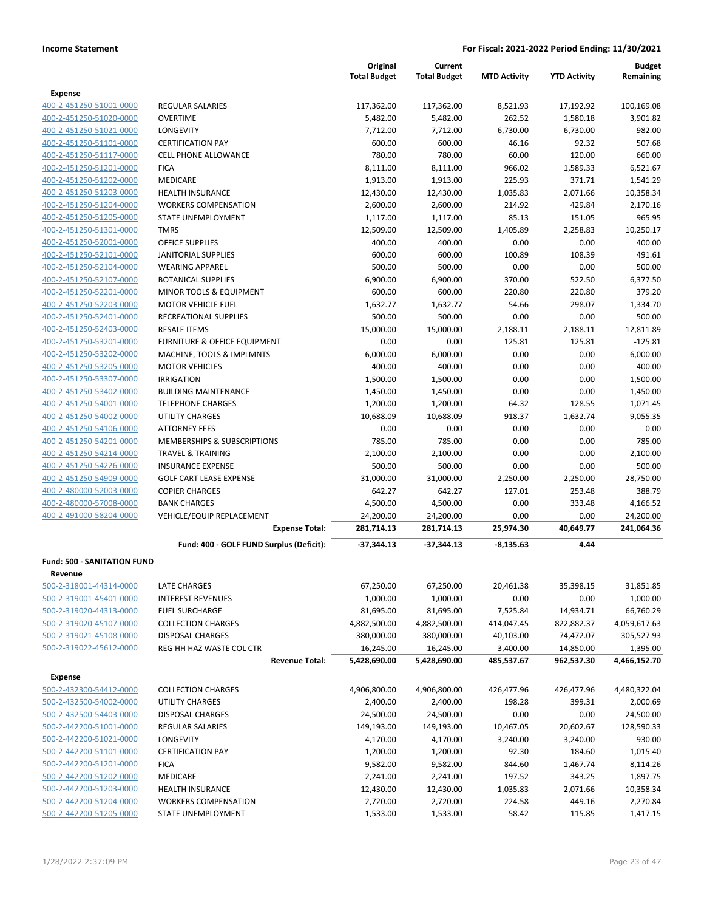|                                    |                                                    | Original<br><b>Total Budget</b> | Current<br><b>Total Budget</b> | <b>MTD Activity</b>    | <b>YTD Activity</b>     | <b>Budget</b><br>Remaining |
|------------------------------------|----------------------------------------------------|---------------------------------|--------------------------------|------------------------|-------------------------|----------------------------|
| <b>Expense</b>                     |                                                    |                                 |                                |                        |                         |                            |
| 400-2-451250-51001-0000            | REGULAR SALARIES                                   | 117,362.00                      | 117,362.00                     | 8,521.93               | 17,192.92               | 100,169.08                 |
| 400-2-451250-51020-0000            | <b>OVERTIME</b>                                    | 5,482.00                        | 5,482.00                       | 262.52                 | 1,580.18                | 3,901.82                   |
| 400-2-451250-51021-0000            | <b>LONGEVITY</b>                                   | 7,712.00                        | 7,712.00                       | 6,730.00               | 6,730.00                | 982.00                     |
| 400-2-451250-51101-0000            | <b>CERTIFICATION PAY</b>                           | 600.00                          | 600.00                         | 46.16                  | 92.32                   | 507.68                     |
| 400-2-451250-51117-0000            | <b>CELL PHONE ALLOWANCE</b>                        | 780.00                          | 780.00                         | 60.00                  | 120.00                  | 660.00                     |
| 400-2-451250-51201-0000            | <b>FICA</b>                                        | 8,111.00                        | 8,111.00                       | 966.02                 | 1,589.33                | 6,521.67                   |
| 400-2-451250-51202-0000            | MEDICARE                                           | 1,913.00                        | 1,913.00                       | 225.93                 | 371.71                  | 1,541.29                   |
| 400-2-451250-51203-0000            | <b>HEALTH INSURANCE</b>                            | 12,430.00                       | 12,430.00                      | 1,035.83               | 2,071.66                | 10,358.34                  |
| 400-2-451250-51204-0000            | <b>WORKERS COMPENSATION</b>                        | 2,600.00                        | 2,600.00                       | 214.92                 | 429.84                  | 2,170.16                   |
| 400-2-451250-51205-0000            | STATE UNEMPLOYMENT                                 | 1,117.00                        | 1,117.00                       | 85.13                  | 151.05                  | 965.95                     |
| 400-2-451250-51301-0000            | <b>TMRS</b>                                        | 12,509.00                       | 12,509.00                      | 1,405.89               | 2,258.83                | 10,250.17                  |
| 400-2-451250-52001-0000            | <b>OFFICE SUPPLIES</b>                             | 400.00                          | 400.00                         | 0.00                   | 0.00                    | 400.00                     |
| 400-2-451250-52101-0000            | <b>JANITORIAL SUPPLIES</b>                         | 600.00                          | 600.00                         | 100.89                 | 108.39                  | 491.61                     |
| 400-2-451250-52104-0000            | <b>WEARING APPAREL</b>                             | 500.00                          | 500.00                         | 0.00                   | 0.00                    | 500.00                     |
| 400-2-451250-52107-0000            | <b>BOTANICAL SUPPLIES</b>                          | 6,900.00                        | 6,900.00                       | 370.00                 | 522.50                  | 6,377.50                   |
| 400-2-451250-52201-0000            | MINOR TOOLS & EQUIPMENT                            | 600.00                          | 600.00                         | 220.80                 | 220.80                  | 379.20                     |
| 400-2-451250-52203-0000            | <b>MOTOR VEHICLE FUEL</b>                          | 1,632.77                        | 1,632.77                       | 54.66                  | 298.07                  | 1,334.70                   |
| 400-2-451250-52401-0000            | RECREATIONAL SUPPLIES                              | 500.00                          | 500.00                         | 0.00                   | 0.00                    | 500.00                     |
| 400-2-451250-52403-0000            | <b>RESALE ITEMS</b>                                | 15,000.00                       | 15,000.00                      | 2,188.11               | 2,188.11                | 12,811.89                  |
| 400-2-451250-53201-0000            | FURNITURE & OFFICE EQUIPMENT                       | 0.00                            | 0.00                           | 125.81                 | 125.81                  | $-125.81$                  |
| 400-2-451250-53202-0000            | MACHINE, TOOLS & IMPLMNTS                          | 6,000.00                        | 6,000.00                       | 0.00                   | 0.00                    | 6,000.00                   |
| 400-2-451250-53205-0000            | <b>MOTOR VEHICLES</b>                              | 400.00                          | 400.00                         | 0.00                   | 0.00                    | 400.00                     |
| 400-2-451250-53307-0000            | <b>IRRIGATION</b>                                  | 1,500.00                        | 1,500.00                       | 0.00                   | 0.00                    | 1,500.00                   |
| 400-2-451250-53402-0000            | <b>BUILDING MAINTENANCE</b>                        | 1,450.00                        | 1,450.00                       | 0.00                   | 0.00                    | 1,450.00                   |
| 400-2-451250-54001-0000            | <b>TELEPHONE CHARGES</b>                           | 1,200.00                        | 1,200.00                       | 64.32                  | 128.55                  | 1,071.45                   |
| 400-2-451250-54002-0000            | UTILITY CHARGES                                    | 10,688.09                       | 10,688.09                      | 918.37                 | 1,632.74                | 9,055.35                   |
| 400-2-451250-54106-0000            | <b>ATTORNEY FEES</b>                               | 0.00                            | 0.00                           | 0.00                   | 0.00                    | 0.00                       |
| 400-2-451250-54201-0000            | MEMBERSHIPS & SUBSCRIPTIONS                        | 785.00                          | 785.00                         | 0.00                   | 0.00                    | 785.00                     |
| 400-2-451250-54214-0000            | <b>TRAVEL &amp; TRAINING</b>                       | 2,100.00                        | 2,100.00                       | 0.00                   | 0.00                    | 2,100.00                   |
| 400-2-451250-54226-0000            | <b>INSURANCE EXPENSE</b>                           | 500.00                          | 500.00                         | 0.00                   | 0.00                    | 500.00                     |
| 400-2-451250-54909-0000            | <b>GOLF CART LEASE EXPENSE</b>                     | 31,000.00                       | 31,000.00                      | 2,250.00               | 2,250.00                | 28,750.00                  |
| 400-2-480000-52003-0000            | <b>COPIER CHARGES</b>                              | 642.27                          | 642.27                         | 127.01                 | 253.48                  | 388.79                     |
| 400-2-480000-57008-0000            | <b>BANK CHARGES</b>                                | 4,500.00                        | 4,500.00                       | 0.00                   | 333.48                  | 4,166.52                   |
| 400-2-491000-58204-0000            | VEHICLE/EQUIP REPLACEMENT<br><b>Expense Total:</b> | 24,200.00<br>281,714.13         | 24,200.00<br>281,714.13        | 0.00<br>25,974.30      | 0.00<br>40,649.77       | 24,200.00<br>241,064.36    |
|                                    |                                                    |                                 |                                |                        |                         |                            |
|                                    | Fund: 400 - GOLF FUND Surplus (Deficit):           | -37,344.13                      | $-37,344.13$                   | $-8,135.63$            | 4.44                    |                            |
| <b>Fund: 500 - SANITATION FUND</b> |                                                    |                                 |                                |                        |                         |                            |
| Revenue                            |                                                    |                                 |                                |                        |                         |                            |
| 500-2-318001-44314-0000            | LATE CHARGES                                       | 67,250.00                       | 67,250.00                      | 20,461.38              | 35,398.15               | 31,851.85                  |
| 500-2-319001-45401-0000            | <b>INTEREST REVENUES</b>                           | 1,000.00                        | 1,000.00                       | 0.00                   | 0.00                    | 1,000.00                   |
| 500-2-319020-44313-0000            | <b>FUEL SURCHARGE</b>                              | 81,695.00                       | 81,695.00                      | 7,525.84               | 14,934.71               | 66,760.29                  |
| 500-2-319020-45107-0000            | <b>COLLECTION CHARGES</b>                          | 4,882,500.00                    | 4,882,500.00                   | 414,047.45             | 822,882.37              | 4,059,617.63               |
| 500-2-319021-45108-0000            | DISPOSAL CHARGES                                   | 380,000.00                      | 380,000.00                     | 40,103.00              | 74,472.07               | 305,527.93                 |
| 500-2-319022-45612-0000            | REG HH HAZ WASTE COL CTR<br><b>Revenue Total:</b>  | 16,245.00<br>5,428,690.00       | 16,245.00<br>5,428,690.00      | 3,400.00<br>485,537.67 | 14,850.00<br>962,537.30 | 1,395.00<br>4,466,152.70   |
|                                    |                                                    |                                 |                                |                        |                         |                            |
| <b>Expense</b>                     |                                                    |                                 |                                |                        |                         |                            |
| 500-2-432300-54412-0000            | <b>COLLECTION CHARGES</b>                          | 4,906,800.00                    | 4,906,800.00                   | 426,477.96             | 426,477.96              | 4,480,322.04               |
| 500-2-432500-54002-0000            | UTILITY CHARGES                                    | 2,400.00                        | 2,400.00                       | 198.28                 | 399.31                  | 2,000.69                   |
| 500-2-432500-54403-0000            | <b>DISPOSAL CHARGES</b>                            | 24,500.00                       | 24,500.00                      | 0.00                   | 0.00                    | 24,500.00                  |
| 500-2-442200-51001-0000            | <b>REGULAR SALARIES</b>                            | 149,193.00                      | 149,193.00                     | 10,467.05              | 20,602.67               | 128,590.33                 |
| 500-2-442200-51021-0000            | LONGEVITY                                          | 4,170.00                        | 4,170.00                       | 3,240.00               | 3,240.00                | 930.00                     |
| 500-2-442200-51101-0000            | <b>CERTIFICATION PAY</b>                           | 1,200.00                        | 1,200.00                       | 92.30                  | 184.60                  | 1,015.40                   |
| 500-2-442200-51201-0000            | <b>FICA</b>                                        | 9,582.00                        | 9,582.00                       | 844.60                 | 1,467.74                | 8,114.26                   |
| 500-2-442200-51202-0000            | MEDICARE                                           | 2,241.00                        | 2,241.00                       | 197.52                 | 343.25                  | 1,897.75                   |
| 500-2-442200-51203-0000            | <b>HEALTH INSURANCE</b>                            | 12,430.00                       | 12,430.00                      | 1,035.83               | 2,071.66                | 10,358.34                  |
| 500-2-442200-51204-0000            | <b>WORKERS COMPENSATION</b>                        | 2,720.00                        | 2,720.00                       | 224.58                 | 449.16                  | 2,270.84                   |
| 500-2-442200-51205-0000            | STATE UNEMPLOYMENT                                 | 1,533.00                        | 1,533.00                       | 58.42                  | 115.85                  | 1,417.15                   |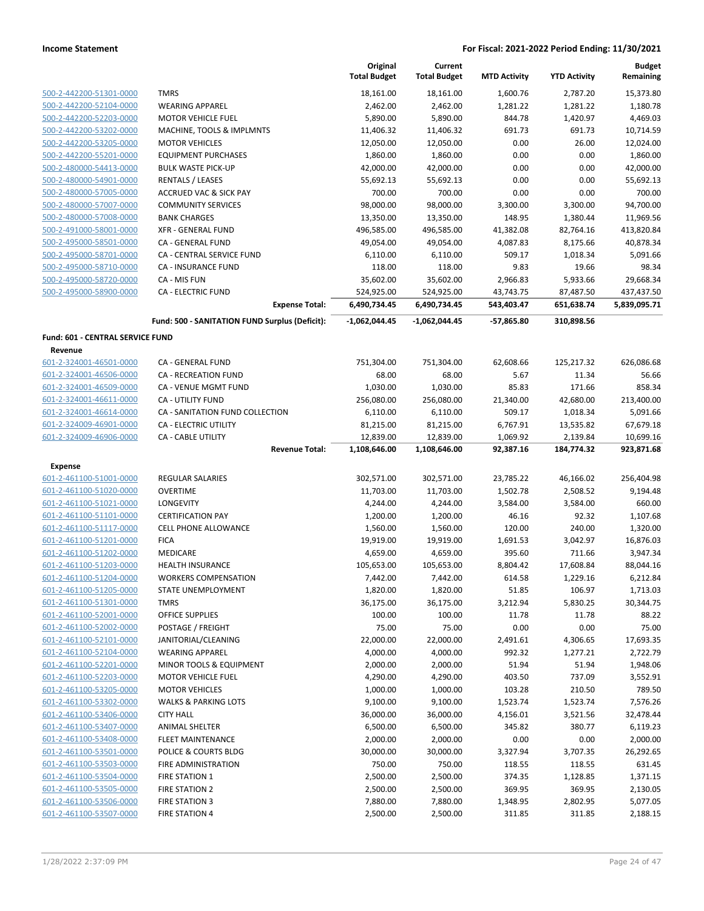|                                                    |                                                   | Original<br><b>Total Budget</b> | Current<br><b>Total Budget</b> | <b>MTD Activity</b> | <b>YTD Activity</b> | <b>Budget</b><br>Remaining |
|----------------------------------------------------|---------------------------------------------------|---------------------------------|--------------------------------|---------------------|---------------------|----------------------------|
| 500-2-442200-51301-0000                            | <b>TMRS</b>                                       | 18,161.00                       | 18,161.00                      | 1,600.76            | 2,787.20            | 15,373.80                  |
| 500-2-442200-52104-0000                            | <b>WEARING APPAREL</b>                            | 2,462.00                        | 2,462.00                       | 1,281.22            | 1,281.22            | 1,180.78                   |
| 500-2-442200-52203-0000                            | <b>MOTOR VEHICLE FUEL</b>                         | 5,890.00                        | 5,890.00                       | 844.78              | 1,420.97            | 4,469.03                   |
| 500-2-442200-53202-0000                            | MACHINE, TOOLS & IMPLMNTS                         | 11,406.32                       | 11,406.32                      | 691.73              | 691.73              | 10,714.59                  |
| 500-2-442200-53205-0000                            | <b>MOTOR VEHICLES</b>                             | 12,050.00                       | 12,050.00                      | 0.00                | 26.00               | 12,024.00                  |
| 500-2-442200-55201-0000                            | <b>EQUIPMENT PURCHASES</b>                        | 1,860.00                        | 1,860.00                       | 0.00                | 0.00                | 1,860.00                   |
| 500-2-480000-54413-0000                            | <b>BULK WASTE PICK-UP</b>                         | 42,000.00                       | 42,000.00                      | 0.00                | 0.00                | 42,000.00                  |
| 500-2-480000-54901-0000                            | <b>RENTALS / LEASES</b>                           | 55,692.13                       | 55,692.13                      | 0.00                | 0.00                | 55,692.13                  |
| 500-2-480000-57005-0000                            | <b>ACCRUED VAC &amp; SICK PAY</b>                 | 700.00                          | 700.00                         | 0.00                | 0.00                | 700.00                     |
| 500-2-480000-57007-0000                            | <b>COMMUNITY SERVICES</b>                         | 98,000.00                       | 98,000.00                      | 3,300.00            | 3,300.00            | 94,700.00                  |
| 500-2-480000-57008-0000                            | <b>BANK CHARGES</b>                               | 13,350.00                       | 13,350.00                      | 148.95              | 1,380.44            | 11,969.56                  |
| 500-2-491000-58001-0000                            | <b>XFR - GENERAL FUND</b>                         | 496,585.00                      | 496,585.00                     | 41,382.08           | 82,764.16           | 413,820.84                 |
| 500-2-495000-58501-0000                            | CA - GENERAL FUND                                 | 49,054.00                       | 49,054.00                      | 4,087.83            | 8,175.66            | 40,878.34                  |
| 500-2-495000-58701-0000                            | CA - CENTRAL SERVICE FUND                         | 6,110.00                        | 6,110.00                       | 509.17              | 1,018.34            | 5,091.66                   |
| 500-2-495000-58710-0000                            | CA - INSURANCE FUND                               | 118.00                          | 118.00                         | 9.83                | 19.66               | 98.34                      |
| 500-2-495000-58720-0000                            | CA - MIS FUN                                      | 35,602.00                       | 35,602.00                      | 2,966.83            | 5,933.66            | 29,668.34                  |
| 500-2-495000-58900-0000                            | <b>CA - ELECTRIC FUND</b>                         | 524,925.00                      | 524,925.00                     | 43,743.75           | 87,487.50           | 437,437.50                 |
|                                                    | <b>Expense Total:</b>                             | 6,490,734.45                    | 6,490,734.45                   | 543,403.47          | 651,638.74          | 5,839,095.71               |
|                                                    | Fund: 500 - SANITATION FUND Surplus (Deficit):    | -1,062,044.45                   | $-1,062,044.45$                | $-57,865.80$        | 310,898.56          |                            |
| Fund: 601 - CENTRAL SERVICE FUND<br>Revenue        |                                                   |                                 |                                |                     |                     |                            |
| 601-2-324001-46501-0000                            | CA - GENERAL FUND                                 | 751,304.00                      | 751,304.00                     | 62,608.66           | 125,217.32          | 626,086.68                 |
| 601-2-324001-46506-0000                            | <b>CA - RECREATION FUND</b>                       | 68.00                           | 68.00                          | 5.67                | 11.34               | 56.66                      |
| 601-2-324001-46509-0000                            | CA - VENUE MGMT FUND                              | 1,030.00                        | 1,030.00                       | 85.83               | 171.66              | 858.34                     |
| 601-2-324001-46611-0000                            | CA - UTILITY FUND                                 | 256,080.00                      | 256,080.00                     | 21,340.00           | 42,680.00           | 213,400.00                 |
| 601-2-324001-46614-0000                            | CA - SANITATION FUND COLLECTION                   | 6,110.00                        | 6,110.00                       | 509.17              | 1,018.34            | 5,091.66                   |
| 601-2-324009-46901-0000                            | CA - ELECTRIC UTILITY                             | 81,215.00                       | 81,215.00                      | 6,767.91            | 13,535.82           | 67,679.18                  |
| 601-2-324009-46906-0000                            | CA - CABLE UTILITY                                | 12,839.00                       | 12,839.00                      | 1,069.92            | 2,139.84            | 10,699.16                  |
|                                                    | <b>Revenue Total:</b>                             | 1,108,646.00                    | 1,108,646.00                   | 92,387.16           | 184,774.32          | 923,871.68                 |
| Expense                                            |                                                   |                                 |                                |                     |                     |                            |
| 601-2-461100-51001-0000                            | REGULAR SALARIES                                  | 302,571.00                      | 302,571.00                     | 23,785.22           | 46,166.02           | 256,404.98                 |
| 601-2-461100-51020-0000                            | <b>OVERTIME</b>                                   | 11,703.00                       | 11,703.00                      | 1,502.78            | 2,508.52            | 9,194.48                   |
| 601-2-461100-51021-0000                            | LONGEVITY                                         | 4,244.00                        | 4,244.00                       | 3,584.00            | 3,584.00            | 660.00                     |
| 601-2-461100-51101-0000                            | <b>CERTIFICATION PAY</b>                          | 1,200.00                        | 1,200.00                       | 46.16               | 92.32               | 1,107.68                   |
| 601-2-461100-51117-0000                            | <b>CELL PHONE ALLOWANCE</b>                       | 1,560.00                        | 1,560.00                       | 120.00              | 240.00              | 1,320.00                   |
| 601-2-461100-51201-0000                            | <b>FICA</b>                                       | 19,919.00                       | 19,919.00                      | 1,691.53            | 3,042.97            | 16,876.03                  |
| 601-2-461100-51202-0000                            | MEDICARE                                          | 4,659.00                        | 4,659.00                       | 395.60              | 711.66              | 3,947.34                   |
| 601-2-461100-51203-0000                            | <b>HEALTH INSURANCE</b>                           | 105,653.00<br>7,442.00          | 105,653.00                     | 8,804.42<br>614.58  | 17,608.84           | 88,044.16                  |
| 601-2-461100-51204-0000<br>601-2-461100-51205-0000 | <b>WORKERS COMPENSATION</b><br>STATE UNEMPLOYMENT | 1,820.00                        | 7,442.00<br>1,820.00           | 51.85               | 1,229.16<br>106.97  | 6,212.84<br>1,713.03       |
| 601-2-461100-51301-0000                            | <b>TMRS</b>                                       | 36,175.00                       | 36,175.00                      | 3,212.94            | 5,830.25            | 30,344.75                  |
| 601-2-461100-52001-0000                            | OFFICE SUPPLIES                                   | 100.00                          | 100.00                         | 11.78               | 11.78               | 88.22                      |
| 601-2-461100-52002-0000                            | POSTAGE / FREIGHT                                 | 75.00                           | 75.00                          | 0.00                | 0.00                | 75.00                      |
| 601-2-461100-52101-0000                            | JANITORIAL/CLEANING                               | 22,000.00                       | 22,000.00                      | 2,491.61            | 4,306.65            | 17,693.35                  |
| 601-2-461100-52104-0000                            | <b>WEARING APPAREL</b>                            | 4,000.00                        | 4,000.00                       | 992.32              | 1,277.21            | 2,722.79                   |
| 601-2-461100-52201-0000                            | <b>MINOR TOOLS &amp; EQUIPMENT</b>                | 2,000.00                        | 2,000.00                       | 51.94               | 51.94               | 1,948.06                   |
| 601-2-461100-52203-0000                            | <b>MOTOR VEHICLE FUEL</b>                         | 4,290.00                        | 4,290.00                       | 403.50              | 737.09              | 3,552.91                   |
| 601-2-461100-53205-0000                            | <b>MOTOR VEHICLES</b>                             | 1,000.00                        | 1,000.00                       | 103.28              | 210.50              | 789.50                     |
| 601-2-461100-53302-0000                            | <b>WALKS &amp; PARKING LOTS</b>                   | 9,100.00                        | 9,100.00                       | 1,523.74            | 1,523.74            | 7,576.26                   |
| 601-2-461100-53406-0000                            | <b>CITY HALL</b>                                  | 36,000.00                       | 36,000.00                      | 4,156.01            | 3,521.56            | 32,478.44                  |
| 601-2-461100-53407-0000                            | <b>ANIMAL SHELTER</b>                             | 6,500.00                        | 6,500.00                       | 345.82              | 380.77              | 6,119.23                   |
| 601-2-461100-53408-0000                            | FLEET MAINTENANCE                                 | 2,000.00                        | 2,000.00                       | 0.00                | 0.00                | 2,000.00                   |
| 601-2-461100-53501-0000                            | POLICE & COURTS BLDG                              | 30,000.00                       | 30,000.00                      | 3,327.94            | 3,707.35            | 26,292.65                  |
| 601-2-461100-53503-0000                            | FIRE ADMINISTRATION                               | 750.00                          | 750.00                         | 118.55              | 118.55              | 631.45                     |
| 601-2-461100-53504-0000                            | <b>FIRE STATION 1</b>                             | 2,500.00                        | 2,500.00                       | 374.35              | 1,128.85            | 1,371.15                   |
| 601-2-461100-53505-0000                            | <b>FIRE STATION 2</b>                             | 2,500.00                        | 2,500.00                       | 369.95              | 369.95              | 2,130.05                   |
| 601-2-461100-53506-0000                            | <b>FIRE STATION 3</b>                             | 7,880.00                        | 7,880.00                       | 1,348.95            | 2,802.95            | 5,077.05                   |
| 601-2-461100-53507-0000                            | <b>FIRE STATION 4</b>                             | 2,500.00                        | 2,500.00                       | 311.85              | 311.85              | 2,188.15                   |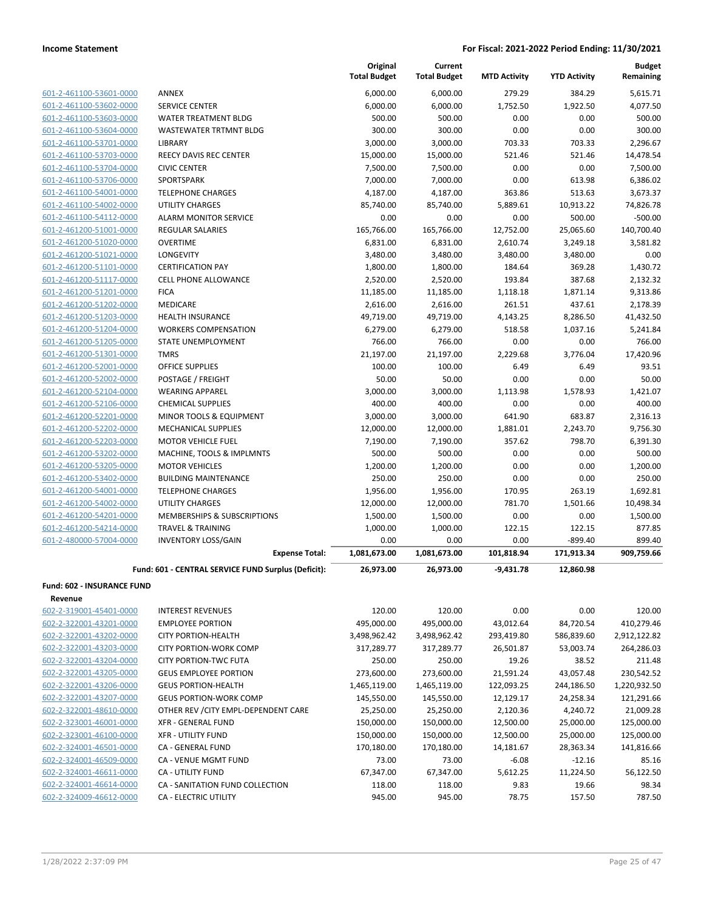|                                   |                                                     | Original<br><b>Total Budget</b> | Current<br><b>Total Budget</b> | <b>MTD Activity</b> | <b>YTD Activity</b> | <b>Budget</b><br>Remaining |
|-----------------------------------|-----------------------------------------------------|---------------------------------|--------------------------------|---------------------|---------------------|----------------------------|
| 601-2-461100-53601-0000           | <b>ANNEX</b>                                        | 6,000.00                        | 6,000.00                       | 279.29              | 384.29              | 5,615.71                   |
| 601-2-461100-53602-0000           | <b>SERVICE CENTER</b>                               | 6,000.00                        | 6,000.00                       | 1,752.50            | 1,922.50            | 4,077.50                   |
| 601-2-461100-53603-0000           | <b>WATER TREATMENT BLDG</b>                         | 500.00                          | 500.00                         | 0.00                | 0.00                | 500.00                     |
| 601-2-461100-53604-0000           | WASTEWATER TRTMNT BLDG                              | 300.00                          | 300.00                         | 0.00                | 0.00                | 300.00                     |
| 601-2-461100-53701-0000           | LIBRARY                                             | 3,000.00                        | 3,000.00                       | 703.33              | 703.33              | 2.296.67                   |
| 601-2-461100-53703-0000           | <b>REECY DAVIS REC CENTER</b>                       | 15,000.00                       | 15,000.00                      | 521.46              | 521.46              | 14,478.54                  |
| 601-2-461100-53704-0000           | <b>CIVIC CENTER</b>                                 | 7,500.00                        | 7,500.00                       | 0.00                | 0.00                | 7,500.00                   |
| 601-2-461100-53706-0000           | SPORTSPARK                                          | 7,000.00                        | 7,000.00                       | 0.00                | 613.98              | 6,386.02                   |
| 601-2-461100-54001-0000           | <b>TELEPHONE CHARGES</b>                            | 4,187.00                        | 4,187.00                       | 363.86              | 513.63              | 3,673.37                   |
| 601-2-461100-54002-0000           | <b>UTILITY CHARGES</b>                              | 85,740.00                       | 85,740.00                      | 5,889.61            | 10,913.22           | 74,826.78                  |
| 601-2-461100-54112-0000           | <b>ALARM MONITOR SERVICE</b>                        | 0.00                            | 0.00                           | 0.00                | 500.00              | $-500.00$                  |
| 601-2-461200-51001-0000           | <b>REGULAR SALARIES</b>                             | 165,766.00                      | 165,766.00                     | 12,752.00           | 25,065.60           | 140,700.40                 |
| 601-2-461200-51020-0000           | <b>OVERTIME</b>                                     | 6,831.00                        | 6,831.00                       | 2,610.74            | 3,249.18            | 3,581.82                   |
| 601-2-461200-51021-0000           | LONGEVITY                                           | 3,480.00                        | 3,480.00                       | 3,480.00            | 3,480.00            | 0.00                       |
| 601-2-461200-51101-0000           | <b>CERTIFICATION PAY</b>                            | 1,800.00                        | 1,800.00                       | 184.64              | 369.28              | 1,430.72                   |
| 601-2-461200-51117-0000           | <b>CELL PHONE ALLOWANCE</b>                         | 2,520.00                        | 2,520.00                       | 193.84              | 387.68              | 2,132.32                   |
| 601-2-461200-51201-0000           | <b>FICA</b>                                         | 11,185.00                       | 11,185.00                      | 1,118.18            | 1,871.14            | 9,313.86                   |
| 601-2-461200-51202-0000           | MEDICARE                                            | 2,616.00                        | 2,616.00                       | 261.51              | 437.61              | 2,178.39                   |
| 601-2-461200-51203-0000           | <b>HEALTH INSURANCE</b>                             | 49,719.00                       | 49,719.00                      | 4,143.25            | 8,286.50            | 41,432.50                  |
| 601-2-461200-51204-0000           | <b>WORKERS COMPENSATION</b>                         | 6,279.00                        | 6,279.00                       | 518.58              | 1,037.16            | 5,241.84                   |
| 601-2-461200-51205-0000           | <b>STATE UNEMPLOYMENT</b>                           | 766.00                          | 766.00                         | 0.00                | 0.00                | 766.00                     |
| 601-2-461200-51301-0000           | <b>TMRS</b>                                         | 21,197.00                       | 21,197.00                      | 2,229.68            | 3,776.04            | 17,420.96                  |
| 601-2-461200-52001-0000           | OFFICE SUPPLIES                                     | 100.00                          | 100.00                         | 6.49                | 6.49                | 93.51                      |
| 601-2-461200-52002-0000           | POSTAGE / FREIGHT                                   | 50.00                           | 50.00                          | 0.00                | 0.00                | 50.00                      |
| 601-2-461200-52104-0000           | <b>WEARING APPAREL</b>                              | 3,000.00                        | 3,000.00                       | 1,113.98            | 1,578.93            | 1,421.07                   |
| 601-2-461200-52106-0000           | <b>CHEMICAL SUPPLIES</b>                            | 400.00                          | 400.00                         | 0.00                | 0.00                | 400.00                     |
| 601-2-461200-52201-0000           | MINOR TOOLS & EQUIPMENT                             | 3,000.00                        | 3,000.00                       | 641.90              | 683.87              | 2,316.13                   |
| 601-2-461200-52202-0000           | <b>MECHANICAL SUPPLIES</b>                          | 12,000.00                       | 12,000.00                      | 1,881.01            | 2,243.70            | 9,756.30                   |
| 601-2-461200-52203-0000           | <b>MOTOR VEHICLE FUEL</b>                           | 7,190.00                        | 7,190.00                       | 357.62              | 798.70              | 6,391.30                   |
| 601-2-461200-53202-0000           | MACHINE, TOOLS & IMPLMNTS                           | 500.00                          | 500.00                         | 0.00                | 0.00                | 500.00                     |
| 601-2-461200-53205-0000           | <b>MOTOR VEHICLES</b>                               | 1,200.00                        | 1,200.00                       | 0.00                | 0.00                | 1,200.00                   |
| 601-2-461200-53402-0000           | <b>BUILDING MAINTENANCE</b>                         | 250.00                          | 250.00                         | 0.00                | 0.00                | 250.00                     |
| 601-2-461200-54001-0000           | <b>TELEPHONE CHARGES</b>                            | 1,956.00                        | 1,956.00                       | 170.95              | 263.19              |                            |
| 601-2-461200-54002-0000           | <b>UTILITY CHARGES</b>                              |                                 |                                |                     |                     | 1,692.81                   |
| 601-2-461200-54201-0000           | MEMBERSHIPS & SUBSCRIPTIONS                         | 12,000.00<br>1,500.00           | 12,000.00                      | 781.70<br>0.00      | 1,501.66<br>0.00    | 10,498.34<br>1,500.00      |
| 601-2-461200-54214-0000           | <b>TRAVEL &amp; TRAINING</b>                        | 1,000.00                        | 1,500.00<br>1,000.00           | 122.15              | 122.15              | 877.85                     |
| 601-2-480000-57004-0000           | <b>INVENTORY LOSS/GAIN</b>                          | 0.00                            | 0.00                           | 0.00                | $-899.40$           | 899.40                     |
|                                   | <b>Expense Total:</b>                               | 1,081,673.00                    | 1,081,673.00                   | 101,818.94          | 171,913.34          | 909,759.66                 |
|                                   |                                                     |                                 |                                |                     |                     |                            |
|                                   | Fund: 601 - CENTRAL SERVICE FUND Surplus (Deficit): | 26,973.00                       | 26,973.00                      | $-9,431.78$         | 12,860.98           |                            |
| <b>Fund: 602 - INSURANCE FUND</b> |                                                     |                                 |                                |                     |                     |                            |
| Revenue                           |                                                     |                                 |                                |                     |                     |                            |
| 602-2-319001-45401-0000           | <b>INTEREST REVENUES</b>                            | 120.00                          | 120.00                         | 0.00                | 0.00                | 120.00                     |
| 602-2-322001-43201-0000           | <b>EMPLOYEE PORTION</b>                             | 495,000.00                      | 495,000.00                     | 43,012.64           | 84,720.54           | 410,279.46                 |
| 602-2-322001-43202-0000           | <b>CITY PORTION-HEALTH</b>                          | 3,498,962.42                    | 3,498,962.42                   | 293,419.80          | 586,839.60          | 2,912,122.82               |
| 602-2-322001-43203-0000           | <b>CITY PORTION-WORK COMP</b>                       | 317,289.77                      | 317,289.77                     | 26,501.87           | 53,003.74           | 264,286.03                 |
| 602-2-322001-43204-0000           | <b>CITY PORTION-TWC FUTA</b>                        | 250.00                          | 250.00                         | 19.26               | 38.52               | 211.48                     |
| 602-2-322001-43205-0000           | <b>GEUS EMPLOYEE PORTION</b>                        | 273,600.00                      | 273,600.00                     | 21,591.24           | 43,057.48           | 230,542.52                 |
| 602-2-322001-43206-0000           | <b>GEUS PORTION-HEALTH</b>                          | 1,465,119.00                    | 1,465,119.00                   | 122,093.25          | 244,186.50          | 1,220,932.50               |
| 602-2-322001-43207-0000           | <b>GEUS PORTION-WORK COMP</b>                       | 145,550.00                      | 145,550.00                     | 12,129.17           | 24,258.34           | 121,291.66                 |
| 602-2-322001-48610-0000           | OTHER REV / CITY EMPL-DEPENDENT CARE                | 25,250.00                       | 25,250.00                      | 2,120.36            | 4,240.72            | 21,009.28                  |
| 602-2-323001-46001-0000           | XFR - GENERAL FUND                                  | 150,000.00                      | 150,000.00                     | 12,500.00           | 25,000.00           | 125,000.00                 |
| 602-2-323001-46100-0000           | <b>XFR - UTILITY FUND</b>                           | 150,000.00                      | 150,000.00                     | 12,500.00           | 25,000.00           | 125,000.00                 |
| 602-2-324001-46501-0000           | CA - GENERAL FUND                                   | 170,180.00                      | 170,180.00                     | 14,181.67           | 28,363.34           | 141,816.66                 |
| 602-2-324001-46509-0000           | CA - VENUE MGMT FUND                                | 73.00                           | 73.00                          | $-6.08$             | $-12.16$            | 85.16                      |
| 602-2-324001-46611-0000           | CA - UTILITY FUND                                   | 67,347.00                       | 67,347.00                      | 5,612.25            | 11,224.50           | 56,122.50                  |
| 602-2-324001-46614-0000           | CA - SANITATION FUND COLLECTION                     | 118.00                          | 118.00                         | 9.83                | 19.66               | 98.34                      |
| 602-2-324009-46612-0000           | CA - ELECTRIC UTILITY                               | 945.00                          | 945.00                         | 78.75               | 157.50              | 787.50                     |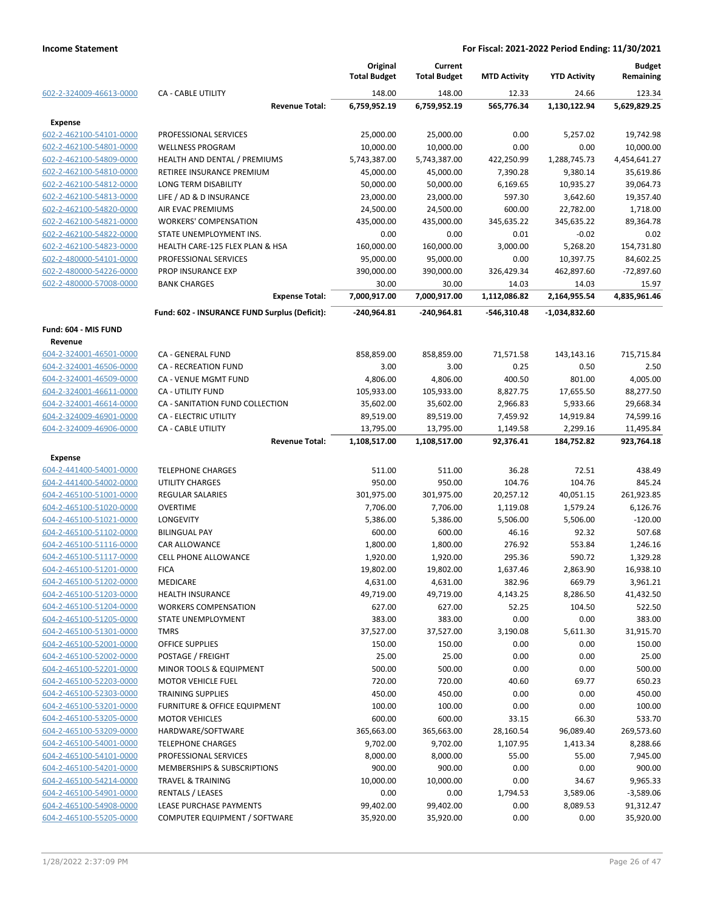|                         |                                               | Original<br><b>Total Budget</b> | Current<br><b>Total Budget</b> | <b>MTD Activity</b>   | <b>YTD Activity</b>   | <b>Budget</b><br>Remaining |
|-------------------------|-----------------------------------------------|---------------------------------|--------------------------------|-----------------------|-----------------------|----------------------------|
| 602-2-324009-46613-0000 | <b>CA - CABLE UTILITY</b>                     | 148.00                          | 148.00                         | 12.33                 | 24.66                 | 123.34                     |
|                         | <b>Revenue Total:</b>                         | 6,759,952.19                    | 6,759,952.19                   | 565,776.34            | 1,130,122.94          | 5,629,829.25               |
| <b>Expense</b>          |                                               |                                 |                                |                       |                       |                            |
| 602-2-462100-54101-0000 | PROFESSIONAL SERVICES                         | 25,000.00                       | 25,000.00                      | 0.00                  | 5,257.02              | 19,742.98                  |
| 602-2-462100-54801-0000 | <b>WELLNESS PROGRAM</b>                       | 10,000.00                       | 10,000.00                      | 0.00                  | 0.00                  | 10,000.00                  |
| 602-2-462100-54809-0000 | HEALTH AND DENTAL / PREMIUMS                  | 5,743,387.00                    | 5,743,387.00                   | 422,250.99            | 1,288,745.73          | 4,454,641.27               |
| 602-2-462100-54810-0000 | RETIREE INSURANCE PREMIUM                     | 45,000.00                       | 45,000.00                      | 7,390.28              | 9,380.14              | 35,619.86                  |
| 602-2-462100-54812-0000 | <b>LONG TERM DISABILITY</b>                   | 50,000.00                       | 50,000.00                      | 6,169.65              | 10,935.27             | 39,064.73                  |
| 602-2-462100-54813-0000 | LIFE / AD & D INSURANCE                       | 23,000.00                       | 23,000.00                      | 597.30                | 3,642.60              | 19,357.40                  |
| 602-2-462100-54820-0000 | <b>AIR EVAC PREMIUMS</b>                      | 24,500.00                       | 24,500.00                      | 600.00                | 22,782.00             | 1,718.00                   |
| 602-2-462100-54821-0000 | <b>WORKERS' COMPENSATION</b>                  | 435,000.00                      | 435,000.00                     | 345,635.22            | 345,635.22            | 89,364.78                  |
| 602-2-462100-54822-0000 | STATE UNEMPLOYMENT INS.                       | 0.00                            | 0.00                           | 0.01                  | $-0.02$               | 0.02                       |
| 602-2-462100-54823-0000 | HEALTH CARE-125 FLEX PLAN & HSA               | 160,000.00                      | 160,000.00                     | 3,000.00              | 5,268.20              | 154,731.80                 |
| 602-2-480000-54101-0000 | PROFESSIONAL SERVICES                         | 95,000.00                       | 95,000.00                      | 0.00                  | 10,397.75             | 84,602.25                  |
| 602-2-480000-54226-0000 | PROP INSURANCE EXP                            | 390,000.00                      | 390,000.00                     | 326,429.34            | 462,897.60            | $-72,897.60$               |
| 602-2-480000-57008-0000 | <b>BANK CHARGES</b><br><b>Expense Total:</b>  | 30.00<br>7,000,917.00           | 30.00<br>7,000,917.00          | 14.03<br>1,112,086.82 | 14.03<br>2,164,955.54 | 15.97<br>4,835,961.46      |
|                         | Fund: 602 - INSURANCE FUND Surplus (Deficit): | -240,964.81                     | -240,964.81                    | -546,310.48           | -1,034,832.60         |                            |
| Fund: 604 - MIS FUND    |                                               |                                 |                                |                       |                       |                            |
| Revenue                 |                                               |                                 |                                |                       |                       |                            |
| 604-2-324001-46501-0000 | CA - GENERAL FUND                             | 858,859.00                      | 858,859.00                     | 71,571.58             | 143,143.16            | 715,715.84                 |
| 604-2-324001-46506-0000 | <b>CA - RECREATION FUND</b>                   | 3.00                            | 3.00                           | 0.25                  | 0.50                  | 2.50                       |
| 604-2-324001-46509-0000 | CA - VENUE MGMT FUND                          | 4,806.00                        | 4,806.00                       | 400.50                | 801.00                | 4,005.00                   |
| 604-2-324001-46611-0000 | <b>CA - UTILITY FUND</b>                      | 105,933.00                      | 105,933.00                     | 8,827.75              | 17,655.50             | 88,277.50                  |
| 604-2-324001-46614-0000 | CA - SANITATION FUND COLLECTION               | 35,602.00                       | 35,602.00                      | 2,966.83              | 5,933.66              | 29,668.34                  |
| 604-2-324009-46901-0000 | CA - ELECTRIC UTILITY                         | 89,519.00                       | 89,519.00                      | 7,459.92              | 14,919.84             | 74,599.16                  |
| 604-2-324009-46906-0000 | <b>CA - CABLE UTILITY</b>                     | 13,795.00                       | 13,795.00                      | 1,149.58              | 2,299.16              | 11,495.84                  |
|                         | <b>Revenue Total:</b>                         | 1,108,517.00                    | 1,108,517.00                   | 92,376.41             | 184,752.82            | 923,764.18                 |
| <b>Expense</b>          |                                               |                                 |                                |                       |                       |                            |
| 604-2-441400-54001-0000 | <b>TELEPHONE CHARGES</b>                      | 511.00                          | 511.00                         | 36.28                 | 72.51                 | 438.49                     |
| 604-2-441400-54002-0000 | <b>UTILITY CHARGES</b>                        | 950.00                          | 950.00                         | 104.76                | 104.76                | 845.24                     |
| 604-2-465100-51001-0000 | REGULAR SALARIES                              | 301,975.00                      | 301,975.00                     | 20,257.12             | 40,051.15             | 261,923.85                 |
| 604-2-465100-51020-0000 | <b>OVERTIME</b>                               | 7,706.00                        | 7,706.00                       | 1,119.08              | 1,579.24              | 6,126.76                   |
| 604-2-465100-51021-0000 | <b>LONGEVITY</b>                              | 5,386.00                        | 5,386.00                       | 5,506.00              | 5,506.00              | $-120.00$                  |
| 604-2-465100-51102-0000 | <b>BILINGUAL PAY</b>                          | 600.00                          | 600.00                         | 46.16                 | 92.32                 | 507.68                     |
| 604-2-465100-51116-0000 | CAR ALLOWANCE                                 | 1,800.00                        | 1,800.00                       | 276.92                | 553.84                | 1,246.16                   |
| 604-2-465100-51117-0000 | <b>CELL PHONE ALLOWANCE</b>                   | 1,920.00                        | 1,920.00                       | 295.36                | 590.72                | 1,329.28                   |
| 604-2-465100-51201-0000 | <b>FICA</b>                                   | 19,802.00                       | 19,802.00                      | 1,637.46              | 2,863.90              | 16,938.10                  |
| 604-2-465100-51202-0000 | MEDICARE                                      | 4,631.00                        | 4,631.00                       | 382.96                | 669.79                | 3,961.21                   |
| 604-2-465100-51203-0000 | <b>HEALTH INSURANCE</b>                       | 49,719.00                       | 49,719.00                      | 4,143.25              | 8,286.50              | 41,432.50                  |
| 604-2-465100-51204-0000 | <b>WORKERS COMPENSATION</b>                   | 627.00                          | 627.00                         | 52.25                 | 104.50                | 522.50                     |
| 604-2-465100-51205-0000 | STATE UNEMPLOYMENT                            | 383.00                          | 383.00                         | 0.00                  | 0.00                  | 383.00                     |
| 604-2-465100-51301-0000 | <b>TMRS</b>                                   | 37,527.00                       | 37,527.00                      | 3,190.08              | 5,611.30              | 31,915.70                  |
| 604-2-465100-52001-0000 | OFFICE SUPPLIES                               | 150.00                          | 150.00                         | 0.00                  | 0.00                  | 150.00                     |
| 604-2-465100-52002-0000 | POSTAGE / FREIGHT                             | 25.00                           | 25.00                          | 0.00                  | 0.00                  | 25.00                      |
| 604-2-465100-52201-0000 | MINOR TOOLS & EQUIPMENT                       | 500.00                          | 500.00                         | 0.00                  | 0.00                  | 500.00                     |
| 604-2-465100-52203-0000 | <b>MOTOR VEHICLE FUEL</b>                     | 720.00                          | 720.00                         | 40.60                 | 69.77                 | 650.23                     |
| 604-2-465100-52303-0000 | <b>TRAINING SUPPLIES</b>                      | 450.00                          | 450.00                         | 0.00                  | 0.00                  | 450.00                     |
| 604-2-465100-53201-0000 | FURNITURE & OFFICE EQUIPMENT                  | 100.00                          | 100.00                         | 0.00                  | 0.00                  | 100.00                     |
| 604-2-465100-53205-0000 | <b>MOTOR VEHICLES</b>                         | 600.00                          | 600.00                         | 33.15                 | 66.30                 | 533.70                     |
| 604-2-465100-53209-0000 | HARDWARE/SOFTWARE                             | 365,663.00                      | 365,663.00                     | 28,160.54             | 96,089.40             | 269,573.60                 |
| 604-2-465100-54001-0000 | <b>TELEPHONE CHARGES</b>                      | 9,702.00                        | 9,702.00                       | 1,107.95              | 1,413.34              | 8,288.66                   |
| 604-2-465100-54101-0000 | PROFESSIONAL SERVICES                         | 8,000.00                        | 8,000.00                       | 55.00                 | 55.00                 | 7,945.00                   |
| 604-2-465100-54201-0000 | <b>MEMBERSHIPS &amp; SUBSCRIPTIONS</b>        | 900.00                          | 900.00                         | 0.00                  | 0.00                  | 900.00                     |
| 604-2-465100-54214-0000 | TRAVEL & TRAINING                             | 10,000.00                       | 10,000.00                      | 0.00                  | 34.67                 | 9,965.33                   |
| 604-2-465100-54901-0000 | <b>RENTALS / LEASES</b>                       | 0.00                            | 0.00                           | 1,794.53              | 3,589.06              | $-3,589.06$                |
| 604-2-465100-54908-0000 | LEASE PURCHASE PAYMENTS                       | 99,402.00                       | 99,402.00                      | 0.00                  | 8,089.53              | 91,312.47                  |
| 604-2-465100-55205-0000 | COMPUTER EQUIPMENT / SOFTWARE                 | 35,920.00                       | 35,920.00                      | 0.00                  | 0.00                  | 35,920.00                  |
|                         |                                               |                                 |                                |                       |                       |                            |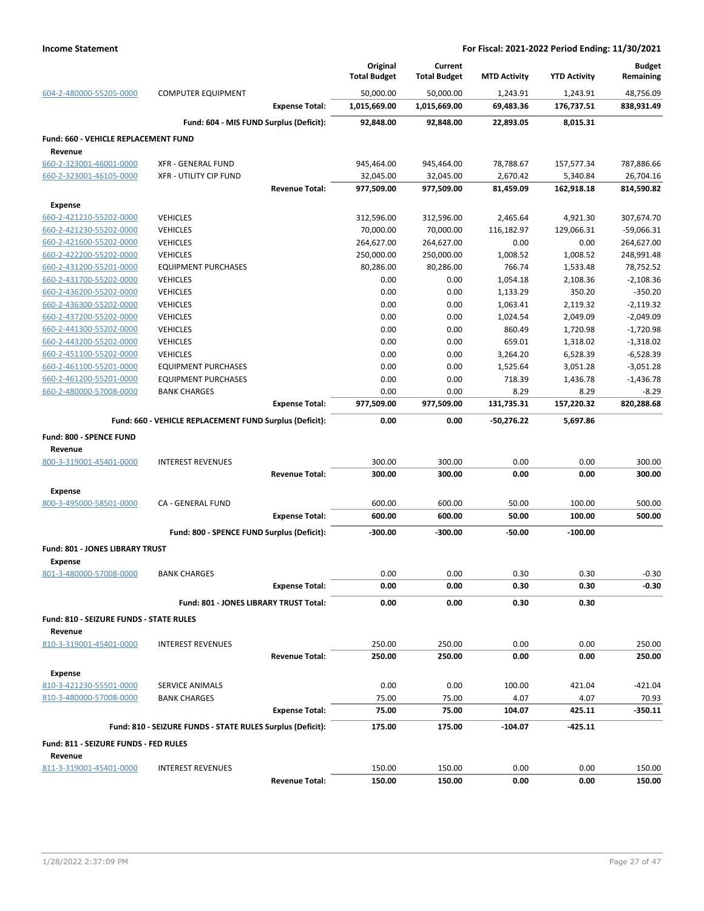|                                                    |                                                            |                       | Original<br><b>Total Budget</b> | Current<br><b>Total Budget</b> | <b>MTD Activity</b> | <b>YTD Activity</b>  | <b>Budget</b><br>Remaining |
|----------------------------------------------------|------------------------------------------------------------|-----------------------|---------------------------------|--------------------------------|---------------------|----------------------|----------------------------|
| 604-2-480000-55205-0000                            | <b>COMPUTER EQUIPMENT</b>                                  |                       | 50,000.00                       | 50,000.00                      | 1,243.91            | 1,243.91             | 48,756.09                  |
|                                                    |                                                            | <b>Expense Total:</b> | 1,015,669.00                    | 1,015,669.00                   | 69,483.36           | 176,737.51           | 838,931.49                 |
|                                                    | Fund: 604 - MIS FUND Surplus (Deficit):                    |                       | 92,848.00                       | 92,848.00                      | 22,893.05           | 8,015.31             |                            |
| <b>Fund: 660 - VEHICLE REPLACEMENT FUND</b>        |                                                            |                       |                                 |                                |                     |                      |                            |
| Revenue                                            |                                                            |                       |                                 |                                |                     |                      |                            |
| 660-2-323001-46001-0000                            | <b>XFR - GENERAL FUND</b>                                  |                       | 945,464.00                      | 945,464.00                     | 78,788.67           | 157,577.34           | 787,886.66                 |
| 660-2-323001-46105-0000                            | <b>XFR - UTILITY CIP FUND</b>                              |                       | 32,045.00                       | 32,045.00                      | 2,670.42            | 5,340.84             | 26,704.16                  |
|                                                    |                                                            | <b>Revenue Total:</b> | 977,509.00                      | 977,509.00                     | 81,459.09           | 162,918.18           | 814,590.82                 |
| <b>Expense</b>                                     |                                                            |                       |                                 |                                |                     |                      |                            |
| 660-2-421210-55202-0000                            | <b>VEHICLES</b>                                            |                       | 312,596.00                      | 312,596.00                     | 2,465.64            | 4,921.30             | 307,674.70                 |
| 660-2-421230-55202-0000                            | <b>VEHICLES</b>                                            |                       | 70,000.00                       | 70,000.00                      | 116,182.97          | 129,066.31           | $-59,066.31$               |
| 660-2-421600-55202-0000                            | <b>VEHICLES</b>                                            |                       | 264,627.00                      | 264,627.00                     | 0.00                | 0.00                 | 264,627.00                 |
| 660-2-422200-55202-0000                            | <b>VEHICLES</b>                                            |                       | 250,000.00                      | 250,000.00                     | 1,008.52            | 1,008.52             | 248,991.48                 |
| 660-2-431200-55201-0000                            | <b>EQUIPMENT PURCHASES</b>                                 |                       | 80,286.00                       | 80,286.00                      | 766.74              | 1,533.48             | 78,752.52                  |
| 660-2-431700-55202-0000                            | <b>VEHICLES</b>                                            |                       | 0.00                            | 0.00                           | 1,054.18            | 2,108.36             | $-2,108.36$                |
| 660-2-436200-55202-0000                            | <b>VEHICLES</b>                                            |                       | 0.00                            | 0.00                           | 1,133.29            | 350.20               | $-350.20$                  |
| 660-2-436300-55202-0000                            | <b>VEHICLES</b>                                            |                       | 0.00                            | 0.00                           | 1,063.41            | 2,119.32             | $-2,119.32$                |
| 660-2-437200-55202-0000<br>660-2-441300-55202-0000 | <b>VEHICLES</b><br><b>VEHICLES</b>                         |                       | 0.00<br>0.00                    | 0.00<br>0.00                   | 1,024.54<br>860.49  | 2,049.09<br>1,720.98 | -2,049.09<br>$-1,720.98$   |
| 660-2-443200-55202-0000                            | <b>VEHICLES</b>                                            |                       | 0.00                            | 0.00                           | 659.01              | 1,318.02             | $-1,318.02$                |
| 660-2-451100-55202-0000                            | <b>VEHICLES</b>                                            |                       | 0.00                            | 0.00                           | 3,264.20            | 6,528.39             | $-6,528.39$                |
| 660-2-461100-55201-0000                            | <b>EQUIPMENT PURCHASES</b>                                 |                       | 0.00                            | 0.00                           | 1,525.64            | 3,051.28             | $-3,051.28$                |
| 660-2-461200-55201-0000                            | <b>EQUIPMENT PURCHASES</b>                                 |                       | 0.00                            | 0.00                           | 718.39              | 1,436.78             | $-1,436.78$                |
| 660-2-480000-57008-0000                            | <b>BANK CHARGES</b>                                        |                       | 0.00                            | 0.00                           | 8.29                | 8.29                 | $-8.29$                    |
|                                                    |                                                            | <b>Expense Total:</b> | 977,509.00                      | 977,509.00                     | 131,735.31          | 157,220.32           | 820,288.68                 |
|                                                    | Fund: 660 - VEHICLE REPLACEMENT FUND Surplus (Deficit):    |                       | 0.00                            | 0.00                           | -50,276.22          | 5,697.86             |                            |
|                                                    |                                                            |                       |                                 |                                |                     |                      |                            |
| Fund: 800 - SPENCE FUND<br>Revenue                 |                                                            |                       |                                 |                                |                     |                      |                            |
| 800-3-319001-45401-0000                            | <b>INTEREST REVENUES</b>                                   |                       | 300.00                          | 300.00                         | 0.00                | 0.00                 | 300.00                     |
|                                                    |                                                            | <b>Revenue Total:</b> | 300.00                          | 300.00                         | 0.00                | 0.00                 | 300.00                     |
|                                                    |                                                            |                       |                                 |                                |                     |                      |                            |
| <b>Expense</b>                                     |                                                            |                       |                                 |                                |                     |                      |                            |
| 800-3-495000-58501-0000                            | CA - GENERAL FUND                                          |                       | 600.00                          | 600.00                         | 50.00               | 100.00               | 500.00                     |
|                                                    |                                                            | <b>Expense Total:</b> | 600.00                          | 600.00                         | 50.00               | 100.00               | 500.00                     |
|                                                    | Fund: 800 - SPENCE FUND Surplus (Deficit):                 |                       | $-300.00$                       | -300.00                        | -50.00              | $-100.00$            |                            |
| Fund: 801 - JONES LIBRARY TRUST                    |                                                            |                       |                                 |                                |                     |                      |                            |
| <b>Expense</b>                                     |                                                            |                       |                                 |                                |                     |                      |                            |
| 801-3-480000-57008-0000                            | BANK CHARGES                                               |                       | 0.00                            | 0.00                           | 0.30                | 0.30                 | $-0.30$                    |
|                                                    |                                                            | <b>Expense Total:</b> | 0.00                            | 0.00                           | 0.30                | 0.30                 | -0.30                      |
|                                                    | Fund: 801 - JONES LIBRARY TRUST Total:                     |                       | 0.00                            | 0.00                           | 0.30                | 0.30                 |                            |
| <b>Fund: 810 - SEIZURE FUNDS - STATE RULES</b>     |                                                            |                       |                                 |                                |                     |                      |                            |
| Revenue                                            |                                                            |                       |                                 |                                |                     |                      |                            |
| 810-3-319001-45401-0000                            | <b>INTEREST REVENUES</b>                                   |                       | 250.00                          | 250.00                         | 0.00                | 0.00                 | 250.00                     |
|                                                    |                                                            | <b>Revenue Total:</b> | 250.00                          | 250.00                         | 0.00                | 0.00                 | 250.00                     |
| <b>Expense</b>                                     |                                                            |                       |                                 |                                |                     |                      |                            |
| 810-3-421230-55501-0000                            | SERVICE ANIMALS                                            |                       | 0.00                            | 0.00                           | 100.00              | 421.04               | $-421.04$                  |
| 810-3-480000-57008-0000                            | <b>BANK CHARGES</b>                                        |                       | 75.00                           | 75.00                          | 4.07                | 4.07                 | 70.93                      |
|                                                    |                                                            | <b>Expense Total:</b> | 75.00                           | 75.00                          | 104.07              | 425.11               | $-350.11$                  |
|                                                    | Fund: 810 - SEIZURE FUNDS - STATE RULES Surplus (Deficit): |                       | 175.00                          | 175.00                         | $-104.07$           | $-425.11$            |                            |
|                                                    |                                                            |                       |                                 |                                |                     |                      |                            |
| Fund: 811 - SEIZURE FUNDS - FED RULES              |                                                            |                       |                                 |                                |                     |                      |                            |
| Revenue<br>811-3-319001-45401-0000                 | <b>INTEREST REVENUES</b>                                   |                       | 150.00                          | 150.00                         | 0.00                | 0.00                 | 150.00                     |
|                                                    |                                                            | <b>Revenue Total:</b> | 150.00                          | 150.00                         | 0.00                | 0.00                 | 150.00                     |
|                                                    |                                                            |                       |                                 |                                |                     |                      |                            |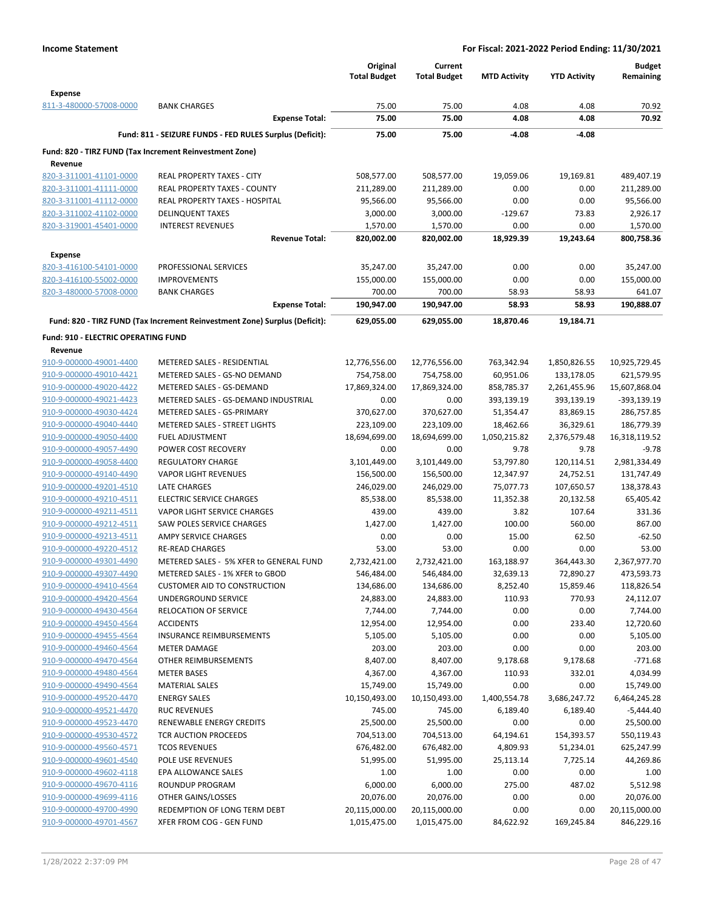|                                                       |                                                                            | Original<br><b>Total Budget</b> | Current<br><b>Total Budget</b> | <b>MTD Activity</b> | <b>YTD Activity</b> | <b>Budget</b><br>Remaining |
|-------------------------------------------------------|----------------------------------------------------------------------------|---------------------------------|--------------------------------|---------------------|---------------------|----------------------------|
| <b>Expense</b>                                        |                                                                            |                                 |                                |                     |                     |                            |
| 811-3-480000-57008-0000                               | <b>BANK CHARGES</b>                                                        | 75.00                           | 75.00                          | 4.08                | 4.08                | 70.92                      |
|                                                       | <b>Expense Total:</b>                                                      | 75.00                           | 75.00                          | 4.08                | 4.08                | 70.92                      |
|                                                       | Fund: 811 - SEIZURE FUNDS - FED RULES Surplus (Deficit):                   | 75.00                           | 75.00                          | $-4.08$             | $-4.08$             |                            |
| Revenue                                               | Fund: 820 - TIRZ FUND (Tax Increment Reinvestment Zone)                    |                                 |                                |                     |                     |                            |
| 820-3-311001-41101-0000                               | REAL PROPERTY TAXES - CITY                                                 | 508,577.00                      | 508,577.00                     | 19,059.06           | 19,169.81           | 489,407.19                 |
| 820-3-311001-41111-0000                               | <b>REAL PROPERTY TAXES - COUNTY</b>                                        | 211,289.00                      | 211,289.00                     | 0.00                | 0.00                | 211,289.00                 |
| 820-3-311001-41112-0000                               | REAL PROPERTY TAXES - HOSPITAL                                             | 95,566.00                       | 95,566.00                      | 0.00                | 0.00                | 95,566.00                  |
| 820-3-311002-41102-0000                               | <b>DELINQUENT TAXES</b>                                                    | 3,000.00                        | 3,000.00                       | $-129.67$           | 73.83               | 2,926.17                   |
| 820-3-319001-45401-0000                               | <b>INTEREST REVENUES</b>                                                   | 1,570.00                        | 1,570.00                       | 0.00                | 0.00                | 1,570.00                   |
|                                                       | <b>Revenue Total:</b>                                                      | 820,002.00                      | 820,002.00                     | 18,929.39           | 19,243.64           | 800,758.36                 |
| <b>Expense</b>                                        |                                                                            |                                 |                                |                     |                     |                            |
| 820-3-416100-54101-0000                               | PROFESSIONAL SERVICES                                                      | 35,247.00                       | 35,247.00                      | 0.00                | 0.00                | 35,247.00                  |
| 820-3-416100-55002-0000                               | <b>IMPROVEMENTS</b>                                                        | 155,000.00                      | 155,000.00                     | 0.00                | 0.00                | 155,000.00                 |
| 820-3-480000-57008-0000                               | <b>BANK CHARGES</b>                                                        | 700.00                          | 700.00                         | 58.93               | 58.93               | 641.07                     |
|                                                       | <b>Expense Total:</b>                                                      | 190,947.00                      | 190,947.00                     | 58.93               | 58.93               | 190,888.07                 |
|                                                       | Fund: 820 - TIRZ FUND (Tax Increment Reinvestment Zone) Surplus (Deficit): | 629,055.00                      | 629,055.00                     | 18,870.46           | 19,184.71           |                            |
| <b>Fund: 910 - ELECTRIC OPERATING FUND</b><br>Revenue |                                                                            |                                 |                                |                     |                     |                            |
| 910-9-000000-49001-4400                               | METERED SALES - RESIDENTIAL                                                | 12,776,556.00                   | 12,776,556.00                  | 763,342.94          | 1,850,826.55        | 10,925,729.45              |
| 910-9-000000-49010-4421                               | METERED SALES - GS-NO DEMAND                                               | 754,758.00                      | 754,758.00                     | 60,951.06           | 133,178.05          | 621,579.95                 |
| 910-9-000000-49020-4422                               | METERED SALES - GS-DEMAND                                                  | 17,869,324.00                   | 17,869,324.00                  | 858,785.37          | 2,261,455.96        | 15,607,868.04              |
| 910-9-000000-49021-4423                               | METERED SALES - GS-DEMAND INDUSTRIAL                                       | 0.00                            | 0.00                           | 393,139.19          | 393,139.19          | -393,139.19                |
| 910-9-000000-49030-4424                               | METERED SALES - GS-PRIMARY                                                 | 370,627.00                      | 370,627.00                     | 51,354.47           | 83,869.15           | 286,757.85                 |
| 910-9-000000-49040-4440                               | METERED SALES - STREET LIGHTS                                              | 223,109.00                      | 223,109.00                     | 18,462.66           | 36,329.61           | 186,779.39                 |
| 910-9-000000-49050-4400                               | <b>FUEL ADJUSTMENT</b>                                                     | 18,694,699.00                   | 18,694,699.00                  | 1,050,215.82        | 2,376,579.48        | 16,318,119.52              |
| 910-9-000000-49057-4490                               | POWER COST RECOVERY                                                        | 0.00                            | 0.00                           | 9.78                | 9.78                | $-9.78$                    |
| 910-9-000000-49058-4400                               | <b>REGULATORY CHARGE</b>                                                   | 3,101,449.00                    | 3,101,449.00                   | 53,797.80           | 120,114.51          | 2,981,334.49               |
| 910-9-000000-49140-4490                               | <b>VAPOR LIGHT REVENUES</b>                                                | 156,500.00                      | 156,500.00                     | 12,347.97           | 24,752.51           | 131,747.49                 |
| 910-9-000000-49201-4510                               | LATE CHARGES                                                               | 246,029.00                      | 246,029.00                     | 75,077.73           | 107,650.57          | 138,378.43                 |
| 910-9-000000-49210-4511                               | <b>ELECTRIC SERVICE CHARGES</b>                                            | 85,538.00                       | 85,538.00                      | 11,352.38           | 20,132.58           | 65,405.42                  |
| 910-9-000000-49211-4511<br>910-9-000000-49212-4511    | VAPOR LIGHT SERVICE CHARGES                                                | 439.00                          | 439.00                         | 3.82                | 107.64              | 331.36                     |
| 910-9-000000-49213-4511                               | SAW POLES SERVICE CHARGES<br>AMPY SERVICE CHARGES                          | 1,427.00<br>0.00                | 1,427.00<br>0.00               | 100.00<br>15.00     | 560.00<br>62.50     | 867.00<br>$-62.50$         |
| 910-9-000000-49220-4512                               | <b>RE-READ CHARGES</b>                                                     | 53.00                           | 53.00                          | 0.00                | 0.00                | 53.00                      |
| 910-9-000000-49301-4490                               | METERED SALES - 5% XFER to GENERAL FUND                                    | 2,732,421.00                    | 2,732,421.00                   | 163,188.97          | 364,443.30          | 2,367,977.70               |
| 910-9-000000-49307-4490                               | METERED SALES - 1% XFER to GBOD                                            | 546,484.00                      | 546,484.00                     | 32,639.13           | 72,890.27           | 473,593.73                 |
| 910-9-000000-49410-4564                               | <b>CUSTOMER AID TO CONSTRUCTION</b>                                        | 134,686.00                      | 134,686.00                     | 8,252.40            | 15,859.46           | 118,826.54                 |
| 910-9-000000-49420-4564                               | UNDERGROUND SERVICE                                                        | 24,883.00                       | 24,883.00                      | 110.93              | 770.93              | 24,112.07                  |
| 910-9-000000-49430-4564                               | <b>RELOCATION OF SERVICE</b>                                               | 7,744.00                        | 7,744.00                       | 0.00                | 0.00                | 7,744.00                   |
| 910-9-000000-49450-4564                               | <b>ACCIDENTS</b>                                                           | 12,954.00                       | 12,954.00                      | 0.00                | 233.40              | 12,720.60                  |
| 910-9-000000-49455-4564                               | <b>INSURANCE REIMBURSEMENTS</b>                                            | 5,105.00                        | 5,105.00                       | 0.00                | 0.00                | 5,105.00                   |
| 910-9-000000-49460-4564                               | <b>METER DAMAGE</b>                                                        | 203.00                          | 203.00                         | 0.00                | 0.00                | 203.00                     |
| 910-9-000000-49470-4564                               | OTHER REIMBURSEMENTS                                                       | 8,407.00                        | 8,407.00                       | 9,178.68            | 9,178.68            | $-771.68$                  |
| 910-9-000000-49480-4564                               | <b>METER BASES</b>                                                         | 4,367.00                        | 4,367.00                       | 110.93              | 332.01              | 4,034.99                   |
| 910-9-000000-49490-4564                               | <b>MATERIAL SALES</b>                                                      | 15,749.00                       | 15,749.00                      | 0.00                | 0.00                | 15,749.00                  |
| 910-9-000000-49520-4470<br>910-9-000000-49521-4470    | <b>ENERGY SALES</b><br><b>RUC REVENUES</b>                                 | 10,150,493.00                   | 10,150,493.00                  | 1,400,554.78        | 3,686,247.72        | 6,464,245.28               |
| 910-9-000000-49523-4470                               | RENEWABLE ENERGY CREDITS                                                   | 745.00<br>25,500.00             | 745.00<br>25,500.00            | 6,189.40<br>0.00    | 6,189.40<br>0.00    | $-5,444.40$<br>25,500.00   |
| 910-9-000000-49530-4572                               | TCR AUCTION PROCEEDS                                                       | 704,513.00                      | 704,513.00                     | 64,194.61           | 154,393.57          | 550,119.43                 |
| 910-9-000000-49560-4571                               | <b>TCOS REVENUES</b>                                                       | 676,482.00                      | 676,482.00                     | 4,809.93            | 51,234.01           | 625,247.99                 |
| 910-9-000000-49601-4540                               | POLE USE REVENUES                                                          | 51,995.00                       | 51,995.00                      | 25,113.14           | 7,725.14            | 44,269.86                  |
| 910-9-000000-49602-4118                               | EPA ALLOWANCE SALES                                                        | 1.00                            | 1.00                           | 0.00                | 0.00                | 1.00                       |
| 910-9-000000-49670-4116                               | ROUNDUP PROGRAM                                                            | 6,000.00                        | 6,000.00                       | 275.00              | 487.02              | 5,512.98                   |
| 910-9-000000-49699-4116                               | OTHER GAINS/LOSSES                                                         | 20,076.00                       | 20,076.00                      | 0.00                | 0.00                | 20,076.00                  |
| 910-9-000000-49700-4990                               | REDEMPTION OF LONG TERM DEBT                                               | 20,115,000.00                   | 20,115,000.00                  | 0.00                | 0.00                | 20,115,000.00              |
| 910-9-000000-49701-4567                               | XFER FROM COG - GEN FUND                                                   | 1,015,475.00                    | 1,015,475.00                   | 84,622.92           | 169,245.84          | 846,229.16                 |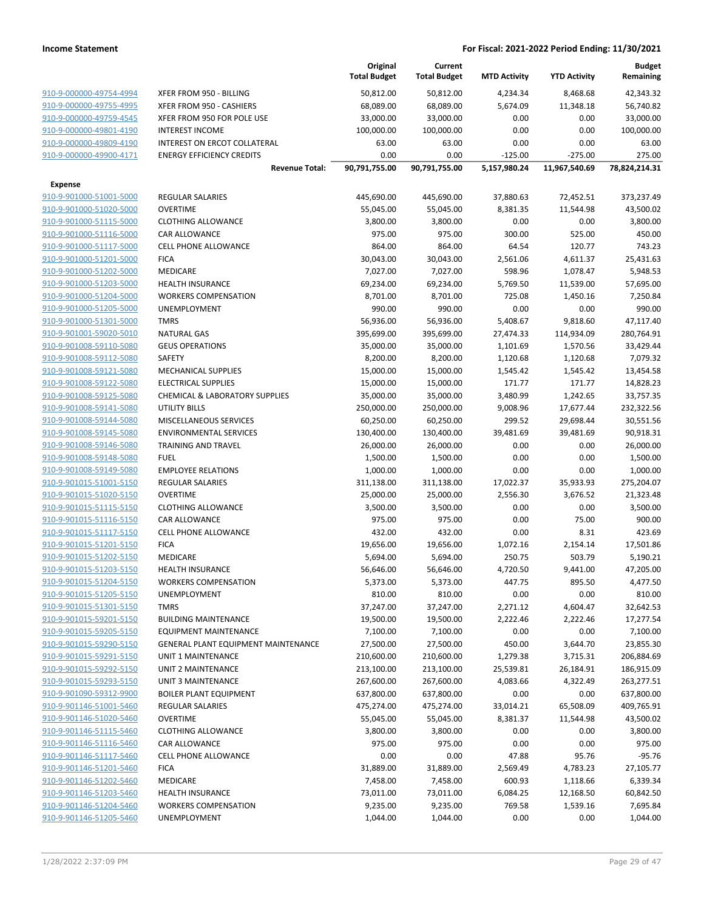|                         |                                            | Original<br><b>Total Budget</b> | Current<br><b>Total Budget</b> | <b>MTD Activity</b> | <b>YTD Activity</b> | <b>Budget</b><br>Remaining |
|-------------------------|--------------------------------------------|---------------------------------|--------------------------------|---------------------|---------------------|----------------------------|
| 910-9-000000-49754-4994 | XFER FROM 950 - BILLING                    | 50,812.00                       | 50,812.00                      | 4,234.34            | 8,468.68            | 42,343.32                  |
| 910-9-000000-49755-4995 | XFER FROM 950 - CASHIERS                   | 68,089.00                       | 68,089.00                      | 5,674.09            | 11,348.18           | 56,740.82                  |
| 910-9-000000-49759-4545 | XFER FROM 950 FOR POLE USE                 | 33,000.00                       | 33,000.00                      | 0.00                | 0.00                | 33,000.00                  |
| 910-9-000000-49801-4190 | <b>INTEREST INCOME</b>                     | 100,000.00                      | 100,000.00                     | 0.00                | 0.00                | 100,000.00                 |
| 910-9-000000-49809-4190 | <b>INTEREST ON ERCOT COLLATERAL</b>        | 63.00                           | 63.00                          | 0.00                | 0.00                | 63.00                      |
| 910-9-000000-49900-4171 | <b>ENERGY EFFICIENCY CREDITS</b>           | 0.00                            | 0.00                           | $-125.00$           | $-275.00$           | 275.00                     |
|                         | <b>Revenue Total:</b>                      | 90,791,755.00                   | 90,791,755.00                  | 5,157,980.24        | 11,967,540.69       | 78,824,214.31              |
| <b>Expense</b>          |                                            |                                 |                                |                     |                     |                            |
| 910-9-901000-51001-5000 | <b>REGULAR SALARIES</b>                    | 445,690.00                      | 445,690.00                     | 37,880.63           | 72,452.51           | 373,237.49                 |
| 910-9-901000-51020-5000 | <b>OVERTIME</b>                            | 55,045.00                       | 55,045.00                      | 8,381.35            | 11,544.98           | 43,500.02                  |
| 910-9-901000-51115-5000 | <b>CLOTHING ALLOWANCE</b>                  | 3,800.00                        | 3,800.00                       | 0.00                | 0.00                | 3,800.00                   |
| 910-9-901000-51116-5000 | <b>CAR ALLOWANCE</b>                       | 975.00                          | 975.00                         | 300.00              | 525.00              | 450.00                     |
| 910-9-901000-51117-5000 | <b>CELL PHONE ALLOWANCE</b>                | 864.00                          | 864.00                         | 64.54               | 120.77              | 743.23                     |
| 910-9-901000-51201-5000 | <b>FICA</b>                                | 30,043.00                       | 30,043.00                      | 2,561.06            | 4,611.37            | 25,431.63                  |
| 910-9-901000-51202-5000 | <b>MEDICARE</b>                            | 7,027.00                        | 7,027.00                       | 598.96              | 1,078.47            | 5,948.53                   |
| 910-9-901000-51203-5000 | <b>HEALTH INSURANCE</b>                    | 69,234.00                       | 69,234.00                      | 5,769.50            | 11,539.00           | 57,695.00                  |
| 910-9-901000-51204-5000 | <b>WORKERS COMPENSATION</b>                | 8,701.00                        | 8,701.00                       | 725.08              | 1,450.16            | 7,250.84                   |
| 910-9-901000-51205-5000 | <b>UNEMPLOYMENT</b>                        | 990.00                          | 990.00                         | 0.00                | 0.00                | 990.00                     |
| 910-9-901000-51301-5000 | <b>TMRS</b>                                | 56,936.00                       | 56,936.00                      | 5,408.67            | 9,818.60            | 47,117.40                  |
| 910-9-901001-59020-5010 | <b>NATURAL GAS</b>                         | 395,699.00                      | 395,699.00                     | 27,474.33           | 114,934.09          | 280,764.91                 |
| 910-9-901008-59110-5080 | <b>GEUS OPERATIONS</b>                     | 35,000.00                       | 35,000.00                      | 1,101.69            | 1,570.56            | 33,429.44                  |
| 910-9-901008-59112-5080 | SAFETY                                     | 8,200.00                        | 8,200.00                       | 1,120.68            | 1,120.68            | 7,079.32                   |
| 910-9-901008-59121-5080 | <b>MECHANICAL SUPPLIES</b>                 | 15,000.00                       | 15,000.00                      | 1,545.42            | 1,545.42            | 13,454.58                  |
| 910-9-901008-59122-5080 | <b>ELECTRICAL SUPPLIES</b>                 | 15,000.00                       | 15,000.00                      | 171.77              | 171.77              | 14,828.23                  |
| 910-9-901008-59125-5080 | <b>CHEMICAL &amp; LABORATORY SUPPLIES</b>  | 35,000.00                       | 35,000.00                      | 3,480.99            | 1,242.65            | 33,757.35                  |
| 910-9-901008-59141-5080 | <b>UTILITY BILLS</b>                       | 250,000.00                      | 250,000.00                     | 9,008.96            | 17,677.44           | 232,322.56                 |
| 910-9-901008-59144-5080 | MISCELLANEOUS SERVICES                     | 60,250.00                       | 60,250.00                      | 299.52              | 29,698.44           | 30,551.56                  |
| 910-9-901008-59145-5080 | <b>ENVIRONMENTAL SERVICES</b>              | 130,400.00                      | 130,400.00                     | 39,481.69           | 39,481.69           | 90,918.31                  |
| 910-9-901008-59146-5080 | <b>TRAINING AND TRAVEL</b>                 | 26,000.00                       | 26,000.00                      | 0.00                | 0.00                | 26,000.00                  |
| 910-9-901008-59148-5080 | <b>FUEL</b>                                | 1,500.00                        | 1,500.00                       | 0.00                | 0.00                | 1,500.00                   |
| 910-9-901008-59149-5080 | <b>EMPLOYEE RELATIONS</b>                  | 1,000.00                        | 1,000.00                       | 0.00                | 0.00                | 1,000.00                   |
| 910-9-901015-51001-5150 | <b>REGULAR SALARIES</b>                    | 311,138.00                      | 311,138.00                     | 17,022.37           | 35,933.93           | 275,204.07                 |
| 910-9-901015-51020-5150 | <b>OVERTIME</b>                            | 25,000.00                       | 25,000.00                      | 2,556.30            | 3,676.52            | 21,323.48                  |
| 910-9-901015-51115-5150 | <b>CLOTHING ALLOWANCE</b>                  | 3,500.00                        | 3,500.00                       | 0.00                | 0.00                | 3,500.00                   |
| 910-9-901015-51116-5150 | <b>CAR ALLOWANCE</b>                       | 975.00                          | 975.00                         | 0.00                | 75.00               | 900.00                     |
| 910-9-901015-51117-5150 | CELL PHONE ALLOWANCE                       | 432.00                          | 432.00                         | 0.00                | 8.31                | 423.69                     |
| 910-9-901015-51201-5150 | <b>FICA</b>                                |                                 | 19,656.00                      |                     | 2,154.14            |                            |
| 910-9-901015-51202-5150 | <b>MEDICARE</b>                            | 19,656.00<br>5,694.00           | 5,694.00                       | 1,072.16<br>250.75  | 503.79              | 17,501.86<br>5,190.21      |
| 910-9-901015-51203-5150 | <b>HEALTH INSURANCE</b>                    | 56,646.00                       | 56,646.00                      | 4,720.50            | 9,441.00            | 47,205.00                  |
| 910-9-901015-51204-5150 |                                            |                                 |                                | 447.75              | 895.50              |                            |
| 910-9-901015-51205-5150 | <b>WORKERS COMPENSATION</b>                | 5,373.00                        | 5,373.00                       |                     |                     | 4,477.50                   |
| 910-9-901015-51301-5150 | UNEMPLOYMENT                               | 810.00                          | 810.00                         | 0.00                | 0.00                | 810.00                     |
|                         | <b>TMRS</b><br><b>BUILDING MAINTENANCE</b> | 37,247.00                       | 37,247.00<br>19,500.00         | 2,271.12            | 4,604.47            | 32,642.53<br>17,277.54     |
| 910-9-901015-59201-5150 |                                            | 19,500.00                       |                                | 2,222.46            | 2,222.46            |                            |
| 910-9-901015-59205-5150 | <b>EQUIPMENT MAINTENANCE</b>               | 7,100.00                        | 7,100.00                       | 0.00                | 0.00                | 7,100.00                   |
| 910-9-901015-59290-5150 | <b>GENERAL PLANT EQUIPMENT MAINTENANCE</b> | 27,500.00                       | 27,500.00                      | 450.00              | 3,644.70            | 23,855.30                  |
| 910-9-901015-59291-5150 | <b>UNIT 1 MAINTENANCE</b>                  | 210,600.00                      | 210,600.00                     | 1,279.38            | 3,715.31            | 206,884.69                 |
| 910-9-901015-59292-5150 | UNIT 2 MAINTENANCE                         | 213,100.00                      | 213,100.00                     | 25,539.81           | 26,184.91           | 186,915.09                 |
| 910-9-901015-59293-5150 | UNIT 3 MAINTENANCE                         | 267,600.00                      | 267,600.00                     | 4,083.66            | 4,322.49            | 263,277.51                 |
| 910-9-901090-59312-9900 | <b>BOILER PLANT EQUIPMENT</b>              | 637,800.00                      | 637,800.00                     | 0.00                | 0.00                | 637,800.00                 |
| 910-9-901146-51001-5460 | <b>REGULAR SALARIES</b>                    | 475,274.00                      | 475,274.00                     | 33,014.21           | 65,508.09           | 409,765.91                 |
| 910-9-901146-51020-5460 | <b>OVERTIME</b>                            | 55,045.00                       | 55,045.00                      | 8,381.37            | 11,544.98           | 43,500.02                  |
| 910-9-901146-51115-5460 | <b>CLOTHING ALLOWANCE</b>                  | 3,800.00                        | 3,800.00                       | 0.00                | 0.00                | 3,800.00                   |
| 910-9-901146-51116-5460 | CAR ALLOWANCE                              | 975.00                          | 975.00                         | 0.00                | 0.00                | 975.00                     |
| 910-9-901146-51117-5460 | <b>CELL PHONE ALLOWANCE</b>                | 0.00                            | 0.00                           | 47.88               | 95.76               | $-95.76$                   |
| 910-9-901146-51201-5460 | <b>FICA</b>                                | 31,889.00                       | 31,889.00                      | 2,569.49            | 4,783.23            | 27,105.77                  |
| 910-9-901146-51202-5460 | MEDICARE                                   | 7,458.00                        | 7,458.00                       | 600.93              | 1,118.66            | 6,339.34                   |
| 910-9-901146-51203-5460 | <b>HEALTH INSURANCE</b>                    | 73,011.00                       | 73,011.00                      | 6,084.25            | 12,168.50           | 60,842.50                  |
| 910-9-901146-51204-5460 | <b>WORKERS COMPENSATION</b>                | 9,235.00                        | 9,235.00                       | 769.58              | 1,539.16            | 7,695.84                   |
| 910-9-901146-51205-5460 | UNEMPLOYMENT                               | 1,044.00                        | 1,044.00                       | 0.00                | 0.00                | 1,044.00                   |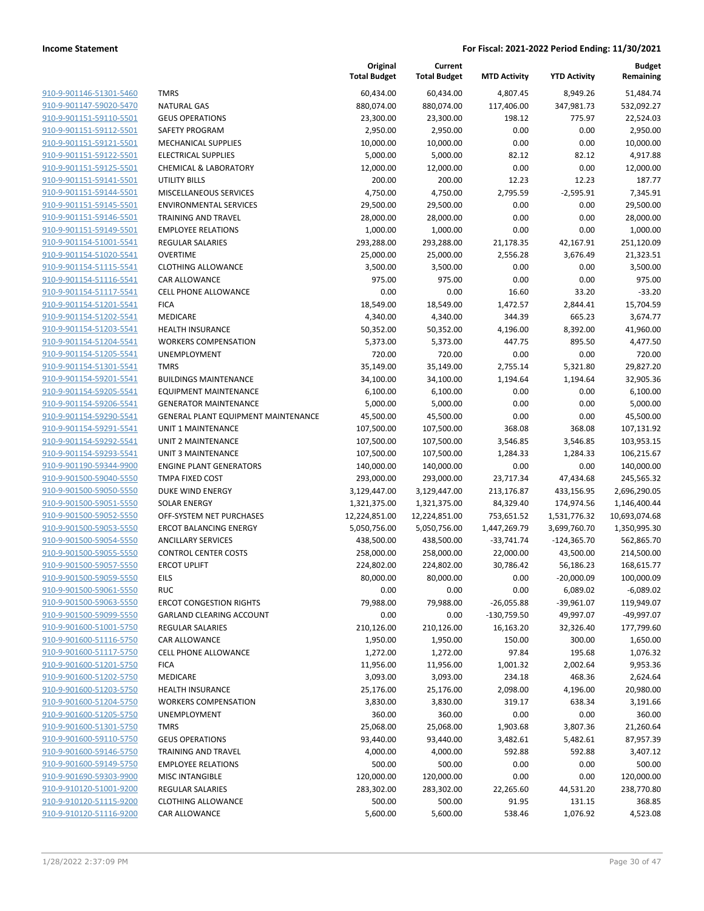|                                                    |                                     | Original<br><b>Total Budget</b> | Current<br><b>Total Budget</b> | <b>MTD Activity</b> | <b>YTD Activity</b>       | <b>Budget</b><br>Remaining |
|----------------------------------------------------|-------------------------------------|---------------------------------|--------------------------------|---------------------|---------------------------|----------------------------|
| 910-9-901146-51301-5460                            | <b>TMRS</b>                         | 60,434.00                       | 60,434.00                      | 4,807.45            | 8,949.26                  | 51,484.74                  |
| 910-9-901147-59020-5470                            | <b>NATURAL GAS</b>                  | 880,074.00                      | 880,074.00                     | 117,406.00          | 347,981.73                | 532,092.27                 |
| 910-9-901151-59110-5501                            | <b>GEUS OPERATIONS</b>              | 23,300.00                       | 23,300.00                      | 198.12              | 775.97                    | 22,524.03                  |
| 910-9-901151-59112-5501                            | SAFETY PROGRAM                      | 2,950.00                        | 2,950.00                       | 0.00                | 0.00                      | 2,950.00                   |
| 910-9-901151-59121-5501                            | <b>MECHANICAL SUPPLIES</b>          | 10,000.00                       | 10,000.00                      | 0.00                | 0.00                      | 10,000.00                  |
| 910-9-901151-59122-5501                            | <b>ELECTRICAL SUPPLIES</b>          | 5,000.00                        | 5,000.00                       | 82.12               | 82.12                     | 4,917.88                   |
| 910-9-901151-59125-5501                            | <b>CHEMICAL &amp; LABORATORY</b>    | 12,000.00                       | 12,000.00                      | 0.00                | 0.00                      | 12,000.00                  |
| 910-9-901151-59141-5501                            | <b>UTILITY BILLS</b>                | 200.00                          | 200.00                         | 12.23               | 12.23                     | 187.77                     |
| 910-9-901151-59144-5501                            | <b>MISCELLANEOUS SERVICES</b>       | 4,750.00                        | 4,750.00                       | 2,795.59            | $-2,595.91$               | 7,345.91                   |
| 910-9-901151-59145-5501                            | <b>ENVIRONMENTAL SERVICES</b>       | 29,500.00                       | 29,500.00                      | 0.00                | 0.00                      | 29,500.00                  |
| 910-9-901151-59146-5501                            | <b>TRAINING AND TRAVEL</b>          | 28,000.00                       | 28,000.00                      | 0.00                | 0.00                      | 28,000.00                  |
| 910-9-901151-59149-5501                            | <b>EMPLOYEE RELATIONS</b>           | 1,000.00                        | 1,000.00                       | 0.00                | 0.00                      | 1,000.00                   |
| 910-9-901154-51001-5541                            | <b>REGULAR SALARIES</b>             | 293,288.00                      | 293,288.00                     | 21,178.35           | 42,167.91                 | 251,120.09                 |
| 910-9-901154-51020-5541                            | OVERTIME                            | 25,000.00                       | 25,000.00                      | 2,556.28            | 3,676.49                  | 21,323.51                  |
| 910-9-901154-51115-5541                            | <b>CLOTHING ALLOWANCE</b>           | 3,500.00                        | 3,500.00                       | 0.00                | 0.00                      | 3,500.00                   |
| 910-9-901154-51116-5541                            | <b>CAR ALLOWANCE</b>                | 975.00                          | 975.00                         | 0.00                | 0.00                      | 975.00                     |
| 910-9-901154-51117-5541                            | <b>CELL PHONE ALLOWANCE</b>         | 0.00                            | 0.00                           | 16.60               | 33.20                     | $-33.20$                   |
| 910-9-901154-51201-5541<br>910-9-901154-51202-5541 | <b>FICA</b><br><b>MEDICARE</b>      | 18,549.00                       | 18,549.00                      | 1,472.57<br>344.39  | 2,844.41<br>665.23        | 15,704.59                  |
| 910-9-901154-51203-5541                            | <b>HEALTH INSURANCE</b>             | 4,340.00<br>50,352.00           | 4,340.00<br>50,352.00          | 4,196.00            | 8,392.00                  | 3,674.77<br>41,960.00      |
| 910-9-901154-51204-5541                            | <b>WORKERS COMPENSATION</b>         | 5,373.00                        | 5,373.00                       | 447.75              | 895.50                    | 4,477.50                   |
| 910-9-901154-51205-5541                            | <b>UNEMPLOYMENT</b>                 | 720.00                          | 720.00                         | 0.00                | 0.00                      | 720.00                     |
| 910-9-901154-51301-5541                            | <b>TMRS</b>                         | 35,149.00                       | 35,149.00                      | 2,755.14            | 5,321.80                  | 29,827.20                  |
| 910-9-901154-59201-5541                            | <b>BUILDINGS MAINTENANCE</b>        | 34,100.00                       | 34,100.00                      | 1,194.64            | 1,194.64                  | 32,905.36                  |
| 910-9-901154-59205-5541                            | EQUIPMENT MAINTENANCE               | 6,100.00                        | 6,100.00                       | 0.00                | 0.00                      | 6,100.00                   |
| 910-9-901154-59206-5541                            | <b>GENERATOR MAINTENANCE</b>        | 5,000.00                        | 5,000.00                       | 0.00                | 0.00                      | 5,000.00                   |
| 910-9-901154-59290-5541                            | GENERAL PLANT EQUIPMENT MAINTENANCE | 45,500.00                       | 45,500.00                      | 0.00                | 0.00                      | 45,500.00                  |
| 910-9-901154-59291-5541                            | UNIT 1 MAINTENANCE                  | 107,500.00                      | 107,500.00                     | 368.08              | 368.08                    | 107,131.92                 |
| 910-9-901154-59292-5541                            | UNIT 2 MAINTENANCE                  | 107,500.00                      | 107,500.00                     | 3,546.85            | 3,546.85                  | 103,953.15                 |
| 910-9-901154-59293-5541                            | UNIT 3 MAINTENANCE                  | 107,500.00                      | 107,500.00                     | 1,284.33            | 1,284.33                  | 106,215.67                 |
| 910-9-901190-59344-9900                            | <b>ENGINE PLANT GENERATORS</b>      | 140,000.00                      | 140,000.00                     | 0.00                | 0.00                      | 140,000.00                 |
| 910-9-901500-59040-5550                            | <b>TMPA FIXED COST</b>              | 293,000.00                      | 293,000.00                     | 23,717.34           | 47,434.68                 | 245,565.32                 |
| 910-9-901500-59050-5550                            | DUKE WIND ENERGY                    | 3,129,447.00                    | 3,129,447.00                   | 213,176.87          | 433,156.95                | 2,696,290.05               |
| 910-9-901500-59051-5550                            | <b>SOLAR ENERGY</b>                 | 1,321,375.00                    | 1,321,375.00                   | 84,329.40           | 174,974.56                | 1,146,400.44               |
| 910-9-901500-59052-5550                            | OFF-SYSTEM NET PURCHASES            | 12,224,851.00                   | 12,224,851.00                  | 753,651.52          | 1,531,776.32              | 10,693,074.68              |
| 910-9-901500-59053-5550                            | <b>ERCOT BALANCING ENERGY</b>       | 5,050,756.00                    | 5,050,756.00                   | 1,447,269.79        | 3,699,760.70              | 1,350,995.30               |
| 910-9-901500-59054-5550                            | <b>ANCILLARY SERVICES</b>           | 438,500.00                      | 438,500.00                     | -33,741.74          | $-124,365.70$             | 562,865.70                 |
| 910-9-901500-59055-5550                            | <b>CONTROL CENTER COSTS</b>         | 258,000.00                      | 258,000.00                     | 22,000.00           | 43,500.00                 | 214,500.00                 |
| 910-9-901500-59057-5550<br>910-9-901500-59059-5550 | <b>ERCOT UPLIFT</b><br>EILS         | 224,802.00<br>80,000.00         | 224,802.00<br>80,000.00        | 30,786.42<br>0.00   | 56,186.23<br>$-20,000.09$ | 168,615.77<br>100,000.09   |
| 910-9-901500-59061-5550                            | <b>RUC</b>                          | 0.00                            | 0.00                           | 0.00                | 6,089.02                  | $-6,089.02$                |
| 910-9-901500-59063-5550                            | <b>ERCOT CONGESTION RIGHTS</b>      | 79,988.00                       | 79,988.00                      | $-26,055.88$        | -39,961.07                | 119,949.07                 |
| 910-9-901500-59099-5550                            | <b>GARLAND CLEARING ACCOUNT</b>     | 0.00                            | 0.00                           | $-130,759.50$       | 49,997.07                 | -49,997.07                 |
| 910-9-901600-51001-5750                            | <b>REGULAR SALARIES</b>             | 210,126.00                      | 210,126.00                     | 16,163.20           | 32,326.40                 | 177,799.60                 |
| 910-9-901600-51116-5750                            | <b>CAR ALLOWANCE</b>                | 1,950.00                        | 1,950.00                       | 150.00              | 300.00                    | 1,650.00                   |
| 910-9-901600-51117-5750                            | <b>CELL PHONE ALLOWANCE</b>         | 1,272.00                        | 1,272.00                       | 97.84               | 195.68                    | 1,076.32                   |
| 910-9-901600-51201-5750                            | <b>FICA</b>                         | 11,956.00                       | 11,956.00                      | 1,001.32            | 2,002.64                  | 9,953.36                   |
| 910-9-901600-51202-5750                            | MEDICARE                            | 3,093.00                        | 3,093.00                       | 234.18              | 468.36                    | 2,624.64                   |
| 910-9-901600-51203-5750                            | <b>HEALTH INSURANCE</b>             | 25,176.00                       | 25,176.00                      | 2,098.00            | 4,196.00                  | 20,980.00                  |
| 910-9-901600-51204-5750                            | <b>WORKERS COMPENSATION</b>         | 3,830.00                        | 3,830.00                       | 319.17              | 638.34                    | 3,191.66                   |
| 910-9-901600-51205-5750                            | UNEMPLOYMENT                        | 360.00                          | 360.00                         | 0.00                | 0.00                      | 360.00                     |
| 910-9-901600-51301-5750                            | <b>TMRS</b>                         | 25,068.00                       | 25,068.00                      | 1,903.68            | 3,807.36                  | 21,260.64                  |
| 910-9-901600-59110-5750                            | <b>GEUS OPERATIONS</b>              | 93,440.00                       | 93,440.00                      | 3,482.61            | 5,482.61                  | 87,957.39                  |
| 910-9-901600-59146-5750                            | <b>TRAINING AND TRAVEL</b>          | 4,000.00                        | 4,000.00                       | 592.88              | 592.88                    | 3,407.12                   |
| 910-9-901600-59149-5750                            | <b>EMPLOYEE RELATIONS</b>           | 500.00                          | 500.00                         | 0.00                | 0.00                      | 500.00                     |
| 910-9-901690-59303-9900                            | <b>MISC INTANGIBLE</b>              | 120,000.00                      | 120,000.00                     | 0.00                | 0.00                      | 120,000.00                 |
| 910-9-910120-51001-9200                            | <b>REGULAR SALARIES</b>             | 283,302.00                      | 283,302.00                     | 22,265.60           | 44,531.20                 | 238,770.80                 |
| 910-9-910120-51115-9200                            | <b>CLOTHING ALLOWANCE</b>           | 500.00                          | 500.00                         | 91.95               | 131.15                    | 368.85                     |
| 910-9-910120-51116-9200                            | <b>CAR ALLOWANCE</b>                | 5,600.00                        | 5,600.00                       | 538.46              | 1,076.92                  | 4,523.08                   |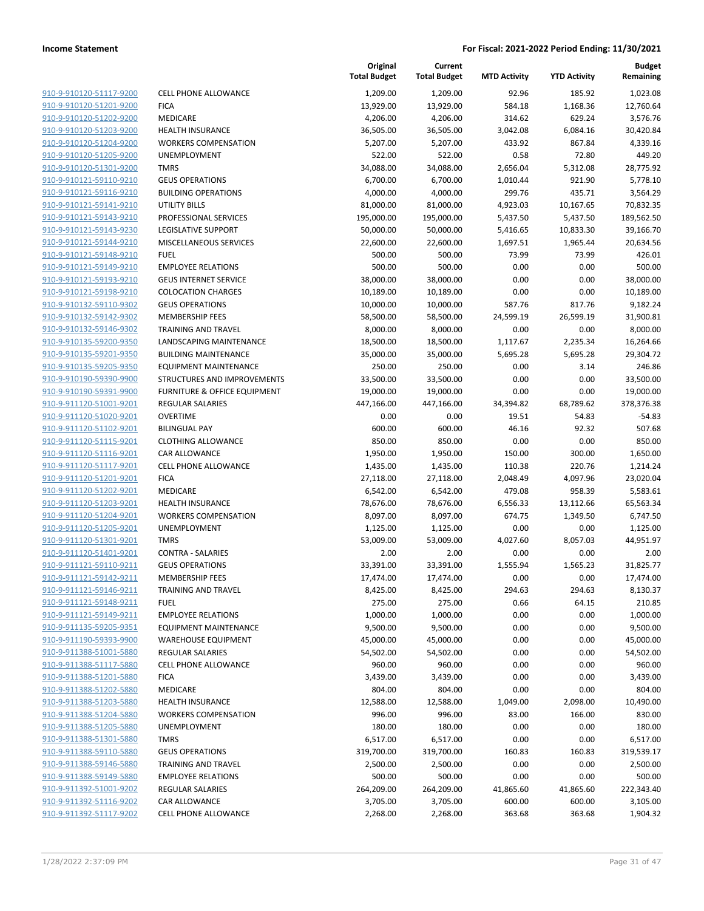| 910-9-910120-51117-9200                            | <b>CELL PHON</b> |
|----------------------------------------------------|------------------|
| 910-9-910120-51201-9200                            | <b>FICA</b>      |
| 910-9-910120-51202-9200                            | <b>MEDICARE</b>  |
| 910-9-910120-51203-9200                            | <b>HEALTH IN</b> |
| 910-9-910120-51204-9200                            | <b>WORKERS</b>   |
| 910-9-910120-51205-9200                            | <b>UNEMPLO</b>   |
| 910-9-910120-51301-9200                            | <b>TMRS</b>      |
| 910-9-910121-59110-9210                            | <b>GEUS OPE</b>  |
| 910-9-910121-59116-9210                            | <b>BUILDING</b>  |
| 910-9-910121-59141-9210                            | UTILITY BI       |
| 910-9-910121-59143-9210                            | <b>PROFESSIC</b> |
| 910-9-910121-59143-9230                            | LEGISLATI        |
| 910-9-910121-59144-9210                            | <b>MISCELLAI</b> |
| 910-9-910121-59148-9210                            | FUEL             |
| 910-9-910121-59149-9210                            | <b>EMPLOYEE</b>  |
| 910-9-910121-59193-9210                            | <b>GEUS INTE</b> |
| <u>910-9-910121-59198-9210</u>                     | COLOCATI         |
| 910-9-910132-59110-9302                            | <b>GEUS OPE</b>  |
| 910-9-910132-59142-9302                            | <b>MEMBERS</b>   |
| 910-9-910132-59146-9302                            | TRAINING         |
| 910-9-910135-59200-9350                            | LANDSCAF         |
| 910-9-910135-59201-9350                            | <b>BUILDING</b>  |
| 910-9-910135-59205-9350                            | <b>EQUIPMEI</b>  |
| 910-9-910190-59390-9900                            | STRUCTUF         |
| 910-9-910190-59391-9900                            | <b>FURNITUR</b>  |
| 910-9-911120-51001-9201                            | <b>REGULAR:</b>  |
| 910-9-911120-51020-9201                            | OVERTIME         |
| 910-9-911120-51102-9201                            | <b>BILINGUAI</b> |
| 910-9-911120-51115-9201                            | <b>CLOTHING</b>  |
| 910-9-911120-51116-9201                            | CAR ALLO         |
| 910-9-911120-51117-9201                            | <b>CELL PHON</b> |
| 910-9-911120-51201-9201<br>910-9-911120-51202-9201 | FICA<br>MEDICARE |
| 910-9-911120-51203-9201                            | <b>HEALTH IN</b> |
| 910-9-911120-51204-9201                            | <b>WORKERS</b>   |
| 910-9-911120-51205-9201                            | UNEMPLO          |
| 910-9-911120-51301-9201                            | TMRS             |
| 910-9-911120-51401-9201                            | <b>CONTRA -</b>  |
| 910-9-911121-59110-9211                            | <b>GEUS OPE</b>  |
| 910-9-911121-59142-9211                            | <b>MEMBERS</b>   |
| 910-9-911121-59146-9211                            | TRAINING         |
| <u>910-9-911121-59148-9211</u>                     | <b>FUEL</b>      |
| 910-9-911121-59149-9211                            | <b>EMPLOYEI</b>  |
| 910-9-911135-59205-9351                            | <b>EQUIPMEI</b>  |
| 910-9-911190-59393-9900                            | WAREHOL          |
| 910-9-911388-51001-5880                            | <b>REGULAR</b>   |
| 910-9-911388-51117-5880                            | <b>CELL PHON</b> |
| 910-9-911388-51201-5880                            | <b>FICA</b>      |
| 910-9-911388-51202-5880                            | MEDICARE         |
| 910-9-911388-51203-5880                            | <b>HEALTH IN</b> |
| 910-9-911388-51204-5880                            | <b>WORKERS</b>   |
| 910-9-911388-51205-5880                            | UNEMPLO          |
| 910-9-911388-51301-5880                            | <b>TMRS</b>      |
| 910-9-911388-59110-5880                            | <b>GEUS OPE</b>  |
| 910-9-911388-59146-5880                            | TRAINING         |
| 910-9-911388-59149-5880                            | <b>EMPLOYER</b>  |
| 910-9-911392-51001-9202                            | <b>REGULAR</b>   |
| 910-9-911392-51116-9202                            | CAR ALLO         |
| 910-9-911392-51117-9202                            | <b>CELL PHON</b> |

|                         |                              | Original<br><b>Total Budget</b> | Current<br><b>Total Budget</b> | <b>MTD Activity</b> | <b>YTD Activity</b> | <b>Budget</b><br>Remaining |
|-------------------------|------------------------------|---------------------------------|--------------------------------|---------------------|---------------------|----------------------------|
| 910-9-910120-51117-9200 | <b>CELL PHONE ALLOWANCE</b>  | 1,209.00                        | 1,209.00                       | 92.96               | 185.92              | 1,023.08                   |
| 910-9-910120-51201-9200 | <b>FICA</b>                  | 13,929.00                       | 13,929.00                      | 584.18              | 1,168.36            | 12,760.64                  |
| 910-9-910120-51202-9200 | MEDICARE                     | 4,206.00                        | 4,206.00                       | 314.62              | 629.24              | 3,576.76                   |
| 910-9-910120-51203-9200 | <b>HEALTH INSURANCE</b>      | 36,505.00                       | 36,505.00                      | 3,042.08            | 6,084.16            | 30,420.84                  |
| 910-9-910120-51204-9200 | <b>WORKERS COMPENSATION</b>  | 5,207.00                        | 5,207.00                       | 433.92              | 867.84              | 4,339.16                   |
| 910-9-910120-51205-9200 | UNEMPLOYMENT                 | 522.00                          | 522.00                         | 0.58                | 72.80               | 449.20                     |
| 910-9-910120-51301-9200 | <b>TMRS</b>                  | 34,088.00                       | 34,088.00                      | 2,656.04            | 5,312.08            | 28,775.92                  |
| 910-9-910121-59110-9210 | <b>GEUS OPERATIONS</b>       | 6,700.00                        | 6,700.00                       | 1,010.44            | 921.90              | 5,778.10                   |
| 910-9-910121-59116-9210 | <b>BUILDING OPERATIONS</b>   | 4,000.00                        | 4,000.00                       | 299.76              | 435.71              | 3,564.29                   |
| 910-9-910121-59141-9210 | <b>UTILITY BILLS</b>         | 81,000.00                       | 81,000.00                      | 4,923.03            | 10,167.65           | 70,832.35                  |
| 910-9-910121-59143-9210 | PROFESSIONAL SERVICES        | 195,000.00                      | 195,000.00                     | 5,437.50            | 5,437.50            | 189,562.50                 |
| 910-9-910121-59143-9230 | LEGISLATIVE SUPPORT          | 50,000.00                       | 50,000.00                      | 5,416.65            | 10,833.30           | 39,166.70                  |
| 910-9-910121-59144-9210 | MISCELLANEOUS SERVICES       | 22,600.00                       | 22,600.00                      | 1,697.51            | 1,965.44            | 20,634.56                  |
| 910-9-910121-59148-9210 | <b>FUEL</b>                  | 500.00                          | 500.00                         | 73.99               | 73.99               | 426.01                     |
| 910-9-910121-59149-9210 | <b>EMPLOYEE RELATIONS</b>    | 500.00                          | 500.00                         | 0.00                | 0.00                | 500.00                     |
| 910-9-910121-59193-9210 | <b>GEUS INTERNET SERVICE</b> | 38,000.00                       | 38,000.00                      | 0.00                | 0.00                | 38,000.00                  |
| 910-9-910121-59198-9210 | <b>COLOCATION CHARGES</b>    | 10,189.00                       | 10,189.00                      | 0.00                | 0.00                | 10,189.00                  |
| 910-9-910132-59110-9302 | <b>GEUS OPERATIONS</b>       | 10,000.00                       | 10,000.00                      | 587.76              | 817.76              | 9,182.24                   |
| 910-9-910132-59142-9302 | <b>MEMBERSHIP FEES</b>       | 58,500.00                       | 58,500.00                      | 24,599.19           | 26,599.19           | 31,900.81                  |
| 910-9-910132-59146-9302 | <b>TRAINING AND TRAVEL</b>   | 8,000.00                        | 8,000.00                       | 0.00                | 0.00                | 8,000.00                   |
| 910-9-910135-59200-9350 | LANDSCAPING MAINTENANCE      | 18,500.00                       | 18,500.00                      | 1,117.67            | 2,235.34            | 16,264.66                  |
| 910-9-910135-59201-9350 | <b>BUILDING MAINTENANCE</b>  | 35,000.00                       | 35,000.00                      | 5,695.28            | 5,695.28            | 29,304.72                  |
| 910-9-910135-59205-9350 | <b>EQUIPMENT MAINTENANCE</b> | 250.00                          | 250.00                         | 0.00                | 3.14                | 246.86                     |
| 910-9-910190-59390-9900 | STRUCTURES AND IMPROVEMENTS  | 33,500.00                       | 33,500.00                      | 0.00                | 0.00                | 33,500.00                  |
| 910-9-910190-59391-9900 | FURNITURE & OFFICE EQUIPMENT | 19,000.00                       | 19,000.00                      | 0.00                | 0.00                | 19,000.00                  |
| 910-9-911120-51001-9201 | REGULAR SALARIES             | 447,166.00                      | 447,166.00                     | 34,394.82           | 68,789.62           | 378,376.38                 |
| 910-9-911120-51020-9201 | <b>OVERTIME</b>              | 0.00                            | 0.00                           | 19.51               | 54.83               | $-54.83$                   |
| 910-9-911120-51102-9201 | <b>BILINGUAL PAY</b>         | 600.00                          | 600.00                         | 46.16               | 92.32               | 507.68                     |
| 910-9-911120-51115-9201 | <b>CLOTHING ALLOWANCE</b>    | 850.00                          | 850.00                         | 0.00                | 0.00                | 850.00                     |
| 910-9-911120-51116-9201 | CAR ALLOWANCE                | 1,950.00                        | 1,950.00                       | 150.00              | 300.00              | 1,650.00                   |
| 910-9-911120-51117-9201 | CELL PHONE ALLOWANCE         | 1,435.00                        | 1,435.00                       | 110.38              | 220.76              | 1,214.24                   |
| 910-9-911120-51201-9201 | <b>FICA</b>                  | 27,118.00                       | 27,118.00                      | 2,048.49            | 4,097.96            | 23,020.04                  |
| 910-9-911120-51202-9201 | MEDICARE                     | 6,542.00                        | 6,542.00                       | 479.08              | 958.39              | 5,583.61                   |
| 910-9-911120-51203-9201 | <b>HEALTH INSURANCE</b>      | 78,676.00                       | 78,676.00                      | 6,556.33            | 13,112.66           | 65,563.34                  |
| 910-9-911120-51204-9201 | <b>WORKERS COMPENSATION</b>  | 8,097.00                        | 8,097.00                       | 674.75              | 1,349.50            | 6,747.50                   |
| 910-9-911120-51205-9201 | UNEMPLOYMENT                 | 1,125.00                        | 1,125.00                       | 0.00                | 0.00                | 1,125.00                   |
| 910-9-911120-51301-9201 | <b>TMRS</b>                  | 53,009.00                       | 53,009.00                      | 4,027.60            | 8,057.03            | 44,951.97                  |
| 910-9-911120-51401-9201 | <b>CONTRA - SALARIES</b>     | 2.00                            | 2.00                           | 0.00                | 0.00                | 2.00                       |
| 910-9-911121-59110-9211 | <b>GEUS OPERATIONS</b>       | 33,391.00                       | 33,391.00                      | 1,555.94            | 1,565.23            | 31,825.77                  |
| 910-9-911121-59142-9211 | <b>MEMBERSHIP FEES</b>       | 17,474.00                       | 17,474.00                      | 0.00                | 0.00                | 17,474.00                  |
| 910-9-911121-59146-9211 | <b>TRAINING AND TRAVEL</b>   | 8,425.00                        | 8,425.00                       | 294.63              | 294.63              | 8,130.37                   |
| 910-9-911121-59148-9211 | <b>FUEL</b>                  | 275.00                          | 275.00                         | 0.66                | 64.15               | 210.85                     |
| 910-9-911121-59149-9211 | <b>EMPLOYEE RELATIONS</b>    | 1,000.00                        | 1,000.00                       | 0.00                | 0.00                | 1,000.00                   |
| 910-9-911135-59205-9351 | <b>EQUIPMENT MAINTENANCE</b> | 9,500.00                        | 9,500.00                       | 0.00                | 0.00                | 9,500.00                   |
| 910-9-911190-59393-9900 | <b>WAREHOUSE EQUIPMENT</b>   | 45,000.00                       | 45,000.00                      | 0.00                | 0.00                | 45,000.00                  |
| 910-9-911388-51001-5880 | <b>REGULAR SALARIES</b>      | 54,502.00                       | 54,502.00                      | 0.00                | 0.00                | 54,502.00                  |
| 910-9-911388-51117-5880 | <b>CELL PHONE ALLOWANCE</b>  | 960.00                          | 960.00                         | 0.00                | 0.00                | 960.00                     |
| 910-9-911388-51201-5880 | <b>FICA</b>                  | 3,439.00                        | 3,439.00                       | 0.00                | 0.00                | 3,439.00                   |
| 910-9-911388-51202-5880 | MEDICARE                     | 804.00                          | 804.00                         | 0.00                | 0.00                | 804.00                     |
| 910-9-911388-51203-5880 | <b>HEALTH INSURANCE</b>      | 12,588.00                       | 12,588.00                      | 1,049.00            | 2,098.00            | 10,490.00                  |
| 910-9-911388-51204-5880 | <b>WORKERS COMPENSATION</b>  | 996.00                          | 996.00                         | 83.00               | 166.00              | 830.00                     |
| 910-9-911388-51205-5880 | UNEMPLOYMENT                 | 180.00                          | 180.00                         | 0.00                | 0.00                | 180.00                     |
| 910-9-911388-51301-5880 | <b>TMRS</b>                  | 6,517.00                        | 6,517.00                       | 0.00                | 0.00                | 6,517.00                   |
| 910-9-911388-59110-5880 | <b>GEUS OPERATIONS</b>       | 319,700.00                      | 319,700.00                     | 160.83              | 160.83              | 319,539.17                 |
| 910-9-911388-59146-5880 | TRAINING AND TRAVEL          | 2,500.00                        | 2,500.00                       | 0.00                | 0.00                | 2,500.00                   |
| 910-9-911388-59149-5880 | <b>EMPLOYEE RELATIONS</b>    | 500.00                          | 500.00                         | 0.00                | 0.00                | 500.00                     |
| 910-9-911392-51001-9202 | <b>REGULAR SALARIES</b>      | 264,209.00                      | 264,209.00                     | 41,865.60           | 41,865.60           | 222,343.40                 |
| 910-9-911392-51116-9202 | CAR ALLOWANCE                | 3,705.00                        | 3,705.00                       | 600.00              | 600.00              | 3,105.00                   |
| 910-9-911392-51117-9202 | <b>CELL PHONE ALLOWANCE</b>  | 2,268.00                        | 2,268.00                       | 363.68              | 363.68              | 1,904.32                   |
|                         |                              |                                 |                                |                     |                     |                            |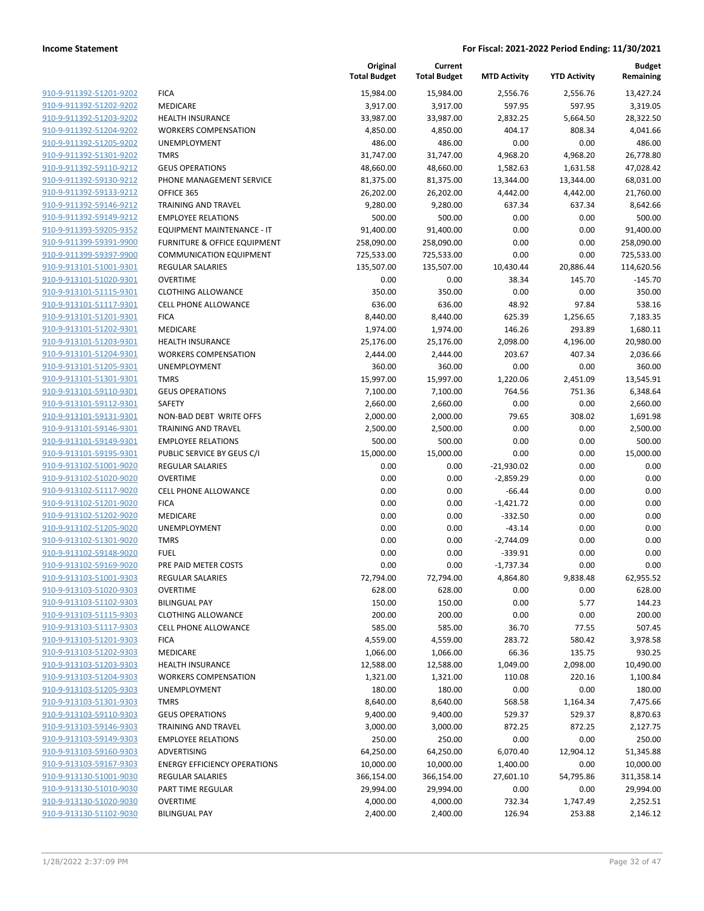|                                                    |                                                    | Original<br><b>Total Budget</b> | Current<br><b>Total Budget</b> | <b>MTD Activity</b>  | <b>YTD Activity</b> | <b>Budget</b><br>Remaining |
|----------------------------------------------------|----------------------------------------------------|---------------------------------|--------------------------------|----------------------|---------------------|----------------------------|
| 910-9-911392-51201-9202                            | <b>FICA</b>                                        | 15,984.00                       | 15,984.00                      | 2,556.76             | 2,556.76            | 13,427.24                  |
| 910-9-911392-51202-9202                            | MEDICARE                                           | 3,917.00                        | 3,917.00                       | 597.95               | 597.95              | 3,319.05                   |
| 910-9-911392-51203-9202                            | <b>HEALTH INSURANCE</b>                            | 33,987.00                       | 33,987.00                      | 2,832.25             | 5,664.50            | 28,322.50                  |
| 910-9-911392-51204-9202                            | <b>WORKERS COMPENSATION</b>                        | 4,850.00                        | 4,850.00                       | 404.17               | 808.34              | 4,041.66                   |
| 910-9-911392-51205-9202                            | UNEMPLOYMENT                                       | 486.00                          | 486.00                         | 0.00                 | 0.00                | 486.00                     |
| 910-9-911392-51301-9202                            | <b>TMRS</b>                                        | 31,747.00                       | 31,747.00                      | 4,968.20             | 4,968.20            | 26,778.80                  |
| 910-9-911392-59110-9212                            | <b>GEUS OPERATIONS</b>                             | 48,660.00                       | 48,660.00                      | 1,582.63             | 1,631.58            | 47,028.42                  |
| 910-9-911392-59130-9212                            | PHONE MANAGEMENT SERVICE                           | 81,375.00                       | 81,375.00                      | 13,344.00            | 13,344.00           | 68,031.00                  |
| 910-9-911392-59133-9212                            | OFFICE 365                                         | 26,202.00                       | 26,202.00                      | 4,442.00             | 4,442.00            | 21,760.00                  |
| 910-9-911392-59146-9212                            | <b>TRAINING AND TRAVEL</b>                         | 9,280.00                        | 9,280.00                       | 637.34               | 637.34              | 8,642.66                   |
| 910-9-911392-59149-9212                            | <b>EMPLOYEE RELATIONS</b>                          | 500.00                          | 500.00                         | 0.00                 | 0.00                | 500.00                     |
| 910-9-911393-59205-9352                            | EQUIPMENT MAINTENANCE - IT                         | 91,400.00                       | 91,400.00                      | 0.00                 | 0.00                | 91,400.00                  |
| 910-9-911399-59391-9900                            | <b>FURNITURE &amp; OFFICE EQUIPMENT</b>            | 258,090.00                      | 258,090.00                     | 0.00                 | 0.00                | 258,090.00                 |
| 910-9-911399-59397-9900                            | <b>COMMUNICATION EQUIPMENT</b>                     | 725,533.00                      | 725,533.00                     | 0.00                 | 0.00                | 725,533.00                 |
| 910-9-913101-51001-9301                            | <b>REGULAR SALARIES</b>                            | 135,507.00                      | 135,507.00                     | 10,430.44            | 20,886.44           | 114,620.56                 |
| 910-9-913101-51020-9301<br>910-9-913101-51115-9301 | <b>OVERTIME</b><br><b>CLOTHING ALLOWANCE</b>       | 0.00<br>350.00                  | 0.00<br>350.00                 | 38.34<br>0.00        | 145.70<br>0.00      | $-145.70$<br>350.00        |
| 910-9-913101-51117-9301                            | <b>CELL PHONE ALLOWANCE</b>                        | 636.00                          | 636.00                         | 48.92                | 97.84               | 538.16                     |
| 910-9-913101-51201-9301                            | <b>FICA</b>                                        |                                 |                                |                      | 1,256.65            |                            |
| 910-9-913101-51202-9301                            | MEDICARE                                           | 8,440.00<br>1,974.00            | 8,440.00<br>1,974.00           | 625.39<br>146.26     | 293.89              | 7,183.35<br>1,680.11       |
| 910-9-913101-51203-9301                            | <b>HEALTH INSURANCE</b>                            | 25,176.00                       | 25,176.00                      | 2,098.00             | 4,196.00            | 20,980.00                  |
| 910-9-913101-51204-9301                            | <b>WORKERS COMPENSATION</b>                        | 2,444.00                        | 2,444.00                       | 203.67               | 407.34              | 2,036.66                   |
| 910-9-913101-51205-9301                            | UNEMPLOYMENT                                       | 360.00                          | 360.00                         | 0.00                 | 0.00                | 360.00                     |
| 910-9-913101-51301-9301                            | <b>TMRS</b>                                        | 15,997.00                       | 15,997.00                      | 1,220.06             | 2,451.09            | 13,545.91                  |
| 910-9-913101-59110-9301                            | <b>GEUS OPERATIONS</b>                             | 7,100.00                        | 7,100.00                       | 764.56               | 751.36              | 6,348.64                   |
| 910-9-913101-59112-9301                            | SAFETY                                             | 2,660.00                        | 2,660.00                       | 0.00                 | 0.00                | 2,660.00                   |
| 910-9-913101-59131-9301                            | NON-BAD DEBT WRITE OFFS                            | 2,000.00                        | 2,000.00                       | 79.65                | 308.02              | 1,691.98                   |
| 910-9-913101-59146-9301                            | <b>TRAINING AND TRAVEL</b>                         | 2,500.00                        | 2,500.00                       | 0.00                 | 0.00                | 2,500.00                   |
| 910-9-913101-59149-9301                            | <b>EMPLOYEE RELATIONS</b>                          | 500.00                          | 500.00                         | 0.00                 | 0.00                | 500.00                     |
| 910-9-913101-59195-9301                            | PUBLIC SERVICE BY GEUS C/I                         | 15,000.00                       | 15,000.00                      | 0.00                 | 0.00                | 15,000.00                  |
| 910-9-913102-51001-9020                            | <b>REGULAR SALARIES</b>                            | 0.00                            | 0.00                           | $-21,930.02$         | 0.00                | 0.00                       |
| 910-9-913102-51020-9020                            | <b>OVERTIME</b>                                    | 0.00                            | 0.00                           | $-2,859.29$          | 0.00                | 0.00                       |
| 910-9-913102-51117-9020                            | <b>CELL PHONE ALLOWANCE</b>                        | 0.00                            | 0.00                           | $-66.44$             | 0.00                | 0.00                       |
| 910-9-913102-51201-9020                            | <b>FICA</b>                                        | 0.00                            | 0.00                           | $-1,421.72$          | 0.00                | 0.00                       |
| 910-9-913102-51202-9020                            | MEDICARE                                           | 0.00                            | 0.00                           | $-332.50$            | 0.00                | 0.00                       |
| 910-9-913102-51205-9020                            | <b>UNEMPLOYMENT</b>                                | 0.00                            | 0.00                           | $-43.14$             | 0.00                | 0.00                       |
| 910-9-913102-51301-9020                            | <b>TMRS</b>                                        | 0.00                            | 0.00                           | $-2,744.09$          | 0.00                | 0.00                       |
| 910-9-913102-59148-9020                            | <b>FUEL</b>                                        | 0.00                            | 0.00                           | $-339.91$            | 0.00                | 0.00                       |
| 910-9-913102-59169-9020                            | PRE PAID METER COSTS                               | 0.00                            | 0.00                           | $-1,737.34$          | 0.00                | 0.00                       |
| 910-9-913103-51001-9303                            | <b>REGULAR SALARIES</b>                            | 72,794.00                       | 72,794.00                      | 4,864.80             | 9,838.48            | 62,955.52                  |
| 910-9-913103-51020-9303                            | <b>OVERTIME</b>                                    | 628.00                          | 628.00                         | 0.00                 | 0.00                | 628.00                     |
| 910-9-913103-51102-9303                            | <b>BILINGUAL PAY</b>                               | 150.00                          | 150.00                         | 0.00                 | 5.77                | 144.23                     |
| 910-9-913103-51115-9303                            | <b>CLOTHING ALLOWANCE</b>                          | 200.00                          | 200.00                         | 0.00                 | 0.00                | 200.00                     |
| 910-9-913103-51117-9303                            | <b>CELL PHONE ALLOWANCE</b>                        | 585.00                          | 585.00                         | 36.70                | 77.55               | 507.45                     |
| 910-9-913103-51201-9303                            | <b>FICA</b>                                        | 4,559.00                        | 4,559.00                       | 283.72               | 580.42              | 3,978.58                   |
| 910-9-913103-51202-9303                            | MEDICARE                                           | 1,066.00                        | 1,066.00                       | 66.36                | 135.75              | 930.25                     |
| 910-9-913103-51203-9303                            | <b>HEALTH INSURANCE</b>                            | 12,588.00                       | 12,588.00                      | 1,049.00             | 2,098.00            | 10,490.00                  |
| 910-9-913103-51204-9303                            | <b>WORKERS COMPENSATION</b>                        | 1,321.00                        | 1,321.00                       | 110.08               | 220.16              | 1,100.84                   |
| 910-9-913103-51205-9303                            | UNEMPLOYMENT                                       | 180.00                          | 180.00                         | 0.00                 | 0.00                | 180.00                     |
| 910-9-913103-51301-9303                            | <b>TMRS</b>                                        | 8,640.00                        | 8,640.00                       | 568.58               | 1,164.34            | 7,475.66                   |
| 910-9-913103-59110-9303                            | <b>GEUS OPERATIONS</b>                             | 9,400.00                        | 9,400.00                       | 529.37               | 529.37              | 8,870.63                   |
| 910-9-913103-59146-9303                            | <b>TRAINING AND TRAVEL</b>                         | 3,000.00                        | 3,000.00                       | 872.25               | 872.25              | 2,127.75                   |
| 910-9-913103-59149-9303<br>910-9-913103-59160-9303 | <b>EMPLOYEE RELATIONS</b>                          | 250.00                          | 250.00                         | 0.00                 | 0.00                | 250.00                     |
| 910-9-913103-59167-9303                            | ADVERTISING<br><b>ENERGY EFFICIENCY OPERATIONS</b> | 64,250.00<br>10,000.00          | 64,250.00<br>10,000.00         | 6,070.40<br>1,400.00 | 12,904.12<br>0.00   | 51,345.88<br>10,000.00     |
| 910-9-913130-51001-9030                            | <b>REGULAR SALARIES</b>                            | 366,154.00                      | 366,154.00                     | 27,601.10            | 54,795.86           | 311,358.14                 |
| 910-9-913130-51010-9030                            | PART TIME REGULAR                                  | 29,994.00                       | 29,994.00                      | 0.00                 | 0.00                | 29,994.00                  |
| 910-9-913130-51020-9030                            | <b>OVERTIME</b>                                    | 4,000.00                        | 4,000.00                       | 732.34               | 1,747.49            | 2,252.51                   |
| 910-9-913130-51102-9030                            | <b>BILINGUAL PAY</b>                               | 2,400.00                        | 2,400.00                       | 126.94               | 253.88              | 2,146.12                   |
|                                                    |                                                    |                                 |                                |                      |                     |                            |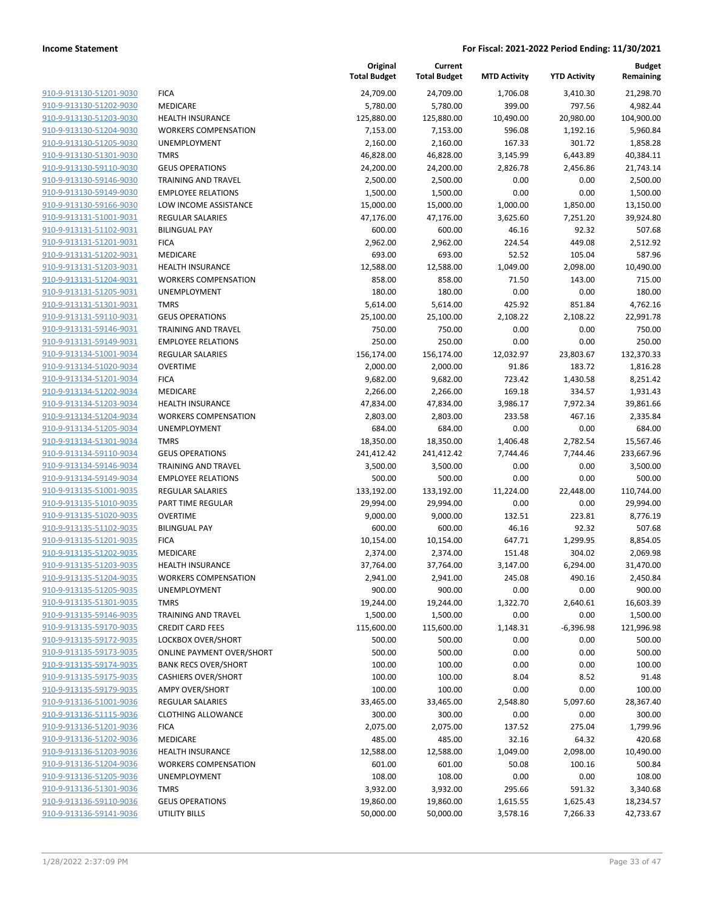|                         |                             | Original<br><b>Total Budget</b> | Current<br><b>Total Budget</b> | <b>MTD Activity</b> | <b>YTD Activity</b> | <b>Budget</b><br>Remaining |
|-------------------------|-----------------------------|---------------------------------|--------------------------------|---------------------|---------------------|----------------------------|
| 910-9-913130-51201-9030 | <b>FICA</b>                 | 24,709.00                       | 24,709.00                      | 1,706.08            | 3,410.30            | 21,298.70                  |
| 910-9-913130-51202-9030 | MEDICARE                    | 5,780.00                        | 5,780.00                       | 399.00              | 797.56              | 4,982.44                   |
| 910-9-913130-51203-9030 | <b>HEALTH INSURANCE</b>     | 125,880.00                      | 125,880.00                     | 10,490.00           | 20,980.00           | 104,900.00                 |
| 910-9-913130-51204-9030 | <b>WORKERS COMPENSATION</b> | 7,153.00                        | 7,153.00                       | 596.08              | 1,192.16            | 5,960.84                   |
| 910-9-913130-51205-9030 | <b>UNEMPLOYMENT</b>         | 2,160.00                        | 2,160.00                       | 167.33              | 301.72              | 1,858.28                   |
| 910-9-913130-51301-9030 | <b>TMRS</b>                 | 46,828.00                       | 46,828.00                      | 3,145.99            | 6,443.89            | 40,384.11                  |
| 910-9-913130-59110-9030 | <b>GEUS OPERATIONS</b>      | 24,200.00                       | 24,200.00                      | 2,826.78            | 2,456.86            | 21,743.14                  |
| 910-9-913130-59146-9030 | <b>TRAINING AND TRAVEL</b>  | 2,500.00                        | 2,500.00                       | 0.00                | 0.00                | 2,500.00                   |
| 910-9-913130-59149-9030 | <b>EMPLOYEE RELATIONS</b>   | 1,500.00                        | 1,500.00                       | 0.00                | 0.00                | 1,500.00                   |
| 910-9-913130-59166-9030 | LOW INCOME ASSISTANCE       | 15,000.00                       | 15,000.00                      | 1,000.00            | 1,850.00            | 13,150.00                  |
| 910-9-913131-51001-9031 | REGULAR SALARIES            | 47,176.00                       | 47,176.00                      | 3,625.60            | 7,251.20            | 39,924.80                  |
| 910-9-913131-51102-9031 | <b>BILINGUAL PAY</b>        | 600.00                          | 600.00                         | 46.16               | 92.32               | 507.68                     |
| 910-9-913131-51201-9031 | <b>FICA</b>                 | 2,962.00                        | 2,962.00                       | 224.54              | 449.08              | 2,512.92                   |
| 910-9-913131-51202-9031 | <b>MEDICARE</b>             | 693.00                          | 693.00                         | 52.52               | 105.04              | 587.96                     |
| 910-9-913131-51203-9031 | <b>HEALTH INSURANCE</b>     | 12,588.00                       | 12,588.00                      | 1,049.00            | 2,098.00            | 10,490.00                  |
| 910-9-913131-51204-9031 | <b>WORKERS COMPENSATION</b> | 858.00                          | 858.00                         | 71.50               | 143.00              | 715.00                     |
| 910-9-913131-51205-9031 | UNEMPLOYMENT                | 180.00                          | 180.00                         | 0.00                | 0.00                | 180.00                     |
| 910-9-913131-51301-9031 | <b>TMRS</b>                 | 5,614.00                        | 5,614.00                       | 425.92              | 851.84              | 4,762.16                   |
| 910-9-913131-59110-9031 | <b>GEUS OPERATIONS</b>      | 25,100.00                       | 25,100.00                      | 2,108.22            | 2,108.22            | 22,991.78                  |
| 910-9-913131-59146-9031 | <b>TRAINING AND TRAVEL</b>  | 750.00                          | 750.00                         | 0.00                | 0.00                | 750.00                     |
| 910-9-913131-59149-9031 | <b>EMPLOYEE RELATIONS</b>   | 250.00                          | 250.00                         | 0.00                | 0.00                | 250.00                     |
| 910-9-913134-51001-9034 | <b>REGULAR SALARIES</b>     | 156,174.00                      | 156,174.00                     | 12,032.97           | 23,803.67           | 132,370.33                 |
| 910-9-913134-51020-9034 | <b>OVERTIME</b>             | 2,000.00                        | 2,000.00                       | 91.86               | 183.72              | 1,816.28                   |
| 910-9-913134-51201-9034 | <b>FICA</b>                 | 9,682.00                        | 9,682.00                       | 723.42              | 1,430.58            | 8,251.42                   |
| 910-9-913134-51202-9034 | <b>MEDICARE</b>             | 2,266.00                        | 2,266.00                       | 169.18              | 334.57              | 1,931.43                   |
| 910-9-913134-51203-9034 | <b>HEALTH INSURANCE</b>     | 47,834.00                       | 47,834.00                      | 3,986.17            | 7,972.34            | 39,861.66                  |
| 910-9-913134-51204-9034 | <b>WORKERS COMPENSATION</b> | 2,803.00                        | 2,803.00                       | 233.58              | 467.16              | 2,335.84                   |
| 910-9-913134-51205-9034 | UNEMPLOYMENT                | 684.00                          | 684.00                         | 0.00                | 0.00                | 684.00                     |
| 910-9-913134-51301-9034 | <b>TMRS</b>                 | 18,350.00                       | 18,350.00                      | 1,406.48            | 2,782.54            | 15,567.46                  |
| 910-9-913134-59110-9034 | <b>GEUS OPERATIONS</b>      | 241,412.42                      | 241,412.42                     | 7,744.46            | 7,744.46            | 233,667.96                 |
| 910-9-913134-59146-9034 | <b>TRAINING AND TRAVEL</b>  | 3,500.00                        | 3,500.00                       | 0.00                | 0.00                | 3,500.00                   |
| 910-9-913134-59149-9034 | <b>EMPLOYEE RELATIONS</b>   | 500.00                          | 500.00                         | 0.00                | 0.00                | 500.00                     |
| 910-9-913135-51001-9035 | <b>REGULAR SALARIES</b>     | 133,192.00                      | 133,192.00                     | 11,224.00           | 22,448.00           | 110,744.00                 |
| 910-9-913135-51010-9035 | PART TIME REGULAR           | 29,994.00                       | 29,994.00                      | 0.00                | 0.00                | 29,994.00                  |
| 910-9-913135-51020-9035 | <b>OVERTIME</b>             | 9,000.00                        | 9,000.00                       | 132.51              | 223.81              | 8,776.19                   |
| 910-9-913135-51102-9035 | <b>BILINGUAL PAY</b>        | 600.00                          | 600.00                         | 46.16               | 92.32               | 507.68                     |
| 910-9-913135-51201-9035 | <b>FICA</b>                 | 10,154.00                       | 10,154.00                      | 647.71              | 1,299.95            | 8,854.05                   |
| 910-9-913135-51202-9035 | MEDICARE                    | 2,374.00                        | 2,374.00                       | 151.48              | 304.02              | 2,069.98                   |
| 910-9-913135-51203-9035 | <b>HEALTH INSURANCE</b>     | 37,764.00                       | 37,764.00                      | 3,147.00            | 6,294.00            | 31,470.00                  |
| 910-9-913135-51204-9035 | <b>WORKERS COMPENSATION</b> | 2,941.00                        | 2,941.00                       | 245.08              | 490.16              | 2,450.84                   |
| 910-9-913135-51205-9035 | UNEMPLOYMENT                | 900.00                          | 900.00                         | 0.00                | 0.00                | 900.00                     |
| 910-9-913135-51301-9035 | <b>TMRS</b>                 | 19,244.00                       | 19,244.00                      | 1,322.70            | 2,640.61            | 16,603.39                  |
| 910-9-913135-59146-9035 | <b>TRAINING AND TRAVEL</b>  | 1,500.00                        | 1,500.00                       | 0.00                | 0.00                | 1,500.00                   |
| 910-9-913135-59170-9035 | <b>CREDIT CARD FEES</b>     | 115,600.00                      | 115,600.00                     | 1,148.31            | $-6,396.98$         | 121,996.98                 |
| 910-9-913135-59172-9035 | LOCKBOX OVER/SHORT          | 500.00                          | 500.00                         | 0.00                | 0.00                | 500.00                     |
| 910-9-913135-59173-9035 | ONLINE PAYMENT OVER/SHORT   | 500.00                          | 500.00                         | 0.00                | 0.00                | 500.00                     |
| 910-9-913135-59174-9035 | <b>BANK RECS OVER/SHORT</b> | 100.00                          | 100.00                         | 0.00                | 0.00                | 100.00                     |
| 910-9-913135-59175-9035 | <b>CASHIERS OVER/SHORT</b>  | 100.00                          | 100.00                         | 8.04                | 8.52                | 91.48                      |
| 910-9-913135-59179-9035 | <b>AMPY OVER/SHORT</b>      | 100.00                          | 100.00                         | 0.00                | 0.00                | 100.00                     |
| 910-9-913136-51001-9036 | <b>REGULAR SALARIES</b>     | 33,465.00                       | 33,465.00                      | 2,548.80            | 5,097.60            | 28,367.40                  |
| 910-9-913136-51115-9036 | <b>CLOTHING ALLOWANCE</b>   | 300.00                          | 300.00                         | 0.00                | 0.00                | 300.00                     |
| 910-9-913136-51201-9036 | <b>FICA</b>                 | 2,075.00                        | 2,075.00                       | 137.52              | 275.04              | 1,799.96                   |
| 910-9-913136-51202-9036 | MEDICARE                    | 485.00                          | 485.00                         | 32.16               | 64.32               | 420.68                     |
| 910-9-913136-51203-9036 | <b>HEALTH INSURANCE</b>     | 12,588.00                       | 12,588.00                      | 1,049.00            | 2,098.00            | 10,490.00                  |
| 910-9-913136-51204-9036 | <b>WORKERS COMPENSATION</b> | 601.00                          | 601.00                         | 50.08               | 100.16              | 500.84                     |
| 910-9-913136-51205-9036 | UNEMPLOYMENT                | 108.00                          | 108.00                         | 0.00                | 0.00                | 108.00                     |
| 910-9-913136-51301-9036 | <b>TMRS</b>                 | 3,932.00                        | 3,932.00                       | 295.66              | 591.32              | 3,340.68                   |
| 910-9-913136-59110-9036 | <b>GEUS OPERATIONS</b>      | 19,860.00                       | 19,860.00                      | 1,615.55            | 1,625.43            | 18,234.57                  |
| 910-9-913136-59141-9036 | UTILITY BILLS               | 50,000.00                       | 50,000.00                      | 3,578.16            | 7,266.33            | 42,733.67                  |
|                         |                             |                                 |                                |                     |                     |                            |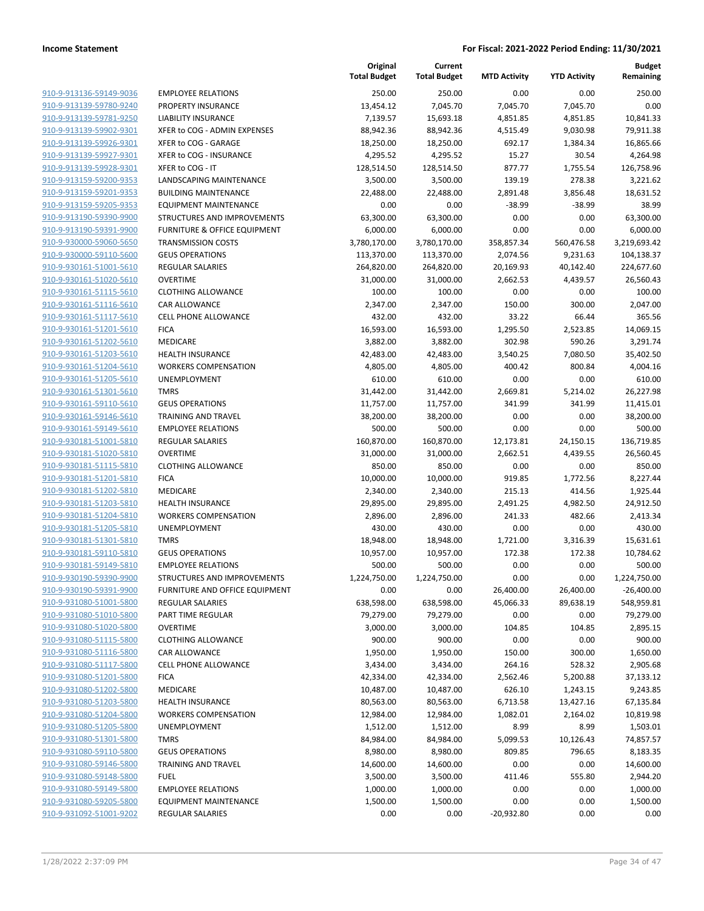|                                                    |                                         | Original<br><b>Total Budget</b> | Current<br><b>Total Budget</b> | <b>MTD Activity</b> | <b>YTD Activity</b> | <b>Budget</b><br>Remaining |
|----------------------------------------------------|-----------------------------------------|---------------------------------|--------------------------------|---------------------|---------------------|----------------------------|
| 910-9-913136-59149-9036                            | <b>EMPLOYEE RELATIONS</b>               | 250.00                          | 250.00                         | 0.00                | 0.00                | 250.00                     |
| 910-9-913139-59780-9240                            | PROPERTY INSURANCE                      | 13,454.12                       | 7,045.70                       | 7,045.70            | 7,045.70            | 0.00                       |
| 910-9-913139-59781-9250                            | <b>LIABILITY INSURANCE</b>              | 7,139.57                        | 15,693.18                      | 4,851.85            | 4,851.85            | 10,841.33                  |
| 910-9-913139-59902-9301                            | XFER to COG - ADMIN EXPENSES            | 88,942.36                       | 88,942.36                      | 4,515.49            | 9,030.98            | 79,911.38                  |
| 910-9-913139-59926-9301                            | XFER to COG - GARAGE                    | 18,250.00                       | 18,250.00                      | 692.17              | 1,384.34            | 16,865.66                  |
| 910-9-913139-59927-9301                            | XFER to COG - INSURANCE                 | 4,295.52                        | 4,295.52                       | 15.27               | 30.54               | 4,264.98                   |
| 910-9-913139-59928-9301                            | XFER to COG - IT                        | 128,514.50                      | 128,514.50                     | 877.77              | 1,755.54            | 126,758.96                 |
| 910-9-913159-59200-9353                            | LANDSCAPING MAINTENANCE                 | 3,500.00                        | 3,500.00                       | 139.19              | 278.38              | 3,221.62                   |
| 910-9-913159-59201-9353                            | <b>BUILDING MAINTENANCE</b>             | 22,488.00                       | 22,488.00                      | 2,891.48            | 3,856.48            | 18,631.52                  |
| 910-9-913159-59205-9353                            | <b>EQUIPMENT MAINTENANCE</b>            | 0.00                            | 0.00                           | $-38.99$            | $-38.99$            | 38.99                      |
| 910-9-913190-59390-9900                            | STRUCTURES AND IMPROVEMENTS             | 63,300.00                       | 63,300.00                      | 0.00                | 0.00                | 63,300.00                  |
| 910-9-913190-59391-9900                            | <b>FURNITURE &amp; OFFICE EQUIPMENT</b> | 6,000.00                        | 6,000.00                       | 0.00                | 0.00                | 6,000.00                   |
| 910-9-930000-59060-5650                            | <b>TRANSMISSION COSTS</b>               | 3,780,170.00                    | 3,780,170.00                   | 358,857.34          | 560,476.58          | 3,219,693.42               |
| 910-9-930000-59110-5600                            | <b>GEUS OPERATIONS</b>                  | 113,370.00                      | 113,370.00                     | 2,074.56            | 9,231.63            | 104,138.37                 |
| 910-9-930161-51001-5610                            | <b>REGULAR SALARIES</b>                 | 264,820.00                      | 264,820.00                     | 20,169.93           | 40,142.40           | 224,677.60                 |
| 910-9-930161-51020-5610                            | <b>OVERTIME</b>                         | 31,000.00                       | 31,000.00                      | 2,662.53            | 4,439.57            | 26,560.43                  |
| 910-9-930161-51115-5610                            | <b>CLOTHING ALLOWANCE</b>               | 100.00                          | 100.00                         | 0.00                | 0.00                | 100.00                     |
| 910-9-930161-51116-5610                            | CAR ALLOWANCE                           | 2,347.00                        | 2,347.00                       | 150.00              | 300.00              | 2,047.00                   |
| 910-9-930161-51117-5610                            | <b>CELL PHONE ALLOWANCE</b>             | 432.00                          | 432.00                         | 33.22               | 66.44               | 365.56                     |
| 910-9-930161-51201-5610                            | <b>FICA</b>                             | 16,593.00                       | 16,593.00                      | 1,295.50            | 2,523.85            | 14,069.15                  |
| 910-9-930161-51202-5610                            | MEDICARE                                | 3,882.00                        | 3,882.00                       | 302.98              | 590.26              | 3,291.74                   |
| 910-9-930161-51203-5610                            | <b>HEALTH INSURANCE</b>                 | 42,483.00                       | 42,483.00                      | 3,540.25            | 7,080.50            | 35,402.50                  |
| 910-9-930161-51204-5610                            | <b>WORKERS COMPENSATION</b>             | 4,805.00                        | 4,805.00                       | 400.42              | 800.84              | 4,004.16                   |
| 910-9-930161-51205-5610                            | UNEMPLOYMENT                            | 610.00                          | 610.00                         | 0.00                | 0.00                | 610.00                     |
| 910-9-930161-51301-5610                            | <b>TMRS</b>                             | 31,442.00                       | 31,442.00                      | 2,669.81            | 5,214.02            | 26,227.98                  |
| 910-9-930161-59110-5610                            | <b>GEUS OPERATIONS</b>                  | 11,757.00                       | 11,757.00                      | 341.99              | 341.99              | 11,415.01                  |
| 910-9-930161-59146-5610                            | <b>TRAINING AND TRAVEL</b>              | 38,200.00                       | 38,200.00                      | 0.00                | 0.00                | 38,200.00                  |
| 910-9-930161-59149-5610                            | <b>EMPLOYEE RELATIONS</b>               | 500.00                          | 500.00                         | 0.00                | 0.00                | 500.00                     |
| 910-9-930181-51001-5810                            | <b>REGULAR SALARIES</b>                 | 160,870.00                      | 160,870.00                     | 12,173.81           | 24,150.15           | 136,719.85                 |
| 910-9-930181-51020-5810                            | <b>OVERTIME</b>                         | 31,000.00                       | 31,000.00                      | 2,662.51            | 4,439.55            | 26,560.45                  |
| 910-9-930181-51115-5810                            | <b>CLOTHING ALLOWANCE</b>               | 850.00                          | 850.00                         | 0.00                | 0.00                | 850.00                     |
| 910-9-930181-51201-5810<br>910-9-930181-51202-5810 | <b>FICA</b><br>MEDICARE                 | 10,000.00                       | 10,000.00                      | 919.85<br>215.13    | 1,772.56<br>414.56  | 8,227.44                   |
| 910-9-930181-51203-5810                            | <b>HEALTH INSURANCE</b>                 | 2,340.00<br>29,895.00           | 2,340.00<br>29,895.00          | 2,491.25            | 4,982.50            | 1,925.44<br>24,912.50      |
| 910-9-930181-51204-5810                            | <b>WORKERS COMPENSATION</b>             | 2,896.00                        | 2,896.00                       | 241.33              | 482.66              | 2,413.34                   |
| 910-9-930181-51205-5810                            | UNEMPLOYMENT                            | 430.00                          | 430.00                         | 0.00                | 0.00                | 430.00                     |
| 910-9-930181-51301-5810                            | <b>TMRS</b>                             | 18,948.00                       | 18,948.00                      | 1,721.00            | 3,316.39            | 15,631.61                  |
| 910-9-930181-59110-5810                            | <b>GEUS OPERATIONS</b>                  | 10,957.00                       | 10,957.00                      | 172.38              | 172.38              | 10,784.62                  |
| 910-9-930181-59149-5810                            | <b>EMPLOYEE RELATIONS</b>               | 500.00                          | 500.00                         | 0.00                | 0.00                | 500.00                     |
| 910-9-930190-59390-9900                            | STRUCTURES AND IMPROVEMENTS             | 1,224,750.00                    | 1,224,750.00                   | 0.00                | 0.00                | 1,224,750.00               |
| 910-9-930190-59391-9900                            | FURNITURE AND OFFICE EQUIPMENT          | 0.00                            | 0.00                           | 26,400.00           | 26,400.00           | $-26,400.00$               |
| 910-9-931080-51001-5800                            | <b>REGULAR SALARIES</b>                 | 638,598.00                      | 638,598.00                     | 45,066.33           | 89,638.19           | 548,959.81                 |
| 910-9-931080-51010-5800                            | PART TIME REGULAR                       | 79,279.00                       | 79,279.00                      | 0.00                | 0.00                | 79,279.00                  |
| 910-9-931080-51020-5800                            | <b>OVERTIME</b>                         | 3,000.00                        | 3,000.00                       | 104.85              | 104.85              | 2,895.15                   |
| 910-9-931080-51115-5800                            | <b>CLOTHING ALLOWANCE</b>               | 900.00                          | 900.00                         | 0.00                | 0.00                | 900.00                     |
| 910-9-931080-51116-5800                            | CAR ALLOWANCE                           | 1,950.00                        | 1,950.00                       | 150.00              | 300.00              | 1,650.00                   |
| 910-9-931080-51117-5800                            | <b>CELL PHONE ALLOWANCE</b>             | 3,434.00                        | 3,434.00                       | 264.16              | 528.32              | 2,905.68                   |
| 910-9-931080-51201-5800                            | <b>FICA</b>                             | 42,334.00                       | 42,334.00                      | 2,562.46            | 5,200.88            | 37,133.12                  |
| 910-9-931080-51202-5800                            | <b>MEDICARE</b>                         | 10,487.00                       | 10,487.00                      | 626.10              | 1,243.15            | 9,243.85                   |
| 910-9-931080-51203-5800                            | <b>HEALTH INSURANCE</b>                 | 80,563.00                       | 80,563.00                      | 6,713.58            | 13,427.16           | 67,135.84                  |
| 910-9-931080-51204-5800                            | <b>WORKERS COMPENSATION</b>             | 12,984.00                       | 12,984.00                      | 1,082.01            | 2,164.02            | 10,819.98                  |
| 910-9-931080-51205-5800                            | UNEMPLOYMENT                            | 1,512.00                        | 1,512.00                       | 8.99                | 8.99                | 1,503.01                   |
| 910-9-931080-51301-5800                            | <b>TMRS</b>                             | 84,984.00                       | 84,984.00                      | 5,099.53            | 10,126.43           | 74,857.57                  |
| 910-9-931080-59110-5800                            | <b>GEUS OPERATIONS</b>                  | 8,980.00                        | 8,980.00                       | 809.85              | 796.65              | 8,183.35                   |
| 910-9-931080-59146-5800                            | <b>TRAINING AND TRAVEL</b>              | 14,600.00                       | 14,600.00                      | 0.00                | 0.00                | 14,600.00                  |
| 910-9-931080-59148-5800                            | <b>FUEL</b>                             | 3,500.00                        | 3,500.00                       | 411.46              | 555.80              | 2,944.20                   |
| 910-9-931080-59149-5800                            | <b>EMPLOYEE RELATIONS</b>               | 1,000.00                        | 1,000.00                       | 0.00                | 0.00                | 1,000.00                   |
| 910-9-931080-59205-5800                            | <b>EQUIPMENT MAINTENANCE</b>            | 1,500.00                        | 1,500.00                       | 0.00                | 0.00                | 1,500.00                   |
| 910-9-931092-51001-9202                            | <b>REGULAR SALARIES</b>                 | 0.00                            | 0.00                           | $-20,932.80$        | 0.00                | 0.00                       |
|                                                    |                                         |                                 |                                |                     |                     |                            |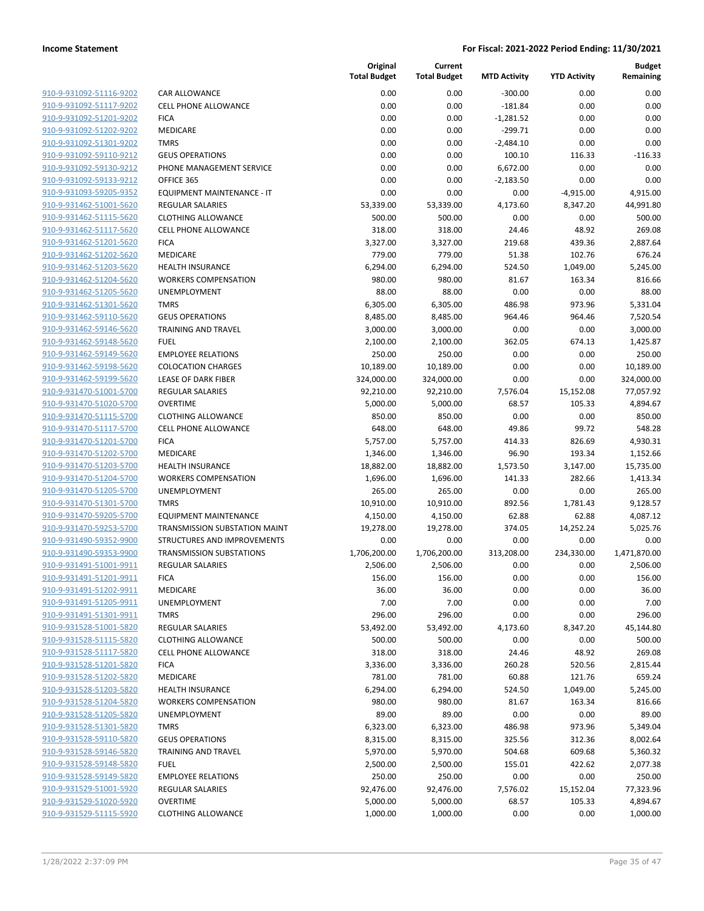| 910-9-931092-51116-9202        | (                             |
|--------------------------------|-------------------------------|
| 910-9-931092-51117-9202        | $\overline{\phantom{a}}$      |
| 910-9-931092-51201-9202        | f                             |
| 910-9-931092-51202-9202        | ľ                             |
|                                | Ī                             |
| 910-9-931092-51301-9202        |                               |
| 910-9-931092-59110-9212        | I                             |
| <u>910-9-931092-59130-9212</u> | f                             |
| 910-9-931092-59133-9212        | $\overline{\phantom{a}}$      |
| 910-9-931093-59205-9352        | I                             |
| 910-9-931462-51001-5620        | f                             |
| 910-9-931462-51115-5620        | (                             |
| <u>910-9-931462-51117-5620</u> | (                             |
| 910-9-931462-51201-5620        | f                             |
| 910-9-931462-51202-5620        | I                             |
| 910-9-931462-51203-5620        | ł                             |
| 910-9-931462-51204-5620        | ١                             |
| <u>910-9-931462-51205-5620</u> | l                             |
| 910-9-931462-51301-5620        | Ī                             |
|                                |                               |
| 910-9-931462-59110-5620        | $\overline{\phantom{a}}$<br>Ī |
| 910-9-931462-59146-5620        |                               |
| <u>910-9-931462-59148-5620</u> | f                             |
| <u>910-9-931462-59149-5620</u> | ł                             |
| 910-9-931462-59198-5620        | $\overline{\phantom{a}}$      |
| 910-9-931462-59199-5620        | l                             |
| 910-9-931470-51001-5700        | f                             |
| 910-9-931470-51020-5700        | (                             |
| <u>910-9-931470-51115-5700</u> | (                             |
| 910-9-931470-51117-5700        | (                             |
| 910-9-931470-51201-5700        | f                             |
| 910-9-931470-51202-5700        | I                             |
| 910-9-931470-51203-5700        | ł                             |
| <u>910-9-931470-51204-5700</u> | ١                             |
| 910-9-931470-51205-5700        | l                             |
| 910-9-931470-51301-5700        | Ĩ                             |
| 910-9-931470-59205-5700        | I                             |
| 910-9-931470-59253-5700        | Ī                             |
| 910-9-931490-59352-9900        | í,                            |
|                                | Ī                             |
| 910-9-931490-59353-9900        |                               |
| 910-9-931491-51001-9911        | f                             |
| 910-9-931491-51201-9911        | ŀ                             |
| 910-9-931491-51202-991         | ı                             |
| 910-9-931491-51205-9911        | ļ                             |
| 910-9-931491-51301-9911        |                               |
| 910-9-931528-51001-5820        | I                             |
| 910-9-931528-51115-5820        | (                             |
| 910-9-931528-51117-5820        | (                             |
| 910-9-931528-51201-5820        | f                             |
| 910-9-931528-51202-5820        | I                             |
| 910-9-931528-51203-5820        | ł                             |
| 910-9-931528-51204-5820        | ١                             |
| 910-9-931528-51205-5820        | ι                             |
| 910-9-931528-51301-5820        |                               |
| 910-9-931528-59110-5820        | I                             |
|                                |                               |
| 910-9-931528-59146-5820        | Ī                             |
| 910-9-931528-59148-5820        | I                             |
| 910-9-931528-59149-5820        | Į                             |
| 910-9-931529-51001-5920        | I                             |
| 910-9-931529-51020-5920        | (                             |
| 910-9-931529-51115-5920        | (                             |
|                                |                               |

|                         |                                   | Original<br><b>Total Budget</b> | Current<br><b>Total Budget</b> | <b>MTD Activity</b> | <b>YTD Activity</b> | <b>Budget</b><br>Remaining |
|-------------------------|-----------------------------------|---------------------------------|--------------------------------|---------------------|---------------------|----------------------------|
| 910-9-931092-51116-9202 | <b>CAR ALLOWANCE</b>              | 0.00                            | 0.00                           | $-300.00$           | 0.00                | 0.00                       |
| 910-9-931092-51117-9202 | <b>CELL PHONE ALLOWANCE</b>       | 0.00                            | 0.00                           | $-181.84$           | 0.00                | 0.00                       |
| 910-9-931092-51201-9202 | <b>FICA</b>                       | 0.00                            | 0.00                           | $-1,281.52$         | 0.00                | 0.00                       |
| 910-9-931092-51202-9202 | MEDICARE                          | 0.00                            | 0.00                           | $-299.71$           | 0.00                | 0.00                       |
| 910-9-931092-51301-9202 | <b>TMRS</b>                       | 0.00                            | 0.00                           | $-2,484.10$         | 0.00                | 0.00                       |
| 910-9-931092-59110-9212 | <b>GEUS OPERATIONS</b>            | 0.00                            | 0.00                           | 100.10              | 116.33              | $-116.33$                  |
| 910-9-931092-59130-9212 | PHONE MANAGEMENT SERVICE          | 0.00                            | 0.00                           | 6,672.00            | 0.00                | 0.00                       |
| 910-9-931092-59133-9212 | OFFICE 365                        | 0.00                            | 0.00                           | $-2,183.50$         | 0.00                | 0.00                       |
| 910-9-931093-59205-9352 | <b>EQUIPMENT MAINTENANCE - IT</b> | 0.00                            | 0.00                           | 0.00                | $-4,915.00$         | 4,915.00                   |
| 910-9-931462-51001-5620 | <b>REGULAR SALARIES</b>           | 53,339.00                       | 53,339.00                      | 4,173.60            | 8,347.20            | 44,991.80                  |
| 910-9-931462-51115-5620 | <b>CLOTHING ALLOWANCE</b>         | 500.00                          | 500.00                         | 0.00                | 0.00                | 500.00                     |
| 910-9-931462-51117-5620 | <b>CELL PHONE ALLOWANCE</b>       | 318.00                          | 318.00                         | 24.46               | 48.92               | 269.08                     |
| 910-9-931462-51201-5620 | <b>FICA</b>                       | 3,327.00                        | 3,327.00                       | 219.68              | 439.36              | 2,887.64                   |
| 910-9-931462-51202-5620 | MEDICARE                          | 779.00                          | 779.00                         | 51.38               | 102.76              | 676.24                     |
| 910-9-931462-51203-5620 | <b>HEALTH INSURANCE</b>           | 6,294.00                        | 6,294.00                       | 524.50              | 1,049.00            | 5,245.00                   |
| 910-9-931462-51204-5620 | <b>WORKERS COMPENSATION</b>       | 980.00                          | 980.00                         | 81.67               | 163.34              | 816.66                     |
| 910-9-931462-51205-5620 | UNEMPLOYMENT                      | 88.00                           | 88.00                          | 0.00                | 0.00                | 88.00                      |
| 910-9-931462-51301-5620 | <b>TMRS</b>                       | 6,305.00                        | 6,305.00                       | 486.98              | 973.96              | 5,331.04                   |
| 910-9-931462-59110-5620 | <b>GEUS OPERATIONS</b>            | 8,485.00                        | 8,485.00                       | 964.46              | 964.46              | 7,520.54                   |
| 910-9-931462-59146-5620 | <b>TRAINING AND TRAVEL</b>        | 3,000.00                        | 3,000.00                       | 0.00                | 0.00                | 3,000.00                   |
| 910-9-931462-59148-5620 | <b>FUEL</b>                       | 2,100.00                        | 2,100.00                       | 362.05              | 674.13              | 1,425.87                   |
| 910-9-931462-59149-5620 | <b>EMPLOYEE RELATIONS</b>         | 250.00                          | 250.00                         | 0.00                | 0.00                | 250.00                     |
| 910-9-931462-59198-5620 | <b>COLOCATION CHARGES</b>         | 10,189.00                       | 10,189.00                      | 0.00                | 0.00                | 10,189.00                  |
| 910-9-931462-59199-5620 | <b>LEASE OF DARK FIBER</b>        | 324,000.00                      | 324,000.00                     | 0.00                | 0.00                | 324,000.00                 |
| 910-9-931470-51001-5700 | <b>REGULAR SALARIES</b>           | 92,210.00                       | 92,210.00                      | 7,576.04            | 15,152.08           | 77,057.92                  |
| 910-9-931470-51020-5700 | <b>OVERTIME</b>                   | 5,000.00                        | 5,000.00                       | 68.57               | 105.33              | 4,894.67                   |
| 910-9-931470-51115-5700 | <b>CLOTHING ALLOWANCE</b>         | 850.00                          | 850.00                         | 0.00                | 0.00                | 850.00                     |
| 910-9-931470-51117-5700 | <b>CELL PHONE ALLOWANCE</b>       | 648.00                          | 648.00                         | 49.86               | 99.72               | 548.28                     |
| 910-9-931470-51201-5700 | <b>FICA</b>                       | 5,757.00                        | 5,757.00                       | 414.33              | 826.69              | 4,930.31                   |
| 910-9-931470-51202-5700 | MEDICARE                          | 1,346.00                        | 1,346.00                       | 96.90               | 193.34              | 1,152.66                   |
| 910-9-931470-51203-5700 | <b>HEALTH INSURANCE</b>           | 18,882.00                       | 18,882.00                      | 1,573.50            | 3,147.00            | 15,735.00                  |
| 910-9-931470-51204-5700 | <b>WORKERS COMPENSATION</b>       | 1,696.00                        | 1,696.00                       | 141.33              | 282.66              | 1,413.34                   |
| 910-9-931470-51205-5700 | UNEMPLOYMENT                      | 265.00                          | 265.00                         | 0.00                | 0.00                | 265.00                     |
| 910-9-931470-51301-5700 | <b>TMRS</b>                       | 10,910.00                       | 10,910.00                      | 892.56              | 1,781.43            | 9,128.57                   |
| 910-9-931470-59205-5700 | <b>EQUIPMENT MAINTENANCE</b>      | 4,150.00                        | 4,150.00                       | 62.88               | 62.88               | 4,087.12                   |
| 910-9-931470-59253-5700 | TRANSMISSION SUBSTATION MAINT     | 19,278.00                       | 19,278.00                      | 374.05              | 14,252.24           | 5,025.76                   |
| 910-9-931490-59352-9900 | STRUCTURES AND IMPROVEMENTS       | 0.00                            | 0.00                           | 0.00                | 0.00                | 0.00                       |
| 910-9-931490-59353-9900 | <b>TRANSMISSION SUBSTATIONS</b>   | 1,706,200.00                    | 1,706,200.00                   | 313,208.00          | 234,330.00          | 1,471,870.00               |
| 910-9-931491-51001-9911 | <b>REGULAR SALARIES</b>           | 2,506.00                        | 2,506.00                       | 0.00                | 0.00                | 2,506.00                   |
| 910-9-931491-51201-9911 | <b>FICA</b>                       | 156.00                          | 156.00                         | 0.00                | 0.00                | 156.00                     |
| 910-9-931491-51202-9911 | MEDICARE                          | 36.00                           | 36.00                          | 0.00                | 0.00                | 36.00                      |
| 910-9-931491-51205-9911 | <b>UNEMPLOYMENT</b>               | 7.00                            | 7.00                           | 0.00                | 0.00                | 7.00                       |
| 910-9-931491-51301-9911 | <b>TMRS</b>                       | 296.00                          | 296.00                         | 0.00                | 0.00                | 296.00                     |
| 910-9-931528-51001-5820 | REGULAR SALARIES                  | 53,492.00                       | 53,492.00                      | 4,173.60            | 8,347.20            | 45,144.80                  |
| 910-9-931528-51115-5820 | <b>CLOTHING ALLOWANCE</b>         | 500.00                          | 500.00                         | 0.00                | 0.00                | 500.00                     |
| 910-9-931528-51117-5820 | <b>CELL PHONE ALLOWANCE</b>       | 318.00                          | 318.00                         | 24.46               | 48.92               | 269.08                     |
| 910-9-931528-51201-5820 | <b>FICA</b>                       | 3,336.00                        | 3,336.00                       | 260.28              | 520.56              | 2,815.44                   |
| 910-9-931528-51202-5820 | MEDICARE                          | 781.00                          | 781.00                         | 60.88               | 121.76              | 659.24                     |
| 910-9-931528-51203-5820 | <b>HEALTH INSURANCE</b>           | 6,294.00                        | 6,294.00                       | 524.50              | 1,049.00            | 5,245.00                   |
| 910-9-931528-51204-5820 | <b>WORKERS COMPENSATION</b>       | 980.00                          | 980.00                         | 81.67               | 163.34              | 816.66                     |
| 910-9-931528-51205-5820 | UNEMPLOYMENT                      | 89.00                           | 89.00                          | 0.00                | 0.00                | 89.00                      |
| 910-9-931528-51301-5820 | <b>TMRS</b>                       | 6,323.00                        | 6,323.00                       | 486.98              | 973.96              | 5,349.04                   |
| 910-9-931528-59110-5820 | <b>GEUS OPERATIONS</b>            | 8,315.00                        | 8,315.00                       | 325.56              | 312.36              | 8,002.64                   |
| 910-9-931528-59146-5820 | <b>TRAINING AND TRAVEL</b>        | 5,970.00                        | 5,970.00                       | 504.68              | 609.68              | 5,360.32                   |
| 910-9-931528-59148-5820 | <b>FUEL</b>                       | 2,500.00                        | 2,500.00                       | 155.01              | 422.62              | 2,077.38                   |
| 910-9-931528-59149-5820 | <b>EMPLOYEE RELATIONS</b>         | 250.00                          | 250.00                         | 0.00                | 0.00                | 250.00                     |
| 910-9-931529-51001-5920 | REGULAR SALARIES                  | 92,476.00                       | 92,476.00                      | 7,576.02            | 15,152.04           | 77,323.96                  |
| 910-9-931529-51020-5920 | <b>OVERTIME</b>                   | 5,000.00                        | 5,000.00                       | 68.57               | 105.33              | 4,894.67                   |
| 910-9-931529-51115-5920 | <b>CLOTHING ALLOWANCE</b>         | 1,000.00                        | 1,000.00                       | 0.00                | 0.00                | 1,000.00                   |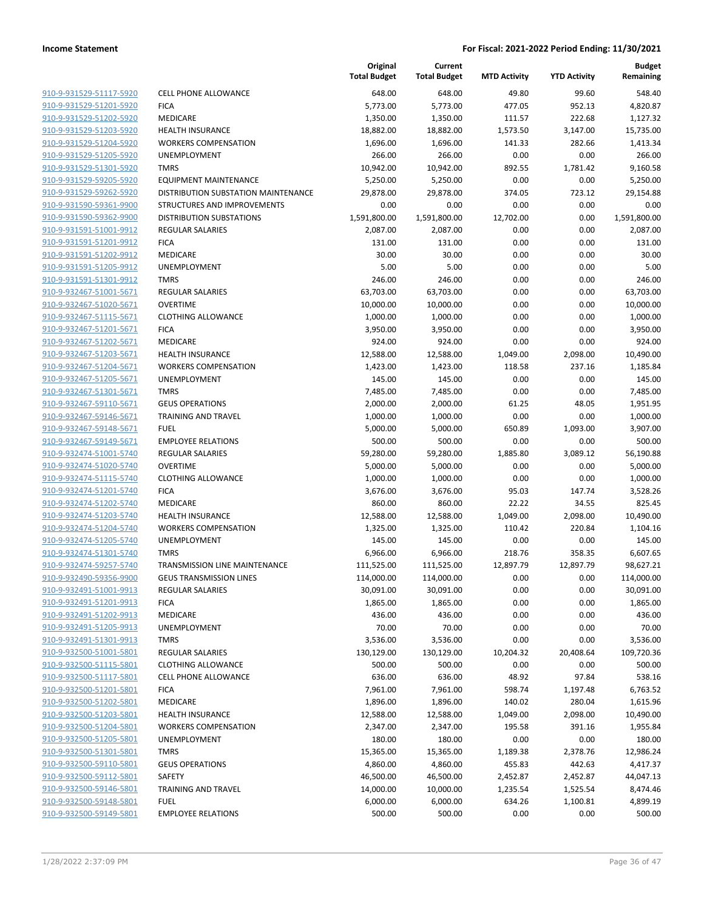|                         |                                      | Original<br><b>Total Budget</b> | Current<br><b>Total Budget</b> | <b>MTD Activity</b> | <b>YTD Activity</b> | <b>Budget</b><br>Remaining |
|-------------------------|--------------------------------------|---------------------------------|--------------------------------|---------------------|---------------------|----------------------------|
| 910-9-931529-51117-5920 | <b>CELL PHONE ALLOWANCE</b>          | 648.00                          | 648.00                         | 49.80               | 99.60               | 548.40                     |
| 910-9-931529-51201-5920 | <b>FICA</b>                          | 5,773.00                        | 5,773.00                       | 477.05              | 952.13              | 4,820.87                   |
| 910-9-931529-51202-5920 | MEDICARE                             | 1,350.00                        | 1,350.00                       | 111.57              | 222.68              | 1,127.32                   |
| 910-9-931529-51203-5920 | <b>HEALTH INSURANCE</b>              | 18,882.00                       | 18,882.00                      | 1,573.50            | 3,147.00            | 15,735.00                  |
| 910-9-931529-51204-5920 | <b>WORKERS COMPENSATION</b>          | 1,696.00                        | 1,696.00                       | 141.33              | 282.66              | 1,413.34                   |
| 910-9-931529-51205-5920 | UNEMPLOYMENT                         | 266.00                          | 266.00                         | 0.00                | 0.00                | 266.00                     |
| 910-9-931529-51301-5920 | <b>TMRS</b>                          | 10,942.00                       | 10,942.00                      | 892.55              | 1,781.42            | 9,160.58                   |
| 910-9-931529-59205-5920 | <b>EQUIPMENT MAINTENANCE</b>         | 5,250.00                        | 5,250.00                       | 0.00                | 0.00                | 5,250.00                   |
| 910-9-931529-59262-5920 | DISTRIBUTION SUBSTATION MAINTENANCE  | 29,878.00                       | 29,878.00                      | 374.05              | 723.12              | 29,154.88                  |
| 910-9-931590-59361-9900 | STRUCTURES AND IMPROVEMENTS          | 0.00                            | 0.00                           | 0.00                | 0.00                | 0.00                       |
| 910-9-931590-59362-9900 | <b>DISTRIBUTION SUBSTATIONS</b>      | 1,591,800.00                    | 1,591,800.00                   | 12,702.00           | 0.00                | 1,591,800.00               |
| 910-9-931591-51001-9912 | <b>REGULAR SALARIES</b>              | 2,087.00                        | 2,087.00                       | 0.00                | 0.00                | 2,087.00                   |
| 910-9-931591-51201-9912 | <b>FICA</b>                          | 131.00                          | 131.00                         | 0.00                | 0.00                | 131.00                     |
| 910-9-931591-51202-9912 | MEDICARE                             | 30.00                           | 30.00                          | 0.00                | 0.00                | 30.00                      |
| 910-9-931591-51205-9912 | <b>UNEMPLOYMENT</b>                  | 5.00                            | 5.00                           | 0.00                | 0.00                | 5.00                       |
| 910-9-931591-51301-9912 | <b>TMRS</b>                          | 246.00                          | 246.00                         | 0.00                | 0.00                | 246.00                     |
| 910-9-932467-51001-5671 | <b>REGULAR SALARIES</b>              | 63,703.00                       | 63,703.00                      | 0.00                | 0.00                | 63,703.00                  |
| 910-9-932467-51020-5671 | <b>OVERTIME</b>                      | 10,000.00                       | 10,000.00                      | 0.00                | 0.00                | 10,000.00                  |
| 910-9-932467-51115-5671 | <b>CLOTHING ALLOWANCE</b>            | 1,000.00                        | 1,000.00                       | 0.00                | 0.00                | 1,000.00                   |
| 910-9-932467-51201-5671 | <b>FICA</b>                          | 3,950.00                        | 3,950.00                       | 0.00                | 0.00                | 3,950.00                   |
| 910-9-932467-51202-5671 | <b>MEDICARE</b>                      | 924.00                          | 924.00                         | 0.00                | 0.00                | 924.00                     |
| 910-9-932467-51203-5671 | <b>HEALTH INSURANCE</b>              | 12,588.00                       | 12,588.00                      | 1,049.00            | 2,098.00            | 10,490.00                  |
| 910-9-932467-51204-5671 | <b>WORKERS COMPENSATION</b>          | 1,423.00                        | 1,423.00                       | 118.58              | 237.16              | 1,185.84                   |
| 910-9-932467-51205-5671 | UNEMPLOYMENT                         | 145.00                          | 145.00                         | 0.00                | 0.00                | 145.00                     |
| 910-9-932467-51301-5671 | <b>TMRS</b>                          | 7,485.00                        | 7,485.00                       | 0.00                | 0.00                | 7,485.00                   |
| 910-9-932467-59110-5671 | <b>GEUS OPERATIONS</b>               | 2,000.00                        | 2,000.00                       | 61.25               | 48.05               | 1,951.95                   |
| 910-9-932467-59146-5671 | <b>TRAINING AND TRAVEL</b>           | 1,000.00                        | 1,000.00                       | 0.00                | 0.00                | 1,000.00                   |
| 910-9-932467-59148-5671 | <b>FUEL</b>                          | 5,000.00                        | 5,000.00                       | 650.89              | 1,093.00            | 3,907.00                   |
| 910-9-932467-59149-5671 | <b>EMPLOYEE RELATIONS</b>            | 500.00                          | 500.00                         | 0.00                | 0.00                | 500.00                     |
| 910-9-932474-51001-5740 | REGULAR SALARIES                     | 59,280.00                       | 59,280.00                      | 1,885.80            | 3,089.12            | 56,190.88                  |
| 910-9-932474-51020-5740 | <b>OVERTIME</b>                      | 5,000.00                        | 5,000.00                       | 0.00                | 0.00                | 5,000.00                   |
| 910-9-932474-51115-5740 | <b>CLOTHING ALLOWANCE</b>            | 1,000.00                        | 1,000.00                       | 0.00                | 0.00                | 1,000.00                   |
| 910-9-932474-51201-5740 | <b>FICA</b>                          | 3,676.00                        | 3,676.00                       | 95.03               | 147.74              | 3,528.26                   |
| 910-9-932474-51202-5740 | MEDICARE                             | 860.00                          | 860.00                         | 22.22               | 34.55               | 825.45                     |
| 910-9-932474-51203-5740 | <b>HEALTH INSURANCE</b>              | 12,588.00                       | 12,588.00                      | 1,049.00            | 2,098.00            | 10,490.00                  |
| 910-9-932474-51204-5740 | <b>WORKERS COMPENSATION</b>          | 1,325.00                        | 1,325.00                       | 110.42              | 220.84              | 1,104.16                   |
| 910-9-932474-51205-5740 | UNEMPLOYMENT                         | 145.00                          | 145.00                         | 0.00                | 0.00                | 145.00                     |
| 910-9-932474-51301-5740 | <b>TMRS</b>                          | 6,966.00                        | 6,966.00                       | 218.76              | 358.35              | 6,607.65                   |
| 910-9-932474-59257-5740 | <b>TRANSMISSION LINE MAINTENANCE</b> | 111,525.00                      | 111,525.00                     | 12,897.79           | 12,897.79           | 98,627.21                  |
| 910-9-932490-59356-9900 | <b>GEUS TRANSMISSION LINES</b>       | 114,000.00                      | 114,000.00                     | 0.00                | 0.00                | 114,000.00                 |
| 910-9-932491-51001-9913 | REGULAR SALARIES                     | 30,091.00                       | 30,091.00                      | 0.00                | 0.00                | 30,091.00                  |
| 910-9-932491-51201-9913 | <b>FICA</b>                          | 1,865.00                        | 1,865.00                       | 0.00                | 0.00                | 1,865.00                   |
| 910-9-932491-51202-9913 | MEDICARE                             | 436.00                          | 436.00                         | 0.00                | 0.00                | 436.00                     |
| 910-9-932491-51205-9913 | UNEMPLOYMENT                         | 70.00                           | 70.00                          | 0.00                | 0.00                | 70.00                      |
| 910-9-932491-51301-9913 | <b>TMRS</b>                          | 3,536.00                        | 3,536.00                       | 0.00                | 0.00                | 3,536.00                   |
| 910-9-932500-51001-5801 | <b>REGULAR SALARIES</b>              | 130,129.00                      | 130,129.00                     | 10,204.32           | 20,408.64           | 109,720.36                 |
| 910-9-932500-51115-5801 | <b>CLOTHING ALLOWANCE</b>            | 500.00                          | 500.00                         | 0.00                | 0.00                | 500.00                     |
| 910-9-932500-51117-5801 | <b>CELL PHONE ALLOWANCE</b>          | 636.00                          | 636.00                         | 48.92               | 97.84               | 538.16                     |
| 910-9-932500-51201-5801 | <b>FICA</b>                          | 7,961.00                        | 7,961.00                       | 598.74              | 1,197.48            | 6,763.52                   |
| 910-9-932500-51202-5801 | MEDICARE                             | 1,896.00                        | 1,896.00                       | 140.02              | 280.04              | 1,615.96                   |
| 910-9-932500-51203-5801 | <b>HEALTH INSURANCE</b>              | 12,588.00                       | 12,588.00                      | 1,049.00            | 2,098.00            | 10,490.00                  |
| 910-9-932500-51204-5801 | <b>WORKERS COMPENSATION</b>          | 2,347.00                        | 2,347.00                       | 195.58              | 391.16              | 1,955.84                   |
| 910-9-932500-51205-5801 | UNEMPLOYMENT                         | 180.00                          | 180.00                         | 0.00                | 0.00                | 180.00                     |
| 910-9-932500-51301-5801 | <b>TMRS</b>                          | 15,365.00                       | 15,365.00                      | 1,189.38            | 2,378.76            | 12,986.24                  |
| 910-9-932500-59110-5801 | <b>GEUS OPERATIONS</b>               | 4,860.00                        | 4,860.00                       | 455.83              | 442.63              | 4,417.37                   |
| 910-9-932500-59112-5801 | SAFETY                               | 46,500.00                       | 46,500.00                      | 2,452.87            | 2,452.87            | 44,047.13                  |
| 910-9-932500-59146-5801 | <b>TRAINING AND TRAVEL</b>           | 14,000.00                       | 10,000.00                      | 1,235.54            | 1,525.54            | 8,474.46                   |
| 910-9-932500-59148-5801 | <b>FUEL</b>                          | 6,000.00                        | 6,000.00                       | 634.26              | 1,100.81            | 4,899.19                   |
| 910-9-932500-59149-5801 | <b>EMPLOYEE RELATIONS</b>            | 500.00                          | 500.00                         | 0.00                | 0.00                | 500.00                     |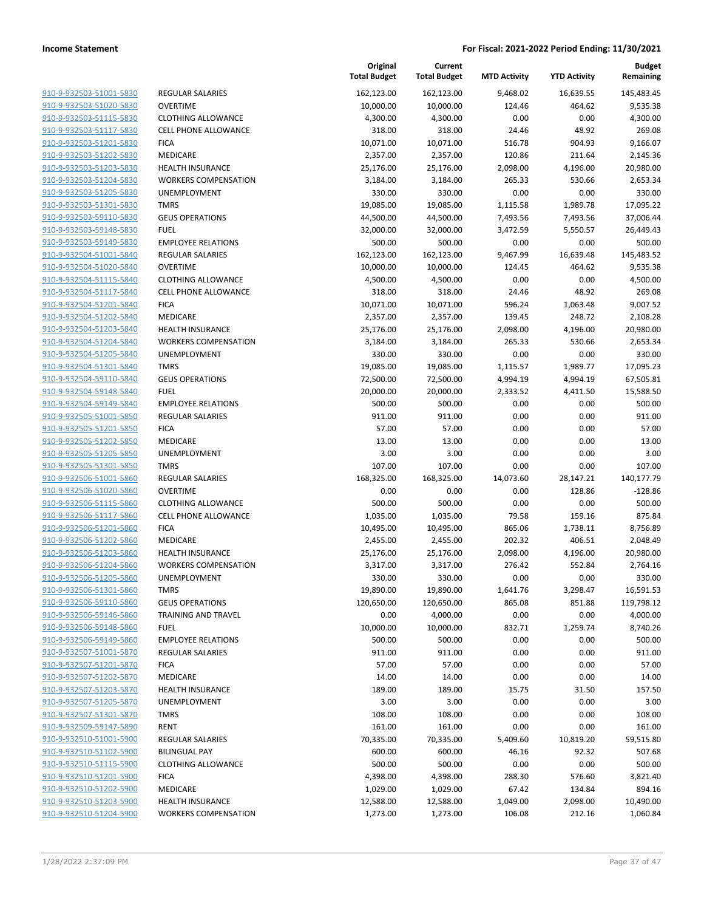**Current**

**Original**

**Budget Remaining**

| 910-9-932503-51001-5830<br>162,123.00<br>162,123.00<br>9,468.02<br>16,639.55<br><b>REGULAR SALARIES</b><br>910-9-932503-51020-5830<br><b>OVERTIME</b><br>10,000.00<br>10,000.00<br>124.46<br>464.62<br>910-9-932503-51115-5830<br><b>CLOTHING ALLOWANCE</b><br>4,300.00<br>4,300.00<br>0.00<br>0.00<br>910-9-932503-51117-5830<br>318.00<br>24.46<br>48.92<br><b>CELL PHONE ALLOWANCE</b><br>318.00<br>516.78<br>904.93<br>910-9-932503-51201-5830<br><b>FICA</b><br>10,071.00<br>10,071.00<br>910-9-932503-51202-5830<br>MEDICARE<br>120.86<br>211.64<br>2,357.00<br>2,357.00<br>910-9-932503-51203-5830<br><b>HEALTH INSURANCE</b><br>25,176.00<br>25,176.00<br>2,098.00<br>4,196.00<br>910-9-932503-51204-5830<br><b>WORKERS COMPENSATION</b><br>3,184.00<br>3,184.00<br>265.33<br>530.66<br>910-9-932503-51205-5830<br>330.00<br>330.00<br>0.00<br>UNEMPLOYMENT<br>0.00<br>910-9-932503-51301-5830<br><b>TMRS</b><br>19,085.00<br>19,085.00<br>1,115.58<br>1,989.78<br>910-9-932503-59110-5830<br><b>GEUS OPERATIONS</b><br>44,500.00<br>44,500.00<br>7,493.56<br>7,493.56<br>910-9-932503-59148-5830<br><b>FUEL</b><br>32,000.00<br>32,000.00<br>3,472.59<br>5,550.57<br>910-9-932503-59149-5830<br><b>EMPLOYEE RELATIONS</b><br>500.00<br>500.00<br>0.00<br>0.00<br>910-9-932504-51001-5840<br>162,123.00<br><b>REGULAR SALARIES</b><br>162,123.00<br>9,467.99<br>16,639.48<br><b>OVERTIME</b><br>910-9-932504-51020-5840<br>10,000.00<br>10,000.00<br>124.45<br>464.62<br>910-9-932504-51115-5840<br><b>CLOTHING ALLOWANCE</b><br>4,500.00<br>4,500.00<br>0.00<br>0.00<br>910-9-932504-51117-5840<br>CELL PHONE ALLOWANCE<br>318.00<br>318.00<br>24.46<br>48.92<br>910-9-932504-51201-5840<br><b>FICA</b><br>10,071.00<br>10,071.00<br>596.24<br>1,063.48<br>910-9-932504-51202-5840<br>248.72<br>MEDICARE<br>2,357.00<br>2,357.00<br>139.45<br>910-9-932504-51203-5840<br>HEALTH INSURANCE<br>25,176.00<br>25,176.00<br>2,098.00<br>4,196.00<br>910-9-932504-51204-5840<br><b>WORKERS COMPENSATION</b><br>3,184.00<br>3,184.00<br>265.33<br>530.66<br>910-9-932504-51205-5840<br>UNEMPLOYMENT<br>330.00<br>330.00<br>0.00<br>0.00<br>910-9-932504-51301-5840<br><b>TMRS</b><br>19,085.00<br>19,085.00<br>1,115.57<br>1,989.77<br>910-9-932504-59110-5840<br>72,500.00<br>72,500.00<br>4,994.19<br>4,994.19<br><b>GEUS OPERATIONS</b><br>910-9-932504-59148-5840<br><b>FUEL</b><br>20,000.00<br>20,000.00<br>2,333.52<br>4,411.50<br>910-9-932504-59149-5840<br><b>EMPLOYEE RELATIONS</b><br>500.00<br>500.00<br>0.00<br>0.00<br>910-9-932505-51001-5850<br><b>REGULAR SALARIES</b><br>911.00<br>911.00<br>0.00<br>0.00<br>910-9-932505-51201-5850<br><b>FICA</b><br>57.00<br>57.00<br>0.00<br>0.00<br>910-9-932505-51202-5850<br>MEDICARE<br>13.00<br>13.00<br>0.00<br>0.00<br>3.00<br>3.00<br>910-9-932505-51205-5850<br>UNEMPLOYMENT<br>0.00<br>0.00 | 145,483.45<br>9,535.38<br>4,300.00<br>269.08<br>9,166.07<br>2,145.36<br>20,980.00<br>2,653.34<br>330.00<br>17,095.22<br>37,006.44<br>26,449.43<br>500.00<br>145,483.52<br>9,535.38<br>4,500.00<br>269.08<br>9,007.52<br>2,108.28<br>20,980.00<br>2,653.34<br>330.00 |
|----------------------------------------------------------------------------------------------------------------------------------------------------------------------------------------------------------------------------------------------------------------------------------------------------------------------------------------------------------------------------------------------------------------------------------------------------------------------------------------------------------------------------------------------------------------------------------------------------------------------------------------------------------------------------------------------------------------------------------------------------------------------------------------------------------------------------------------------------------------------------------------------------------------------------------------------------------------------------------------------------------------------------------------------------------------------------------------------------------------------------------------------------------------------------------------------------------------------------------------------------------------------------------------------------------------------------------------------------------------------------------------------------------------------------------------------------------------------------------------------------------------------------------------------------------------------------------------------------------------------------------------------------------------------------------------------------------------------------------------------------------------------------------------------------------------------------------------------------------------------------------------------------------------------------------------------------------------------------------------------------------------------------------------------------------------------------------------------------------------------------------------------------------------------------------------------------------------------------------------------------------------------------------------------------------------------------------------------------------------------------------------------------------------------------------------------------------------------------------------------------------------------------------------------------------------------------------------------------------------------------------------------------------------------------------------------------------------------------------------------------------------------------------------------------------------------------------------------------------------|---------------------------------------------------------------------------------------------------------------------------------------------------------------------------------------------------------------------------------------------------------------------|
|                                                                                                                                                                                                                                                                                                                                                                                                                                                                                                                                                                                                                                                                                                                                                                                                                                                                                                                                                                                                                                                                                                                                                                                                                                                                                                                                                                                                                                                                                                                                                                                                                                                                                                                                                                                                                                                                                                                                                                                                                                                                                                                                                                                                                                                                                                                                                                                                                                                                                                                                                                                                                                                                                                                                                                                                                                                                |                                                                                                                                                                                                                                                                     |
|                                                                                                                                                                                                                                                                                                                                                                                                                                                                                                                                                                                                                                                                                                                                                                                                                                                                                                                                                                                                                                                                                                                                                                                                                                                                                                                                                                                                                                                                                                                                                                                                                                                                                                                                                                                                                                                                                                                                                                                                                                                                                                                                                                                                                                                                                                                                                                                                                                                                                                                                                                                                                                                                                                                                                                                                                                                                |                                                                                                                                                                                                                                                                     |
|                                                                                                                                                                                                                                                                                                                                                                                                                                                                                                                                                                                                                                                                                                                                                                                                                                                                                                                                                                                                                                                                                                                                                                                                                                                                                                                                                                                                                                                                                                                                                                                                                                                                                                                                                                                                                                                                                                                                                                                                                                                                                                                                                                                                                                                                                                                                                                                                                                                                                                                                                                                                                                                                                                                                                                                                                                                                |                                                                                                                                                                                                                                                                     |
|                                                                                                                                                                                                                                                                                                                                                                                                                                                                                                                                                                                                                                                                                                                                                                                                                                                                                                                                                                                                                                                                                                                                                                                                                                                                                                                                                                                                                                                                                                                                                                                                                                                                                                                                                                                                                                                                                                                                                                                                                                                                                                                                                                                                                                                                                                                                                                                                                                                                                                                                                                                                                                                                                                                                                                                                                                                                |                                                                                                                                                                                                                                                                     |
|                                                                                                                                                                                                                                                                                                                                                                                                                                                                                                                                                                                                                                                                                                                                                                                                                                                                                                                                                                                                                                                                                                                                                                                                                                                                                                                                                                                                                                                                                                                                                                                                                                                                                                                                                                                                                                                                                                                                                                                                                                                                                                                                                                                                                                                                                                                                                                                                                                                                                                                                                                                                                                                                                                                                                                                                                                                                |                                                                                                                                                                                                                                                                     |
|                                                                                                                                                                                                                                                                                                                                                                                                                                                                                                                                                                                                                                                                                                                                                                                                                                                                                                                                                                                                                                                                                                                                                                                                                                                                                                                                                                                                                                                                                                                                                                                                                                                                                                                                                                                                                                                                                                                                                                                                                                                                                                                                                                                                                                                                                                                                                                                                                                                                                                                                                                                                                                                                                                                                                                                                                                                                |                                                                                                                                                                                                                                                                     |
|                                                                                                                                                                                                                                                                                                                                                                                                                                                                                                                                                                                                                                                                                                                                                                                                                                                                                                                                                                                                                                                                                                                                                                                                                                                                                                                                                                                                                                                                                                                                                                                                                                                                                                                                                                                                                                                                                                                                                                                                                                                                                                                                                                                                                                                                                                                                                                                                                                                                                                                                                                                                                                                                                                                                                                                                                                                                |                                                                                                                                                                                                                                                                     |
|                                                                                                                                                                                                                                                                                                                                                                                                                                                                                                                                                                                                                                                                                                                                                                                                                                                                                                                                                                                                                                                                                                                                                                                                                                                                                                                                                                                                                                                                                                                                                                                                                                                                                                                                                                                                                                                                                                                                                                                                                                                                                                                                                                                                                                                                                                                                                                                                                                                                                                                                                                                                                                                                                                                                                                                                                                                                |                                                                                                                                                                                                                                                                     |
|                                                                                                                                                                                                                                                                                                                                                                                                                                                                                                                                                                                                                                                                                                                                                                                                                                                                                                                                                                                                                                                                                                                                                                                                                                                                                                                                                                                                                                                                                                                                                                                                                                                                                                                                                                                                                                                                                                                                                                                                                                                                                                                                                                                                                                                                                                                                                                                                                                                                                                                                                                                                                                                                                                                                                                                                                                                                |                                                                                                                                                                                                                                                                     |
|                                                                                                                                                                                                                                                                                                                                                                                                                                                                                                                                                                                                                                                                                                                                                                                                                                                                                                                                                                                                                                                                                                                                                                                                                                                                                                                                                                                                                                                                                                                                                                                                                                                                                                                                                                                                                                                                                                                                                                                                                                                                                                                                                                                                                                                                                                                                                                                                                                                                                                                                                                                                                                                                                                                                                                                                                                                                |                                                                                                                                                                                                                                                                     |
|                                                                                                                                                                                                                                                                                                                                                                                                                                                                                                                                                                                                                                                                                                                                                                                                                                                                                                                                                                                                                                                                                                                                                                                                                                                                                                                                                                                                                                                                                                                                                                                                                                                                                                                                                                                                                                                                                                                                                                                                                                                                                                                                                                                                                                                                                                                                                                                                                                                                                                                                                                                                                                                                                                                                                                                                                                                                |                                                                                                                                                                                                                                                                     |
|                                                                                                                                                                                                                                                                                                                                                                                                                                                                                                                                                                                                                                                                                                                                                                                                                                                                                                                                                                                                                                                                                                                                                                                                                                                                                                                                                                                                                                                                                                                                                                                                                                                                                                                                                                                                                                                                                                                                                                                                                                                                                                                                                                                                                                                                                                                                                                                                                                                                                                                                                                                                                                                                                                                                                                                                                                                                |                                                                                                                                                                                                                                                                     |
|                                                                                                                                                                                                                                                                                                                                                                                                                                                                                                                                                                                                                                                                                                                                                                                                                                                                                                                                                                                                                                                                                                                                                                                                                                                                                                                                                                                                                                                                                                                                                                                                                                                                                                                                                                                                                                                                                                                                                                                                                                                                                                                                                                                                                                                                                                                                                                                                                                                                                                                                                                                                                                                                                                                                                                                                                                                                |                                                                                                                                                                                                                                                                     |
|                                                                                                                                                                                                                                                                                                                                                                                                                                                                                                                                                                                                                                                                                                                                                                                                                                                                                                                                                                                                                                                                                                                                                                                                                                                                                                                                                                                                                                                                                                                                                                                                                                                                                                                                                                                                                                                                                                                                                                                                                                                                                                                                                                                                                                                                                                                                                                                                                                                                                                                                                                                                                                                                                                                                                                                                                                                                |                                                                                                                                                                                                                                                                     |
|                                                                                                                                                                                                                                                                                                                                                                                                                                                                                                                                                                                                                                                                                                                                                                                                                                                                                                                                                                                                                                                                                                                                                                                                                                                                                                                                                                                                                                                                                                                                                                                                                                                                                                                                                                                                                                                                                                                                                                                                                                                                                                                                                                                                                                                                                                                                                                                                                                                                                                                                                                                                                                                                                                                                                                                                                                                                |                                                                                                                                                                                                                                                                     |
|                                                                                                                                                                                                                                                                                                                                                                                                                                                                                                                                                                                                                                                                                                                                                                                                                                                                                                                                                                                                                                                                                                                                                                                                                                                                                                                                                                                                                                                                                                                                                                                                                                                                                                                                                                                                                                                                                                                                                                                                                                                                                                                                                                                                                                                                                                                                                                                                                                                                                                                                                                                                                                                                                                                                                                                                                                                                |                                                                                                                                                                                                                                                                     |
|                                                                                                                                                                                                                                                                                                                                                                                                                                                                                                                                                                                                                                                                                                                                                                                                                                                                                                                                                                                                                                                                                                                                                                                                                                                                                                                                                                                                                                                                                                                                                                                                                                                                                                                                                                                                                                                                                                                                                                                                                                                                                                                                                                                                                                                                                                                                                                                                                                                                                                                                                                                                                                                                                                                                                                                                                                                                |                                                                                                                                                                                                                                                                     |
|                                                                                                                                                                                                                                                                                                                                                                                                                                                                                                                                                                                                                                                                                                                                                                                                                                                                                                                                                                                                                                                                                                                                                                                                                                                                                                                                                                                                                                                                                                                                                                                                                                                                                                                                                                                                                                                                                                                                                                                                                                                                                                                                                                                                                                                                                                                                                                                                                                                                                                                                                                                                                                                                                                                                                                                                                                                                |                                                                                                                                                                                                                                                                     |
|                                                                                                                                                                                                                                                                                                                                                                                                                                                                                                                                                                                                                                                                                                                                                                                                                                                                                                                                                                                                                                                                                                                                                                                                                                                                                                                                                                                                                                                                                                                                                                                                                                                                                                                                                                                                                                                                                                                                                                                                                                                                                                                                                                                                                                                                                                                                                                                                                                                                                                                                                                                                                                                                                                                                                                                                                                                                |                                                                                                                                                                                                                                                                     |
|                                                                                                                                                                                                                                                                                                                                                                                                                                                                                                                                                                                                                                                                                                                                                                                                                                                                                                                                                                                                                                                                                                                                                                                                                                                                                                                                                                                                                                                                                                                                                                                                                                                                                                                                                                                                                                                                                                                                                                                                                                                                                                                                                                                                                                                                                                                                                                                                                                                                                                                                                                                                                                                                                                                                                                                                                                                                |                                                                                                                                                                                                                                                                     |
|                                                                                                                                                                                                                                                                                                                                                                                                                                                                                                                                                                                                                                                                                                                                                                                                                                                                                                                                                                                                                                                                                                                                                                                                                                                                                                                                                                                                                                                                                                                                                                                                                                                                                                                                                                                                                                                                                                                                                                                                                                                                                                                                                                                                                                                                                                                                                                                                                                                                                                                                                                                                                                                                                                                                                                                                                                                                |                                                                                                                                                                                                                                                                     |
|                                                                                                                                                                                                                                                                                                                                                                                                                                                                                                                                                                                                                                                                                                                                                                                                                                                                                                                                                                                                                                                                                                                                                                                                                                                                                                                                                                                                                                                                                                                                                                                                                                                                                                                                                                                                                                                                                                                                                                                                                                                                                                                                                                                                                                                                                                                                                                                                                                                                                                                                                                                                                                                                                                                                                                                                                                                                |                                                                                                                                                                                                                                                                     |
|                                                                                                                                                                                                                                                                                                                                                                                                                                                                                                                                                                                                                                                                                                                                                                                                                                                                                                                                                                                                                                                                                                                                                                                                                                                                                                                                                                                                                                                                                                                                                                                                                                                                                                                                                                                                                                                                                                                                                                                                                                                                                                                                                                                                                                                                                                                                                                                                                                                                                                                                                                                                                                                                                                                                                                                                                                                                | 17,095.23                                                                                                                                                                                                                                                           |
|                                                                                                                                                                                                                                                                                                                                                                                                                                                                                                                                                                                                                                                                                                                                                                                                                                                                                                                                                                                                                                                                                                                                                                                                                                                                                                                                                                                                                                                                                                                                                                                                                                                                                                                                                                                                                                                                                                                                                                                                                                                                                                                                                                                                                                                                                                                                                                                                                                                                                                                                                                                                                                                                                                                                                                                                                                                                | 67,505.81                                                                                                                                                                                                                                                           |
|                                                                                                                                                                                                                                                                                                                                                                                                                                                                                                                                                                                                                                                                                                                                                                                                                                                                                                                                                                                                                                                                                                                                                                                                                                                                                                                                                                                                                                                                                                                                                                                                                                                                                                                                                                                                                                                                                                                                                                                                                                                                                                                                                                                                                                                                                                                                                                                                                                                                                                                                                                                                                                                                                                                                                                                                                                                                | 15,588.50                                                                                                                                                                                                                                                           |
|                                                                                                                                                                                                                                                                                                                                                                                                                                                                                                                                                                                                                                                                                                                                                                                                                                                                                                                                                                                                                                                                                                                                                                                                                                                                                                                                                                                                                                                                                                                                                                                                                                                                                                                                                                                                                                                                                                                                                                                                                                                                                                                                                                                                                                                                                                                                                                                                                                                                                                                                                                                                                                                                                                                                                                                                                                                                | 500.00                                                                                                                                                                                                                                                              |
|                                                                                                                                                                                                                                                                                                                                                                                                                                                                                                                                                                                                                                                                                                                                                                                                                                                                                                                                                                                                                                                                                                                                                                                                                                                                                                                                                                                                                                                                                                                                                                                                                                                                                                                                                                                                                                                                                                                                                                                                                                                                                                                                                                                                                                                                                                                                                                                                                                                                                                                                                                                                                                                                                                                                                                                                                                                                | 911.00                                                                                                                                                                                                                                                              |
|                                                                                                                                                                                                                                                                                                                                                                                                                                                                                                                                                                                                                                                                                                                                                                                                                                                                                                                                                                                                                                                                                                                                                                                                                                                                                                                                                                                                                                                                                                                                                                                                                                                                                                                                                                                                                                                                                                                                                                                                                                                                                                                                                                                                                                                                                                                                                                                                                                                                                                                                                                                                                                                                                                                                                                                                                                                                | 57.00                                                                                                                                                                                                                                                               |
|                                                                                                                                                                                                                                                                                                                                                                                                                                                                                                                                                                                                                                                                                                                                                                                                                                                                                                                                                                                                                                                                                                                                                                                                                                                                                                                                                                                                                                                                                                                                                                                                                                                                                                                                                                                                                                                                                                                                                                                                                                                                                                                                                                                                                                                                                                                                                                                                                                                                                                                                                                                                                                                                                                                                                                                                                                                                | 13.00                                                                                                                                                                                                                                                               |
|                                                                                                                                                                                                                                                                                                                                                                                                                                                                                                                                                                                                                                                                                                                                                                                                                                                                                                                                                                                                                                                                                                                                                                                                                                                                                                                                                                                                                                                                                                                                                                                                                                                                                                                                                                                                                                                                                                                                                                                                                                                                                                                                                                                                                                                                                                                                                                                                                                                                                                                                                                                                                                                                                                                                                                                                                                                                | 3.00                                                                                                                                                                                                                                                                |
| 910-9-932505-51301-5850<br><b>TMRS</b><br>107.00<br>107.00<br>0.00<br>0.00                                                                                                                                                                                                                                                                                                                                                                                                                                                                                                                                                                                                                                                                                                                                                                                                                                                                                                                                                                                                                                                                                                                                                                                                                                                                                                                                                                                                                                                                                                                                                                                                                                                                                                                                                                                                                                                                                                                                                                                                                                                                                                                                                                                                                                                                                                                                                                                                                                                                                                                                                                                                                                                                                                                                                                                     | 107.00                                                                                                                                                                                                                                                              |
| 910-9-932506-51001-5860<br><b>REGULAR SALARIES</b><br>168,325.00<br>168,325.00<br>14,073.60<br>28,147.21                                                                                                                                                                                                                                                                                                                                                                                                                                                                                                                                                                                                                                                                                                                                                                                                                                                                                                                                                                                                                                                                                                                                                                                                                                                                                                                                                                                                                                                                                                                                                                                                                                                                                                                                                                                                                                                                                                                                                                                                                                                                                                                                                                                                                                                                                                                                                                                                                                                                                                                                                                                                                                                                                                                                                       | 140,177.79                                                                                                                                                                                                                                                          |
| 910-9-932506-51020-5860<br><b>OVERTIME</b><br>0.00<br>0.00<br>0.00<br>128.86                                                                                                                                                                                                                                                                                                                                                                                                                                                                                                                                                                                                                                                                                                                                                                                                                                                                                                                                                                                                                                                                                                                                                                                                                                                                                                                                                                                                                                                                                                                                                                                                                                                                                                                                                                                                                                                                                                                                                                                                                                                                                                                                                                                                                                                                                                                                                                                                                                                                                                                                                                                                                                                                                                                                                                                   | $-128.86$                                                                                                                                                                                                                                                           |
| 910-9-932506-51115-5860<br>500.00<br>500.00<br>0.00<br>0.00<br><b>CLOTHING ALLOWANCE</b>                                                                                                                                                                                                                                                                                                                                                                                                                                                                                                                                                                                                                                                                                                                                                                                                                                                                                                                                                                                                                                                                                                                                                                                                                                                                                                                                                                                                                                                                                                                                                                                                                                                                                                                                                                                                                                                                                                                                                                                                                                                                                                                                                                                                                                                                                                                                                                                                                                                                                                                                                                                                                                                                                                                                                                       | 500.00                                                                                                                                                                                                                                                              |
| 79.58<br>910-9-932506-51117-5860<br>1,035.00<br>1,035.00<br>159.16<br><b>CELL PHONE ALLOWANCE</b>                                                                                                                                                                                                                                                                                                                                                                                                                                                                                                                                                                                                                                                                                                                                                                                                                                                                                                                                                                                                                                                                                                                                                                                                                                                                                                                                                                                                                                                                                                                                                                                                                                                                                                                                                                                                                                                                                                                                                                                                                                                                                                                                                                                                                                                                                                                                                                                                                                                                                                                                                                                                                                                                                                                                                              | 875.84                                                                                                                                                                                                                                                              |
| 910-9-932506-51201-5860<br><b>FICA</b><br>865.06<br>10,495.00<br>10,495.00<br>1,738.11                                                                                                                                                                                                                                                                                                                                                                                                                                                                                                                                                                                                                                                                                                                                                                                                                                                                                                                                                                                                                                                                                                                                                                                                                                                                                                                                                                                                                                                                                                                                                                                                                                                                                                                                                                                                                                                                                                                                                                                                                                                                                                                                                                                                                                                                                                                                                                                                                                                                                                                                                                                                                                                                                                                                                                         | 8,756.89                                                                                                                                                                                                                                                            |
| 910-9-932506-51202-5860<br>MEDICARE<br>2,455.00<br>2,455.00<br>202.32<br>406.51                                                                                                                                                                                                                                                                                                                                                                                                                                                                                                                                                                                                                                                                                                                                                                                                                                                                                                                                                                                                                                                                                                                                                                                                                                                                                                                                                                                                                                                                                                                                                                                                                                                                                                                                                                                                                                                                                                                                                                                                                                                                                                                                                                                                                                                                                                                                                                                                                                                                                                                                                                                                                                                                                                                                                                                | 2,048.49                                                                                                                                                                                                                                                            |
| 910-9-932506-51203-5860<br><b>HEALTH INSURANCE</b><br>25,176.00<br>25,176.00<br>2,098.00<br>4,196.00                                                                                                                                                                                                                                                                                                                                                                                                                                                                                                                                                                                                                                                                                                                                                                                                                                                                                                                                                                                                                                                                                                                                                                                                                                                                                                                                                                                                                                                                                                                                                                                                                                                                                                                                                                                                                                                                                                                                                                                                                                                                                                                                                                                                                                                                                                                                                                                                                                                                                                                                                                                                                                                                                                                                                           | 20,980.00                                                                                                                                                                                                                                                           |
| 910-9-932506-51204-5860<br><b>WORKERS COMPENSATION</b><br>3,317.00<br>3,317.00<br>276.42<br>552.84                                                                                                                                                                                                                                                                                                                                                                                                                                                                                                                                                                                                                                                                                                                                                                                                                                                                                                                                                                                                                                                                                                                                                                                                                                                                                                                                                                                                                                                                                                                                                                                                                                                                                                                                                                                                                                                                                                                                                                                                                                                                                                                                                                                                                                                                                                                                                                                                                                                                                                                                                                                                                                                                                                                                                             | 2,764.16                                                                                                                                                                                                                                                            |
| 910-9-932506-51205-5860<br>UNEMPLOYMENT<br>330.00<br>330.00<br>0.00<br>0.00                                                                                                                                                                                                                                                                                                                                                                                                                                                                                                                                                                                                                                                                                                                                                                                                                                                                                                                                                                                                                                                                                                                                                                                                                                                                                                                                                                                                                                                                                                                                                                                                                                                                                                                                                                                                                                                                                                                                                                                                                                                                                                                                                                                                                                                                                                                                                                                                                                                                                                                                                                                                                                                                                                                                                                                    | 330.00                                                                                                                                                                                                                                                              |
| 910-9-932506-51301-5860<br>TMRS<br>19,890.00<br>19,890.00<br>1,641.76<br>3,298.47                                                                                                                                                                                                                                                                                                                                                                                                                                                                                                                                                                                                                                                                                                                                                                                                                                                                                                                                                                                                                                                                                                                                                                                                                                                                                                                                                                                                                                                                                                                                                                                                                                                                                                                                                                                                                                                                                                                                                                                                                                                                                                                                                                                                                                                                                                                                                                                                                                                                                                                                                                                                                                                                                                                                                                              | 16,591.53                                                                                                                                                                                                                                                           |
| 120,650.00<br>120,650.00<br>865.08<br>851.88<br>910-9-932506-59110-5860<br><b>GEUS OPERATIONS</b>                                                                                                                                                                                                                                                                                                                                                                                                                                                                                                                                                                                                                                                                                                                                                                                                                                                                                                                                                                                                                                                                                                                                                                                                                                                                                                                                                                                                                                                                                                                                                                                                                                                                                                                                                                                                                                                                                                                                                                                                                                                                                                                                                                                                                                                                                                                                                                                                                                                                                                                                                                                                                                                                                                                                                              | 119,798.12                                                                                                                                                                                                                                                          |
| 910-9-932506-59146-5860<br><b>TRAINING AND TRAVEL</b><br>0.00<br>4,000.00<br>0.00<br>0.00                                                                                                                                                                                                                                                                                                                                                                                                                                                                                                                                                                                                                                                                                                                                                                                                                                                                                                                                                                                                                                                                                                                                                                                                                                                                                                                                                                                                                                                                                                                                                                                                                                                                                                                                                                                                                                                                                                                                                                                                                                                                                                                                                                                                                                                                                                                                                                                                                                                                                                                                                                                                                                                                                                                                                                      | 4,000.00                                                                                                                                                                                                                                                            |
| 910-9-932506-59148-5860<br><b>FUEL</b><br>10,000.00<br>10,000.00<br>832.71<br>1,259.74                                                                                                                                                                                                                                                                                                                                                                                                                                                                                                                                                                                                                                                                                                                                                                                                                                                                                                                                                                                                                                                                                                                                                                                                                                                                                                                                                                                                                                                                                                                                                                                                                                                                                                                                                                                                                                                                                                                                                                                                                                                                                                                                                                                                                                                                                                                                                                                                                                                                                                                                                                                                                                                                                                                                                                         | 8,740.26                                                                                                                                                                                                                                                            |
| <b>EMPLOYEE RELATIONS</b><br>500.00<br>500.00<br>0.00<br>0.00<br>910-9-932506-59149-5860                                                                                                                                                                                                                                                                                                                                                                                                                                                                                                                                                                                                                                                                                                                                                                                                                                                                                                                                                                                                                                                                                                                                                                                                                                                                                                                                                                                                                                                                                                                                                                                                                                                                                                                                                                                                                                                                                                                                                                                                                                                                                                                                                                                                                                                                                                                                                                                                                                                                                                                                                                                                                                                                                                                                                                       | 500.00                                                                                                                                                                                                                                                              |
| 911.00<br>911.00<br>0.00<br>0.00<br>910-9-932507-51001-5870<br><b>REGULAR SALARIES</b>                                                                                                                                                                                                                                                                                                                                                                                                                                                                                                                                                                                                                                                                                                                                                                                                                                                                                                                                                                                                                                                                                                                                                                                                                                                                                                                                                                                                                                                                                                                                                                                                                                                                                                                                                                                                                                                                                                                                                                                                                                                                                                                                                                                                                                                                                                                                                                                                                                                                                                                                                                                                                                                                                                                                                                         | 911.00                                                                                                                                                                                                                                                              |
| 910-9-932507-51201-5870<br><b>FICA</b><br>57.00<br>57.00<br>0.00<br>0.00                                                                                                                                                                                                                                                                                                                                                                                                                                                                                                                                                                                                                                                                                                                                                                                                                                                                                                                                                                                                                                                                                                                                                                                                                                                                                                                                                                                                                                                                                                                                                                                                                                                                                                                                                                                                                                                                                                                                                                                                                                                                                                                                                                                                                                                                                                                                                                                                                                                                                                                                                                                                                                                                                                                                                                                       | 57.00                                                                                                                                                                                                                                                               |
| 910-9-932507-51202-5870<br>MEDICARE<br>14.00<br>14.00<br>0.00<br>0.00                                                                                                                                                                                                                                                                                                                                                                                                                                                                                                                                                                                                                                                                                                                                                                                                                                                                                                                                                                                                                                                                                                                                                                                                                                                                                                                                                                                                                                                                                                                                                                                                                                                                                                                                                                                                                                                                                                                                                                                                                                                                                                                                                                                                                                                                                                                                                                                                                                                                                                                                                                                                                                                                                                                                                                                          | 14.00                                                                                                                                                                                                                                                               |
| 910-9-932507-51203-5870<br>189.00<br>189.00<br>31.50<br><b>HEALTH INSURANCE</b><br>15.75                                                                                                                                                                                                                                                                                                                                                                                                                                                                                                                                                                                                                                                                                                                                                                                                                                                                                                                                                                                                                                                                                                                                                                                                                                                                                                                                                                                                                                                                                                                                                                                                                                                                                                                                                                                                                                                                                                                                                                                                                                                                                                                                                                                                                                                                                                                                                                                                                                                                                                                                                                                                                                                                                                                                                                       | 157.50                                                                                                                                                                                                                                                              |
| 910-9-932507-51205-5870<br><b>UNEMPLOYMENT</b><br>3.00<br>3.00<br>0.00<br>0.00                                                                                                                                                                                                                                                                                                                                                                                                                                                                                                                                                                                                                                                                                                                                                                                                                                                                                                                                                                                                                                                                                                                                                                                                                                                                                                                                                                                                                                                                                                                                                                                                                                                                                                                                                                                                                                                                                                                                                                                                                                                                                                                                                                                                                                                                                                                                                                                                                                                                                                                                                                                                                                                                                                                                                                                 | 3.00                                                                                                                                                                                                                                                                |
| <b>TMRS</b><br>108.00<br>108.00<br>0.00<br>0.00<br>910-9-932507-51301-5870                                                                                                                                                                                                                                                                                                                                                                                                                                                                                                                                                                                                                                                                                                                                                                                                                                                                                                                                                                                                                                                                                                                                                                                                                                                                                                                                                                                                                                                                                                                                                                                                                                                                                                                                                                                                                                                                                                                                                                                                                                                                                                                                                                                                                                                                                                                                                                                                                                                                                                                                                                                                                                                                                                                                                                                     | 108.00                                                                                                                                                                                                                                                              |
| 910-9-932509-59147-5890<br><b>RENT</b><br>161.00<br>161.00<br>0.00<br>0.00                                                                                                                                                                                                                                                                                                                                                                                                                                                                                                                                                                                                                                                                                                                                                                                                                                                                                                                                                                                                                                                                                                                                                                                                                                                                                                                                                                                                                                                                                                                                                                                                                                                                                                                                                                                                                                                                                                                                                                                                                                                                                                                                                                                                                                                                                                                                                                                                                                                                                                                                                                                                                                                                                                                                                                                     | 161.00                                                                                                                                                                                                                                                              |
| 910-9-932510-51001-5900<br>70,335.00<br>70,335.00<br>5,409.60<br>10,819.20<br><b>REGULAR SALARIES</b>                                                                                                                                                                                                                                                                                                                                                                                                                                                                                                                                                                                                                                                                                                                                                                                                                                                                                                                                                                                                                                                                                                                                                                                                                                                                                                                                                                                                                                                                                                                                                                                                                                                                                                                                                                                                                                                                                                                                                                                                                                                                                                                                                                                                                                                                                                                                                                                                                                                                                                                                                                                                                                                                                                                                                          | 59,515.80                                                                                                                                                                                                                                                           |
| 910-9-932510-51102-5900<br><b>BILINGUAL PAY</b><br>600.00<br>46.16<br>92.32                                                                                                                                                                                                                                                                                                                                                                                                                                                                                                                                                                                                                                                                                                                                                                                                                                                                                                                                                                                                                                                                                                                                                                                                                                                                                                                                                                                                                                                                                                                                                                                                                                                                                                                                                                                                                                                                                                                                                                                                                                                                                                                                                                                                                                                                                                                                                                                                                                                                                                                                                                                                                                                                                                                                                                                    | 507.68                                                                                                                                                                                                                                                              |
| 600.00<br><b>CLOTHING ALLOWANCE</b><br>500.00<br>500.00<br>0.00<br>0.00                                                                                                                                                                                                                                                                                                                                                                                                                                                                                                                                                                                                                                                                                                                                                                                                                                                                                                                                                                                                                                                                                                                                                                                                                                                                                                                                                                                                                                                                                                                                                                                                                                                                                                                                                                                                                                                                                                                                                                                                                                                                                                                                                                                                                                                                                                                                                                                                                                                                                                                                                                                                                                                                                                                                                                                        | 500.00                                                                                                                                                                                                                                                              |
| 910-9-932510-51115-5900<br><b>FICA</b>                                                                                                                                                                                                                                                                                                                                                                                                                                                                                                                                                                                                                                                                                                                                                                                                                                                                                                                                                                                                                                                                                                                                                                                                                                                                                                                                                                                                                                                                                                                                                                                                                                                                                                                                                                                                                                                                                                                                                                                                                                                                                                                                                                                                                                                                                                                                                                                                                                                                                                                                                                                                                                                                                                                                                                                                                         |                                                                                                                                                                                                                                                                     |
| 4,398.00<br>4,398.00<br>288.30<br>576.60<br>910-9-932510-51201-5900                                                                                                                                                                                                                                                                                                                                                                                                                                                                                                                                                                                                                                                                                                                                                                                                                                                                                                                                                                                                                                                                                                                                                                                                                                                                                                                                                                                                                                                                                                                                                                                                                                                                                                                                                                                                                                                                                                                                                                                                                                                                                                                                                                                                                                                                                                                                                                                                                                                                                                                                                                                                                                                                                                                                                                                            | 3,821.40                                                                                                                                                                                                                                                            |
| 910-9-932510-51202-5900<br>MEDICARE<br>1,029.00<br>1,029.00<br>67.42<br>134.84                                                                                                                                                                                                                                                                                                                                                                                                                                                                                                                                                                                                                                                                                                                                                                                                                                                                                                                                                                                                                                                                                                                                                                                                                                                                                                                                                                                                                                                                                                                                                                                                                                                                                                                                                                                                                                                                                                                                                                                                                                                                                                                                                                                                                                                                                                                                                                                                                                                                                                                                                                                                                                                                                                                                                                                 | 894.16                                                                                                                                                                                                                                                              |
| 910-9-932510-51203-5900<br><b>HEALTH INSURANCE</b><br>12,588.00<br>12,588.00<br>1,049.00<br>2,098.00                                                                                                                                                                                                                                                                                                                                                                                                                                                                                                                                                                                                                                                                                                                                                                                                                                                                                                                                                                                                                                                                                                                                                                                                                                                                                                                                                                                                                                                                                                                                                                                                                                                                                                                                                                                                                                                                                                                                                                                                                                                                                                                                                                                                                                                                                                                                                                                                                                                                                                                                                                                                                                                                                                                                                           | 10,490.00                                                                                                                                                                                                                                                           |
| 910-9-932510-51204-5900<br><b>WORKERS COMPENSATION</b><br>1,273.00<br>1,273.00<br>106.08<br>212.16                                                                                                                                                                                                                                                                                                                                                                                                                                                                                                                                                                                                                                                                                                                                                                                                                                                                                                                                                                                                                                                                                                                                                                                                                                                                                                                                                                                                                                                                                                                                                                                                                                                                                                                                                                                                                                                                                                                                                                                                                                                                                                                                                                                                                                                                                                                                                                                                                                                                                                                                                                                                                                                                                                                                                             | 1,060.84                                                                                                                                                                                                                                                            |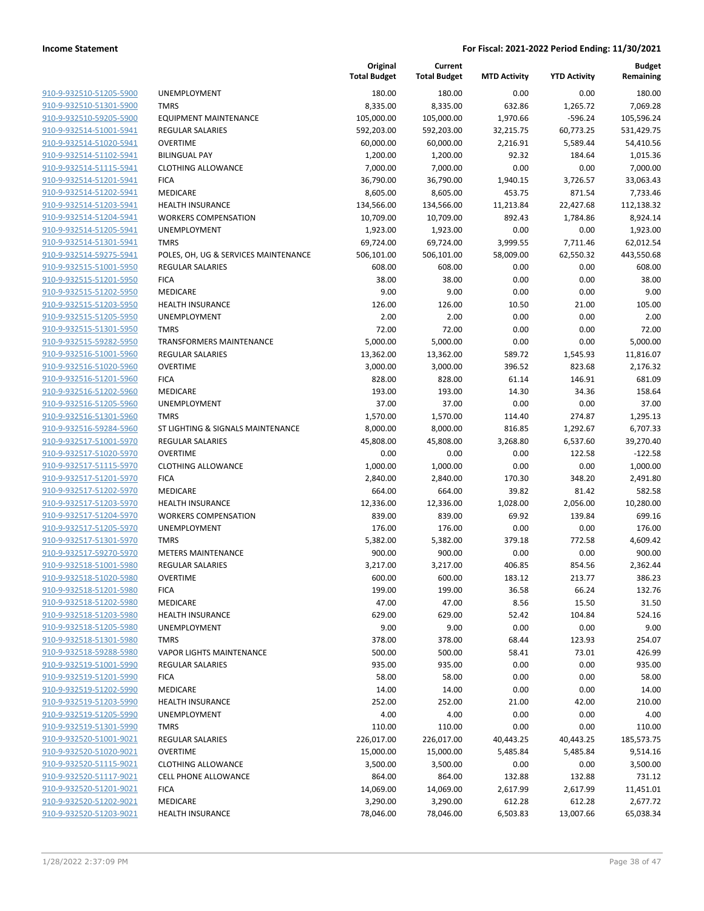|                                                    |                                                        | Original<br><b>Total Budget</b> | Current<br><b>Total Budget</b> | <b>MTD Activity</b> | <b>YTD Activity</b> | <b>Budget</b><br>Remaining |
|----------------------------------------------------|--------------------------------------------------------|---------------------------------|--------------------------------|---------------------|---------------------|----------------------------|
| 910-9-932510-51205-5900                            | UNEMPLOYMENT                                           | 180.00                          | 180.00                         | 0.00                | 0.00                | 180.00                     |
| 910-9-932510-51301-5900                            | <b>TMRS</b>                                            | 8,335.00                        | 8,335.00                       | 632.86              | 1,265.72            | 7,069.28                   |
| 910-9-932510-59205-5900                            | <b>EQUIPMENT MAINTENANCE</b>                           | 105,000.00                      | 105,000.00                     | 1,970.66            | $-596.24$           | 105,596.24                 |
| 910-9-932514-51001-5941                            | <b>REGULAR SALARIES</b>                                | 592,203.00                      | 592,203.00                     | 32,215.75           | 60,773.25           | 531,429.75                 |
| 910-9-932514-51020-5941                            | <b>OVERTIME</b>                                        | 60,000.00                       | 60,000.00                      | 2,216.91            | 5,589.44            | 54,410.56                  |
| 910-9-932514-51102-5941                            | <b>BILINGUAL PAY</b>                                   | 1,200.00                        | 1,200.00                       | 92.32               | 184.64              | 1,015.36                   |
| 910-9-932514-51115-5941                            | <b>CLOTHING ALLOWANCE</b>                              | 7,000.00                        | 7,000.00                       | 0.00                | 0.00                | 7,000.00                   |
| 910-9-932514-51201-5941                            | <b>FICA</b>                                            | 36,790.00                       | 36,790.00                      | 1,940.15            | 3,726.57            | 33,063.43                  |
| 910-9-932514-51202-5941                            | MEDICARE                                               | 8,605.00                        | 8,605.00                       | 453.75              | 871.54              | 7,733.46                   |
| 910-9-932514-51203-5941                            | <b>HEALTH INSURANCE</b>                                | 134,566.00                      | 134,566.00                     | 11,213.84           | 22,427.68           | 112,138.32                 |
| 910-9-932514-51204-5941                            | <b>WORKERS COMPENSATION</b>                            | 10,709.00                       | 10,709.00                      | 892.43              | 1,784.86            | 8,924.14                   |
| 910-9-932514-51205-5941                            | UNEMPLOYMENT                                           | 1,923.00                        | 1,923.00                       | 0.00                | 0.00                | 1,923.00                   |
| 910-9-932514-51301-5941                            | <b>TMRS</b>                                            | 69,724.00                       | 69,724.00                      | 3,999.55            | 7,711.46            | 62,012.54                  |
| 910-9-932514-59275-5941                            | POLES, OH, UG & SERVICES MAINTENANCE                   | 506,101.00                      | 506,101.00                     | 58,009.00           | 62,550.32           | 443,550.68                 |
| 910-9-932515-51001-5950                            | <b>REGULAR SALARIES</b>                                | 608.00                          | 608.00                         | 0.00                | 0.00                | 608.00                     |
| 910-9-932515-51201-5950                            | <b>FICA</b>                                            | 38.00                           | 38.00                          | 0.00                | 0.00                | 38.00                      |
| 910-9-932515-51202-5950                            | MEDICARE                                               | 9.00                            | 9.00                           | 0.00                | 0.00                | 9.00                       |
| 910-9-932515-51203-5950                            | <b>HEALTH INSURANCE</b>                                | 126.00                          | 126.00                         | 10.50               | 21.00               | 105.00                     |
| 910-9-932515-51205-5950                            | <b>UNEMPLOYMENT</b>                                    | 2.00                            | 2.00                           | 0.00                | 0.00                | 2.00                       |
| 910-9-932515-51301-5950                            | <b>TMRS</b>                                            | 72.00                           | 72.00                          | 0.00                | 0.00                | 72.00                      |
| 910-9-932515-59282-5950                            | <b>TRANSFORMERS MAINTENANCE</b>                        | 5,000.00                        | 5,000.00                       | 0.00                | 0.00                | 5,000.00                   |
| 910-9-932516-51001-5960                            | REGULAR SALARIES                                       | 13,362.00                       | 13,362.00                      | 589.72              | 1,545.93            | 11,816.07                  |
| 910-9-932516-51020-5960                            | <b>OVERTIME</b>                                        | 3,000.00                        | 3,000.00                       | 396.52              | 823.68              | 2,176.32                   |
| 910-9-932516-51201-5960                            | <b>FICA</b>                                            | 828.00                          | 828.00                         | 61.14               | 146.91              | 681.09                     |
| 910-9-932516-51202-5960                            | MEDICARE                                               | 193.00                          | 193.00                         | 14.30               | 34.36               | 158.64                     |
| 910-9-932516-51205-5960                            | UNEMPLOYMENT                                           | 37.00                           | 37.00                          | 0.00                | 0.00                | 37.00                      |
| 910-9-932516-51301-5960                            | <b>TMRS</b>                                            | 1,570.00                        | 1,570.00                       | 114.40              | 274.87              | 1,295.13                   |
| 910-9-932516-59284-5960                            | ST LIGHTING & SIGNALS MAINTENANCE                      | 8,000.00                        | 8,000.00                       | 816.85              | 1,292.67            | 6,707.33                   |
| 910-9-932517-51001-5970                            | <b>REGULAR SALARIES</b>                                | 45,808.00                       | 45,808.00                      | 3,268.80            | 6,537.60            | 39,270.40                  |
| 910-9-932517-51020-5970                            | <b>OVERTIME</b>                                        | 0.00                            | 0.00                           | 0.00                | 122.58              | $-122.58$                  |
| 910-9-932517-51115-5970                            | <b>CLOTHING ALLOWANCE</b>                              | 1,000.00                        | 1,000.00                       | 0.00                | 0.00                | 1,000.00                   |
| 910-9-932517-51201-5970                            | <b>FICA</b>                                            | 2,840.00                        | 2,840.00                       | 170.30              | 348.20              | 2,491.80                   |
| 910-9-932517-51202-5970                            | MEDICARE                                               | 664.00                          | 664.00                         | 39.82               | 81.42               | 582.58                     |
| 910-9-932517-51203-5970<br>910-9-932517-51204-5970 | <b>HEALTH INSURANCE</b><br><b>WORKERS COMPENSATION</b> | 12,336.00<br>839.00             | 12,336.00<br>839.00            | 1,028.00<br>69.92   | 2,056.00<br>139.84  | 10,280.00<br>699.16        |
| 910-9-932517-51205-5970                            | UNEMPLOYMENT                                           | 176.00                          | 176.00                         | 0.00                | 0.00                | 176.00                     |
| 910-9-932517-51301-5970                            | <b>TMRS</b>                                            | 5,382.00                        | 5,382.00                       | 379.18              | 772.58              | 4,609.42                   |
| 910-9-932517-59270-5970                            | <b>METERS MAINTENANCE</b>                              | 900.00                          | 900.00                         | 0.00                | 0.00                | 900.00                     |
| 910-9-932518-51001-5980                            | <b>REGULAR SALARIES</b>                                | 3,217.00                        | 3,217.00                       | 406.85              | 854.56              | 2,362.44                   |
| 910-9-932518-51020-5980                            | <b>OVERTIME</b>                                        | 600.00                          | 600.00                         | 183.12              | 213.77              | 386.23                     |
| 910-9-932518-51201-5980                            | <b>FICA</b>                                            | 199.00                          | 199.00                         | 36.58               | 66.24               | 132.76                     |
| 910-9-932518-51202-5980                            | MEDICARE                                               | 47.00                           | 47.00                          | 8.56                | 15.50               | 31.50                      |
| 910-9-932518-51203-5980                            | <b>HEALTH INSURANCE</b>                                | 629.00                          | 629.00                         | 52.42               | 104.84              | 524.16                     |
| 910-9-932518-51205-5980                            | UNEMPLOYMENT                                           | 9.00                            | 9.00                           | 0.00                | 0.00                | 9.00                       |
| 910-9-932518-51301-5980                            | <b>TMRS</b>                                            | 378.00                          | 378.00                         | 68.44               | 123.93              | 254.07                     |
| 910-9-932518-59288-5980                            | <b>VAPOR LIGHTS MAINTENANCE</b>                        | 500.00                          | 500.00                         | 58.41               | 73.01               | 426.99                     |
| 910-9-932519-51001-5990                            | REGULAR SALARIES                                       | 935.00                          | 935.00                         | 0.00                | 0.00                | 935.00                     |
| 910-9-932519-51201-5990                            | <b>FICA</b>                                            | 58.00                           | 58.00                          | 0.00                | 0.00                | 58.00                      |
| 910-9-932519-51202-5990                            | MEDICARE                                               | 14.00                           | 14.00                          | 0.00                | 0.00                | 14.00                      |
| 910-9-932519-51203-5990                            | <b>HEALTH INSURANCE</b>                                | 252.00                          | 252.00                         | 21.00               | 42.00               | 210.00                     |
| 910-9-932519-51205-5990                            | UNEMPLOYMENT                                           | 4.00                            | 4.00                           | 0.00                | 0.00                | 4.00                       |
| 910-9-932519-51301-5990                            | <b>TMRS</b>                                            | 110.00                          | 110.00                         | 0.00                | 0.00                | 110.00                     |
| 910-9-932520-51001-9021                            | REGULAR SALARIES                                       | 226,017.00                      | 226,017.00                     | 40,443.25           | 40,443.25           | 185,573.75                 |
| 910-9-932520-51020-9021                            | <b>OVERTIME</b>                                        | 15,000.00                       | 15,000.00                      | 5,485.84            | 5,485.84            | 9,514.16                   |
| 910-9-932520-51115-9021                            | <b>CLOTHING ALLOWANCE</b>                              | 3,500.00                        | 3,500.00                       | 0.00                | 0.00                | 3,500.00                   |
| 910-9-932520-51117-9021                            | <b>CELL PHONE ALLOWANCE</b>                            | 864.00                          | 864.00                         | 132.88              | 132.88              | 731.12                     |
| 910-9-932520-51201-9021                            | <b>FICA</b>                                            | 14,069.00                       | 14,069.00                      | 2,617.99            | 2,617.99            | 11,451.01                  |
| 910-9-932520-51202-9021                            | MEDICARE                                               | 3,290.00                        | 3,290.00                       | 612.28              | 612.28              | 2,677.72                   |
| 910-9-932520-51203-9021                            | <b>HEALTH INSURANCE</b>                                | 78,046.00                       | 78,046.00                      | 6,503.83            | 13,007.66           | 65,038.34                  |
|                                                    |                                                        |                                 |                                |                     |                     |                            |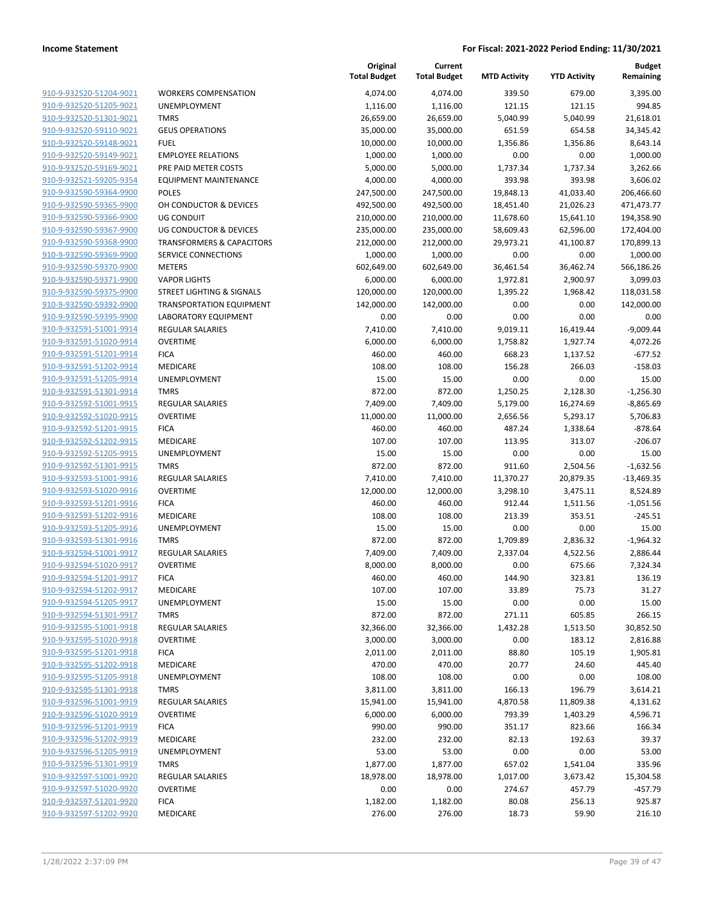| 910-9-932520-51204-9021                            | <b>WORKERS COMPENS/</b>        |
|----------------------------------------------------|--------------------------------|
| 910-9-932520-51205-9021                            | <b>UNEMPLOYMENT</b>            |
| 910-9-932520-51301-9021                            | <b>TMRS</b>                    |
| 910-9-932520-59110-9021                            | <b>GEUS OPERATIONS</b>         |
| <u>910-9-932520-59148-9021</u>                     | FUEL                           |
| 910-9-932520-59149-9021                            | <b>EMPLOYEE RELATION</b>       |
| 910-9-932520-59169-9021                            | PRE PAID METER COS             |
| 910-9-932521-59205-9354                            | <b>EQUIPMENT MAINTEI</b>       |
| 910-9-932590-59364-9900                            | <b>POLES</b>                   |
| <u>910-9-932590-59365-9900</u>                     | OH CONDUCTOR & DI              |
| 910-9-932590-59366-9900                            | UG CONDUIT                     |
| 910-9-932590-59367-9900                            | UG CONDUCTOR & DI              |
| 910-9-932590-59368-9900                            | TRANSFORMERS & CA              |
| 910-9-932590-59369-9900                            | <b>SERVICE CONNECTION</b>      |
| <u>910-9-932590-59370-9900</u>                     | METERS                         |
| 910-9-932590-59371-9900                            | VAPOR LIGHTS                   |
| 910-9-932590-59375-9900                            | <b>STREET LIGHTING &amp; S</b> |
| 910-9-932590-59392-9900                            | TRANSPORTATION EC              |
| 910-9-932590-59395-9900                            | <b>LABORATORY EQUIPN</b>       |
|                                                    | <b>REGULAR SALARIES</b>        |
| <u>910-9-932591-51001-9914</u>                     | OVERTIME                       |
| 910-9-932591-51020-9914<br>910-9-932591-51201-9914 | <b>FICA</b>                    |
| 910-9-932591-51202-9914                            | <b>MEDICARE</b>                |
| 910-9-932591-51205-9914                            | UNEMPLOYMENT                   |
|                                                    | <b>TMRS</b>                    |
| 910-9-932591-51301-9914                            |                                |
| 910-9-932592-51001-9915                            | REGULAR SALARIES               |
| 910-9-932592-51020-9915                            | OVERTIME                       |
| 910-9-932592-51201-9915                            | <b>FICA</b>                    |
| 910-9-932592-51202-9915                            | <b>MEDICARE</b>                |
| 910-9-932592-51205-9915                            | <b>UNEMPLOYMENT</b>            |
| 910-9-932592-51301-9915                            | TMRS                           |
| 910-9-932593-51001-9916                            | <b>REGULAR SALARIES</b>        |
| 910-9-932593-51020-9916                            | OVERTIME                       |
| 910-9-932593-51201-9916                            | FICA                           |
| 910-9-932593-51202-9916                            | MEDICARE                       |
| 910-9-932593-51205-9916                            | <b>UNEMPLOYMENT</b>            |
| 910-9-932593-51301-9916                            | TMRS                           |
| 910-9-932594-51001-9917                            | <b>REGULAR SALARIES</b>        |
| 910-9-932594-51020-9917                            | OVERTIME                       |
| 910-9-932594-51201-9917                            | <b>FICA</b>                    |
| 910-9-932594-51202-9917                            | MEDICARE                       |
| 910-9-932594-51205-9917                            | UNEMPLOYMENT                   |
| 910-9-932594-51301-9917                            | TMRS                           |
| 910-9-932595-51001-9918                            | <b>REGULAR SALARIES</b>        |
| 910-9-932595-51020-9918                            | <b>OVERTIME</b>                |
| 910-9-932595-51201-9918                            | <b>FICA</b>                    |
| 910-9-932595-51202-9918                            | MEDICARE                       |
| 910-9-932595-51205-9918                            | <b>UNEMPLOYMENT</b>            |
| 910-9-932595-51301-9918                            | <b>TMRS</b>                    |
| 910-9-932596-51001-9919                            | <b>REGULAR SALARIES</b>        |
| 910-9-932596-51020-9919                            | <b>OVERTIME</b>                |
| 910-9-932596-51201-9919                            | <b>FICA</b>                    |
| 910-9-932596-51202-9919                            | <b>MEDICARE</b>                |
| 910-9-932596-51205-9919                            | <b>UNEMPLOYMENT</b>            |
| 910-9-932596-51301-9919                            | TMRS                           |
| 910-9-932597-51001-9920                            | REGULAR SALARIES               |
| 910-9-932597-51020-9920                            | OVERTIME                       |
| 910-9-932597-51201-9920                            | <b>FICA</b>                    |
| 910-9-932597-51202-9920                            | <b>MEDICARE</b>                |
|                                                    |                                |

|                         |                                      | Original<br><b>Total Budget</b> | Current<br><b>Total Budget</b> | <b>MTD Activity</b> | <b>YTD Activity</b> | <b>Budget</b><br>Remaining |
|-------------------------|--------------------------------------|---------------------------------|--------------------------------|---------------------|---------------------|----------------------------|
| 910-9-932520-51204-9021 | <b>WORKERS COMPENSATION</b>          | 4,074.00                        | 4,074.00                       | 339.50              | 679.00              | 3,395.00                   |
| 910-9-932520-51205-9021 | UNEMPLOYMENT                         | 1,116.00                        | 1,116.00                       | 121.15              | 121.15              | 994.85                     |
| 910-9-932520-51301-9021 | <b>TMRS</b>                          | 26,659.00                       | 26,659.00                      | 5,040.99            | 5,040.99            | 21,618.01                  |
| 910-9-932520-59110-9021 | <b>GEUS OPERATIONS</b>               | 35,000.00                       | 35,000.00                      | 651.59              | 654.58              | 34,345.42                  |
| 910-9-932520-59148-9021 | <b>FUEL</b>                          | 10,000.00                       | 10,000.00                      | 1,356.86            | 1,356.86            | 8,643.14                   |
| 910-9-932520-59149-9021 | <b>EMPLOYEE RELATIONS</b>            | 1,000.00                        | 1,000.00                       | 0.00                | 0.00                | 1,000.00                   |
| 910-9-932520-59169-9021 | PRE PAID METER COSTS                 | 5,000.00                        | 5,000.00                       | 1,737.34            | 1,737.34            | 3,262.66                   |
| 910-9-932521-59205-9354 | <b>EQUIPMENT MAINTENANCE</b>         | 4,000.00                        | 4,000.00                       | 393.98              | 393.98              | 3,606.02                   |
| 910-9-932590-59364-9900 | <b>POLES</b>                         | 247,500.00                      | 247,500.00                     | 19,848.13           | 41,033.40           | 206,466.60                 |
| 910-9-932590-59365-9900 | OH CONDUCTOR & DEVICES               | 492,500.00                      | 492,500.00                     | 18,451.40           | 21,026.23           | 471,473.77                 |
| 910-9-932590-59366-9900 | <b>UG CONDUIT</b>                    | 210,000.00                      | 210,000.00                     | 11,678.60           | 15,641.10           | 194,358.90                 |
| 910-9-932590-59367-9900 | <b>UG CONDUCTOR &amp; DEVICES</b>    | 235,000.00                      | 235,000.00                     | 58,609.43           | 62,596.00           | 172,404.00                 |
| 910-9-932590-59368-9900 | <b>TRANSFORMERS &amp; CAPACITORS</b> | 212,000.00                      | 212,000.00                     | 29,973.21           | 41,100.87           | 170,899.13                 |
| 910-9-932590-59369-9900 | SERVICE CONNECTIONS                  | 1,000.00                        | 1,000.00                       | 0.00                | 0.00                | 1,000.00                   |
| 910-9-932590-59370-9900 | <b>METERS</b>                        | 602,649.00                      | 602,649.00                     | 36,461.54           | 36,462.74           | 566,186.26                 |
| 910-9-932590-59371-9900 | <b>VAPOR LIGHTS</b>                  | 6,000.00                        | 6,000.00                       | 1,972.81            | 2,900.97            | 3,099.03                   |
| 910-9-932590-59375-9900 | STREET LIGHTING & SIGNALS            | 120,000.00                      | 120,000.00                     | 1,395.22            | 1,968.42            | 118,031.58                 |
| 910-9-932590-59392-9900 | <b>TRANSPORTATION EQUIPMENT</b>      | 142,000.00                      | 142,000.00                     | 0.00                | 0.00                | 142,000.00                 |
| 910-9-932590-59395-9900 | <b>LABORATORY EQUIPMENT</b>          | 0.00                            | 0.00                           | 0.00                | 0.00                | 0.00                       |
| 910-9-932591-51001-9914 | <b>REGULAR SALARIES</b>              | 7,410.00                        | 7,410.00                       | 9,019.11            | 16,419.44           | $-9,009.44$                |
| 910-9-932591-51020-9914 | <b>OVERTIME</b>                      | 6,000.00                        | 6,000.00                       | 1,758.82            | 1,927.74            | 4,072.26                   |
| 910-9-932591-51201-9914 | <b>FICA</b>                          | 460.00                          | 460.00                         | 668.23              | 1,137.52            | $-677.52$                  |
| 910-9-932591-51202-9914 | MEDICARE                             | 108.00                          | 108.00                         | 156.28              | 266.03              | $-158.03$                  |
| 910-9-932591-51205-9914 | UNEMPLOYMENT                         | 15.00                           | 15.00                          | 0.00                | 0.00                | 15.00                      |
| 910-9-932591-51301-9914 | <b>TMRS</b>                          | 872.00                          | 872.00                         | 1,250.25            | 2,128.30            | $-1,256.30$                |
| 910-9-932592-51001-9915 | REGULAR SALARIES                     | 7,409.00                        | 7,409.00                       | 5,179.00            | 16,274.69           | $-8,865.69$                |
| 910-9-932592-51020-9915 | <b>OVERTIME</b>                      | 11,000.00                       | 11,000.00                      | 2,656.56            | 5,293.17            | 5,706.83                   |
| 910-9-932592-51201-9915 | <b>FICA</b>                          | 460.00                          | 460.00                         | 487.24              | 1,338.64            | $-878.64$                  |
| 910-9-932592-51202-9915 | MEDICARE                             | 107.00                          | 107.00                         | 113.95              | 313.07              | $-206.07$                  |
| 910-9-932592-51205-9915 | UNEMPLOYMENT                         | 15.00                           | 15.00                          | 0.00                | 0.00                | 15.00                      |
| 910-9-932592-51301-9915 | <b>TMRS</b>                          | 872.00                          | 872.00                         | 911.60              | 2,504.56            | $-1,632.56$                |
| 910-9-932593-51001-9916 | REGULAR SALARIES                     | 7,410.00                        | 7,410.00                       | 11,370.27           | 20,879.35           | $-13,469.35$               |
| 910-9-932593-51020-9916 | <b>OVERTIME</b>                      | 12,000.00                       | 12,000.00                      | 3,298.10            | 3,475.11            | 8,524.89                   |
| 910-9-932593-51201-9916 | <b>FICA</b>                          | 460.00                          | 460.00                         | 912.44              | 1,511.56            | $-1,051.56$                |
| 910-9-932593-51202-9916 | MEDICARE                             | 108.00                          | 108.00                         | 213.39              | 353.51              | $-245.51$                  |
| 910-9-932593-51205-9916 | UNEMPLOYMENT                         | 15.00                           | 15.00                          | 0.00                | 0.00                | 15.00                      |
| 910-9-932593-51301-9916 | <b>TMRS</b>                          | 872.00                          | 872.00                         | 1,709.89            | 2,836.32            | $-1,964.32$                |
| 910-9-932594-51001-9917 | <b>REGULAR SALARIES</b>              | 7,409.00                        | 7,409.00                       | 2,337.04            | 4,522.56            | 2,886.44                   |
| 910-9-932594-51020-9917 | <b>OVERTIME</b>                      | 8,000.00                        | 8,000.00                       | 0.00                | 675.66              | 7,324.34                   |
| 910-9-932594-51201-9917 | <b>FICA</b>                          | 460.00                          | 460.00                         | 144.90              | 323.81              | 136.19                     |
| 910-9-932594-51202-9917 | MEDICARE                             | 107.00                          | 107.00                         | 33.89               | 75.73               | 31.27                      |
| 910-9-932594-51205-9917 | UNEMPLOYMENT                         | 15.00                           | 15.00                          | 0.00                | 0.00                | 15.00                      |
| 910-9-932594-51301-9917 | <b>TMRS</b>                          | 872.00                          | 872.00                         | 271.11              | 605.85              | 266.15                     |
| 910-9-932595-51001-9918 | REGULAR SALARIES                     | 32,366.00                       | 32,366.00                      | 1,432.28            | 1,513.50            | 30,852.50                  |
| 910-9-932595-51020-9918 | <b>OVERTIME</b>                      | 3,000.00                        | 3,000.00                       | 0.00                | 183.12              | 2,816.88                   |
| 910-9-932595-51201-9918 | <b>FICA</b>                          | 2,011.00                        | 2,011.00                       | 88.80               | 105.19              | 1,905.81                   |
| 910-9-932595-51202-9918 | MEDICARE                             | 470.00                          | 470.00                         | 20.77               | 24.60               | 445.40                     |
| 910-9-932595-51205-9918 | UNEMPLOYMENT                         | 108.00                          | 108.00                         | 0.00                | 0.00                | 108.00                     |
| 910-9-932595-51301-9918 | <b>TMRS</b>                          | 3,811.00                        | 3,811.00                       | 166.13              | 196.79              | 3,614.21                   |
| 910-9-932596-51001-9919 | REGULAR SALARIES                     | 15,941.00                       | 15,941.00                      | 4,870.58            | 11,809.38           | 4,131.62                   |
| 910-9-932596-51020-9919 | <b>OVERTIME</b>                      | 6,000.00                        | 6,000.00                       | 793.39              | 1,403.29            | 4,596.71                   |
| 910-9-932596-51201-9919 | <b>FICA</b>                          | 990.00                          | 990.00                         | 351.17              | 823.66              | 166.34                     |
| 910-9-932596-51202-9919 | MEDICARE                             | 232.00                          | 232.00                         | 82.13               | 192.63              | 39.37                      |
| 910-9-932596-51205-9919 | UNEMPLOYMENT                         | 53.00                           | 53.00                          | 0.00                | 0.00                | 53.00                      |
| 910-9-932596-51301-9919 | <b>TMRS</b>                          | 1,877.00                        | 1,877.00                       | 657.02              | 1,541.04            | 335.96                     |
| 910-9-932597-51001-9920 | REGULAR SALARIES                     | 18,978.00                       | 18,978.00                      | 1,017.00            | 3,673.42            | 15,304.58                  |
| 910-9-932597-51020-9920 | <b>OVERTIME</b>                      | 0.00                            | 0.00                           | 274.67              | 457.79              | $-457.79$                  |
| 910-9-932597-51201-9920 | <b>FICA</b>                          | 1,182.00                        | 1,182.00                       | 80.08               | 256.13              | 925.87                     |
| 910-9-932597-51202-9920 | MEDICARE                             | 276.00                          | 276.00                         | 18.73               | 59.90               | 216.10                     |
|                         |                                      |                                 |                                |                     |                     |                            |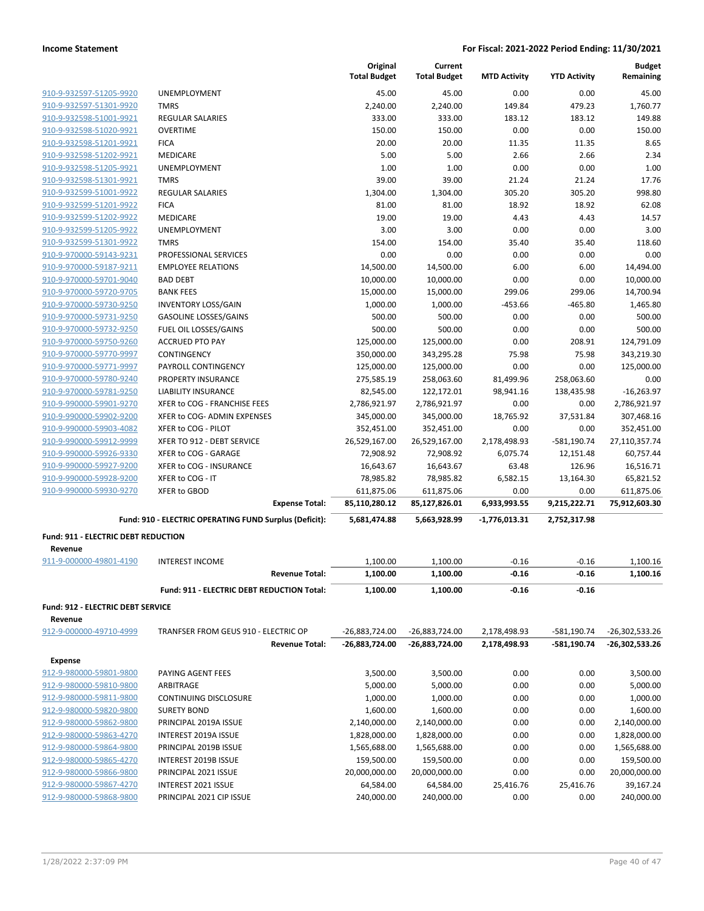|                                                    |                                                        | Original<br><b>Total Budget</b> | Current<br><b>Total Budget</b> | <b>MTD Activity</b> | <b>YTD Activity</b> | <b>Budget</b><br>Remaining  |
|----------------------------------------------------|--------------------------------------------------------|---------------------------------|--------------------------------|---------------------|---------------------|-----------------------------|
|                                                    |                                                        |                                 |                                |                     |                     |                             |
| 910-9-932597-51205-9920                            | <b>UNEMPLOYMENT</b>                                    | 45.00                           | 45.00                          | 0.00                | 0.00                | 45.00                       |
| 910-9-932597-51301-9920                            | <b>TMRS</b><br><b>REGULAR SALARIES</b>                 | 2,240.00<br>333.00              | 2,240.00<br>333.00             | 149.84<br>183.12    | 479.23<br>183.12    | 1,760.77<br>149.88          |
| 910-9-932598-51001-9921<br>910-9-932598-51020-9921 | <b>OVERTIME</b>                                        | 150.00                          | 150.00                         | 0.00                | 0.00                | 150.00                      |
| 910-9-932598-51201-9921                            | <b>FICA</b>                                            | 20.00                           | 20.00                          | 11.35               | 11.35               | 8.65                        |
| 910-9-932598-51202-9921                            | MEDICARE                                               | 5.00                            | 5.00                           | 2.66                | 2.66                | 2.34                        |
|                                                    | UNEMPLOYMENT                                           | 1.00                            |                                | 0.00                | 0.00                | 1.00                        |
| 910-9-932598-51205-9921                            | <b>TMRS</b>                                            | 39.00                           | 1.00<br>39.00                  | 21.24               | 21.24               | 17.76                       |
| 910-9-932598-51301-9921<br>910-9-932599-51001-9922 | <b>REGULAR SALARIES</b>                                |                                 |                                | 305.20              | 305.20              | 998.80                      |
|                                                    |                                                        | 1,304.00                        | 1,304.00                       | 18.92               | 18.92               | 62.08                       |
| 910-9-932599-51201-9922                            | <b>FICA</b>                                            | 81.00                           | 81.00                          |                     |                     |                             |
| 910-9-932599-51202-9922                            | MEDICARE                                               | 19.00                           | 19.00                          | 4.43                | 4.43                | 14.57                       |
| 910-9-932599-51205-9922                            | UNEMPLOYMENT                                           | 3.00                            | 3.00                           | 0.00                | 0.00                | 3.00                        |
| 910-9-932599-51301-9922                            | <b>TMRS</b>                                            | 154.00                          | 154.00                         | 35.40               | 35.40               | 118.60                      |
| 910-9-970000-59143-9231                            | PROFESSIONAL SERVICES                                  | 0.00                            | 0.00                           | 0.00                | 0.00                | 0.00                        |
| 910-9-970000-59187-9211                            | <b>EMPLOYEE RELATIONS</b>                              | 14,500.00                       | 14,500.00                      | 6.00                | 6.00                | 14,494.00                   |
| 910-9-970000-59701-9040                            | <b>BAD DEBT</b>                                        | 10,000.00                       | 10,000.00                      | 0.00                | 0.00                | 10,000.00                   |
| 910-9-970000-59720-9705                            | <b>BANK FEES</b>                                       | 15,000.00                       | 15,000.00                      | 299.06              | 299.06              | 14,700.94                   |
| 910-9-970000-59730-9250                            | <b>INVENTORY LOSS/GAIN</b>                             | 1,000.00                        | 1,000.00                       | $-453.66$           | $-465.80$           | 1,465.80                    |
| 910-9-970000-59731-9250                            | <b>GASOLINE LOSSES/GAINS</b>                           | 500.00                          | 500.00                         | 0.00                | 0.00                | 500.00                      |
| 910-9-970000-59732-9250                            | FUEL OIL LOSSES/GAINS                                  | 500.00                          | 500.00                         | 0.00                | 0.00                | 500.00                      |
| 910-9-970000-59750-9260                            | <b>ACCRUED PTO PAY</b>                                 | 125,000.00                      | 125,000.00                     | 0.00                | 208.91              | 124,791.09                  |
| 910-9-970000-59770-9997                            | <b>CONTINGENCY</b>                                     | 350,000.00                      | 343,295.28                     | 75.98               | 75.98               | 343,219.30                  |
| 910-9-970000-59771-9997                            | PAYROLL CONTINGENCY                                    | 125,000.00                      | 125,000.00                     | 0.00                | 0.00                | 125,000.00                  |
| 910-9-970000-59780-9240                            | <b>PROPERTY INSURANCE</b>                              | 275,585.19                      | 258,063.60                     | 81,499.96           | 258,063.60          | 0.00                        |
| 910-9-970000-59781-9250                            | <b>LIABILITY INSURANCE</b>                             | 82,545.00                       | 122,172.01                     | 98,941.16           | 138,435.98          | $-16,263.97$                |
| 910-9-990000-59901-9270                            | XFER to COG - FRANCHISE FEES                           | 2,786,921.97                    | 2,786,921.97                   | 0.00                | 0.00                | 2,786,921.97                |
| 910-9-990000-59902-9200                            | XFER to COG- ADMIN EXPENSES                            | 345,000.00                      | 345,000.00                     | 18,765.92           | 37,531.84           | 307,468.16                  |
| 910-9-990000-59903-4082                            | XFER to COG - PILOT                                    | 352,451.00                      | 352,451.00                     | 0.00                | 0.00                | 352,451.00                  |
| 910-9-990000-59912-9999                            | XFER TO 912 - DEBT SERVICE                             | 26,529,167.00                   | 26,529,167.00                  | 2,178,498.93        | $-581,190.74$       | 27,110,357.74               |
| 910-9-990000-59926-9330                            | XFER to COG - GARAGE                                   | 72,908.92                       | 72,908.92                      | 6,075.74            | 12,151.48           | 60,757.44                   |
| 910-9-990000-59927-9200                            | XFER to COG - INSURANCE                                | 16,643.67                       | 16,643.67                      | 63.48               | 126.96              | 16,516.71                   |
| 910-9-990000-59928-9200                            | XFER to COG - IT                                       | 78,985.82                       | 78,985.82                      | 6,582.15            | 13,164.30           | 65,821.52                   |
| 910-9-990000-59930-9270                            | <b>XFER to GBOD</b>                                    | 611,875.06<br>85,110,280.12     | 611,875.06                     | 0.00                | 0.00                | 611,875.06<br>75,912,603.30 |
|                                                    | <b>Expense Total:</b>                                  |                                 | 85,127,826.01                  | 6,933,993.55        | 9,215,222.71        |                             |
|                                                    | Fund: 910 - ELECTRIC OPERATING FUND Surplus (Deficit): | 5,681,474.88                    | 5,663,928.99                   | -1,776,013.31       | 2,752,317.98        |                             |
| Fund: 911 - ELECTRIC DEBT REDUCTION                |                                                        |                                 |                                |                     |                     |                             |
| Revenue                                            |                                                        |                                 |                                |                     |                     |                             |
| 911-9-000000-49801-4190                            | <b>INTEREST INCOME</b>                                 | 1,100.00                        | 1,100.00                       | $-0.16$             | $-0.16$             | 1,100.16                    |
|                                                    | <b>Revenue Total:</b>                                  | 1,100.00                        | 1,100.00                       | $-0.16$             | -0.16               | 1,100.16                    |
|                                                    | Fund: 911 - ELECTRIC DEBT REDUCTION Total:             | 1,100.00                        | 1,100.00                       | -0.16               | -0.16               |                             |
| Fund: 912 - ELECTRIC DEBT SERVICE                  |                                                        |                                 |                                |                     |                     |                             |
| Revenue                                            |                                                        |                                 |                                |                     |                     |                             |
| 912-9-000000-49710-4999                            | TRANFSER FROM GEUS 910 - ELECTRIC OP                   | -26,883,724.00                  | -26,883,724.00                 | 2,178,498.93        | -581,190.74         | -26,302,533.26              |
|                                                    | <b>Revenue Total:</b>                                  | -26,883,724.00                  | -26,883,724.00                 | 2,178,498.93        | -581,190.74         | $-26,302,533.26$            |
|                                                    |                                                        |                                 |                                |                     |                     |                             |
| <b>Expense</b>                                     |                                                        |                                 |                                |                     |                     |                             |
| 912-9-980000-59801-9800                            | PAYING AGENT FEES                                      | 3,500.00                        | 3,500.00                       | 0.00                | 0.00                | 3,500.00                    |
| 912-9-980000-59810-9800                            | ARBITRAGE                                              | 5,000.00                        | 5,000.00                       | 0.00                | 0.00                | 5,000.00                    |
| 912-9-980000-59811-9800                            | CONTINUING DISCLOSURE                                  | 1,000.00                        | 1,000.00                       | 0.00                | 0.00                | 1,000.00                    |
| 912-9-980000-59820-9800                            | <b>SURETY BOND</b>                                     | 1,600.00                        | 1,600.00                       | 0.00                | 0.00                | 1,600.00                    |
| 912-9-980000-59862-9800                            | PRINCIPAL 2019A ISSUE                                  | 2,140,000.00                    | 2,140,000.00                   | 0.00                | 0.00                | 2,140,000.00                |
| 912-9-980000-59863-4270                            | INTEREST 2019A ISSUE                                   | 1,828,000.00                    | 1,828,000.00                   | 0.00                | 0.00                | 1,828,000.00                |
| 912-9-980000-59864-9800                            | PRINCIPAL 2019B ISSUE                                  | 1,565,688.00                    | 1,565,688.00                   | 0.00                | 0.00                | 1,565,688.00                |
| 912-9-980000-59865-4270                            | INTEREST 2019B ISSUE                                   | 159,500.00                      | 159,500.00                     | 0.00                | 0.00                | 159,500.00                  |
| 912-9-980000-59866-9800                            | PRINCIPAL 2021 ISSUE                                   | 20,000,000.00                   | 20,000,000.00                  | 0.00                | 0.00                | 20,000,000.00               |
| 912-9-980000-59867-4270                            | INTEREST 2021 ISSUE                                    | 64,584.00                       | 64,584.00                      | 25,416.76           | 25,416.76           | 39,167.24                   |
| 912-9-980000-59868-9800                            | PRINCIPAL 2021 CIP ISSUE                               | 240,000.00                      | 240,000.00                     | 0.00                | 0.00                | 240,000.00                  |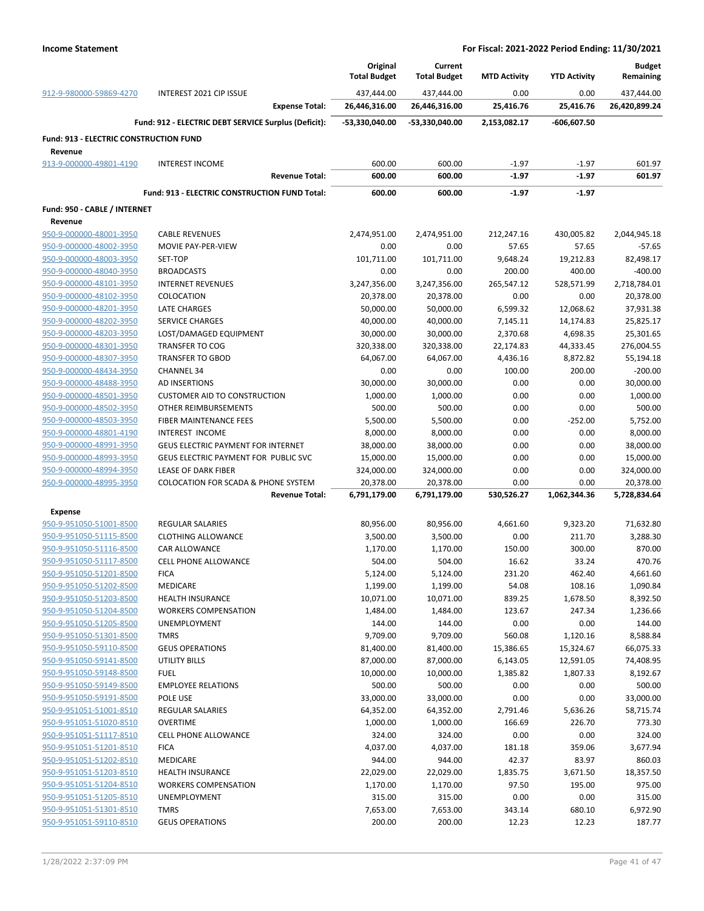|                                               |                                                      | Original            | Current             |                     |                     | <b>Budget</b> |
|-----------------------------------------------|------------------------------------------------------|---------------------|---------------------|---------------------|---------------------|---------------|
|                                               |                                                      | <b>Total Budget</b> | <b>Total Budget</b> | <b>MTD Activity</b> | <b>YTD Activity</b> | Remaining     |
| 912-9-980000-59869-4270                       | <b>INTEREST 2021 CIP ISSUE</b>                       | 437,444.00          | 437.444.00          | 0.00                | 0.00                | 437,444.00    |
|                                               | <b>Expense Total:</b>                                | 26,446,316.00       | 26,446,316.00       | 25,416.76           | 25,416.76           | 26,420,899.24 |
|                                               | Fund: 912 - ELECTRIC DEBT SERVICE Surplus (Deficit): | -53,330,040.00      | -53,330,040.00      | 2,153,082.17        | -606,607.50         |               |
| <b>Fund: 913 - ELECTRIC CONSTRUCTION FUND</b> |                                                      |                     |                     |                     |                     |               |
| Revenue                                       |                                                      |                     |                     |                     |                     |               |
| 913-9-000000-49801-4190                       | <b>INTEREST INCOME</b>                               | 600.00              | 600.00              | $-1.97$             | $-1.97$             | 601.97        |
|                                               | <b>Revenue Total:</b>                                | 600.00              | 600.00              | $-1.97$             | $-1.97$             | 601.97        |
|                                               | Fund: 913 - ELECTRIC CONSTRUCTION FUND Total:        | 600.00              | 600.00              | $-1.97$             | $-1.97$             |               |
| Fund: 950 - CABLE / INTERNET                  |                                                      |                     |                     |                     |                     |               |
| Revenue                                       |                                                      |                     |                     |                     |                     |               |
| 950-9-000000-48001-3950                       | <b>CABLE REVENUES</b>                                | 2,474,951.00        | 2,474,951.00        | 212,247.16          | 430,005.82          | 2,044,945.18  |
| 950-9-000000-48002-3950                       | MOVIE PAY-PER-VIEW                                   | 0.00                | 0.00                | 57.65               | 57.65               | $-57.65$      |
| 950-9-000000-48003-3950                       | SET-TOP                                              | 101,711.00          | 101,711.00          | 9,648.24            | 19,212.83           | 82,498.17     |
| 950-9-000000-48040-3950                       | <b>BROADCASTS</b>                                    | 0.00                | 0.00                | 200.00              | 400.00              | $-400.00$     |
| 950-9-000000-48101-3950                       | <b>INTERNET REVENUES</b>                             | 3,247,356.00        | 3,247,356.00        | 265,547.12          | 528,571.99          | 2,718,784.01  |
| 950-9-000000-48102-3950                       | COLOCATION                                           | 20,378.00           | 20,378.00           | 0.00                | 0.00                | 20,378.00     |
| 950-9-000000-48201-3950                       | LATE CHARGES                                         | 50,000.00           | 50,000.00           | 6,599.32            | 12,068.62           | 37,931.38     |
| 950-9-000000-48202-3950                       | <b>SERVICE CHARGES</b>                               | 40,000.00           | 40,000.00           | 7,145.11            | 14,174.83           | 25,825.17     |
| 950-9-000000-48203-3950                       | LOST/DAMAGED EQUIPMENT                               | 30,000.00           | 30,000.00           | 2,370.68            | 4,698.35            | 25,301.65     |
| 950-9-000000-48301-3950                       | <b>TRANSFER TO COG</b>                               | 320,338.00          | 320,338.00          | 22,174.83           | 44,333.45           | 276,004.55    |
| 950-9-000000-48307-3950                       | <b>TRANSFER TO GBOD</b>                              | 64,067.00           | 64,067.00           | 4,436.16            | 8,872.82            | 55,194.18     |
| 950-9-000000-48434-3950                       | <b>CHANNEL 34</b>                                    | 0.00                | 0.00                | 100.00              | 200.00              | $-200.00$     |
|                                               | <b>AD INSERTIONS</b>                                 |                     | 30,000.00           | 0.00                |                     | 30,000.00     |
| 950-9-000000-48488-3950                       |                                                      | 30,000.00           |                     |                     | 0.00                |               |
| 950-9-000000-48501-3950                       | <b>CUSTOMER AID TO CONSTRUCTION</b>                  | 1,000.00            | 1,000.00            | 0.00                | 0.00                | 1,000.00      |
| 950-9-000000-48502-3950                       | OTHER REIMBURSEMENTS                                 | 500.00              | 500.00              | 0.00                | 0.00                | 500.00        |
| 950-9-000000-48503-3950                       | FIBER MAINTENANCE FEES                               | 5,500.00            | 5,500.00            | 0.00                | $-252.00$           | 5,752.00      |
| 950-9-000000-48801-4190                       | INTEREST INCOME                                      | 8,000.00            | 8,000.00            | 0.00                | 0.00                | 8,000.00      |
| 950-9-000000-48991-3950                       | <b>GEUS ELECTRIC PAYMENT FOR INTERNET</b>            | 38,000.00           | 38,000.00           | 0.00                | 0.00                | 38,000.00     |
| 950-9-000000-48993-3950                       | GEUS ELECTRIC PAYMENT FOR PUBLIC SVC                 | 15,000.00           | 15,000.00           | 0.00                | 0.00                | 15,000.00     |
| 950-9-000000-48994-3950                       | LEASE OF DARK FIBER                                  | 324,000.00          | 324,000.00          | 0.00                | 0.00                | 324,000.00    |
| 950-9-000000-48995-3950                       | <b>COLOCATION FOR SCADA &amp; PHONE SYSTEM</b>       | 20,378.00           | 20,378.00           | 0.00                | 0.00                | 20,378.00     |
|                                               | <b>Revenue Total:</b>                                | 6,791,179.00        | 6,791,179.00        | 530,526.27          | 1,062,344.36        | 5,728,834.64  |
| <b>Expense</b>                                |                                                      |                     |                     |                     |                     |               |
| 950-9-951050-51001-8500                       | <b>REGULAR SALARIES</b>                              | 80,956.00           | 80,956.00           | 4,661.60            | 9,323.20            | 71,632.80     |
| 950-9-951050-51115-8500                       | <b>CLOTHING ALLOWANCE</b>                            | 3,500.00            | 3,500.00            | 0.00                | 211.70              | 3,288.30      |
| 950-9-951050-51116-8500                       | <b>CAR ALLOWANCE</b>                                 | 1,170.00            | 1,170.00            | 150.00              | 300.00              | 870.00        |
| 950-9-951050-51117-8500                       | <b>CELL PHONE ALLOWANCE</b>                          | 504.00              | 504.00              | 16.62               | 33.24               | 470.76        |
| 950-9-951050-51201-8500                       | <b>FICA</b>                                          | 5,124.00            | 5,124.00            | 231.20              | 462.40              | 4,661.60      |
| 950-9-951050-51202-8500                       | MEDICARE                                             | 1,199.00            | 1,199.00            | 54.08               | 108.16              | 1,090.84      |
| 950-9-951050-51203-8500                       | <b>HEALTH INSURANCE</b>                              | 10,071.00           | 10,071.00           | 839.25              | 1,678.50            | 8,392.50      |
| 950-9-951050-51204-8500                       | <b>WORKERS COMPENSATION</b>                          | 1,484.00            | 1,484.00            | 123.67              | 247.34              | 1,236.66      |
| 950-9-951050-51205-8500                       | UNEMPLOYMENT                                         | 144.00              | 144.00              | 0.00                | 0.00                | 144.00        |
| 950-9-951050-51301-8500                       | <b>TMRS</b>                                          | 9,709.00            | 9,709.00            | 560.08              | 1,120.16            | 8,588.84      |
| 950-9-951050-59110-8500                       | <b>GEUS OPERATIONS</b>                               | 81,400.00           | 81,400.00           | 15,386.65           | 15,324.67           | 66,075.33     |
| 950-9-951050-59141-8500                       | <b>UTILITY BILLS</b>                                 | 87,000.00           | 87,000.00           | 6,143.05            | 12,591.05           | 74,408.95     |
| 950-9-951050-59148-8500                       | <b>FUEL</b>                                          | 10,000.00           | 10,000.00           | 1,385.82            | 1,807.33            | 8,192.67      |
| 950-9-951050-59149-8500                       | <b>EMPLOYEE RELATIONS</b>                            | 500.00              | 500.00              | 0.00                | 0.00                | 500.00        |
|                                               | POLE USE                                             | 33,000.00           |                     |                     |                     |               |
| 950-9-951050-59191-8500                       |                                                      |                     | 33,000.00           | 0.00                | 0.00                | 33,000.00     |
| 950-9-951051-51001-8510                       | REGULAR SALARIES                                     | 64,352.00           | 64,352.00           | 2,791.46            | 5,636.26            | 58,715.74     |
| 950-9-951051-51020-8510                       | <b>OVERTIME</b>                                      | 1,000.00            | 1,000.00            | 166.69              | 226.70              | 773.30        |
| 950-9-951051-51117-8510                       | <b>CELL PHONE ALLOWANCE</b>                          | 324.00              | 324.00              | 0.00                | 0.00                | 324.00        |
| 950-9-951051-51201-8510                       | <b>FICA</b>                                          | 4,037.00            | 4,037.00            | 181.18              | 359.06              | 3,677.94      |
| 950-9-951051-51202-8510                       | MEDICARE                                             | 944.00              | 944.00              | 42.37               | 83.97               | 860.03        |
| 950-9-951051-51203-8510                       | <b>HEALTH INSURANCE</b>                              | 22,029.00           | 22,029.00           | 1,835.75            | 3,671.50            | 18,357.50     |
| 950-9-951051-51204-8510                       | <b>WORKERS COMPENSATION</b>                          | 1,170.00            | 1,170.00            | 97.50               | 195.00              | 975.00        |
| 950-9-951051-51205-8510                       | UNEMPLOYMENT                                         | 315.00              | 315.00              | 0.00                | 0.00                | 315.00        |
| 950-9-951051-51301-8510                       | <b>TMRS</b>                                          | 7,653.00            | 7,653.00            | 343.14              | 680.10              | 6,972.90      |
| 950-9-951051-59110-8510                       | <b>GEUS OPERATIONS</b>                               | 200.00              | 200.00              | 12.23               | 12.23               | 187.77        |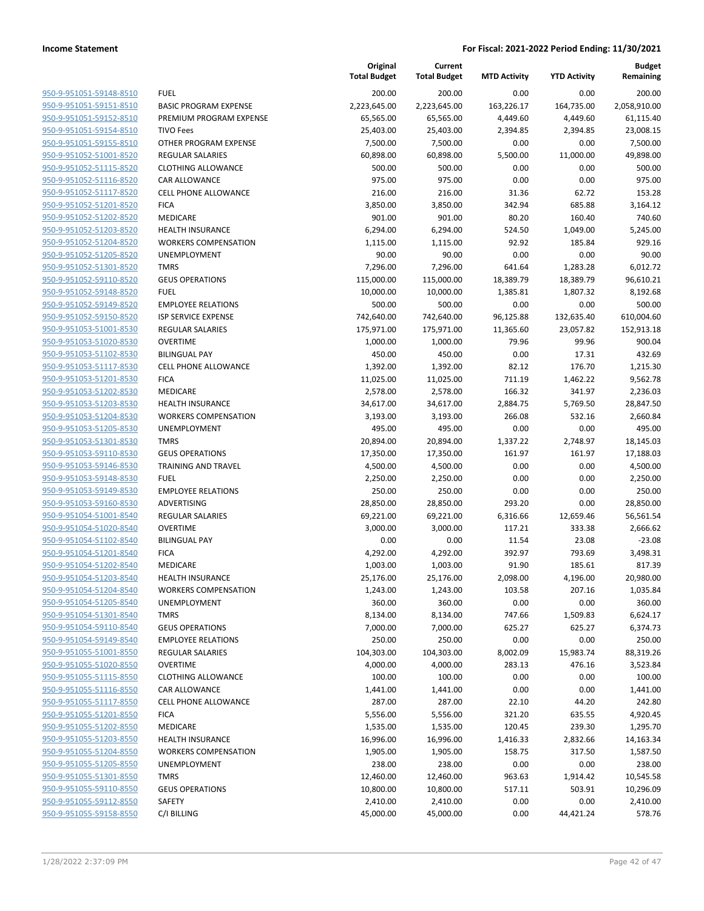| 950-9-951051-59148-8510                            | <b>FUEL</b>                          |
|----------------------------------------------------|--------------------------------------|
| 950-9-951051-59151-8510                            | <b>BASIC PRO</b>                     |
| 950-9-951051-59152-8510                            | PREMIUM                              |
| 950-9-951051-59154-8510                            | TIVO Fees                            |
| 950-9-951051-59155-8510                            | <b>OTHER PRO</b>                     |
| 950-9-951052-51001-8520                            | <b>REGULARS</b>                      |
| 950-9-951052-51115-8520                            | <b>CLOTHING</b>                      |
| 950-9-951052-51116-8520                            | <b>CAR ALLOV</b>                     |
| 950-9-951052-51117-8520                            | <b>CELL PHON</b>                     |
| 950-9-951052-51201-8520                            | <b>FICA</b>                          |
| 950-9-951052-51202-8520                            | <b>MEDICARE</b>                      |
| 950-9-951052-51203-8520                            | <b>HEALTH IN</b>                     |
| 950-9-951052-51204-8520                            | WORKERS                              |
| 950-9-951052-51205-8520                            | UNEMPLO'                             |
| 950-9-951052-51301-8520                            | TMRS                                 |
| 950-9-951052-59110-8520                            | <b>GEUS OPER</b>                     |
| 950-9-951052-59148-8520                            | FUEL                                 |
| 950-9-951052-59149-8520                            | <b>EMPLOYEE</b>                      |
| 950-9-951052-59150-8520                            | <b>ISP SERVIC</b>                    |
| 950-9-951053-51001-8530                            | <b>REGULARS</b>                      |
| 950-9-951053-51020-8530                            | OVERTIME                             |
| 950-9-951053-51102-8530                            | <b>BILINGUAL</b>                     |
| 950-9-951053-51117-8530                            | <b>CELL PHON</b>                     |
| 950-9-951053-51201-8530                            | <b>FICA</b>                          |
| 950-9-951053-51202-8530                            | <b>MEDICARE</b>                      |
| 950-9-951053-51203-8530<br>950-9-951053-51204-8530 | <b>HEALTH IN</b><br>WORKERS          |
| 950-9-951053-51205-8530                            | UNEMPLO'                             |
| 950-9-951053-51301-8530                            | <b>TMRS</b>                          |
| 950-9-951053-59110-8530                            | <b>GEUS OPER</b>                     |
| 950-9-951053-59146-8530                            | TRAINING.                            |
| 950-9-951053-59148-8530                            | FUEL                                 |
| 950-9-951053-59149-8530                            | <b>EMPLOYEE</b>                      |
| 950-9-951053-59160-8530                            | <b>ADVERTISI</b>                     |
| 950-9-951054-51001-8540                            | <b>REGULARS</b>                      |
| 950-9-951054-51020-8540                            | OVERTIME                             |
| 950-9-951054-51102-8540                            | <b>BILINGUAL</b>                     |
| 950-9-951054-51201-8540                            | <b>FICA</b>                          |
| 950-9-951054-51202-8540                            | MEDICARE                             |
| 950-9-951054-51203-8540                            | <b>HEALTH IN</b>                     |
| 950-9-951054-51204-8540                            | WORKERS                              |
| 950-9-951054-51205-8540                            | UNEMPLO'                             |
| 950-9-951054-51301-8540                            | TMRS                                 |
| 950-9-951054-59110-8540                            | <b>GEUS OPER</b>                     |
| 950-9-951054-59149-8540                            | <b>EMPLOYEE</b>                      |
| 950-9-951055-51001-8550                            | <b>REGULARS</b>                      |
| 950-9-951055-51020-8550                            | <b>OVERTIME</b>                      |
| 950-9-951055-51115-8550                            | <b>CLOTHING</b>                      |
| 950-9-951055-51116-8550                            | <b>CAR ALLOV</b><br><b>CELL PHON</b> |
| 950-9-951055-51117-8550<br>950-9-951055-51201-8550 | <b>FICA</b>                          |
| 950-9-951055-51202-8550                            | <b>MEDICARE</b>                      |
| 950-9-951055-51203-8550                            | <b>HEALTH IN</b>                     |
| 950-9-951055-51204-8550                            | WORKERS                              |
| 950-9-951055-51205-8550                            | UNEMPLO'                             |
| 950-9-951055-51301-8550                            | TMRS                                 |
| 950-9-951055-59110-8550                            | <b>GEUS OPER</b>                     |
| 950-9-951055-59112-8550                            | SAFETY                               |
| 950-9-951055-59158-8550                            | C/I BILLING                          |
|                                                    |                                      |

|                         |                              | Original<br><b>Total Budget</b> | Current<br><b>Total Budget</b> | <b>MTD Activity</b> | <b>YTD Activity</b> | <b>Budget</b><br>Remaining |
|-------------------------|------------------------------|---------------------------------|--------------------------------|---------------------|---------------------|----------------------------|
| 950-9-951051-59148-8510 | <b>FUEL</b>                  | 200.00                          | 200.00                         | 0.00                | 0.00                | 200.00                     |
| 950-9-951051-59151-8510 | <b>BASIC PROGRAM EXPENSE</b> | 2,223,645.00                    | 2,223,645.00                   | 163,226.17          | 164,735.00          | 2,058,910.00               |
| 950-9-951051-59152-8510 | PREMIUM PROGRAM EXPENSE      | 65,565.00                       | 65,565.00                      | 4,449.60            | 4,449.60            | 61,115.40                  |
| 950-9-951051-59154-8510 | <b>TIVO Fees</b>             | 25,403.00                       | 25,403.00                      | 2,394.85            | 2,394.85            | 23,008.15                  |
| 950-9-951051-59155-8510 | OTHER PROGRAM EXPENSE        | 7,500.00                        | 7,500.00                       | 0.00                | 0.00                | 7,500.00                   |
| 950-9-951052-51001-8520 | <b>REGULAR SALARIES</b>      | 60,898.00                       | 60,898.00                      | 5,500.00            | 11,000.00           | 49,898.00                  |
| 950-9-951052-51115-8520 | <b>CLOTHING ALLOWANCE</b>    | 500.00                          | 500.00                         | 0.00                | 0.00                | 500.00                     |
| 950-9-951052-51116-8520 | CAR ALLOWANCE                | 975.00                          | 975.00                         | 0.00                | 0.00                | 975.00                     |
| 950-9-951052-51117-8520 | <b>CELL PHONE ALLOWANCE</b>  | 216.00                          | 216.00                         | 31.36               | 62.72               | 153.28                     |
| 950-9-951052-51201-8520 | <b>FICA</b>                  | 3,850.00                        | 3,850.00                       | 342.94              | 685.88              | 3,164.12                   |
| 950-9-951052-51202-8520 | MEDICARE                     | 901.00                          | 901.00                         | 80.20               | 160.40              | 740.60                     |
| 950-9-951052-51203-8520 | <b>HEALTH INSURANCE</b>      | 6,294.00                        | 6,294.00                       | 524.50              | 1,049.00            | 5,245.00                   |
| 950-9-951052-51204-8520 | <b>WORKERS COMPENSATION</b>  | 1,115.00                        | 1,115.00                       | 92.92               | 185.84              | 929.16                     |
| 950-9-951052-51205-8520 | UNEMPLOYMENT                 | 90.00                           | 90.00                          | 0.00                | 0.00                | 90.00                      |
| 950-9-951052-51301-8520 | <b>TMRS</b>                  | 7,296.00                        | 7,296.00                       | 641.64              | 1,283.28            | 6,012.72                   |
| 950-9-951052-59110-8520 | <b>GEUS OPERATIONS</b>       | 115,000.00                      | 115,000.00                     | 18,389.79           | 18,389.79           | 96,610.21                  |
| 950-9-951052-59148-8520 | <b>FUEL</b>                  | 10,000.00                       | 10,000.00                      | 1,385.81            | 1,807.32            | 8,192.68                   |
| 950-9-951052-59149-8520 | <b>EMPLOYEE RELATIONS</b>    | 500.00                          | 500.00                         | 0.00                | 0.00                | 500.00                     |
| 950-9-951052-59150-8520 | <b>ISP SERVICE EXPENSE</b>   | 742,640.00                      | 742,640.00                     | 96,125.88           | 132,635.40          | 610,004.60                 |
| 950-9-951053-51001-8530 | <b>REGULAR SALARIES</b>      | 175,971.00                      | 175,971.00                     | 11,365.60           | 23,057.82           | 152,913.18                 |
| 950-9-951053-51020-8530 | <b>OVERTIME</b>              | 1,000.00                        | 1,000.00                       | 79.96               | 99.96               | 900.04                     |
| 950-9-951053-51102-8530 | <b>BILINGUAL PAY</b>         | 450.00                          | 450.00                         | 0.00                | 17.31               | 432.69                     |
| 950-9-951053-51117-8530 | <b>CELL PHONE ALLOWANCE</b>  | 1,392.00                        | 1,392.00                       | 82.12               | 176.70              | 1,215.30                   |
| 950-9-951053-51201-8530 | <b>FICA</b>                  | 11,025.00                       | 11,025.00                      | 711.19              | 1,462.22            | 9,562.78                   |
| 950-9-951053-51202-8530 | MEDICARE                     | 2,578.00                        | 2,578.00                       | 166.32              | 341.97              | 2,236.03                   |
| 950-9-951053-51203-8530 | <b>HEALTH INSURANCE</b>      | 34,617.00                       | 34,617.00                      | 2,884.75            | 5,769.50            | 28,847.50                  |
| 950-9-951053-51204-8530 | <b>WORKERS COMPENSATION</b>  | 3,193.00                        | 3,193.00                       | 266.08              | 532.16              | 2,660.84                   |
| 950-9-951053-51205-8530 | UNEMPLOYMENT                 | 495.00                          | 495.00                         | 0.00                | 0.00                | 495.00                     |
| 950-9-951053-51301-8530 | <b>TMRS</b>                  | 20,894.00                       | 20,894.00                      | 1,337.22            | 2,748.97            | 18,145.03                  |
| 950-9-951053-59110-8530 | <b>GEUS OPERATIONS</b>       | 17,350.00                       | 17,350.00                      | 161.97              | 161.97              | 17,188.03                  |
| 950-9-951053-59146-8530 | <b>TRAINING AND TRAVEL</b>   | 4,500.00                        | 4,500.00                       | 0.00                | 0.00                | 4,500.00                   |
| 950-9-951053-59148-8530 | <b>FUEL</b>                  | 2,250.00                        | 2,250.00                       | 0.00                | 0.00                | 2,250.00                   |
| 950-9-951053-59149-8530 | <b>EMPLOYEE RELATIONS</b>    | 250.00                          | 250.00                         | 0.00                | 0.00                | 250.00                     |
| 950-9-951053-59160-8530 | ADVERTISING                  | 28,850.00                       | 28,850.00                      | 293.20              | 0.00                | 28,850.00                  |
| 950-9-951054-51001-8540 | <b>REGULAR SALARIES</b>      | 69,221.00                       | 69,221.00                      | 6,316.66            | 12,659.46           | 56,561.54                  |
| 950-9-951054-51020-8540 | <b>OVERTIME</b>              | 3,000.00                        | 3,000.00                       | 117.21              | 333.38              | 2,666.62                   |
| 950-9-951054-51102-8540 | <b>BILINGUAL PAY</b>         | 0.00                            | 0.00                           | 11.54               | 23.08               | $-23.08$                   |
| 950-9-951054-51201-8540 | <b>FICA</b>                  | 4,292.00                        | 4,292.00                       | 392.97              | 793.69              | 3,498.31                   |
| 950-9-951054-51202-8540 | <b>MEDICARE</b>              | 1,003.00                        | 1,003.00                       | 91.90               | 185.61              | 817.39                     |
| 950-9-951054-51203-8540 | <b>HEALTH INSURANCE</b>      | 25,176.00                       | 25,176.00                      | 2,098.00            | 4,196.00            | 20,980.00                  |
| 950-9-951054-51204-8540 | <b>WORKERS COMPENSATION</b>  | 1,243.00                        | 1,243.00                       | 103.58              | 207.16              | 1,035.84                   |
| 950-9-951054-51205-8540 | UNEMPLOYMENT                 | 360.00                          | 360.00                         | 0.00                | 0.00                | 360.00                     |
| 950-9-951054-51301-8540 | <b>TMRS</b>                  | 8,134.00                        | 8,134.00                       | 747.66              | 1,509.83            | 6,624.17                   |
| 950-9-951054-59110-8540 | <b>GEUS OPERATIONS</b>       | 7,000.00                        | 7,000.00                       | 625.27              | 625.27              | 6,374.73                   |
| 950-9-951054-59149-8540 | <b>EMPLOYEE RELATIONS</b>    | 250.00                          | 250.00                         | 0.00                | 0.00                | 250.00                     |
| 950-9-951055-51001-8550 | <b>REGULAR SALARIES</b>      | 104,303.00                      | 104,303.00                     | 8,002.09            | 15,983.74           | 88,319.26                  |
| 950-9-951055-51020-8550 | <b>OVERTIME</b>              | 4,000.00                        | 4,000.00                       | 283.13              | 476.16              | 3,523.84                   |
| 950-9-951055-51115-8550 | <b>CLOTHING ALLOWANCE</b>    | 100.00                          | 100.00                         | 0.00                | 0.00                | 100.00                     |
| 950-9-951055-51116-8550 | CAR ALLOWANCE                | 1,441.00                        | 1,441.00                       | 0.00                | 0.00                | 1,441.00                   |
| 950-9-951055-51117-8550 | <b>CELL PHONE ALLOWANCE</b>  | 287.00                          | 287.00                         | 22.10               | 44.20               | 242.80                     |
| 950-9-951055-51201-8550 | <b>FICA</b>                  | 5,556.00                        | 5,556.00                       | 321.20              | 635.55              | 4,920.45                   |
| 950-9-951055-51202-8550 | MEDICARE                     | 1,535.00                        | 1,535.00                       | 120.45              | 239.30              | 1,295.70                   |
| 950-9-951055-51203-8550 | <b>HEALTH INSURANCE</b>      | 16,996.00                       | 16,996.00                      | 1,416.33            | 2,832.66            | 14,163.34                  |
| 950-9-951055-51204-8550 | <b>WORKERS COMPENSATION</b>  | 1,905.00                        | 1,905.00                       | 158.75              | 317.50              | 1,587.50                   |
| 950-9-951055-51205-8550 | UNEMPLOYMENT                 | 238.00                          | 238.00                         | 0.00                | 0.00                | 238.00                     |
| 950-9-951055-51301-8550 | <b>TMRS</b>                  | 12,460.00                       | 12,460.00                      | 963.63              | 1,914.42            | 10,545.58                  |
| 950-9-951055-59110-8550 | <b>GEUS OPERATIONS</b>       | 10,800.00                       | 10,800.00                      | 517.11              | 503.91              | 10,296.09                  |
| 950-9-951055-59112-8550 | SAFETY                       | 2,410.00                        | 2,410.00                       | 0.00                | 0.00                | 2,410.00                   |
| 950-9-951055-59158-8550 | C/I BILLING                  | 45,000.00                       | 45,000.00                      | 0.00                | 44,421.24           | 578.76                     |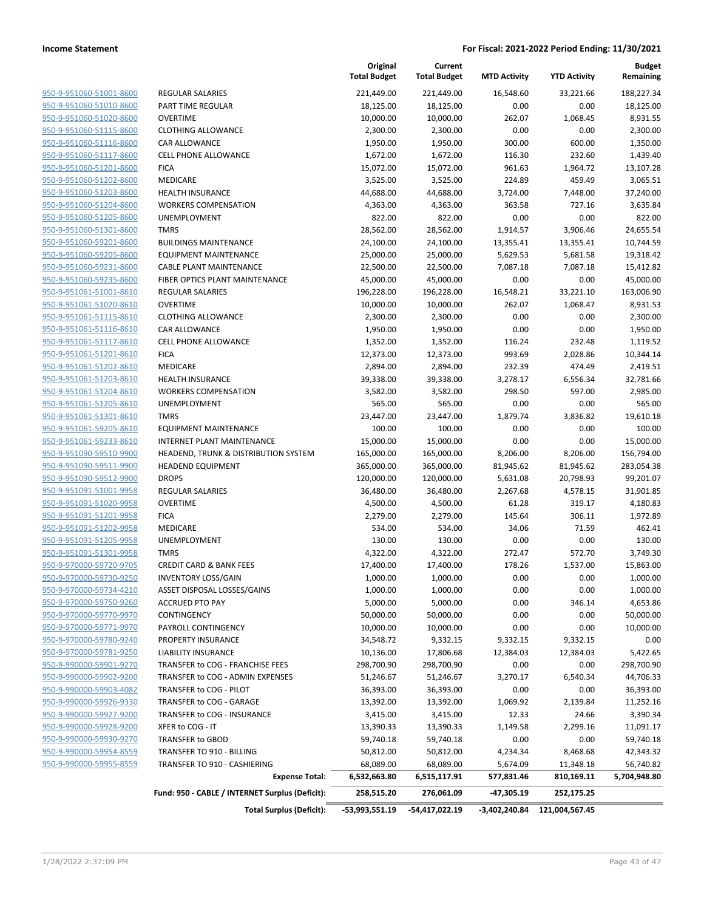| 950-9-951060-51001-8600        |
|--------------------------------|
| 950-9-951060-51010-8600        |
| 950-9-951060-51020-8600        |
| 950-9-951060-51115-8600        |
| 950-9-951060-51116-8600        |
| 950-9-951060-51117-8600        |
| 950-9-951060-51201-8600        |
| 950-9-951060-51202-8600        |
| 950-9-951060-51203-8600        |
| 950-9-951060-51204-8600        |
| 950-9-951060-51205-8600        |
| 950-9-951060-51301-8600        |
| 950-9-951060-59201-8600        |
| 950-9-951060-59205-8600        |
| 950-9-951060-59231-8600        |
| 950-9-951060-59235-8600        |
| 950-9-951061-51001-8610        |
| 950-9-951061-51020-8610        |
| 950-9-951061-51115-8610        |
| 950-9-951061-51116-8610        |
| 950-9-951061-51117-8610        |
| 950-9-951061-51201-8610        |
| <u>950-9-951061-51202-8610</u> |
| 950-9-951061-51203-8610        |
| 950-9-951061-51204-8610        |
| 950-9-951061-51205-8610        |
| 950-9-951061-51301-8610        |
| 950-9-951061-59205-8610        |
| 950-9-951061-59233-8610        |
| 950-9-951090-59510-9900        |
| 950-9-951090-59511-9900        |
| 950-9-951090-59512-9900        |
| <u>950-9-951091-51001-9958</u> |
| 950-9-951091-51020-9958        |
| 950-9-951091-51201-9958        |
| 950-9-951091-51202-9958        |
| 950-9-951091-51205-9958        |
| 950-9-951091-51301-9958        |
| 950-9-970000-59720-9705        |
| 950-9-970000-59730-9250        |
| 950-9-970000-59734-4210        |
| 950-9-970000-59750-9260        |
|                                |
| 950-9-970000-59770-9970        |
| 950-9-970000-59771-9970        |
| 950-9-970000-59780-9240        |
| 950-9-970000-59781-9250        |
| 950-9-990000-59901-9270        |
| <u>950-9-990000-59902-9200</u> |
| <u>950-9-990000-59903-4082</u> |
| <u>950-9-990000-59926-9330</u> |
| 950-9-990000-59927-9200        |
| 950-9-990000-59928-9200        |
| 950-9-990000-59930-9270        |
| <u>950-9-990000-59954-8559</u> |
| 950-9-990000-59955-8559        |

|                                                    |                                                                  | Original<br><b>Total Budget</b> | Current<br><b>Total Budget</b> | <b>MTD Activity</b>   | <b>YTD Activity</b>   | <b>Budget</b><br>Remaining |
|----------------------------------------------------|------------------------------------------------------------------|---------------------------------|--------------------------------|-----------------------|-----------------------|----------------------------|
| 950-9-951060-51001-8600                            | REGULAR SALARIES                                                 | 221,449.00                      | 221,449.00                     | 16,548.60             | 33,221.66             | 188,227.34                 |
| 950-9-951060-51010-8600                            | PART TIME REGULAR                                                | 18,125.00                       | 18,125.00                      | 0.00                  | 0.00                  | 18,125.00                  |
| 950-9-951060-51020-8600                            | <b>OVERTIME</b>                                                  | 10,000.00                       | 10,000.00                      | 262.07                | 1,068.45              | 8,931.55                   |
| 950-9-951060-51115-8600                            | <b>CLOTHING ALLOWANCE</b>                                        | 2,300.00                        | 2,300.00                       | 0.00                  | 0.00                  | 2,300.00                   |
| 950-9-951060-51116-8600                            | <b>CAR ALLOWANCE</b>                                             | 1,950.00                        | 1,950.00                       | 300.00                | 600.00                | 1,350.00                   |
| 950-9-951060-51117-8600                            | <b>CELL PHONE ALLOWANCE</b>                                      | 1,672.00                        | 1,672.00                       | 116.30                | 232.60                | 1,439.40                   |
| 950-9-951060-51201-8600                            | <b>FICA</b>                                                      | 15,072.00                       | 15,072.00                      | 961.63                | 1,964.72              | 13,107.28                  |
| 950-9-951060-51202-8600                            | MEDICARE                                                         | 3,525.00                        | 3,525.00                       | 224.89                | 459.49                | 3,065.51                   |
| 950-9-951060-51203-8600                            | <b>HEALTH INSURANCE</b>                                          | 44,688.00                       | 44,688.00                      | 3,724.00              | 7,448.00              | 37,240.00                  |
| 950-9-951060-51204-8600                            | <b>WORKERS COMPENSATION</b>                                      | 4,363.00                        | 4,363.00                       | 363.58                | 727.16                | 3,635.84                   |
| 950-9-951060-51205-8600                            | <b>UNEMPLOYMENT</b>                                              | 822.00                          | 822.00                         | 0.00                  | 0.00                  | 822.00                     |
| 950-9-951060-51301-8600                            | <b>TMRS</b>                                                      | 28,562.00                       | 28,562.00                      | 1,914.57              | 3,906.46              | 24,655.54                  |
| 950-9-951060-59201-8600                            | <b>BUILDINGS MAINTENANCE</b>                                     | 24,100.00                       | 24,100.00                      | 13,355.41             | 13,355.41             | 10,744.59                  |
| 950-9-951060-59205-8600                            | <b>EQUIPMENT MAINTENANCE</b>                                     | 25,000.00                       | 25,000.00                      | 5,629.53              | 5,681.58              | 19,318.42                  |
| 950-9-951060-59231-8600                            | CABLE PLANT MAINTENANCE                                          | 22,500.00                       | 22,500.00                      | 7,087.18              | 7,087.18              | 15,412.82                  |
| 950-9-951060-59235-8600                            | FIBER OPTICS PLANT MAINTENANCE                                   | 45,000.00                       | 45,000.00                      | 0.00                  | 0.00                  | 45,000.00                  |
| 950-9-951061-51001-8610                            | REGULAR SALARIES                                                 | 196,228.00                      | 196,228.00                     | 16,548.21             | 33,221.10             | 163,006.90                 |
| 950-9-951061-51020-8610                            | <b>OVERTIME</b>                                                  | 10,000.00                       | 10,000.00                      | 262.07                | 1,068.47              | 8,931.53                   |
| 950-9-951061-51115-8610                            | <b>CLOTHING ALLOWANCE</b>                                        | 2,300.00                        | 2,300.00                       | 0.00                  | 0.00                  | 2,300.00                   |
| 950-9-951061-51116-8610                            | CAR ALLOWANCE                                                    | 1,950.00                        | 1,950.00                       | 0.00                  | 0.00                  | 1,950.00                   |
| 950-9-951061-51117-8610                            | <b>CELL PHONE ALLOWANCE</b>                                      | 1,352.00                        | 1,352.00                       | 116.24                | 232.48                | 1,119.52                   |
| 950-9-951061-51201-8610                            | <b>FICA</b>                                                      | 12,373.00                       | 12,373.00                      | 993.69                | 2,028.86              | 10,344.14                  |
| 950-9-951061-51202-8610                            | MEDICARE                                                         | 2,894.00                        | 2,894.00                       | 232.39                | 474.49                | 2,419.51                   |
| 950-9-951061-51203-8610                            | <b>HEALTH INSURANCE</b>                                          | 39,338.00                       | 39,338.00                      | 3,278.17              | 6,556.34              | 32,781.66                  |
| 950-9-951061-51204-8610                            | <b>WORKERS COMPENSATION</b>                                      | 3,582.00                        | 3,582.00                       | 298.50                | 597.00                | 2,985.00                   |
| 950-9-951061-51205-8610                            | UNEMPLOYMENT                                                     | 565.00                          | 565.00                         | 0.00                  | 0.00                  | 565.00                     |
| 950-9-951061-51301-8610                            | <b>TMRS</b>                                                      | 23,447.00                       | 23,447.00                      | 1,879.74              | 3,836.82              | 19,610.18                  |
| 950-9-951061-59205-8610                            | <b>EQUIPMENT MAINTENANCE</b>                                     | 100.00                          | 100.00                         | 0.00                  | 0.00                  | 100.00                     |
| 950-9-951061-59233-8610<br>950-9-951090-59510-9900 | <b>INTERNET PLANT MAINTENANCE</b>                                | 15,000.00                       | 15,000.00                      | 0.00                  | 0.00                  | 15,000.00                  |
| 950-9-951090-59511-9900                            | HEADEND, TRUNK & DISTRIBUTION SYSTEM<br><b>HEADEND EQUIPMENT</b> | 165,000.00<br>365,000.00        | 165,000.00<br>365,000.00       | 8,206.00<br>81,945.62 | 8,206.00<br>81,945.62 | 156,794.00<br>283,054.38   |
| 950-9-951090-59512-9900                            | <b>DROPS</b>                                                     | 120,000.00                      | 120,000.00                     | 5,631.08              | 20,798.93             | 99,201.07                  |
| 950-9-951091-51001-9958                            | <b>REGULAR SALARIES</b>                                          | 36,480.00                       | 36,480.00                      | 2,267.68              | 4,578.15              | 31,901.85                  |
| 950-9-951091-51020-9958                            | <b>OVERTIME</b>                                                  | 4,500.00                        | 4,500.00                       | 61.28                 | 319.17                | 4,180.83                   |
| 950-9-951091-51201-9958                            | <b>FICA</b>                                                      | 2,279.00                        | 2,279.00                       | 145.64                | 306.11                | 1,972.89                   |
| 950-9-951091-51202-9958                            | MEDICARE                                                         | 534.00                          | 534.00                         | 34.06                 | 71.59                 | 462.41                     |
| 950-9-951091-51205-9958                            | UNEMPLOYMENT                                                     | 130.00                          | 130.00                         | 0.00                  | 0.00                  | 130.00                     |
| 950-9-951091-51301-9958                            | <b>TMRS</b>                                                      | 4,322.00                        | 4,322.00                       | 272.47                | 572.70                | 3,749.30                   |
| 950-9-970000-59720-9705                            | <b>CREDIT CARD &amp; BANK FEES</b>                               | 17,400.00                       | 17,400.00                      | 178.26                | 1,537.00              | 15,863.00                  |
| 950-9-970000-59730-9250                            | <b>INVENTORY LOSS/GAIN</b>                                       | 1,000.00                        | 1,000.00                       | 0.00                  | 0.00                  | 1,000.00                   |
| 950-9-970000-59734-4210                            | ASSET DISPOSAL LOSSES/GAINS                                      | 1,000.00                        | 1,000.00                       | 0.00                  | 0.00                  | 1,000.00                   |
| 950-9-970000-59750-9260                            | <b>ACCRUED PTO PAY</b>                                           | 5,000.00                        | 5,000.00                       | 0.00                  | 346.14                | 4,653.86                   |
| 950-9-970000-59770-9970                            | CONTINGENCY                                                      | 50,000.00                       | 50,000.00                      | 0.00                  | 0.00                  | 50,000.00                  |
| 950-9-970000-59771-9970                            | PAYROLL CONTINGENCY                                              | 10,000.00                       | 10,000.00                      | 0.00                  | 0.00                  | 10,000.00                  |
| 950-9-970000-59780-9240                            | PROPERTY INSURANCE                                               | 34,548.72                       | 9,332.15                       | 9,332.15              | 9,332.15              | 0.00                       |
| 950-9-970000-59781-9250                            | <b>LIABILITY INSURANCE</b>                                       | 10,136.00                       | 17,806.68                      | 12,384.03             | 12,384.03             | 5,422.65                   |
| 950-9-990000-59901-9270                            | TRANSFER to COG - FRANCHISE FEES                                 | 298,700.90                      | 298,700.90                     | 0.00                  | 0.00                  | 298,700.90                 |
| 950-9-990000-59902-9200                            | TRANSFER to COG - ADMIN EXPENSES                                 | 51,246.67                       | 51,246.67                      | 3,270.17              | 6,540.34              | 44,706.33                  |
| 950-9-990000-59903-4082                            | TRANSFER to COG - PILOT                                          | 36,393.00                       | 36,393.00                      | 0.00                  | 0.00                  | 36,393.00                  |
| 950-9-990000-59926-9330                            | TRANSFER to COG - GARAGE                                         | 13,392.00                       | 13,392.00                      | 1,069.92              | 2,139.84              | 11,252.16                  |
| 950-9-990000-59927-9200                            | TRANSFER to COG - INSURANCE                                      | 3,415.00                        | 3,415.00                       | 12.33                 | 24.66                 | 3,390.34                   |
| 950-9-990000-59928-9200                            | XFER to COG - IT                                                 | 13,390.33                       | 13,390.33                      | 1,149.58              | 2,299.16              | 11,091.17                  |
| 950-9-990000-59930-9270                            | TRANSFER to GBOD                                                 | 59,740.18                       | 59,740.18                      | 0.00                  | 0.00                  | 59,740.18                  |
| 950-9-990000-59954-8559                            | TRANSFER TO 910 - BILLING                                        | 50,812.00                       | 50,812.00                      | 4,234.34              | 8,468.68              | 42,343.32                  |
| 950-9-990000-59955-8559                            | TRANSFER TO 910 - CASHIERING                                     | 68,089.00                       | 68,089.00                      | 5,674.09              | 11,348.18             | 56,740.82                  |
|                                                    | <b>Expense Total:</b>                                            | 6,532,663.80                    | 6,515,117.91                   | 577,831.46            | 810,169.11            | 5,704,948.80               |
|                                                    | Fund: 950 - CABLE / INTERNET Surplus (Deficit):                  | 258,515.20                      | 276,061.09                     | -47,305.19            | 252,175.25            |                            |
|                                                    |                                                                  |                                 |                                |                       |                       |                            |

**Total Surplus (Deficit): -53,993,551.19 -54,417,022.19 -3,402,240.84 121,004,567.45**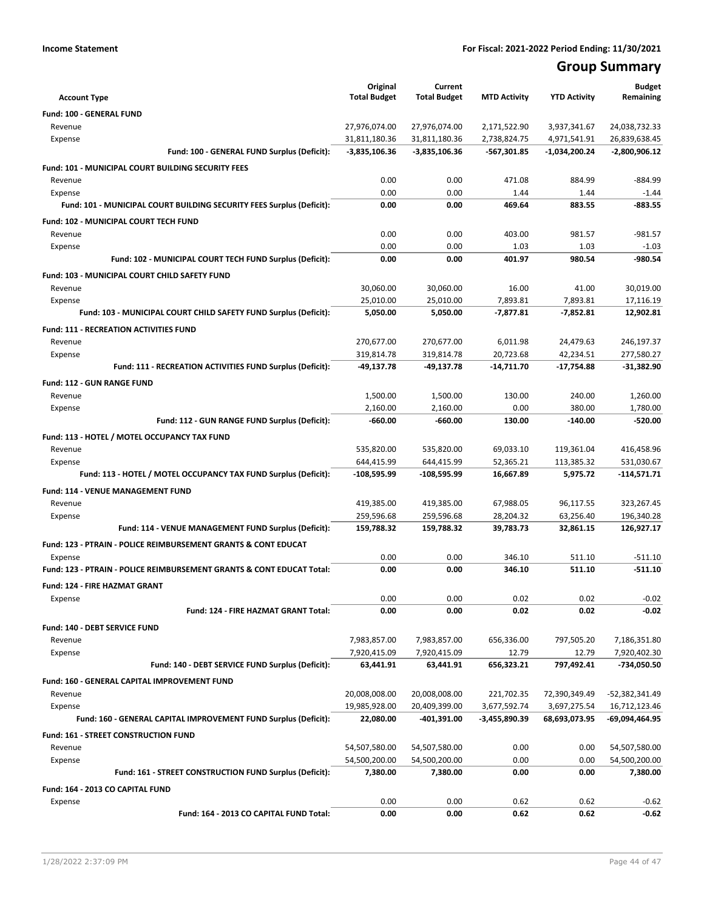## **Group Summary**

| <b>Account Type</b>                                                       | Original<br><b>Total Budget</b> | Current<br><b>Total Budget</b> | <b>MTD Activity</b> | <b>YTD Activity</b> | <b>Budget</b><br>Remaining |
|---------------------------------------------------------------------------|---------------------------------|--------------------------------|---------------------|---------------------|----------------------------|
| Fund: 100 - GENERAL FUND                                                  |                                 |                                |                     |                     |                            |
| Revenue                                                                   | 27,976,074.00                   | 27,976,074.00                  | 2,171,522.90        | 3,937,341.67        | 24,038,732.33              |
| Expense                                                                   | 31,811,180.36                   | 31,811,180.36                  | 2,738,824.75        | 4,971,541.91        | 26,839,638.45              |
| Fund: 100 - GENERAL FUND Surplus (Deficit):                               | -3,835,106.36                   | $-3,835,106.36$                | -567,301.85         | -1,034,200.24       | $-2,800,906.12$            |
| Fund: 101 - MUNICIPAL COURT BUILDING SECURITY FEES                        |                                 |                                |                     |                     |                            |
| Revenue                                                                   | 0.00                            | 0.00                           | 471.08              | 884.99              | $-884.99$                  |
| Expense                                                                   | 0.00                            | 0.00                           | 1.44                | 1.44                | $-1.44$                    |
| Fund: 101 - MUNICIPAL COURT BUILDING SECURITY FEES Surplus (Deficit):     | 0.00                            | 0.00                           | 469.64              | 883.55              | $-883.55$                  |
| Fund: 102 - MUNICIPAL COURT TECH FUND                                     |                                 |                                |                     |                     |                            |
| Revenue                                                                   | 0.00                            | 0.00                           | 403.00              | 981.57              | $-981.57$                  |
| Expense                                                                   | 0.00                            | 0.00                           | 1.03                | 1.03                | $-1.03$                    |
| Fund: 102 - MUNICIPAL COURT TECH FUND Surplus (Deficit):                  | 0.00                            | 0.00                           | 401.97              | 980.54              | $-980.54$                  |
|                                                                           |                                 |                                |                     |                     |                            |
| Fund: 103 - MUNICIPAL COURT CHILD SAFETY FUND                             |                                 |                                |                     |                     |                            |
| Revenue                                                                   | 30,060.00                       | 30,060.00                      | 16.00<br>7,893.81   | 41.00<br>7,893.81   | 30,019.00                  |
| Expense                                                                   | 25,010.00<br>5,050.00           | 25,010.00<br>5,050.00          | $-7,877.81$         | $-7,852.81$         | 17,116.19<br>12,902.81     |
| Fund: 103 - MUNICIPAL COURT CHILD SAFETY FUND Surplus (Deficit):          |                                 |                                |                     |                     |                            |
| <b>Fund: 111 - RECREATION ACTIVITIES FUND</b>                             |                                 |                                |                     |                     |                            |
| Revenue                                                                   | 270,677.00                      | 270,677.00                     | 6,011.98            | 24,479.63           | 246,197.37                 |
| Expense                                                                   | 319,814.78                      | 319,814.78                     | 20,723.68           | 42,234.51           | 277,580.27                 |
| Fund: 111 - RECREATION ACTIVITIES FUND Surplus (Deficit):                 | $-49,137.78$                    | $-49,137.78$                   | -14,711.70          | -17,754.88          | -31,382.90                 |
| <b>Fund: 112 - GUN RANGE FUND</b>                                         |                                 |                                |                     |                     |                            |
| Revenue                                                                   | 1,500.00                        | 1,500.00                       | 130.00              | 240.00              | 1,260.00                   |
| Expense                                                                   | 2,160.00                        | 2,160.00                       | 0.00                | 380.00              | 1,780.00                   |
| Fund: 112 - GUN RANGE FUND Surplus (Deficit):                             | $-660.00$                       | $-660.00$                      | 130.00              | $-140.00$           | $-520.00$                  |
| Fund: 113 - HOTEL / MOTEL OCCUPANCY TAX FUND                              |                                 |                                |                     |                     |                            |
| Revenue                                                                   | 535,820.00                      | 535,820.00                     | 69,033.10           | 119,361.04          | 416,458.96                 |
| Expense                                                                   | 644,415.99                      | 644,415.99                     | 52,365.21           | 113,385.32          | 531,030.67                 |
| Fund: 113 - HOTEL / MOTEL OCCUPANCY TAX FUND Surplus (Deficit):           | -108,595.99                     | -108,595.99                    | 16,667.89           | 5,975.72            | -114,571.71                |
| Fund: 114 - VENUE MANAGEMENT FUND                                         |                                 |                                |                     |                     |                            |
| Revenue                                                                   | 419,385.00                      | 419,385.00                     | 67,988.05           | 96,117.55           | 323,267.45                 |
| Expense                                                                   | 259,596.68                      | 259,596.68                     | 28,204.32           | 63,256.40           | 196,340.28                 |
| Fund: 114 - VENUE MANAGEMENT FUND Surplus (Deficit):                      | 159,788.32                      | 159,788.32                     | 39,783.73           | 32,861.15           | 126,927.17                 |
| <b>Fund: 123 - PTRAIN - POLICE REIMBURSEMENT GRANTS &amp; CONT EDUCAT</b> |                                 |                                |                     |                     |                            |
| Expense                                                                   | 0.00                            | 0.00                           | 346.10              | 511.10              | $-511.10$                  |
| Fund: 123 - PTRAIN - POLICE REIMBURSEMENT GRANTS & CONT EDUCAT Total:     | 0.00                            | 0.00                           | 346.10              | 511.10              | $-511.10$                  |
| <b>Fund: 124 - FIRE HAZMAT GRANT</b>                                      |                                 |                                |                     |                     |                            |
| Expense                                                                   | 0.00                            | 0.00                           | 0.02                | 0.02                | $-0.02$                    |
| Fund: 124 - FIRE HAZMAT GRANT Total:                                      | 0.00                            | 0.00                           | 0.02                | 0.02                | $-0.02$                    |
| Fund: 140 - DEBT SERVICE FUND                                             |                                 |                                |                     |                     |                            |
| Revenue                                                                   | 7,983,857.00                    | 7,983,857.00                   | 656,336.00          | 797,505.20          | 7,186,351.80               |
| Expense                                                                   | 7,920,415.09                    | 7,920,415.09                   | 12.79               | 12.79               | 7,920,402.30               |
| Fund: 140 - DEBT SERVICE FUND Surplus (Deficit):                          | 63,441.91                       | 63,441.91                      | 656,323.21          | 797,492.41          | -734,050.50                |
| Fund: 160 - GENERAL CAPITAL IMPROVEMENT FUND                              |                                 |                                |                     |                     |                            |
| Revenue                                                                   | 20,008,008.00                   | 20,008,008.00                  | 221,702.35          | 72,390,349.49       | -52,382,341.49             |
| Expense                                                                   | 19,985,928.00                   | 20,409,399.00                  | 3,677,592.74        | 3,697,275.54        | 16,712,123.46              |
| Fund: 160 - GENERAL CAPITAL IMPROVEMENT FUND Surplus (Deficit):           | 22,080.00                       | $-401,391.00$                  | -3,455,890.39       | 68,693,073.95       | -69,094,464.95             |
|                                                                           |                                 |                                |                     |                     |                            |
| Fund: 161 - STREET CONSTRUCTION FUND                                      |                                 |                                |                     |                     |                            |
| Revenue                                                                   | 54,507,580.00                   | 54,507,580.00                  | 0.00                | 0.00                | 54,507,580.00              |
| Expense<br>Fund: 161 - STREET CONSTRUCTION FUND Surplus (Deficit):        | 54,500,200.00<br>7,380.00       | 54,500,200.00<br>7,380.00      | 0.00<br>0.00        | 0.00<br>0.00        | 54,500,200.00<br>7,380.00  |
|                                                                           |                                 |                                |                     |                     |                            |
| Fund: 164 - 2013 CO CAPITAL FUND                                          |                                 |                                |                     |                     |                            |
| Expense                                                                   | 0.00                            | 0.00                           | 0.62                | 0.62                | $-0.62$                    |
| Fund: 164 - 2013 CO CAPITAL FUND Total:                                   | 0.00                            | 0.00                           | 0.62                | 0.62                | -0.62                      |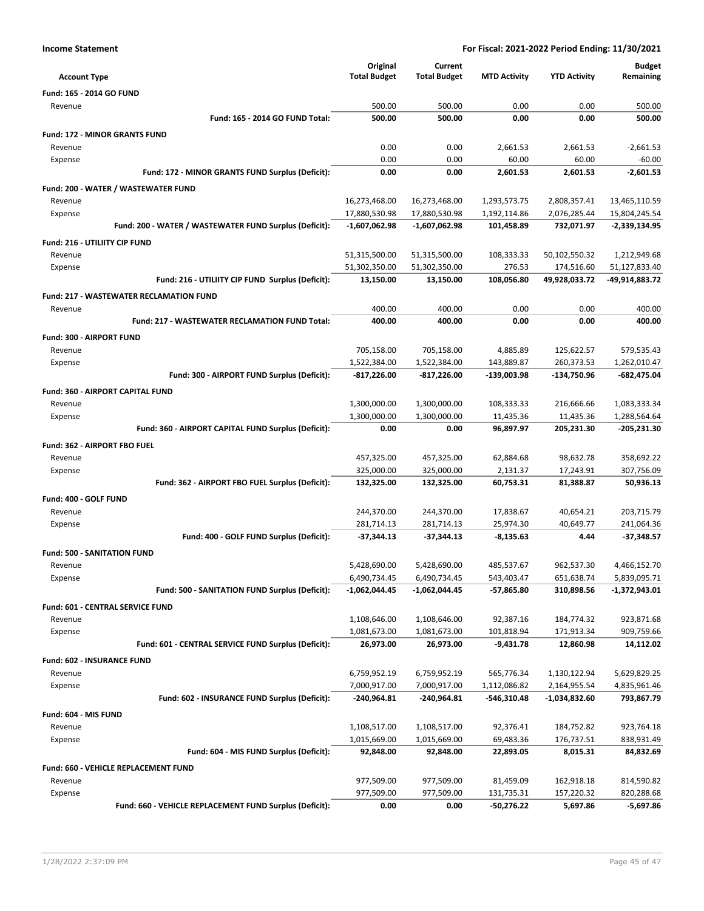|                                                         | Original            | Current             |                     |                     | <b>Budget</b>   |
|---------------------------------------------------------|---------------------|---------------------|---------------------|---------------------|-----------------|
| <b>Account Type</b>                                     | <b>Total Budget</b> | <b>Total Budget</b> | <b>MTD Activity</b> | <b>YTD Activity</b> | Remaining       |
| <b>Fund: 165 - 2014 GO FUND</b>                         |                     |                     |                     |                     |                 |
| Revenue                                                 | 500.00              | 500.00              | 0.00                | 0.00                | 500.00          |
| Fund: 165 - 2014 GO FUND Total:                         | 500.00              | 500.00              | 0.00                | 0.00                | 500.00          |
| <b>Fund: 172 - MINOR GRANTS FUND</b>                    |                     |                     |                     |                     |                 |
| Revenue                                                 | 0.00                | 0.00                | 2,661.53            | 2,661.53            | $-2,661.53$     |
| Expense                                                 | 0.00                | 0.00                | 60.00               | 60.00               | $-60.00$        |
| Fund: 172 - MINOR GRANTS FUND Surplus (Deficit):        | 0.00                | 0.00                | 2,601.53            | 2,601.53            | $-2,601.53$     |
| Fund: 200 - WATER / WASTEWATER FUND                     |                     |                     |                     |                     |                 |
| Revenue                                                 | 16,273,468.00       | 16,273,468.00       | 1,293,573.75        | 2,808,357.41        | 13,465,110.59   |
| Expense                                                 | 17,880,530.98       | 17,880,530.98       | 1,192,114.86        | 2,076,285.44        | 15,804,245.54   |
| Fund: 200 - WATER / WASTEWATER FUND Surplus (Deficit):  | $-1,607,062.98$     | $-1,607,062.98$     | 101,458.89          | 732,071.97          | $-2,339,134.95$ |
| Fund: 216 - UTILIITY CIP FUND                           |                     |                     |                     |                     |                 |
| Revenue                                                 | 51,315,500.00       | 51,315,500.00       | 108,333.33          | 50,102,550.32       | 1,212,949.68    |
| Expense                                                 | 51,302,350.00       | 51,302,350.00       | 276.53              | 174,516.60          | 51,127,833.40   |
| Fund: 216 - UTILIITY CIP FUND Surplus (Deficit):        | 13,150.00           | 13,150.00           | 108,056.80          | 49,928,033.72       | -49,914,883.72  |
| <b>Fund: 217 - WASTEWATER RECLAMATION FUND</b>          |                     |                     |                     |                     |                 |
| Revenue                                                 | 400.00              | 400.00              | 0.00                | 0.00                | 400.00          |
| <b>Fund: 217 - WASTEWATER RECLAMATION FUND Total:</b>   | 400.00              | 400.00              | 0.00                | 0.00                | 400.00          |
| Fund: 300 - AIRPORT FUND                                |                     |                     |                     |                     |                 |
| Revenue                                                 | 705,158.00          | 705,158.00          | 4,885.89            | 125,622.57          | 579,535.43      |
| Expense                                                 | 1,522,384.00        | 1,522,384.00        | 143,889.87          | 260,373.53          | 1,262,010.47    |
| Fund: 300 - AIRPORT FUND Surplus (Deficit):             | $-817,226.00$       | -817,226.00         | -139,003.98         | -134,750.96         | $-682,475.04$   |
| Fund: 360 - AIRPORT CAPITAL FUND                        |                     |                     |                     |                     |                 |
| Revenue                                                 | 1,300,000.00        | 1,300,000.00        | 108,333.33          | 216,666.66          | 1,083,333.34    |
| Expense                                                 | 1,300,000.00        | 1,300,000.00        | 11,435.36           | 11,435.36           | 1,288,564.64    |
| Fund: 360 - AIRPORT CAPITAL FUND Surplus (Deficit):     | 0.00                | 0.00                | 96,897.97           | 205,231.30          | $-205,231.30$   |
| <b>Fund: 362 - AIRPORT FBO FUEL</b>                     |                     |                     |                     |                     |                 |
| Revenue                                                 | 457,325.00          | 457,325.00          | 62,884.68           | 98,632.78           | 358,692.22      |
| Expense                                                 | 325,000.00          | 325,000.00          | 2,131.37            | 17,243.91           | 307,756.09      |
| Fund: 362 - AIRPORT FBO FUEL Surplus (Deficit):         | 132,325.00          | 132,325.00          | 60,753.31           | 81,388.87           | 50,936.13       |
| Fund: 400 - GOLF FUND                                   |                     |                     |                     |                     |                 |
| Revenue                                                 | 244,370.00          | 244,370.00          | 17,838.67           | 40,654.21           | 203.715.79      |
| Expense                                                 | 281.714.13          | 281.714.13          | 25,974.30           | 40,649.77           | 241,064.36      |
| Fund: 400 - GOLF FUND Surplus (Deficit):                | $-37,344.13$        | $-37,344.13$        | $-8,135.63$         | 4.44                | $-37,348.57$    |
| <b>Fund: 500 - SANITATION FUND</b>                      |                     |                     |                     |                     |                 |
| Revenue                                                 | 5,428,690.00        | 5,428,690.00        | 485,537.67          | 962,537.30          | 4,466,152.70    |
| Expense                                                 | 6,490,734.45        | 6,490,734.45        | 543,403.47          | 651,638.74          | 5,839,095.71    |
| Fund: 500 - SANITATION FUND Surplus (Deficit):          | $-1,062,044.45$     | -1,062,044.45       | $-57,865.80$        | 310,898.56          | $-1,372,943.01$ |
| Fund: 601 - CENTRAL SERVICE FUND                        |                     |                     |                     |                     |                 |
| Revenue                                                 | 1,108,646.00        | 1,108,646.00        | 92,387.16           | 184,774.32          | 923,871.68      |
| Expense                                                 | 1,081,673.00        | 1,081,673.00        | 101,818.94          | 171,913.34          | 909,759.66      |
| Fund: 601 - CENTRAL SERVICE FUND Surplus (Deficit):     | 26,973.00           | 26,973.00           | $-9,431.78$         | 12,860.98           | 14,112.02       |
| <b>Fund: 602 - INSURANCE FUND</b>                       |                     |                     |                     |                     |                 |
| Revenue                                                 | 6,759,952.19        | 6,759,952.19        | 565,776.34          | 1,130,122.94        | 5,629,829.25    |
| Expense                                                 | 7,000,917.00        | 7,000,917.00        | 1,112,086.82        | 2,164,955.54        | 4,835,961.46    |
| Fund: 602 - INSURANCE FUND Surplus (Deficit):           | -240,964.81         | -240,964.81         | $-546,310.48$       | -1,034,832.60       | 793,867.79      |
| Fund: 604 - MIS FUND                                    |                     |                     |                     |                     |                 |
| Revenue                                                 | 1,108,517.00        | 1,108,517.00        | 92,376.41           | 184,752.82          | 923,764.18      |
| Expense                                                 | 1,015,669.00        | 1,015,669.00        | 69,483.36           | 176,737.51          | 838,931.49      |
| Fund: 604 - MIS FUND Surplus (Deficit):                 | 92,848.00           | 92,848.00           | 22,893.05           | 8,015.31            | 84,832.69       |
|                                                         |                     |                     |                     |                     |                 |
| Fund: 660 - VEHICLE REPLACEMENT FUND<br>Revenue         | 977,509.00          | 977,509.00          | 81,459.09           | 162,918.18          | 814,590.82      |
| Expense                                                 | 977,509.00          | 977,509.00          | 131,735.31          | 157,220.32          | 820,288.68      |
| Fund: 660 - VEHICLE REPLACEMENT FUND Surplus (Deficit): | 0.00                | 0.00                | -50,276.22          | 5,697.86            | -5,697.86       |
|                                                         |                     |                     |                     |                     |                 |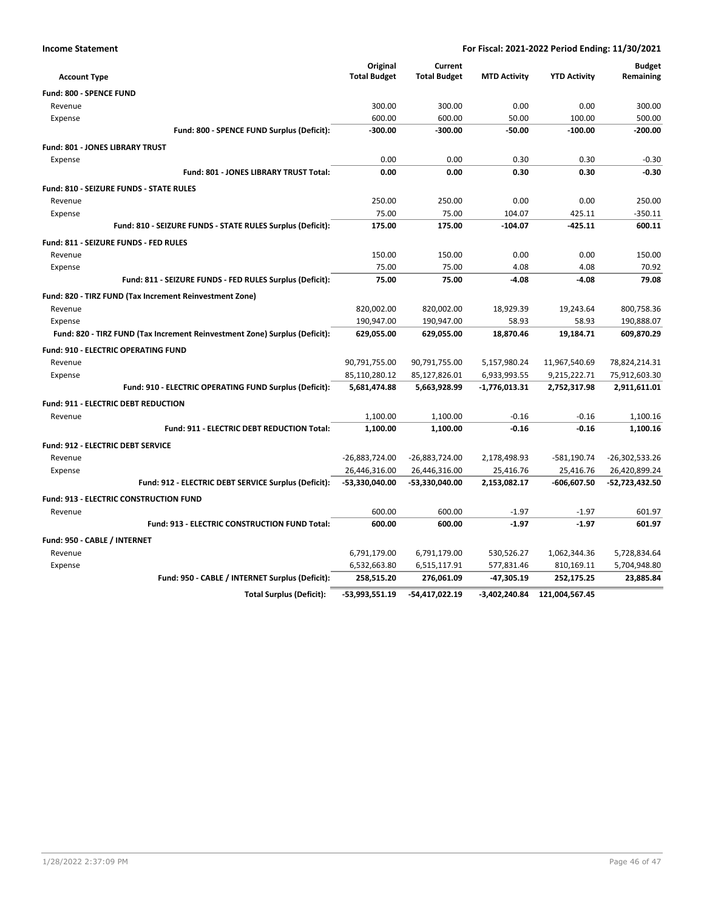| <b>Income Statement</b>                                                    | For Fiscal: 2021-2022 Period Ending: 11/30/2021 |                                |                     |                     |                            |
|----------------------------------------------------------------------------|-------------------------------------------------|--------------------------------|---------------------|---------------------|----------------------------|
| <b>Account Type</b>                                                        | Original<br><b>Total Budget</b>                 | Current<br><b>Total Budget</b> | <b>MTD Activity</b> | <b>YTD Activity</b> | <b>Budget</b><br>Remaining |
| Fund: 800 - SPENCE FUND                                                    |                                                 |                                |                     |                     |                            |
| Revenue                                                                    | 300.00                                          | 300.00                         | 0.00                | 0.00                | 300.00                     |
| Expense                                                                    | 600.00                                          | 600.00                         | 50.00               | 100.00              | 500.00                     |
| Fund: 800 - SPENCE FUND Surplus (Deficit):                                 | $-300.00$                                       | $-300.00$                      | $-50.00$            | $-100.00$           | $-200.00$                  |
| <b>Fund: 801 - JONES LIBRARY TRUST</b>                                     |                                                 |                                |                     |                     |                            |
| Expense                                                                    | 0.00                                            | 0.00                           | 0.30                | 0.30                | $-0.30$                    |
| Fund: 801 - JONES LIBRARY TRUST Total:                                     | 0.00                                            | 0.00                           | 0.30                | 0.30                | $-0.30$                    |
| <b>Fund: 810 - SEIZURE FUNDS - STATE RULES</b>                             |                                                 |                                |                     |                     |                            |
| Revenue                                                                    | 250.00                                          | 250.00                         | 0.00                | 0.00                | 250.00                     |
| Expense                                                                    | 75.00                                           | 75.00                          | 104.07              | 425.11              | $-350.11$                  |
| Fund: 810 - SEIZURE FUNDS - STATE RULES Surplus (Deficit):                 | 175.00                                          | 175.00                         | $-104.07$           | $-425.11$           | 600.11                     |
| Fund: 811 - SEIZURE FUNDS - FED RULES                                      |                                                 |                                |                     |                     |                            |
| Revenue                                                                    | 150.00                                          | 150.00                         | 0.00                | 0.00                | 150.00                     |
| Expense                                                                    | 75.00                                           | 75.00                          | 4.08                | 4.08                | 70.92                      |
| Fund: 811 - SEIZURE FUNDS - FED RULES Surplus (Deficit):                   | 75.00                                           | 75.00                          | $-4.08$             | $-4.08$             | 79.08                      |
| Fund: 820 - TIRZ FUND (Tax Increment Reinvestment Zone)                    |                                                 |                                |                     |                     |                            |
| Revenue                                                                    | 820,002.00                                      | 820,002.00                     | 18,929.39           | 19,243.64           | 800,758.36                 |
| Expense                                                                    | 190,947.00                                      | 190,947.00                     | 58.93               | 58.93               | 190,888.07                 |
| Fund: 820 - TIRZ FUND (Tax Increment Reinvestment Zone) Surplus (Deficit): | 629,055.00                                      | 629,055.00                     | 18,870.46           | 19,184.71           | 609,870.29                 |
| <b>Fund: 910 - ELECTRIC OPERATING FUND</b>                                 |                                                 |                                |                     |                     |                            |
| Revenue                                                                    | 90,791,755.00                                   | 90,791,755.00                  | 5,157,980.24        | 11,967,540.69       | 78,824,214.31              |
| Expense                                                                    | 85,110,280.12                                   | 85,127,826.01                  | 6,933,993.55        | 9,215,222.71        | 75,912,603.30              |
| Fund: 910 - ELECTRIC OPERATING FUND Surplus (Deficit):                     | 5,681,474.88                                    | 5,663,928.99                   | -1,776,013.31       | 2,752,317.98        | 2,911,611.01               |
| Fund: 911 - ELECTRIC DEBT REDUCTION                                        |                                                 |                                |                     |                     |                            |
| Revenue                                                                    | 1,100.00                                        | 1,100.00                       | $-0.16$             | $-0.16$             | 1,100.16                   |
| Fund: 911 - ELECTRIC DEBT REDUCTION Total:                                 | 1,100.00                                        | 1,100.00                       | $-0.16$             | $-0.16$             | 1,100.16                   |
| Fund: 912 - ELECTRIC DEBT SERVICE                                          |                                                 |                                |                     |                     |                            |
| Revenue                                                                    | -26,883,724.00                                  | -26,883,724.00                 | 2,178,498.93        | $-581,190.74$       | -26,302,533.26             |
| Expense                                                                    | 26,446,316.00                                   | 26,446,316.00                  | 25,416.76           | 25,416.76           | 26,420,899.24              |
| Fund: 912 - ELECTRIC DEBT SERVICE Surplus (Deficit):                       | -53,330,040.00                                  | -53,330,040.00                 | 2,153,082.17        | $-606,607.50$       | -52,723,432.50             |
| <b>Fund: 913 - ELECTRIC CONSTRUCTION FUND</b>                              |                                                 |                                |                     |                     |                            |
| Revenue                                                                    | 600.00                                          | 600.00                         | $-1.97$             | $-1.97$             | 601.97                     |
| Fund: 913 - ELECTRIC CONSTRUCTION FUND Total:                              | 600.00                                          | 600.00                         | $-1.97$             | $-1.97$             | 601.97                     |
| Fund: 950 - CABLE / INTERNET                                               |                                                 |                                |                     |                     |                            |
| Revenue                                                                    | 6,791,179.00                                    | 6,791,179.00                   | 530,526.27          | 1,062,344.36        | 5,728,834.64               |
| Expense                                                                    | 6,532,663.80                                    | 6,515,117.91                   | 577,831.46          | 810,169.11          | 5,704,948.80               |
| Fund: 950 - CABLE / INTERNET Surplus (Deficit):                            | 258,515.20                                      | 276,061.09                     | $-47,305.19$        | 252,175.25          | 23,885.84                  |
| <b>Total Surplus (Deficit):</b>                                            | -53,993,551.19                                  | -54,417,022.19                 | -3,402,240.84       | 121,004,567.45      |                            |